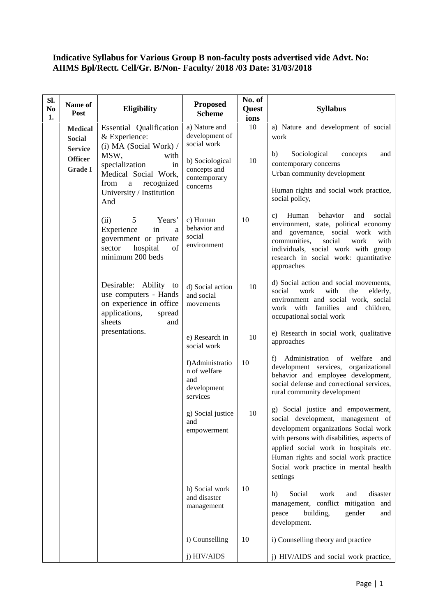## **Indicative Syllabus for Various Group B non-faculty posts advertised vide Advt. No: AIIMS Bpl/Rectt. Cell/Gr. B/Non- Faculty/ 2018 /03 Date: 31/03/2018**

| Sl.<br>N <sub>0</sub><br>1. | Name of<br>Post                                                                       | Eligibility                                                                                                                                                                                                 | <b>Proposed</b><br><b>Scheme</b>                                                                              | No. of<br>Quest<br>ions | <b>Syllabus</b>                                                                                                                                                                                                                                                                                       |
|-----------------------------|---------------------------------------------------------------------------------------|-------------------------------------------------------------------------------------------------------------------------------------------------------------------------------------------------------------|---------------------------------------------------------------------------------------------------------------|-------------------------|-------------------------------------------------------------------------------------------------------------------------------------------------------------------------------------------------------------------------------------------------------------------------------------------------------|
|                             | <b>Medical</b><br><b>Social</b><br><b>Service</b><br><b>Officer</b><br><b>Grade I</b> | Essential Qualification<br>& Experience:<br>(i) MA (Social Work) /<br>MSW,<br>with<br>specialization<br>in<br>Medical Social Work,<br>from<br>recognized<br>$\mathbf{a}$<br>University / Institution<br>And | a) Nature and<br>development of<br>social work<br>b) Sociological<br>concepts and<br>contemporary<br>concerns | 10<br>10                | a) Nature and development of social<br>work<br>Sociological<br>b)<br>concepts<br>and<br>contemporary concerns<br>Urban community development<br>Human rights and social work practice,<br>social policy,                                                                                              |
|                             |                                                                                       | 5<br>Years'<br>(ii)<br>Experience<br>in<br>a<br>government or private<br>of<br>hospital<br>sector<br>minimum 200 beds                                                                                       | c) Human<br>behavior and<br>social<br>environment                                                             | 10                      | behavior<br>Human<br>and<br>social<br>C)<br>environment, state, political economy<br>and governance, social work with<br>communities,<br>social<br>work<br>with<br>individuals, social work with group<br>research in social work: quantitative<br>approaches                                         |
|                             |                                                                                       | Desirable: Ability to<br>use computers - Hands<br>on experience in office<br>applications,<br>spread<br>sheets<br>and                                                                                       | d) Social action<br>and social<br>movements                                                                   | 10                      | d) Social action and social movements,<br>social<br>work<br>with<br>the<br>elderly,<br>environment and social work, social<br>work with<br>families<br>and<br>children,<br>occupational social work                                                                                                   |
|                             |                                                                                       | presentations.                                                                                                                                                                                              | e) Research in<br>social work                                                                                 | 10                      | e) Research in social work, qualitative<br>approaches                                                                                                                                                                                                                                                 |
|                             |                                                                                       |                                                                                                                                                                                                             | f)Administratio<br>n of welfare<br>and<br>development<br>services                                             | 10                      | Administration of welfare<br>f)<br>and<br>development services, organizational<br>behavior and employee development,<br>social defense and correctional services,<br>rural community development                                                                                                      |
|                             |                                                                                       |                                                                                                                                                                                                             | g) Social justice<br>and<br>empowerment                                                                       | 10                      | g) Social justice and empowerment,<br>social development, management of<br>development organizations Social work<br>with persons with disabilities, aspects of<br>applied social work in hospitals etc.<br>Human rights and social work practice<br>Social work practice in mental health<br>settings |
|                             |                                                                                       |                                                                                                                                                                                                             | h) Social work<br>and disaster<br>management                                                                  | 10                      | Social<br>work<br>disaster<br>h)<br>and<br>management, conflict mitigation and<br>peace<br>building,<br>gender<br>and<br>development.                                                                                                                                                                 |
|                             |                                                                                       |                                                                                                                                                                                                             | i) Counselling                                                                                                | 10                      | i) Counselling theory and practice                                                                                                                                                                                                                                                                    |
|                             |                                                                                       |                                                                                                                                                                                                             | j) HIV/AIDS                                                                                                   |                         | j) HIV/AIDS and social work practice,                                                                                                                                                                                                                                                                 |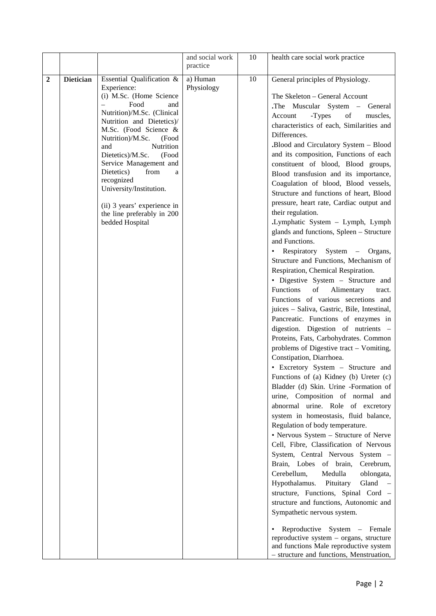|   |                  |                                                                                                                                                                                                                                                                                                                                                                                                                                    | and social work<br>practice | 10     | health care social work practice                                                                                                                                                                                                                                                                                                                                                                                                                                                                                                                                                                                                                                                                                                                                                                                                                                                                                                                                                                                                                                                                                                                                                                                                                                                                                                                                                                                                                                                                                                                                                                                                                                                                                                                                                                                                                                                                                    |  |
|---|------------------|------------------------------------------------------------------------------------------------------------------------------------------------------------------------------------------------------------------------------------------------------------------------------------------------------------------------------------------------------------------------------------------------------------------------------------|-----------------------------|--------|---------------------------------------------------------------------------------------------------------------------------------------------------------------------------------------------------------------------------------------------------------------------------------------------------------------------------------------------------------------------------------------------------------------------------------------------------------------------------------------------------------------------------------------------------------------------------------------------------------------------------------------------------------------------------------------------------------------------------------------------------------------------------------------------------------------------------------------------------------------------------------------------------------------------------------------------------------------------------------------------------------------------------------------------------------------------------------------------------------------------------------------------------------------------------------------------------------------------------------------------------------------------------------------------------------------------------------------------------------------------------------------------------------------------------------------------------------------------------------------------------------------------------------------------------------------------------------------------------------------------------------------------------------------------------------------------------------------------------------------------------------------------------------------------------------------------------------------------------------------------------------------------------------------------|--|
| 2 | <b>Dietician</b> | Essential Qualification &<br>Experience:<br>(i) M.Sc. (Home Science<br>Food<br>and<br>Nutrition)/M.Sc. (Clinical<br>Nutrition and Dietetics)/<br>M.Sc. (Food Science &<br>Nutrition)/M.Sc.<br>(Food<br>Nutrition<br>and<br>Dietetics)/M.Sc.<br>(Food<br>Service Management and<br>Dietetics)<br>from<br>a<br>recognized<br>University/Institution.<br>(ii) 3 years' experience in<br>the line preferably in 200<br>bedded Hospital | a) Human<br>Physiology      | $10\,$ | General principles of Physiology.<br>The Skeleton - General Account<br>The Muscular System - General<br>-Types<br>Account<br>of<br>muscles,<br>characteristics of each, Similarities and<br>Differences.<br><b>.Blood and Circulatory System - Blood</b><br>and its composition, Functions of each<br>constituent of blood, Blood groups,<br>Blood transfusion and its importance,<br>Coagulation of blood, Blood vessels,<br>Structure and functions of heart, Blood<br>pressure, heart rate, Cardiac output and<br>their regulation.<br>Lymphatic System - Lymph, Lymph<br>glands and functions, Spleen - Structure<br>and Functions.<br>• Respiratory System - Organs,<br>Structure and Functions, Mechanism of<br>Respiration, Chemical Respiration.<br>• Digestive System - Structure and<br>of<br>Functions<br>Alimentary<br>tract.<br>Functions of various secretions and<br>juices - Saliva, Gastric, Bile, Intestinal,<br>Pancreatic. Functions of enzymes in<br>digestion. Digestion of nutrients -<br>Proteins, Fats, Carbohydrates. Common<br>problems of Digestive tract - Vomiting,<br>Constipation, Diarrhoea.<br>• Excretory System - Structure and<br>Functions of (a) Kidney (b) Ureter (c)<br>Bladder (d) Skin. Urine -Formation of<br>urine, Composition of normal and<br>abnormal urine. Role of excretory<br>system in homeostasis, fluid balance,<br>Regulation of body temperature.<br>• Nervous System - Structure of Nerve<br>Cell, Fibre, Classification of Nervous<br>System, Central Nervous System -<br>Brain, Lobes of brain,<br>Cerebrum,<br>Cerebellum,<br>Medulla<br>oblongata,<br>Hypothalamus.<br>Pituitary<br>Gland<br>$\hspace{0.1cm} -$<br>structure, Functions, Spinal Cord -<br>structure and functions, Autonomic and<br>Sympathetic nervous system.<br>Reproductive System - Female<br>reproductive system - organs, structure<br>and functions Male reproductive system |  |
|   |                  |                                                                                                                                                                                                                                                                                                                                                                                                                                    |                             |        | - structure and functions, Menstruation,                                                                                                                                                                                                                                                                                                                                                                                                                                                                                                                                                                                                                                                                                                                                                                                                                                                                                                                                                                                                                                                                                                                                                                                                                                                                                                                                                                                                                                                                                                                                                                                                                                                                                                                                                                                                                                                                            |  |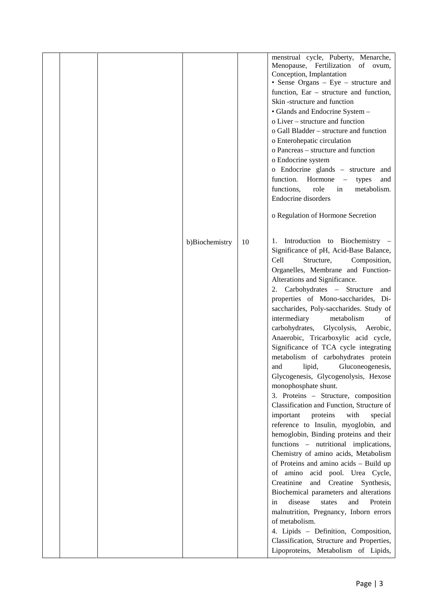|  |                |    | menstrual cycle, Puberty, Menarche,<br>Menopause, Fertilization of ovum,<br>Conception, Implantation<br>• Sense Organs – Eye – structure and<br>function, $Ear - structure$ and function,<br>Skin-structure and function<br>• Glands and Endocrine System -<br>o Liver – structure and function<br>o Gall Bladder - structure and function<br>o Enterohepatic circulation<br>o Pancreas – structure and function<br>o Endocrine system<br>o Endocrine glands - structure and<br>function. Hormone -<br>types<br>and<br>functions,<br>role<br>metabolism.<br>in<br>Endocrine disorders<br>o Regulation of Hormone Secretion                                                                                                                                                                                                                                                                                                                                                                                                                                                                                                                                                                                                                                                                                                               |  |
|--|----------------|----|------------------------------------------------------------------------------------------------------------------------------------------------------------------------------------------------------------------------------------------------------------------------------------------------------------------------------------------------------------------------------------------------------------------------------------------------------------------------------------------------------------------------------------------------------------------------------------------------------------------------------------------------------------------------------------------------------------------------------------------------------------------------------------------------------------------------------------------------------------------------------------------------------------------------------------------------------------------------------------------------------------------------------------------------------------------------------------------------------------------------------------------------------------------------------------------------------------------------------------------------------------------------------------------------------------------------------------------|--|
|  | b)Biochemistry | 10 | Introduction to Biochemistry -<br>1.<br>Significance of pH, Acid-Base Balance,<br>Structure,<br>Cell<br>Composition,<br>Organelles, Membrane and Function-<br>Alterations and Significance.<br>2. Carbohydrates - Structure<br>and<br>properties of Mono-saccharides, Di-<br>saccharides, Poly-saccharides. Study of<br>intermediary<br>metabolism<br>of<br>carbohydrates,<br>Glycolysis, Aerobic,<br>Anaerobic, Tricarboxylic acid cycle,<br>Significance of TCA cycle integrating<br>metabolism of carbohydrates protein<br>Gluconeogenesis,<br>lipid,<br>and<br>Glycogenesis, Glycogenolysis, Hexose<br>monophosphate shunt.<br>3. Proteins - Structure, composition<br>Classification and Function, Structure of<br>important<br>proteins<br>with<br>special<br>reference to Insulin, myoglobin, and<br>hemoglobin, Binding proteins and their<br>functions - nutritional implications,<br>Chemistry of amino acids, Metabolism<br>of Proteins and amino acids - Build up<br>of amino acid pool. Urea Cycle,<br>Creatinine<br>and Creatine Synthesis,<br>Biochemical parameters and alterations<br>disease<br>and<br>states<br>Protein<br>in<br>malnutrition, Pregnancy, Inborn errors<br>of metabolism.<br>4. Lipids - Definition, Composition,<br>Classification, Structure and Properties,<br>Lipoproteins, Metabolism of Lipids, |  |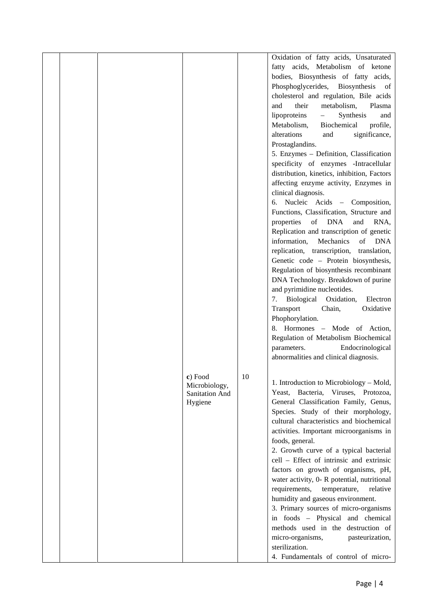|  | c) Food<br>Microbiology,  | 10 | Oxidation of fatty acids, Unsaturated<br>fatty acids, Metabolism of ketone<br>bodies, Biosynthesis of fatty acids,<br>Phosphoglycerides, Biosynthesis of<br>cholesterol and regulation, Bile acids<br>metabolism,<br>Plasma<br>and<br>their<br>lipoproteins<br>Synthesis<br>$\overline{\phantom{0}}$<br>and<br>Metabolism,<br>Biochemical<br>profile,<br>alterations<br>significance,<br>and<br>Prostaglandins.<br>5. Enzymes - Definition, Classification<br>specificity of enzymes -Intracellular<br>distribution, kinetics, inhibition, Factors<br>affecting enzyme activity, Enzymes in<br>clinical diagnosis.<br>Nucleic Acids - Composition,<br>6.<br>Functions, Classification, Structure and<br>of DNA<br>properties<br>RNA,<br>and<br>Replication and transcription of genetic<br>Mechanics<br>information,<br>of DNA<br>replication, transcription, translation,<br>Genetic code - Protein biosynthesis,<br>Regulation of biosynthesis recombinant<br>DNA Technology. Breakdown of purine<br>and pyrimidine nucleotides.<br>Biological<br>Oxidation,<br>Electron<br>7.<br>Transport<br>Chain,<br>Oxidative<br>Phophorylation.<br>8. Hormones - Mode of Action,<br>Regulation of Metabolism Biochemical<br>Endocrinological<br>parameters.<br>abnormalities and clinical diagnosis.<br>1. Introduction to Microbiology - Mold, |  |
|--|---------------------------|----|-----------------------------------------------------------------------------------------------------------------------------------------------------------------------------------------------------------------------------------------------------------------------------------------------------------------------------------------------------------------------------------------------------------------------------------------------------------------------------------------------------------------------------------------------------------------------------------------------------------------------------------------------------------------------------------------------------------------------------------------------------------------------------------------------------------------------------------------------------------------------------------------------------------------------------------------------------------------------------------------------------------------------------------------------------------------------------------------------------------------------------------------------------------------------------------------------------------------------------------------------------------------------------------------------------------------------------------------|--|
|  | Sanitation And<br>Hygiene |    | Yeast, Bacteria, Viruses, Protozoa,<br>General Classification Family, Genus,<br>Species. Study of their morphology,<br>cultural characteristics and biochemical<br>activities. Important microorganisms in<br>foods, general.<br>2. Growth curve of a typical bacterial<br>cell - Effect of intrinsic and extrinsic<br>factors on growth of organisms, pH,<br>water activity, 0- R potential, nutritional<br>requirements,<br>temperature,<br>relative<br>humidity and gaseous environment.<br>3. Primary sources of micro-organisms<br>in foods - Physical and chemical<br>methods used in the destruction of<br>micro-organisms,<br>pasteurization,<br>sterilization.<br>4. Fundamentals of control of micro-                                                                                                                                                                                                                                                                                                                                                                                                                                                                                                                                                                                                                         |  |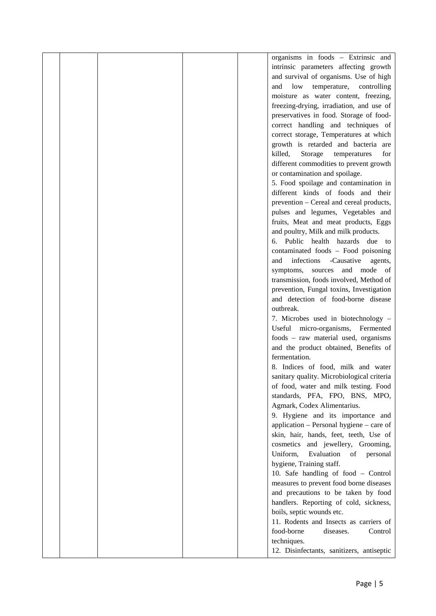| intrinsic parameters affecting growth<br>and survival of organisms. Use of high<br>low<br>temperature, controlling<br>and<br>moisture as water content, freezing,<br>freezing-drying, irradiation, and use of<br>preservatives in food. Storage of food-<br>correct handling and techniques of<br>correct storage, Temperatures at which<br>growth is retarded and bacteria are<br>killed,<br>Storage<br>temperatures<br>for<br>different commodities to prevent growth<br>or contamination and spoilage.<br>5. Food spoilage and contamination in<br>different kinds of foods and their<br>prevention – Cereal and cereal products,<br>pulses and legumes, Vegetables and<br>fruits, Meat and meat products, Eggs<br>and poultry, Milk and milk products.<br>6. Public health hazards due to<br>contaminated foods - Food poisoning<br>-Causative<br>infections<br>and<br>agents,<br>and mode of<br>symptoms,<br>sources<br>transmission, foods involved, Method of<br>prevention, Fungal toxins, Investigation<br>and detection of food-borne disease<br>outbreak.<br>7. Microbes used in biotechnology -<br>Useful micro-organisms, Fermented<br>foods - raw material used, organisms<br>and the product obtained, Benefits of<br>fermentation.<br>8. Indices of food, milk and water<br>sanitary quality. Microbiological criteria<br>of food, water and milk testing. Food<br>standards, PFA, FPO, BNS, MPO,<br>Agmark, Codex Alimentarius.<br>9. Hygiene and its importance and<br>application – Personal hygiene – care of<br>skin, hair, hands, feet, teeth, Use of<br>and jewellery, Grooming,<br>cosmetics<br>Uniform,<br>Evaluation<br>of<br>personal<br>hygiene, Training staff.<br>10. Safe handling of food - Control<br>measures to prevent food borne diseases<br>and precautions to be taken by food |  |  | organisms in foods - Extrinsic and     |  |
|-----------------------------------------------------------------------------------------------------------------------------------------------------------------------------------------------------------------------------------------------------------------------------------------------------------------------------------------------------------------------------------------------------------------------------------------------------------------------------------------------------------------------------------------------------------------------------------------------------------------------------------------------------------------------------------------------------------------------------------------------------------------------------------------------------------------------------------------------------------------------------------------------------------------------------------------------------------------------------------------------------------------------------------------------------------------------------------------------------------------------------------------------------------------------------------------------------------------------------------------------------------------------------------------------------------------------------------------------------------------------------------------------------------------------------------------------------------------------------------------------------------------------------------------------------------------------------------------------------------------------------------------------------------------------------------------------------------------------------------------------------------------------------------------------------------------------|--|--|----------------------------------------|--|
|                                                                                                                                                                                                                                                                                                                                                                                                                                                                                                                                                                                                                                                                                                                                                                                                                                                                                                                                                                                                                                                                                                                                                                                                                                                                                                                                                                                                                                                                                                                                                                                                                                                                                                                                                                                                                       |  |  |                                        |  |
|                                                                                                                                                                                                                                                                                                                                                                                                                                                                                                                                                                                                                                                                                                                                                                                                                                                                                                                                                                                                                                                                                                                                                                                                                                                                                                                                                                                                                                                                                                                                                                                                                                                                                                                                                                                                                       |  |  |                                        |  |
|                                                                                                                                                                                                                                                                                                                                                                                                                                                                                                                                                                                                                                                                                                                                                                                                                                                                                                                                                                                                                                                                                                                                                                                                                                                                                                                                                                                                                                                                                                                                                                                                                                                                                                                                                                                                                       |  |  |                                        |  |
|                                                                                                                                                                                                                                                                                                                                                                                                                                                                                                                                                                                                                                                                                                                                                                                                                                                                                                                                                                                                                                                                                                                                                                                                                                                                                                                                                                                                                                                                                                                                                                                                                                                                                                                                                                                                                       |  |  |                                        |  |
|                                                                                                                                                                                                                                                                                                                                                                                                                                                                                                                                                                                                                                                                                                                                                                                                                                                                                                                                                                                                                                                                                                                                                                                                                                                                                                                                                                                                                                                                                                                                                                                                                                                                                                                                                                                                                       |  |  |                                        |  |
|                                                                                                                                                                                                                                                                                                                                                                                                                                                                                                                                                                                                                                                                                                                                                                                                                                                                                                                                                                                                                                                                                                                                                                                                                                                                                                                                                                                                                                                                                                                                                                                                                                                                                                                                                                                                                       |  |  |                                        |  |
|                                                                                                                                                                                                                                                                                                                                                                                                                                                                                                                                                                                                                                                                                                                                                                                                                                                                                                                                                                                                                                                                                                                                                                                                                                                                                                                                                                                                                                                                                                                                                                                                                                                                                                                                                                                                                       |  |  |                                        |  |
|                                                                                                                                                                                                                                                                                                                                                                                                                                                                                                                                                                                                                                                                                                                                                                                                                                                                                                                                                                                                                                                                                                                                                                                                                                                                                                                                                                                                                                                                                                                                                                                                                                                                                                                                                                                                                       |  |  |                                        |  |
|                                                                                                                                                                                                                                                                                                                                                                                                                                                                                                                                                                                                                                                                                                                                                                                                                                                                                                                                                                                                                                                                                                                                                                                                                                                                                                                                                                                                                                                                                                                                                                                                                                                                                                                                                                                                                       |  |  |                                        |  |
|                                                                                                                                                                                                                                                                                                                                                                                                                                                                                                                                                                                                                                                                                                                                                                                                                                                                                                                                                                                                                                                                                                                                                                                                                                                                                                                                                                                                                                                                                                                                                                                                                                                                                                                                                                                                                       |  |  |                                        |  |
|                                                                                                                                                                                                                                                                                                                                                                                                                                                                                                                                                                                                                                                                                                                                                                                                                                                                                                                                                                                                                                                                                                                                                                                                                                                                                                                                                                                                                                                                                                                                                                                                                                                                                                                                                                                                                       |  |  |                                        |  |
|                                                                                                                                                                                                                                                                                                                                                                                                                                                                                                                                                                                                                                                                                                                                                                                                                                                                                                                                                                                                                                                                                                                                                                                                                                                                                                                                                                                                                                                                                                                                                                                                                                                                                                                                                                                                                       |  |  |                                        |  |
|                                                                                                                                                                                                                                                                                                                                                                                                                                                                                                                                                                                                                                                                                                                                                                                                                                                                                                                                                                                                                                                                                                                                                                                                                                                                                                                                                                                                                                                                                                                                                                                                                                                                                                                                                                                                                       |  |  |                                        |  |
|                                                                                                                                                                                                                                                                                                                                                                                                                                                                                                                                                                                                                                                                                                                                                                                                                                                                                                                                                                                                                                                                                                                                                                                                                                                                                                                                                                                                                                                                                                                                                                                                                                                                                                                                                                                                                       |  |  |                                        |  |
|                                                                                                                                                                                                                                                                                                                                                                                                                                                                                                                                                                                                                                                                                                                                                                                                                                                                                                                                                                                                                                                                                                                                                                                                                                                                                                                                                                                                                                                                                                                                                                                                                                                                                                                                                                                                                       |  |  |                                        |  |
|                                                                                                                                                                                                                                                                                                                                                                                                                                                                                                                                                                                                                                                                                                                                                                                                                                                                                                                                                                                                                                                                                                                                                                                                                                                                                                                                                                                                                                                                                                                                                                                                                                                                                                                                                                                                                       |  |  |                                        |  |
|                                                                                                                                                                                                                                                                                                                                                                                                                                                                                                                                                                                                                                                                                                                                                                                                                                                                                                                                                                                                                                                                                                                                                                                                                                                                                                                                                                                                                                                                                                                                                                                                                                                                                                                                                                                                                       |  |  |                                        |  |
|                                                                                                                                                                                                                                                                                                                                                                                                                                                                                                                                                                                                                                                                                                                                                                                                                                                                                                                                                                                                                                                                                                                                                                                                                                                                                                                                                                                                                                                                                                                                                                                                                                                                                                                                                                                                                       |  |  |                                        |  |
|                                                                                                                                                                                                                                                                                                                                                                                                                                                                                                                                                                                                                                                                                                                                                                                                                                                                                                                                                                                                                                                                                                                                                                                                                                                                                                                                                                                                                                                                                                                                                                                                                                                                                                                                                                                                                       |  |  |                                        |  |
|                                                                                                                                                                                                                                                                                                                                                                                                                                                                                                                                                                                                                                                                                                                                                                                                                                                                                                                                                                                                                                                                                                                                                                                                                                                                                                                                                                                                                                                                                                                                                                                                                                                                                                                                                                                                                       |  |  |                                        |  |
|                                                                                                                                                                                                                                                                                                                                                                                                                                                                                                                                                                                                                                                                                                                                                                                                                                                                                                                                                                                                                                                                                                                                                                                                                                                                                                                                                                                                                                                                                                                                                                                                                                                                                                                                                                                                                       |  |  |                                        |  |
|                                                                                                                                                                                                                                                                                                                                                                                                                                                                                                                                                                                                                                                                                                                                                                                                                                                                                                                                                                                                                                                                                                                                                                                                                                                                                                                                                                                                                                                                                                                                                                                                                                                                                                                                                                                                                       |  |  |                                        |  |
|                                                                                                                                                                                                                                                                                                                                                                                                                                                                                                                                                                                                                                                                                                                                                                                                                                                                                                                                                                                                                                                                                                                                                                                                                                                                                                                                                                                                                                                                                                                                                                                                                                                                                                                                                                                                                       |  |  |                                        |  |
|                                                                                                                                                                                                                                                                                                                                                                                                                                                                                                                                                                                                                                                                                                                                                                                                                                                                                                                                                                                                                                                                                                                                                                                                                                                                                                                                                                                                                                                                                                                                                                                                                                                                                                                                                                                                                       |  |  |                                        |  |
|                                                                                                                                                                                                                                                                                                                                                                                                                                                                                                                                                                                                                                                                                                                                                                                                                                                                                                                                                                                                                                                                                                                                                                                                                                                                                                                                                                                                                                                                                                                                                                                                                                                                                                                                                                                                                       |  |  |                                        |  |
|                                                                                                                                                                                                                                                                                                                                                                                                                                                                                                                                                                                                                                                                                                                                                                                                                                                                                                                                                                                                                                                                                                                                                                                                                                                                                                                                                                                                                                                                                                                                                                                                                                                                                                                                                                                                                       |  |  |                                        |  |
|                                                                                                                                                                                                                                                                                                                                                                                                                                                                                                                                                                                                                                                                                                                                                                                                                                                                                                                                                                                                                                                                                                                                                                                                                                                                                                                                                                                                                                                                                                                                                                                                                                                                                                                                                                                                                       |  |  |                                        |  |
|                                                                                                                                                                                                                                                                                                                                                                                                                                                                                                                                                                                                                                                                                                                                                                                                                                                                                                                                                                                                                                                                                                                                                                                                                                                                                                                                                                                                                                                                                                                                                                                                                                                                                                                                                                                                                       |  |  |                                        |  |
|                                                                                                                                                                                                                                                                                                                                                                                                                                                                                                                                                                                                                                                                                                                                                                                                                                                                                                                                                                                                                                                                                                                                                                                                                                                                                                                                                                                                                                                                                                                                                                                                                                                                                                                                                                                                                       |  |  |                                        |  |
|                                                                                                                                                                                                                                                                                                                                                                                                                                                                                                                                                                                                                                                                                                                                                                                                                                                                                                                                                                                                                                                                                                                                                                                                                                                                                                                                                                                                                                                                                                                                                                                                                                                                                                                                                                                                                       |  |  |                                        |  |
|                                                                                                                                                                                                                                                                                                                                                                                                                                                                                                                                                                                                                                                                                                                                                                                                                                                                                                                                                                                                                                                                                                                                                                                                                                                                                                                                                                                                                                                                                                                                                                                                                                                                                                                                                                                                                       |  |  |                                        |  |
|                                                                                                                                                                                                                                                                                                                                                                                                                                                                                                                                                                                                                                                                                                                                                                                                                                                                                                                                                                                                                                                                                                                                                                                                                                                                                                                                                                                                                                                                                                                                                                                                                                                                                                                                                                                                                       |  |  |                                        |  |
|                                                                                                                                                                                                                                                                                                                                                                                                                                                                                                                                                                                                                                                                                                                                                                                                                                                                                                                                                                                                                                                                                                                                                                                                                                                                                                                                                                                                                                                                                                                                                                                                                                                                                                                                                                                                                       |  |  |                                        |  |
|                                                                                                                                                                                                                                                                                                                                                                                                                                                                                                                                                                                                                                                                                                                                                                                                                                                                                                                                                                                                                                                                                                                                                                                                                                                                                                                                                                                                                                                                                                                                                                                                                                                                                                                                                                                                                       |  |  |                                        |  |
|                                                                                                                                                                                                                                                                                                                                                                                                                                                                                                                                                                                                                                                                                                                                                                                                                                                                                                                                                                                                                                                                                                                                                                                                                                                                                                                                                                                                                                                                                                                                                                                                                                                                                                                                                                                                                       |  |  |                                        |  |
|                                                                                                                                                                                                                                                                                                                                                                                                                                                                                                                                                                                                                                                                                                                                                                                                                                                                                                                                                                                                                                                                                                                                                                                                                                                                                                                                                                                                                                                                                                                                                                                                                                                                                                                                                                                                                       |  |  |                                        |  |
|                                                                                                                                                                                                                                                                                                                                                                                                                                                                                                                                                                                                                                                                                                                                                                                                                                                                                                                                                                                                                                                                                                                                                                                                                                                                                                                                                                                                                                                                                                                                                                                                                                                                                                                                                                                                                       |  |  |                                        |  |
|                                                                                                                                                                                                                                                                                                                                                                                                                                                                                                                                                                                                                                                                                                                                                                                                                                                                                                                                                                                                                                                                                                                                                                                                                                                                                                                                                                                                                                                                                                                                                                                                                                                                                                                                                                                                                       |  |  |                                        |  |
|                                                                                                                                                                                                                                                                                                                                                                                                                                                                                                                                                                                                                                                                                                                                                                                                                                                                                                                                                                                                                                                                                                                                                                                                                                                                                                                                                                                                                                                                                                                                                                                                                                                                                                                                                                                                                       |  |  |                                        |  |
|                                                                                                                                                                                                                                                                                                                                                                                                                                                                                                                                                                                                                                                                                                                                                                                                                                                                                                                                                                                                                                                                                                                                                                                                                                                                                                                                                                                                                                                                                                                                                                                                                                                                                                                                                                                                                       |  |  |                                        |  |
|                                                                                                                                                                                                                                                                                                                                                                                                                                                                                                                                                                                                                                                                                                                                                                                                                                                                                                                                                                                                                                                                                                                                                                                                                                                                                                                                                                                                                                                                                                                                                                                                                                                                                                                                                                                                                       |  |  |                                        |  |
|                                                                                                                                                                                                                                                                                                                                                                                                                                                                                                                                                                                                                                                                                                                                                                                                                                                                                                                                                                                                                                                                                                                                                                                                                                                                                                                                                                                                                                                                                                                                                                                                                                                                                                                                                                                                                       |  |  |                                        |  |
|                                                                                                                                                                                                                                                                                                                                                                                                                                                                                                                                                                                                                                                                                                                                                                                                                                                                                                                                                                                                                                                                                                                                                                                                                                                                                                                                                                                                                                                                                                                                                                                                                                                                                                                                                                                                                       |  |  |                                        |  |
|                                                                                                                                                                                                                                                                                                                                                                                                                                                                                                                                                                                                                                                                                                                                                                                                                                                                                                                                                                                                                                                                                                                                                                                                                                                                                                                                                                                                                                                                                                                                                                                                                                                                                                                                                                                                                       |  |  |                                        |  |
|                                                                                                                                                                                                                                                                                                                                                                                                                                                                                                                                                                                                                                                                                                                                                                                                                                                                                                                                                                                                                                                                                                                                                                                                                                                                                                                                                                                                                                                                                                                                                                                                                                                                                                                                                                                                                       |  |  |                                        |  |
|                                                                                                                                                                                                                                                                                                                                                                                                                                                                                                                                                                                                                                                                                                                                                                                                                                                                                                                                                                                                                                                                                                                                                                                                                                                                                                                                                                                                                                                                                                                                                                                                                                                                                                                                                                                                                       |  |  |                                        |  |
|                                                                                                                                                                                                                                                                                                                                                                                                                                                                                                                                                                                                                                                                                                                                                                                                                                                                                                                                                                                                                                                                                                                                                                                                                                                                                                                                                                                                                                                                                                                                                                                                                                                                                                                                                                                                                       |  |  | handlers. Reporting of cold, sickness, |  |
| boils, septic wounds etc.                                                                                                                                                                                                                                                                                                                                                                                                                                                                                                                                                                                                                                                                                                                                                                                                                                                                                                                                                                                                                                                                                                                                                                                                                                                                                                                                                                                                                                                                                                                                                                                                                                                                                                                                                                                             |  |  |                                        |  |
| 11. Rodents and Insects as carriers of                                                                                                                                                                                                                                                                                                                                                                                                                                                                                                                                                                                                                                                                                                                                                                                                                                                                                                                                                                                                                                                                                                                                                                                                                                                                                                                                                                                                                                                                                                                                                                                                                                                                                                                                                                                |  |  |                                        |  |
| food-borne<br>diseases.<br>Control                                                                                                                                                                                                                                                                                                                                                                                                                                                                                                                                                                                                                                                                                                                                                                                                                                                                                                                                                                                                                                                                                                                                                                                                                                                                                                                                                                                                                                                                                                                                                                                                                                                                                                                                                                                    |  |  |                                        |  |
| techniques.                                                                                                                                                                                                                                                                                                                                                                                                                                                                                                                                                                                                                                                                                                                                                                                                                                                                                                                                                                                                                                                                                                                                                                                                                                                                                                                                                                                                                                                                                                                                                                                                                                                                                                                                                                                                           |  |  |                                        |  |
| 12. Disinfectants, sanitizers, antiseptic                                                                                                                                                                                                                                                                                                                                                                                                                                                                                                                                                                                                                                                                                                                                                                                                                                                                                                                                                                                                                                                                                                                                                                                                                                                                                                                                                                                                                                                                                                                                                                                                                                                                                                                                                                             |  |  |                                        |  |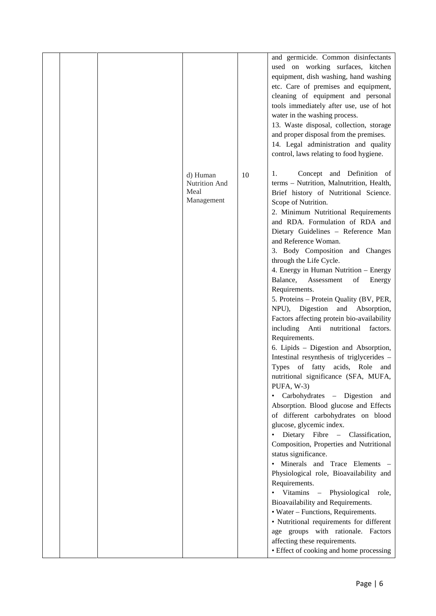|  |                                                 |    | and germicide. Common disinfectants<br>used on working surfaces, kitchen<br>equipment, dish washing, hand washing<br>etc. Care of premises and equipment,<br>cleaning of equipment and personal<br>tools immediately after use, use of hot<br>water in the washing process.<br>13. Waste disposal, collection, storage<br>and proper disposal from the premises.<br>14. Legal administration and quality<br>control, laws relating to food hygiene.                                                                                                                                                                                                                                                                                                                                                                                                                                                                                                                                                                                                                                                                                                                                                                                                                                                                                                                                                                                                                               |
|--|-------------------------------------------------|----|-----------------------------------------------------------------------------------------------------------------------------------------------------------------------------------------------------------------------------------------------------------------------------------------------------------------------------------------------------------------------------------------------------------------------------------------------------------------------------------------------------------------------------------------------------------------------------------------------------------------------------------------------------------------------------------------------------------------------------------------------------------------------------------------------------------------------------------------------------------------------------------------------------------------------------------------------------------------------------------------------------------------------------------------------------------------------------------------------------------------------------------------------------------------------------------------------------------------------------------------------------------------------------------------------------------------------------------------------------------------------------------------------------------------------------------------------------------------------------------|
|  | d) Human<br>Nutrition And<br>Meal<br>Management | 10 | Concept and Definition of<br>1.<br>terms - Nutrition, Malnutrition, Health,<br>Brief history of Nutritional Science.<br>Scope of Nutrition.<br>2. Minimum Nutritional Requirements<br>and RDA. Formulation of RDA and<br>Dietary Guidelines - Reference Man<br>and Reference Woman.<br>3. Body Composition and Changes<br>through the Life Cycle.<br>4. Energy in Human Nutrition - Energy<br>Balance,<br>Assessment<br>of<br>Energy<br>Requirements.<br>5. Proteins - Protein Quality (BV, PER,<br>NPU), Digestion<br>and Absorption,<br>Factors affecting protein bio-availability<br>including Anti<br>nutritional factors.<br>Requirements.<br>6. Lipids - Digestion and Absorption,<br>Intestinal resynthesis of triglycerides -<br>Types of fatty acids, Role<br>and<br>nutritional significance (SFA, MUFA,<br>PUFA, W-3)<br>• Carbohydrates - Digestion and<br>Absorption. Blood glucose and Effects<br>of different carbohydrates on blood<br>glucose, glycemic index.<br>Dietary Fibre - Classification,<br>$\bullet$<br>Composition, Properties and Nutritional<br>status significance.<br>• Minerals and Trace Elements -<br>Physiological role, Bioavailability and<br>Requirements.<br>• Vitamins – Physiological<br>role,<br>Bioavailability and Requirements.<br>• Water – Functions, Requirements.<br>· Nutritional requirements for different<br>age groups with rationale. Factors<br>affecting these requirements.<br>• Effect of cooking and home processing |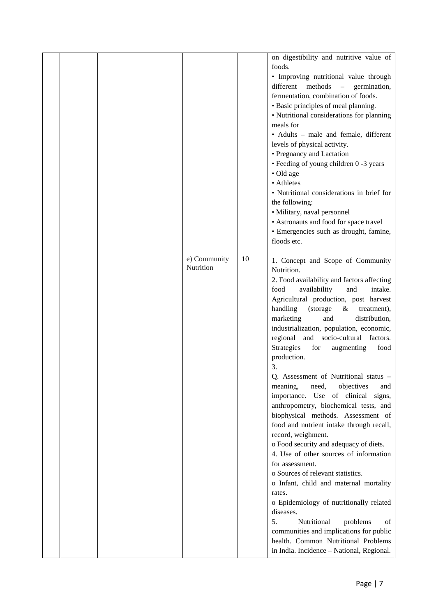|  |                           |    | on digestibility and nutritive value of<br>foods.<br>• Improving nutritional value through<br>different<br>methods<br>$\hspace{0.1mm}-\hspace{0.1mm}$<br>germination,<br>fermentation, combination of foods.<br>• Basic principles of meal planning.<br>• Nutritional considerations for planning<br>meals for<br>• Adults - male and female, different<br>levels of physical activity.<br>• Pregnancy and Lactation<br>• Feeding of young children 0 -3 years<br>• Old age<br>• Athletes<br>• Nutritional considerations in brief for<br>the following:<br>· Military, naval personnel<br>• Astronauts and food for space travel<br>· Emergencies such as drought, famine,<br>floods etc. |
|--|---------------------------|----|--------------------------------------------------------------------------------------------------------------------------------------------------------------------------------------------------------------------------------------------------------------------------------------------------------------------------------------------------------------------------------------------------------------------------------------------------------------------------------------------------------------------------------------------------------------------------------------------------------------------------------------------------------------------------------------------|
|  | e) Community<br>Nutrition | 10 | 1. Concept and Scope of Community<br>Nutrition.<br>2. Food availability and factors affecting<br>availability<br>food<br>and<br>intake.<br>Agricultural production, post harvest<br>handling<br>(storage)<br>$\&$<br>treatment),<br>marketing<br>distribution,<br>and<br>industrialization, population, economic,<br>regional and socio-cultural factors.<br>Strategies<br>for<br>augmenting<br>food<br>production.<br>3.<br>Q. Assessment of Nutritional status -                                                                                                                                                                                                                         |
|  |                           |    | objectives<br>meaning,<br>need,<br>and<br>importance. Use of clinical signs,<br>anthropometry, biochemical tests, and<br>biophysical methods. Assessment of<br>food and nutrient intake through recall,<br>record, weighment.<br>o Food security and adequacy of diets.<br>4. Use of other sources of information<br>for assessment.<br>o Sources of relevant statistics.<br>o Infant, child and maternal mortality<br>rates.<br>o Epidemiology of nutritionally related<br>diseases.<br>Nutritional<br>5.<br>problems<br>οf<br>communities and implications for public<br>health. Common Nutritional Problems                                                                             |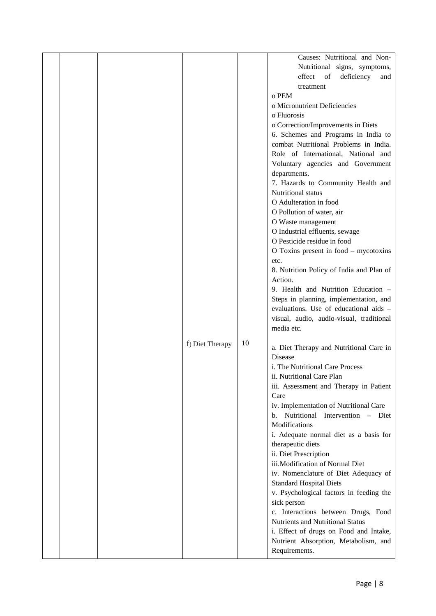|  |                 |    | Causes: Nutritional and Non-                      |
|--|-----------------|----|---------------------------------------------------|
|  |                 |    | Nutritional signs, symptoms,                      |
|  |                 |    | deficiency<br>effect<br>of<br>and                 |
|  |                 |    | treatment                                         |
|  |                 |    | o PEM                                             |
|  |                 |    |                                                   |
|  |                 |    | o Micronutrient Deficiencies                      |
|  |                 |    | o Fluorosis                                       |
|  |                 |    | o Correction/Improvements in Diets                |
|  |                 |    | 6. Schemes and Programs in India to               |
|  |                 |    | combat Nutritional Problems in India.             |
|  |                 |    | Role of International, National and               |
|  |                 |    | Voluntary agencies and Government                 |
|  |                 |    | departments.                                      |
|  |                 |    |                                                   |
|  |                 |    | 7. Hazards to Community Health and                |
|  |                 |    | Nutritional status                                |
|  |                 |    | O Adulteration in food                            |
|  |                 |    | O Pollution of water, air                         |
|  |                 |    | O Waste management                                |
|  |                 |    | O Industrial effluents, sewage                    |
|  |                 |    | O Pesticide residue in food                       |
|  |                 |    | O Toxins present in food – mycotoxins             |
|  |                 |    | etc.                                              |
|  |                 |    | 8. Nutrition Policy of India and Plan of          |
|  |                 |    |                                                   |
|  |                 |    | Action.                                           |
|  |                 |    | 9. Health and Nutrition Education -               |
|  |                 |    | Steps in planning, implementation, and            |
|  |                 |    | evaluations. Use of educational aids -            |
|  |                 |    | visual, audio, audio-visual, traditional          |
|  |                 |    | media etc.                                        |
|  |                 |    |                                                   |
|  | f) Diet Therapy | 10 | a. Diet Therapy and Nutritional Care in           |
|  |                 |    | Disease                                           |
|  |                 |    | i. The Nutritional Care Process                   |
|  |                 |    |                                                   |
|  |                 |    | ii. Nutritional Care Plan                         |
|  |                 |    | iii. Assessment and Therapy in Patient            |
|  |                 |    | Care                                              |
|  |                 |    | iv. Implementation of Nutritional Care            |
|  |                 |    | Nutritional Intervention - Diet<br>$\mathbf{b}$ . |
|  |                 |    | Modifications                                     |
|  |                 |    | i. Adequate normal diet as a basis for            |
|  |                 |    | therapeutic diets                                 |
|  |                 |    | ii. Diet Prescription                             |
|  |                 |    | iii.Modification of Normal Diet                   |
|  |                 |    | iv. Nomenclature of Diet Adequacy of              |
|  |                 |    |                                                   |
|  |                 |    | <b>Standard Hospital Diets</b>                    |
|  |                 |    | v. Psychological factors in feeding the           |
|  |                 |    | sick person                                       |
|  |                 |    | c. Interactions between Drugs, Food               |
|  |                 |    | Nutrients and Nutritional Status                  |
|  |                 |    | i. Effect of drugs on Food and Intake,            |
|  |                 |    | Nutrient Absorption, Metabolism, and              |
|  |                 |    | Requirements.                                     |
|  |                 |    |                                                   |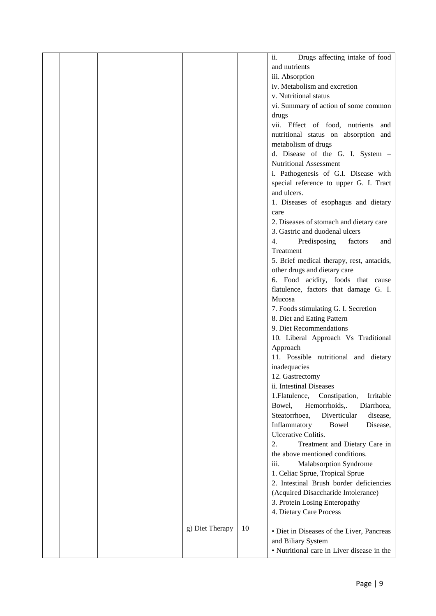|  |                 |    | Drugs affecting intake of food<br>ii.        |  |
|--|-----------------|----|----------------------------------------------|--|
|  |                 |    | and nutrients                                |  |
|  |                 |    | iii. Absorption                              |  |
|  |                 |    | iv. Metabolism and excretion                 |  |
|  |                 |    | v. Nutritional status                        |  |
|  |                 |    | vi. Summary of action of some common         |  |
|  |                 |    | drugs                                        |  |
|  |                 |    | vii. Effect of food, nutrients and           |  |
|  |                 |    | nutritional status on absorption and         |  |
|  |                 |    | metabolism of drugs                          |  |
|  |                 |    | d. Disease of the G. I. System -             |  |
|  |                 |    | Nutritional Assessment                       |  |
|  |                 |    | i. Pathogenesis of G.I. Disease with         |  |
|  |                 |    |                                              |  |
|  |                 |    | special reference to upper G. I. Tract       |  |
|  |                 |    | and ulcers.                                  |  |
|  |                 |    | 1. Diseases of esophagus and dietary         |  |
|  |                 |    | care                                         |  |
|  |                 |    | 2. Diseases of stomach and dietary care      |  |
|  |                 |    | 3. Gastric and duodenal ulcers               |  |
|  |                 |    | 4.<br>Predisposing<br>factors<br>and         |  |
|  |                 |    | Treatment                                    |  |
|  |                 |    | 5. Brief medical therapy, rest, antacids,    |  |
|  |                 |    | other drugs and dietary care                 |  |
|  |                 |    | 6. Food acidity, foods that cause            |  |
|  |                 |    | flatulence, factors that damage G. I.        |  |
|  |                 |    | Mucosa                                       |  |
|  |                 |    | 7. Foods stimulating G. I. Secretion         |  |
|  |                 |    | 8. Diet and Eating Pattern                   |  |
|  |                 |    | 9. Diet Recommendations                      |  |
|  |                 |    | 10. Liberal Approach Vs Traditional          |  |
|  |                 |    | Approach                                     |  |
|  |                 |    | 11. Possible nutritional and dietary         |  |
|  |                 |    | inadequacies                                 |  |
|  |                 |    | 12. Gastrectomy                              |  |
|  |                 |    | ii. Intestinal Diseases                      |  |
|  |                 |    | 1. Flatulence,<br>Constipation,<br>Irritable |  |
|  |                 |    | Bowel,<br>Hemorrhoids,.<br>Diarrhoea,        |  |
|  |                 |    | Diverticular<br>Steatorrhoea,<br>disease,    |  |
|  |                 |    | Inflammatory<br>Bowel<br>Disease,            |  |
|  |                 |    | <b>Ulcerative Colitis.</b>                   |  |
|  |                 |    | 2.<br>Treatment and Dietary Care in          |  |
|  |                 |    | the above mentioned conditions.              |  |
|  |                 |    | iii.<br>Malabsorption Syndrome               |  |
|  |                 |    | 1. Celiac Sprue, Tropical Sprue              |  |
|  |                 |    | 2. Intestinal Brush border deficiencies      |  |
|  |                 |    | (Acquired Disaccharide Intolerance)          |  |
|  |                 |    | 3. Protein Losing Enteropathy                |  |
|  |                 |    | 4. Dietary Care Process                      |  |
|  | g) Diet Therapy | 10 |                                              |  |
|  |                 |    | • Diet in Diseases of the Liver, Pancreas    |  |
|  |                 |    | and Biliary System                           |  |
|  |                 |    | • Nutritional care in Liver disease in the   |  |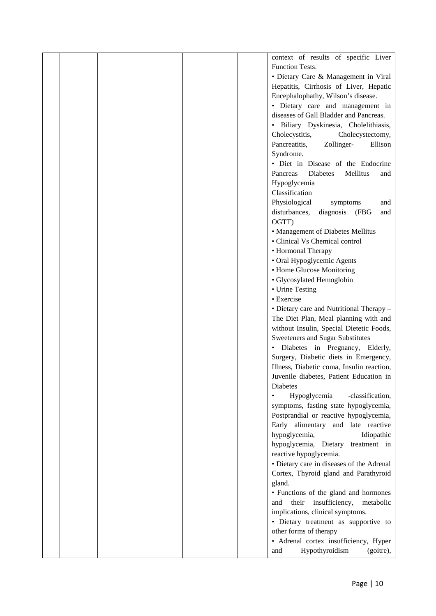|  |  | context of results of specific Liver        |  |
|--|--|---------------------------------------------|--|
|  |  | <b>Function Tests.</b>                      |  |
|  |  | • Dietary Care & Management in Viral        |  |
|  |  | Hepatitis, Cirrhosis of Liver, Hepatic      |  |
|  |  | Encephalophathy, Wilson's disease.          |  |
|  |  | · Dietary care and management in            |  |
|  |  | diseases of Gall Bladder and Pancreas.      |  |
|  |  | · Biliary Dyskinesia, Cholelithiasis,       |  |
|  |  |                                             |  |
|  |  | Cholecystitis,<br>Cholecystectomy,          |  |
|  |  | Pancreatitis,<br>Zollinger-<br>Ellison      |  |
|  |  | Syndrome.                                   |  |
|  |  | • Diet in Disease of the Endocrine          |  |
|  |  | Mellitus<br>Pancreas<br>Diabetes<br>and     |  |
|  |  | Hypoglycemia                                |  |
|  |  | Classification                              |  |
|  |  | Physiological<br>symptoms<br>and            |  |
|  |  | disturbances,<br>(FBG<br>diagnosis<br>and   |  |
|  |  | OGTT)                                       |  |
|  |  | • Management of Diabetes Mellitus           |  |
|  |  | • Clinical Vs Chemical control              |  |
|  |  | • Hormonal Therapy                          |  |
|  |  | • Oral Hypoglycemic Agents                  |  |
|  |  | • Home Glucose Monitoring                   |  |
|  |  | · Glycosylated Hemoglobin                   |  |
|  |  | • Urine Testing                             |  |
|  |  | • Exercise                                  |  |
|  |  |                                             |  |
|  |  | • Dietary care and Nutritional Therapy -    |  |
|  |  | The Diet Plan, Meal planning with and       |  |
|  |  | without Insulin, Special Dietetic Foods,    |  |
|  |  | Sweeteners and Sugar Substitutes            |  |
|  |  | · Diabetes in Pregnancy, Elderly,           |  |
|  |  | Surgery, Diabetic diets in Emergency,       |  |
|  |  | Illness, Diabetic coma, Insulin reaction,   |  |
|  |  | Juvenile diabetes, Patient Education in     |  |
|  |  | Diabetes                                    |  |
|  |  | Hypoglycemia<br>-classification,            |  |
|  |  | symptoms, fasting state hypoglycemia,       |  |
|  |  | Postprandial or reactive hypoglycemia,      |  |
|  |  | Early alimentary and late reactive          |  |
|  |  | hypoglycemia,<br>Idiopathic                 |  |
|  |  | hypoglycemia, Dietary<br>treatment in       |  |
|  |  | reactive hypoglycemia.                      |  |
|  |  | • Dietary care in diseases of the Adrenal   |  |
|  |  | Cortex, Thyroid gland and Parathyroid       |  |
|  |  | gland.                                      |  |
|  |  | • Functions of the gland and hormones       |  |
|  |  | their<br>insufficiency,<br>metabolic<br>and |  |
|  |  | implications, clinical symptoms.            |  |
|  |  |                                             |  |
|  |  | · Dietary treatment as supportive to        |  |
|  |  | other forms of therapy                      |  |
|  |  | • Adrenal cortex insufficiency, Hyper       |  |
|  |  | Hypothyroidism<br>(goitre),<br>and          |  |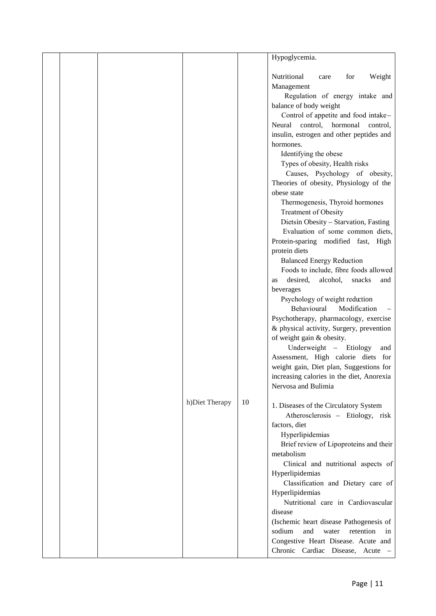|  |                |    | Hypoglycemia.                                                                                                                                                                                                                                                                                                                                                                                                                                                                                                                                                                                                                                                                                                                                                                                                                                                                                                                                                                                                                                                                                                 |
|--|----------------|----|---------------------------------------------------------------------------------------------------------------------------------------------------------------------------------------------------------------------------------------------------------------------------------------------------------------------------------------------------------------------------------------------------------------------------------------------------------------------------------------------------------------------------------------------------------------------------------------------------------------------------------------------------------------------------------------------------------------------------------------------------------------------------------------------------------------------------------------------------------------------------------------------------------------------------------------------------------------------------------------------------------------------------------------------------------------------------------------------------------------|
|  |                |    | Nutritional<br>Weight<br>for<br>care<br>Management<br>Regulation of energy intake and<br>balance of body weight<br>Control of appetite and food intake-<br>Neural control, hormonal control,<br>insulin, estrogen and other peptides and<br>hormones.<br>Identifying the obese<br>Types of obesity, Health risks<br>Causes, Psychology of obesity,<br>Theories of obesity, Physiology of the<br>obese state<br>Thermogenesis, Thyroid hormones<br><b>Treatment of Obesity</b><br>Dietsin Obesity - Starvation, Fasting<br>Evaluation of some common diets,<br>Protein-sparing modified fast, High<br>protein diets<br><b>Balanced Energy Reduction</b><br>Foods to include, fibre foods allowed<br>desired,<br>alcohol,<br>snacks<br>and<br>as<br>beverages<br>Psychology of weight reduction<br>Behavioural<br>Modification<br>Psychotherapy, pharmacology, exercise<br>& physical activity, Surgery, prevention<br>of weight gain & obesity.<br>Underweight - Etiology<br>and<br>Assessment, High calorie diets for<br>weight gain, Diet plan, Suggestions for<br>increasing calories in the diet, Anorexia |
|  | h)Diet Therapy | 10 | Nervosa and Bulimia<br>1. Diseases of the Circulatory System<br>Atherosclerosis - Etiology, risk<br>factors, diet<br>Hyperlipidemias<br>Brief review of Lipoproteins and their<br>metabolism                                                                                                                                                                                                                                                                                                                                                                                                                                                                                                                                                                                                                                                                                                                                                                                                                                                                                                                  |
|  |                |    | Clinical and nutritional aspects of<br>Hyperlipidemias<br>Classification and Dietary care of<br>Hyperlipidemias<br>Nutritional care in Cardiovascular<br>disease<br>(Ischemic heart disease Pathogenesis of<br>sodium<br>and<br>retention<br>water<br>in<br>Congestive Heart Disease. Acute and<br>Chronic Cardiac Disease, Acute -                                                                                                                                                                                                                                                                                                                                                                                                                                                                                                                                                                                                                                                                                                                                                                           |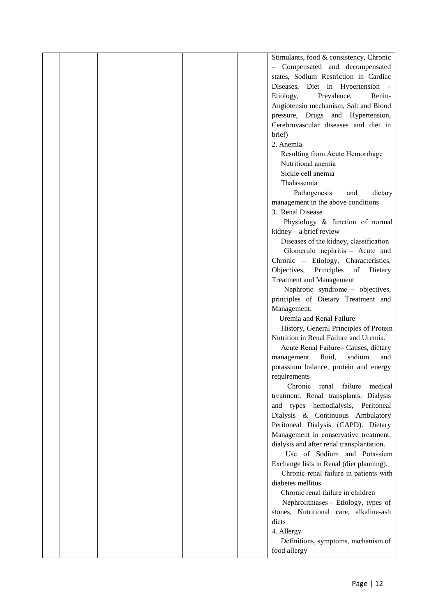|  |                                 | Stimulants, food & consistency, Chronic   |  |
|--|---------------------------------|-------------------------------------------|--|
|  |                                 | - Compensated and decompensated           |  |
|  |                                 | states, Sodium Restriction in Cardiac     |  |
|  |                                 | Diseases, Diet in Hypertension -          |  |
|  | Etiology,                       | Prevalence,<br>Renin-                     |  |
|  |                                 | Angiotensin mechanism, Salt and Blood     |  |
|  |                                 | pressure, Drugs and Hypertension,         |  |
|  |                                 | Cerebrovascular diseases and diet in      |  |
|  | brief)                          |                                           |  |
|  | 2. Anemia                       |                                           |  |
|  |                                 | Resulting from Acute Hemorrhage           |  |
|  | Nutritional anemia              |                                           |  |
|  | Sickle cell anemia              |                                           |  |
|  | Thalassemia                     |                                           |  |
|  | Pathogenesis                    | dietary<br>and                            |  |
|  |                                 | management in the above conditions        |  |
|  | 3. Renal Disease                |                                           |  |
|  |                                 | Physiology & function of normal           |  |
|  | $kidney - a brief review$       |                                           |  |
|  |                                 | Diseases of the kidney, classification    |  |
|  |                                 | Glomerulo nephritis - Acute and           |  |
|  |                                 | Chronic - Etiology, Characteristics,      |  |
|  | Objectives,                     | Principles of<br>Dietary                  |  |
|  | <b>Treatment and Management</b> |                                           |  |
|  |                                 | Nephrotic syndrome - objectives,          |  |
|  |                                 | principles of Dietary Treatment and       |  |
|  | Management.                     |                                           |  |
|  | Uremia and Renal Failure        |                                           |  |
|  |                                 | History, General Principles of Protein    |  |
|  |                                 | Nutrition in Renal Failure and Uremia.    |  |
|  |                                 | Acute Renal Failure-Causes, dietary       |  |
|  | management                      | sodium<br>fluid,<br>and                   |  |
|  |                                 | potassium balance, protein and energy     |  |
|  | requirements                    |                                           |  |
|  | Chronic                         | renal failure<br>medical                  |  |
|  |                                 | treatment, Renal transplants. Dialysis    |  |
|  |                                 | and types hemodialysis, Peritoneal        |  |
|  |                                 | Dialysis & Continuous Ambulatory          |  |
|  |                                 | Peritoneal Dialysis (CAPD). Dietary       |  |
|  |                                 | Management in conservative treatment,     |  |
|  |                                 | dialysis and after renal transplantation. |  |
|  |                                 | Use of Sodium and Potassium               |  |
|  |                                 | Exchange lists in Renal (diet planning).  |  |
|  |                                 | Chronic renal failure in patients with    |  |
|  | diabetes mellitus               |                                           |  |
|  |                                 | Chronic renal failure in children         |  |
|  |                                 | Nephrolithiases - Etiology, types of      |  |
|  |                                 | stones, Nutritional care, alkaline-ash    |  |
|  | diets                           |                                           |  |
|  | 4. Allergy                      |                                           |  |
|  |                                 | Definitions, symptoms, mechanism of       |  |
|  | food allergy                    |                                           |  |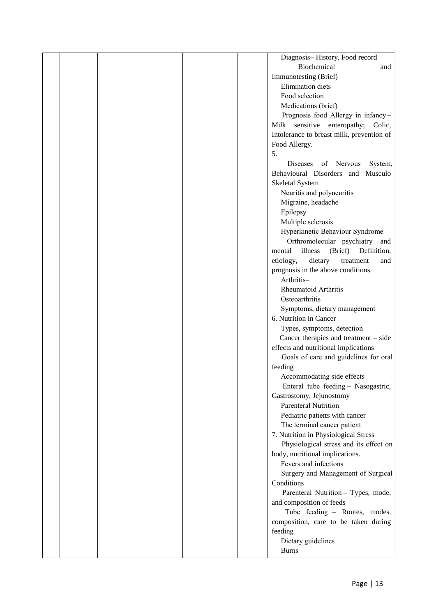| Diagnosis-History, Food record              |
|---------------------------------------------|
| Biochemical<br>and                          |
| Immunotesting (Brief)                       |
| Elimination diets                           |
| Food selection                              |
| Medications (brief)                         |
| Prognosis food Allergy in infancy-          |
| Milk sensitive enteropathy; Colic,          |
| Intolerance to breast milk, prevention of   |
| Food Allergy.                               |
| 5.                                          |
| Diseases<br>of Nervous<br>System,           |
| Behavioural Disorders and Musculo           |
| Skeletal System                             |
| Neuritis and polyneuritis                   |
| Migraine, headache                          |
| Epilepsy                                    |
| Multiple sclerosis                          |
| Hyperkinetic Behaviour Syndrome             |
| Orthromolecular psychiatry and              |
| illness<br>(Brief)<br>Definition,<br>mental |
| etiology,<br>dietary<br>treatment<br>and    |
| prognosis in the above conditions.          |
| Arthritis-                                  |
| Rheumatoid Arthritis                        |
| Osteoarthritis                              |
| Symptoms, dietary management                |
| 6. Nutrition in Cancer                      |
| Types, symptoms, detection                  |
| Cancer therapies and treatment – side       |
| effects and nutritional implications        |
| Goals of care and guidelines for oral       |
| feeding                                     |
| Accommodating side effects                  |
| Enteral tube feeding - Nasogastric,         |
| Gastrostomy, Jejunostomy                    |
| <b>Parenteral Nutrition</b>                 |
| Pediatric patients with cancer              |
| The terminal cancer patient                 |
| 7. Nutrition in Physiological Stress        |
| Physiological stress and its effect on      |
| body, nutritional implications.             |
| Fevers and infections                       |
| Surgery and Management of Surgical          |
| Conditions                                  |
| Parenteral Nutrition - Types, mode,         |
| and composition of feeds                    |
| Tube feeding - Routes, modes,               |
| composition, care to be taken during        |
| feeding                                     |
| Dietary guidelines                          |
| <b>Burns</b>                                |
|                                             |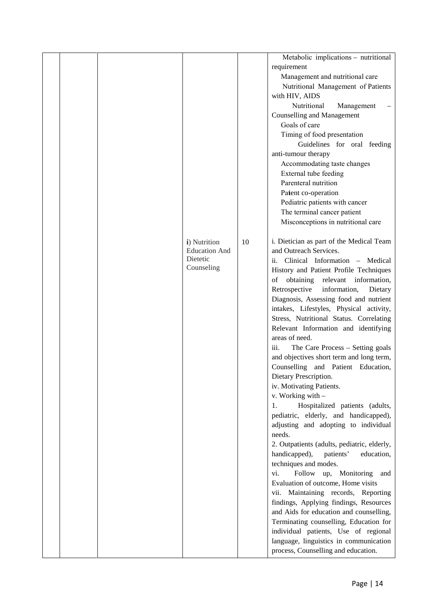|  |                      |    | Metabolic implications – nutritional                  |  |
|--|----------------------|----|-------------------------------------------------------|--|
|  |                      |    | requirement                                           |  |
|  |                      |    | Management and nutritional care                       |  |
|  |                      |    | Nutritional Management of Patients                    |  |
|  |                      |    | with HIV, AIDS                                        |  |
|  |                      |    | Nutritional<br>Management<br>$\overline{\phantom{0}}$ |  |
|  |                      |    | <b>Counselling and Management</b>                     |  |
|  |                      |    | Goals of care                                         |  |
|  |                      |    | Timing of food presentation                           |  |
|  |                      |    | Guidelines for oral feeding                           |  |
|  |                      |    | anti-tumour therapy                                   |  |
|  |                      |    | Accommodating taste changes                           |  |
|  |                      |    | External tube feeding                                 |  |
|  |                      |    | Parenteral nutrition                                  |  |
|  |                      |    | Patent co-operation                                   |  |
|  |                      |    | Pediatric patients with cancer                        |  |
|  |                      |    | The terminal cancer patient                           |  |
|  |                      |    | Misconceptions in nutritional care                    |  |
|  |                      |    |                                                       |  |
|  | i) Nutrition         | 10 | i. Dietician as part of the Medical Team              |  |
|  | <b>Education And</b> |    | and Outreach Services.                                |  |
|  | Dietetic             |    | ii. Clinical Information - Medical                    |  |
|  | Counseling           |    | History and Patient Profile Techniques                |  |
|  |                      |    | obtaining relevant information,<br>of                 |  |
|  |                      |    | Retrospective<br>information,<br>Dietary              |  |
|  |                      |    | Diagnosis, Assessing food and nutrient                |  |
|  |                      |    | intakes, Lifestyles, Physical activity,               |  |
|  |                      |    | Stress, Nutritional Status. Correlating               |  |
|  |                      |    | Relevant Information and identifying                  |  |
|  |                      |    | areas of need.                                        |  |
|  |                      |    | The Care Process - Setting goals<br>iii.              |  |
|  |                      |    | and objectives short term and long term,              |  |
|  |                      |    | Counselling and Patient Education,                    |  |
|  |                      |    | Dietary Prescription.                                 |  |
|  |                      |    | iv. Motivating Patients.                              |  |
|  |                      |    | v. Working with -                                     |  |
|  |                      |    | Hospitalized patients (adults,<br>1.                  |  |
|  |                      |    | pediatric, elderly, and handicapped),                 |  |
|  |                      |    | adjusting and adopting to individual                  |  |
|  |                      |    | needs.                                                |  |
|  |                      |    | 2. Outpatients (adults, pediatric, elderly,           |  |
|  |                      |    | handicapped),<br>education,<br>patients'              |  |
|  |                      |    | techniques and modes.                                 |  |
|  |                      |    | Follow up, Monitoring<br>vi.<br>and                   |  |
|  |                      |    | Evaluation of outcome, Home visits                    |  |
|  |                      |    | vii. Maintaining records, Reporting                   |  |
|  |                      |    | findings, Applying findings, Resources                |  |
|  |                      |    | and Aids for education and counselling,               |  |
|  |                      |    | Terminating counselling, Education for                |  |
|  |                      |    | individual patients, Use of regional                  |  |
|  |                      |    | language, linguistics in communication                |  |
|  |                      |    | process, Counselling and education.                   |  |
|  |                      |    |                                                       |  |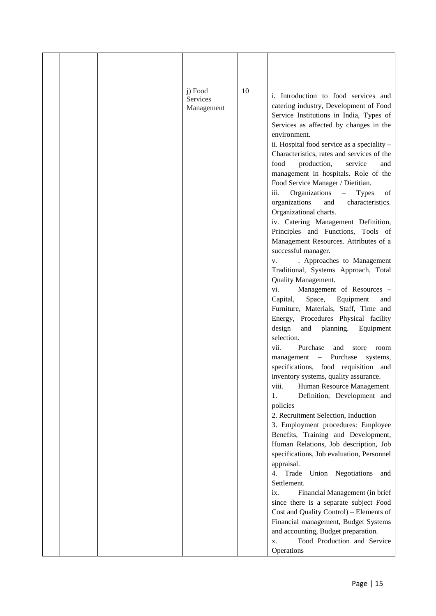|  | j) Food<br>Services<br>Management | 10 | i. Introduction to food services and<br>catering industry, Development of Food<br>Service Institutions in India, Types of<br>Services as affected by changes in the<br>environment.<br>ii. Hospital food service as a speciality -<br>Characteristics, rates and services of the<br>food<br>production,<br>service<br>and<br>management in hospitals. Role of the<br>Food Service Manager / Dietitian.<br>Organizations<br>iii.<br><b>Types</b><br>of<br>$\sim$ .<br>organizations<br>characteristics.<br>and |  |
|--|-----------------------------------|----|---------------------------------------------------------------------------------------------------------------------------------------------------------------------------------------------------------------------------------------------------------------------------------------------------------------------------------------------------------------------------------------------------------------------------------------------------------------------------------------------------------------|--|
|  |                                   |    | Organizational charts.<br>iv. Catering Management Definition,<br>Principles and Functions, Tools of<br>Management Resources. Attributes of a<br>successful manager.<br>. Approaches to Management<br>V.<br>Traditional, Systems Approach, Total<br>Quality Management.                                                                                                                                                                                                                                        |  |
|  |                                   |    | vi.<br>Management of Resources -<br>Capital,<br>Space,<br>Equipment<br>and<br>Furniture, Materials, Staff, Time and                                                                                                                                                                                                                                                                                                                                                                                           |  |
|  |                                   |    | Energy, Procedures Physical facility<br>design<br>and<br>planning.<br>Equipment<br>selection.                                                                                                                                                                                                                                                                                                                                                                                                                 |  |
|  |                                   |    | vii.<br>Purchase<br>and<br>store<br>room<br>Purchase<br>management<br>systems,<br>$\alpha \rightarrow \alpha$                                                                                                                                                                                                                                                                                                                                                                                                 |  |
|  |                                   |    | specifications, food requisition and<br>inventory systems, quality assurance.                                                                                                                                                                                                                                                                                                                                                                                                                                 |  |
|  |                                   |    | viii.<br>Human Resource Management<br>Definition, Development and<br>1.                                                                                                                                                                                                                                                                                                                                                                                                                                       |  |
|  |                                   |    | policies<br>2. Recruitment Selection, Induction                                                                                                                                                                                                                                                                                                                                                                                                                                                               |  |
|  |                                   |    | 3. Employment procedures: Employee<br>Benefits, Training and Development,<br>Human Relations, Job description, Job                                                                                                                                                                                                                                                                                                                                                                                            |  |
|  |                                   |    | specifications, Job evaluation, Personnel<br>appraisal.                                                                                                                                                                                                                                                                                                                                                                                                                                                       |  |
|  |                                   |    | Trade Union Negotiations<br>4.<br>and<br>Settlement.                                                                                                                                                                                                                                                                                                                                                                                                                                                          |  |
|  |                                   |    | Financial Management (in brief<br>ix.<br>since there is a separate subject Food                                                                                                                                                                                                                                                                                                                                                                                                                               |  |
|  |                                   |    | Cost and Quality Control) - Elements of                                                                                                                                                                                                                                                                                                                                                                                                                                                                       |  |
|  |                                   |    | Financial management, Budget Systems                                                                                                                                                                                                                                                                                                                                                                                                                                                                          |  |
|  |                                   |    | and accounting, Budget preparation.<br>Food Production and Service<br>X.                                                                                                                                                                                                                                                                                                                                                                                                                                      |  |
|  |                                   |    | Operations                                                                                                                                                                                                                                                                                                                                                                                                                                                                                                    |  |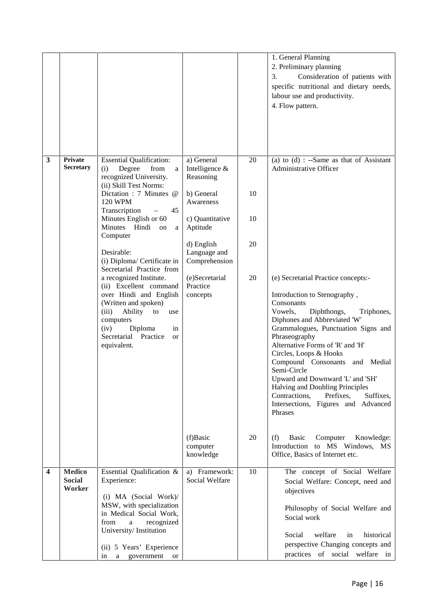|   |                                          |                                                                                                                                                                                                                                |                                             |    | 1. General Planning<br>2. Preliminary planning<br>Consideration of patients with<br>3.<br>specific nutritional and dietary needs,<br>labour use and productivity.<br>4. Flow pattern.                                                                                                                                                                                                                                                                                                                |
|---|------------------------------------------|--------------------------------------------------------------------------------------------------------------------------------------------------------------------------------------------------------------------------------|---------------------------------------------|----|------------------------------------------------------------------------------------------------------------------------------------------------------------------------------------------------------------------------------------------------------------------------------------------------------------------------------------------------------------------------------------------------------------------------------------------------------------------------------------------------------|
| 3 | <b>Private</b><br><b>Secretary</b>       | <b>Essential Qualification:</b><br>Degree<br>from<br>(i)<br>a<br>recognized University.<br>(ii) Skill Test Norms:                                                                                                              | a) General<br>Intelligence &<br>Reasoning   | 20 | (a) to $(d)$ : --Same as that of Assistant<br><b>Administrative Officer</b>                                                                                                                                                                                                                                                                                                                                                                                                                          |
|   |                                          | Dictation : 7 Minutes @<br><b>120 WPM</b><br>Transcription<br>45                                                                                                                                                               | b) General<br>Awareness                     | 10 |                                                                                                                                                                                                                                                                                                                                                                                                                                                                                                      |
|   |                                          | Minutes English or 60<br>Minutes Hindi on<br>a<br>Computer                                                                                                                                                                     | c) Quantitative<br>Aptitude                 | 10 |                                                                                                                                                                                                                                                                                                                                                                                                                                                                                                      |
|   |                                          | Desirable:<br>(i) Diploma/ Certificate in<br>Secretarial Practice from                                                                                                                                                         | d) English<br>Language and<br>Comprehension | 20 |                                                                                                                                                                                                                                                                                                                                                                                                                                                                                                      |
|   |                                          | a recognized Institute.<br>(ii) Excellent command<br>over Hindi and English<br>(Written and spoken)<br>(iii)<br>Ability<br>to<br>use<br>computers<br>(iv)<br>Diploma<br>in<br>Secretarial Practice<br><b>or</b><br>equivalent. | (e)Secretarial<br>Practice<br>concepts      | 20 | (e) Secretarial Practice concepts:-<br>Introduction to Stenography,<br>Consonants<br>Vowels,<br>Diphthongs,<br>Triphones,<br>Diphones and Abbreviated 'W'<br>Grammalogues, Punctuation Signs and<br>Phraseography<br>Alternative Forms of 'R' and 'H'<br>Circles, Loops & Hooks<br>Compound Consonants and Medial<br>Semi-Circle<br>Upward and Downward 'L' and 'SH'<br>Halving and Doubling Principles<br>Contractions,<br>Prefixes.<br>Suffixes,<br>Intersections, Figures and Advanced<br>Phrases |
|   |                                          |                                                                                                                                                                                                                                | (f)Basic<br>computer<br>knowledge           | 20 | (f)<br>Basic<br>Computer<br>Knowledge:<br>Introduction to MS Windows, MS<br>Office, Basics of Internet etc.                                                                                                                                                                                                                                                                                                                                                                                          |
| 4 | <b>Medico</b><br><b>Social</b><br>Worker | Essential Qualification &<br>Experience:<br>(i) MA (Social Work)/<br>MSW, with specialization<br>in Medical Social Work,<br>from<br>recognized<br>a<br>University/Institution<br>(ii) 5 Years' Experience                      | a) Framework:<br>Social Welfare             | 10 | The concept of Social Welfare<br>Social Welfare: Concept, need and<br>objectives<br>Philosophy of Social Welfare and<br>Social work<br>welfare<br>Social<br>historical<br>in<br>perspective Changing concepts and                                                                                                                                                                                                                                                                                    |
|   |                                          | a government<br><sub>or</sub><br>in                                                                                                                                                                                            |                                             |    | practices of social welfare in                                                                                                                                                                                                                                                                                                                                                                                                                                                                       |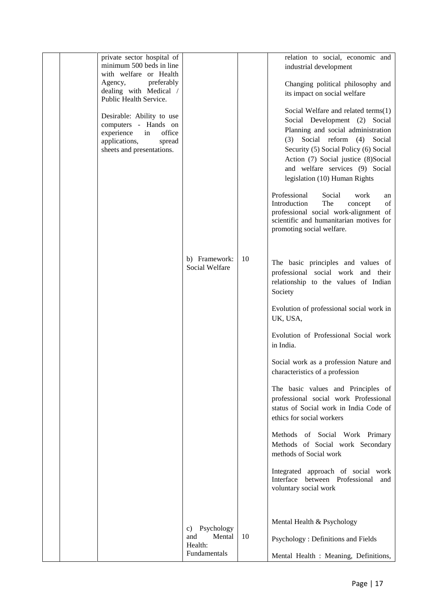| private sector hospital of<br>minimum 500 beds in line                                                                                                   |                                          |    | relation to social, economic and<br>industrial development                                                                                                                                                                                                                                                                                   |
|----------------------------------------------------------------------------------------------------------------------------------------------------------|------------------------------------------|----|----------------------------------------------------------------------------------------------------------------------------------------------------------------------------------------------------------------------------------------------------------------------------------------------------------------------------------------------|
| with welfare or Health<br>preferably<br>Agency,<br>dealing with Medical /<br>Public Health Service.                                                      |                                          |    | Changing political philosophy and<br>its impact on social welfare                                                                                                                                                                                                                                                                            |
| Desirable: Ability to use<br>computers - Hands on<br>$\operatorname{in}$<br>experience<br>office<br>applications,<br>spread<br>sheets and presentations. |                                          |    | Social Welfare and related terms(1)<br>Social Development (2) Social<br>Planning and social administration<br>Social reform (4)<br>(3)<br>Social<br>Security (5) Social Policy (6) Social<br>Action (7) Social justice (8)Social<br>and welfare services (9) Social<br>legislation (10) Human Rights<br>Professional<br>Social<br>work<br>an |
|                                                                                                                                                          |                                          |    | The<br>Introduction<br>of<br>concept<br>professional social work-alignment of<br>scientific and humanitarian motives for<br>promoting social welfare.                                                                                                                                                                                        |
|                                                                                                                                                          | b) Framework:<br>Social Welfare          | 10 | The basic principles and values of<br>professional social work and their<br>relationship to the values of Indian<br>Society                                                                                                                                                                                                                  |
|                                                                                                                                                          |                                          |    | Evolution of professional social work in<br>UK, USA,                                                                                                                                                                                                                                                                                         |
|                                                                                                                                                          |                                          |    | Evolution of Professional Social work<br>in India.                                                                                                                                                                                                                                                                                           |
|                                                                                                                                                          |                                          |    | Social work as a profession Nature and<br>characteristics of a profession                                                                                                                                                                                                                                                                    |
|                                                                                                                                                          |                                          |    | The basic values and Principles of<br>professional social work Professional<br>status of Social work in India Code of<br>ethics for social workers                                                                                                                                                                                           |
|                                                                                                                                                          |                                          |    | Methods of Social Work Primary<br>Methods of Social work Secondary<br>methods of Social work                                                                                                                                                                                                                                                 |
|                                                                                                                                                          |                                          |    | Integrated approach of social work<br>Interface between Professional<br>and<br>voluntary social work                                                                                                                                                                                                                                         |
|                                                                                                                                                          | c) Psychology                            |    | Mental Health & Psychology                                                                                                                                                                                                                                                                                                                   |
|                                                                                                                                                          | and<br>Mental<br>Health:<br>Fundamentals | 10 | Psychology: Definitions and Fields                                                                                                                                                                                                                                                                                                           |
|                                                                                                                                                          |                                          |    | Mental Health : Meaning, Definitions,                                                                                                                                                                                                                                                                                                        |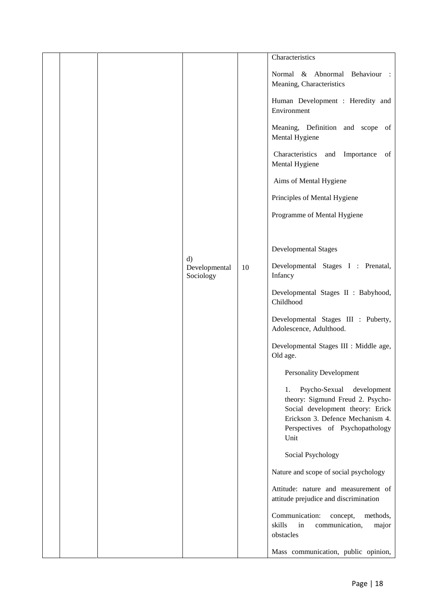|  |                            |    | Characteristics                                                                                                                                                                           |
|--|----------------------------|----|-------------------------------------------------------------------------------------------------------------------------------------------------------------------------------------------|
|  |                            |    | Normal & Abnormal Behaviour :<br>Meaning, Characteristics                                                                                                                                 |
|  |                            |    | Human Development : Heredity and<br>Environment                                                                                                                                           |
|  |                            |    | Meaning, Definition and scope of<br>Mental Hygiene                                                                                                                                        |
|  |                            |    | Characteristics<br>and<br>Importance<br>of<br>Mental Hygiene                                                                                                                              |
|  |                            |    | Aims of Mental Hygiene                                                                                                                                                                    |
|  |                            |    | Principles of Mental Hygiene                                                                                                                                                              |
|  |                            |    | Programme of Mental Hygiene                                                                                                                                                               |
|  |                            |    |                                                                                                                                                                                           |
|  | $\mathbf{d}$               |    | <b>Developmental Stages</b>                                                                                                                                                               |
|  | Developmental<br>Sociology | 10 | Developmental Stages I : Prenatal,<br>Infancy                                                                                                                                             |
|  |                            |    | Developmental Stages II : Babyhood,<br>Childhood                                                                                                                                          |
|  |                            |    | Developmental Stages III : Puberty,<br>Adolescence, Adulthood.                                                                                                                            |
|  |                            |    | Developmental Stages III : Middle age,<br>Old age.                                                                                                                                        |
|  |                            |    | <b>Personality Development</b>                                                                                                                                                            |
|  |                            |    | Psycho-Sexual<br>development<br>1.<br>theory: Sigmund Freud 2. Psycho-<br>Social development theory: Erick<br>Erickson 3. Defence Mechanism 4.<br>Perspectives of Psychopathology<br>Unit |
|  |                            |    | Social Psychology                                                                                                                                                                         |
|  |                            |    | Nature and scope of social psychology                                                                                                                                                     |
|  |                            |    | Attitude: nature and measurement of<br>attitude prejudice and discrimination                                                                                                              |
|  |                            |    | Communication:<br>concept,<br>methods,<br>skills<br>in<br>communication,<br>major<br>obstacles                                                                                            |
|  |                            |    | Mass communication, public opinion,                                                                                                                                                       |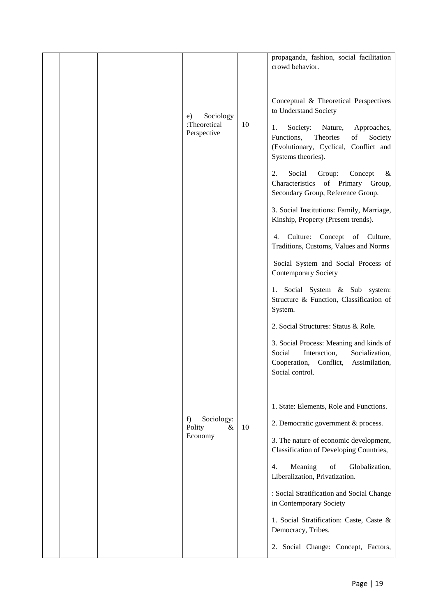|  | Sociology<br>e)<br>:Theoretical<br>Perspective | 10 | propaganda, fashion, social facilitation<br>crowd behavior.<br>Conceptual & Theoretical Perspectives<br>to Understand Society<br>Society:<br>Nature,<br>Approaches,<br>1.<br>Functions,<br>Theories<br>of<br>Society<br>(Evolutionary, Cyclical, Conflict and<br>Systems theories). |
|--|------------------------------------------------|----|-------------------------------------------------------------------------------------------------------------------------------------------------------------------------------------------------------------------------------------------------------------------------------------|
|  |                                                |    | Social<br>2.<br>Group:<br>Concept<br>&<br>Characteristics of Primary Group,<br>Secondary Group, Reference Group.                                                                                                                                                                    |
|  |                                                |    | 3. Social Institutions: Family, Marriage,<br>Kinship, Property (Present trends).                                                                                                                                                                                                    |
|  |                                                |    | 4. Culture: Concept of Culture,<br>Traditions, Customs, Values and Norms                                                                                                                                                                                                            |
|  |                                                |    | Social System and Social Process of<br><b>Contemporary Society</b>                                                                                                                                                                                                                  |
|  |                                                |    | 1. Social System & Sub system:<br>Structure & Function, Classification of<br>System.                                                                                                                                                                                                |
|  |                                                |    | 2. Social Structures: Status & Role.                                                                                                                                                                                                                                                |
|  |                                                |    | 3. Social Process: Meaning and kinds of<br>Social<br>Interaction,<br>Socialization,<br>Assimilation,<br>Cooperation,<br>Conflict,<br>Social control.                                                                                                                                |
|  |                                                |    | 1. State: Elements, Role and Functions.                                                                                                                                                                                                                                             |
|  | Sociology:<br>f)<br>Polity<br>&                | 10 | 2. Democratic government & process.                                                                                                                                                                                                                                                 |
|  | Economy                                        |    | 3. The nature of economic development,<br>Classification of Developing Countries,                                                                                                                                                                                                   |
|  |                                                |    | Meaning<br>Globalization,<br>4.<br>of<br>Liberalization, Privatization.                                                                                                                                                                                                             |
|  |                                                |    | : Social Stratification and Social Change<br>in Contemporary Society                                                                                                                                                                                                                |
|  |                                                |    | 1. Social Stratification: Caste, Caste &<br>Democracy, Tribes.                                                                                                                                                                                                                      |
|  |                                                |    | 2. Social Change: Concept, Factors,                                                                                                                                                                                                                                                 |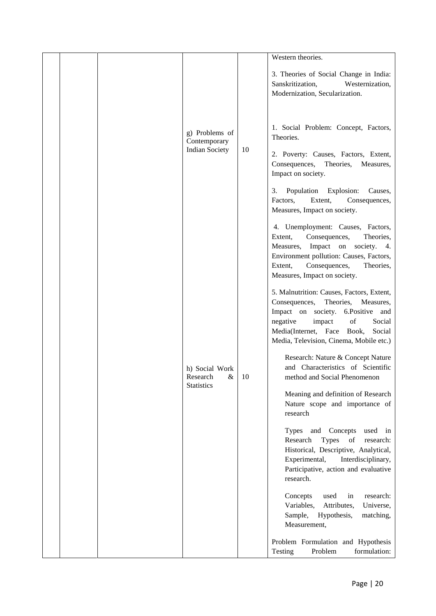|  |                                                         |     | Western theories.                                                                                                                                                                                                                                                                                                                                                                                                                                                                                                                                                                                                                                                                                                                                                                                                                                                                                                                                                                                                                                                                                                |
|--|---------------------------------------------------------|-----|------------------------------------------------------------------------------------------------------------------------------------------------------------------------------------------------------------------------------------------------------------------------------------------------------------------------------------------------------------------------------------------------------------------------------------------------------------------------------------------------------------------------------------------------------------------------------------------------------------------------------------------------------------------------------------------------------------------------------------------------------------------------------------------------------------------------------------------------------------------------------------------------------------------------------------------------------------------------------------------------------------------------------------------------------------------------------------------------------------------|
|  | g) Problems of<br>Contemporary<br><b>Indian Society</b> | 10  | 3. Theories of Social Change in India:<br>Sanskritization,<br>Westernization,<br>Modernization, Secularization.<br>1. Social Problem: Concept, Factors,<br>Theories.<br>2. Poverty: Causes, Factors, Extent,<br>Consequences,<br>Theories,<br>Measures,<br>Impact on society.<br>Population Explosion:<br>Causes,<br>3.<br>Factors,<br>Extent,<br>Consequences,<br>Measures, Impact on society.                                                                                                                                                                                                                                                                                                                                                                                                                                                                                                                                                                                                                                                                                                                  |
|  | h) Social Work<br>Research<br>&<br><b>Statistics</b>    | -10 | 4. Unemployment: Causes, Factors,<br>Consequences,<br>Extent,<br>Theories.<br>Measures, Impact on society. 4.<br>Environment pollution: Causes, Factors,<br>Extent,<br>Consequences,<br>Theories,<br>Measures, Impact on society.<br>5. Malnutrition: Causes, Factors, Extent,<br>Consequences,<br>Theories,<br>Measures,<br>Impact on society. 6.Positive and<br>of<br>negative<br>impact<br>Social<br>Media(Internet, Face Book,<br>Social<br>Media, Television, Cinema, Mobile etc.)<br>Research: Nature & Concept Nature<br>and Characteristics of Scientific<br>method and Social Phenomenon<br>Meaning and definition of Research<br>Nature scope and importance of<br>research<br>Types and Concepts<br>used in<br>Types of<br>Research<br>research:<br>Historical, Descriptive, Analytical,<br>Experimental,<br>Interdisciplinary,<br>Participative, action and evaluative<br>research.<br>Concepts<br>used<br>research:<br>in<br>Universe,<br>Variables,<br>Attributes,<br>Sample, Hypothesis,<br>matching,<br>Measurement,<br>Problem Formulation and Hypothesis<br>Testing<br>Problem<br>formulation: |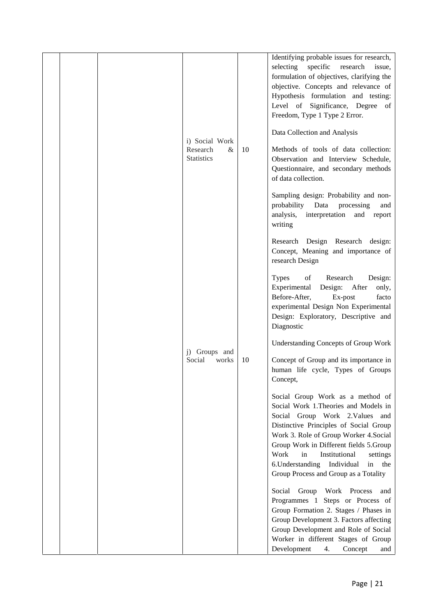|  |                                       |    | Identifying probable issues for research,    |
|--|---------------------------------------|----|----------------------------------------------|
|  |                                       |    | selecting specific<br>research<br>issue,     |
|  |                                       |    | formulation of objectives, clarifying the    |
|  |                                       |    | objective. Concepts and relevance of         |
|  |                                       |    | Hypothesis formulation and testing:          |
|  |                                       |    | Level of Significance, Degree of             |
|  |                                       |    | Freedom, Type 1 Type 2 Error.                |
|  |                                       |    |                                              |
|  |                                       |    | Data Collection and Analysis                 |
|  | i) Social Work                        |    | Methods of tools of data collection:         |
|  | Research<br>$\&$<br><b>Statistics</b> | 10 | Observation and Interview Schedule,          |
|  |                                       |    | Questionnaire, and secondary methods         |
|  |                                       |    | of data collection.                          |
|  |                                       |    |                                              |
|  |                                       |    | Sampling design: Probability and non-        |
|  |                                       |    | probability<br>Data<br>processing<br>and     |
|  |                                       |    | analysis,<br>interpretation<br>and<br>report |
|  |                                       |    | writing                                      |
|  |                                       |    |                                              |
|  |                                       |    | Research Design Research design:             |
|  |                                       |    | Concept, Meaning and importance of           |
|  |                                       |    | research Design                              |
|  |                                       |    | <b>Types</b><br>of<br>Research<br>Design:    |
|  |                                       |    | Experimental Design: After<br>only,          |
|  |                                       |    | Before-After,<br>Ex-post<br>facto            |
|  |                                       |    | experimental Design Non Experimental         |
|  |                                       |    | Design: Exploratory, Descriptive and         |
|  |                                       |    | Diagnostic                                   |
|  |                                       |    |                                              |
|  |                                       |    | <b>Understanding Concepts of Group Work</b>  |
|  | Groups and<br>$j$ )                   |    |                                              |
|  | Social<br>works                       | 10 | Concept of Group and its importance in       |
|  |                                       |    | human life cycle, Types of Groups            |
|  |                                       |    | Concept,                                     |
|  |                                       |    | Social Group Work as a method of             |
|  |                                       |    | Social Work 1. Theories and Models in        |
|  |                                       |    | Social Group Work 2. Values and              |
|  |                                       |    | Distinctive Principles of Social Group       |
|  |                                       |    | Work 3. Role of Group Worker 4. Social       |
|  |                                       |    | Group Work in Different fields 5.Group       |
|  |                                       |    | Work<br>in<br>Institutional<br>settings      |
|  |                                       |    | 6. Understanding<br>Individual<br>in the     |
|  |                                       |    | Group Process and Group as a Totality        |
|  |                                       |    |                                              |
|  |                                       |    | Social Group Work Process<br>and             |
|  |                                       |    | Programmes 1 Steps or Process of             |
|  |                                       |    | Group Formation 2. Stages / Phases in        |
|  |                                       |    | Group Development 3. Factors affecting       |
|  |                                       |    | Group Development and Role of Social         |
|  |                                       |    | Worker in different Stages of Group          |
|  |                                       |    | Development<br>4.<br>Concept<br>and          |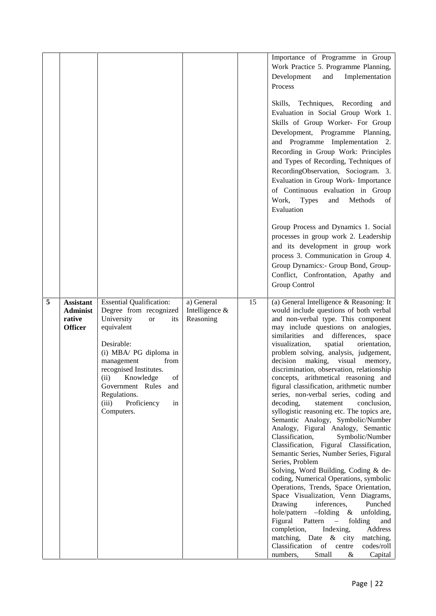|   |                                                                 |                                                                                                                                                                                                                                                                                                               |                                           |    | Importance of Programme in Group<br>Work Practice 5. Programme Planning,<br>Development<br>and<br>Implementation<br>Process<br>Skills, Techniques, Recording<br>and<br>Evaluation in Social Group Work 1.<br>Skills of Group Worker- For Group<br>Development, Programme Planning,<br>and Programme Implementation 2.<br>Recording in Group Work: Principles<br>and Types of Recording, Techniques of<br>RecordingObservation, Sociogram. 3.<br>Evaluation in Group Work- Importance<br>of Continuous evaluation in Group<br>Work,<br><b>Types</b><br>and<br>Methods<br>of<br>Evaluation<br>Group Process and Dynamics 1. Social<br>processes in group work 2. Leadership<br>and its development in group work<br>process 3. Communication in Group 4.<br>Group Dynamics:- Group Bond, Group-<br>Conflict, Confrontation, Apathy and<br><b>Group Control</b>                                                                                                                                                                                                                                                                                                                                                                                                                                   |
|---|-----------------------------------------------------------------|---------------------------------------------------------------------------------------------------------------------------------------------------------------------------------------------------------------------------------------------------------------------------------------------------------------|-------------------------------------------|----|------------------------------------------------------------------------------------------------------------------------------------------------------------------------------------------------------------------------------------------------------------------------------------------------------------------------------------------------------------------------------------------------------------------------------------------------------------------------------------------------------------------------------------------------------------------------------------------------------------------------------------------------------------------------------------------------------------------------------------------------------------------------------------------------------------------------------------------------------------------------------------------------------------------------------------------------------------------------------------------------------------------------------------------------------------------------------------------------------------------------------------------------------------------------------------------------------------------------------------------------------------------------------------------------|
| 5 | <b>Assistant</b><br><b>Administ</b><br>rative<br><b>Officer</b> | <b>Essential Qualification:</b><br>Degree from recognized<br>University<br><b>or</b><br>its<br>equivalent<br>Desirable:<br>(i) MBA/ PG diploma in<br>management<br>from<br>recognised Institutes.<br>(ii) Knowledge<br>of<br>Government Rules and<br>Regulations.<br>Proficiency<br>in<br>(iii)<br>Computers. | a) General<br>Intelligence &<br>Reasoning | 15 | (a) General Intelligence & Reasoning: It<br>would include questions of both verbal<br>and non-verbal type. This component<br>may include questions on analogies,<br>similarities and differences,<br>space<br>visualization,<br>spatial<br>orientation,<br>problem solving, analysis, judgement,<br>decision making, visual memory,<br>discrimination, observation, relationship<br>concepts, arithmetical reasoning and<br>figural classification, arithmetic number<br>series, non-verbal series, coding and<br>decoding,<br>conclusion,<br>statement<br>syllogistic reasoning etc. The topics are,<br>Semantic Analogy, Symbolic/Number<br>Analogy, Figural Analogy, Semantic<br>Classification,<br>Symbolic/Number<br>Classification, Figural Classification,<br>Semantic Series, Number Series, Figural<br>Series, Problem<br>Solving, Word Building, Coding & de-<br>coding, Numerical Operations, symbolic<br>Operations, Trends, Space Orientation,<br>Space Visualization, Venn Diagrams,<br>Punched<br>Drawing<br>inferences,<br>hole/pattern -folding & unfolding,<br>Figural<br>Pattern<br>folding<br>and<br>$\sim$<br>completion,<br>Address<br>Indexing,<br>matching, Date & city<br>matching,<br>Classification of centre<br>codes/roll<br>Small<br>numbers,<br>$\&$<br>Capital |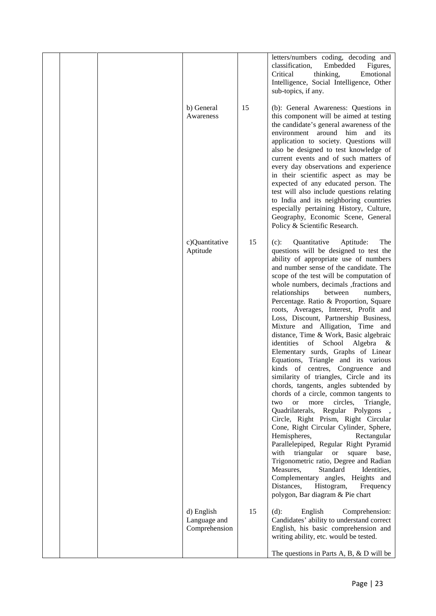|  |                                             |    | letters/numbers coding, decoding and<br>classification,<br>Embedded<br>Figures,<br>Critical<br>Emotional<br>thinking,<br>Intelligence, Social Intelligence, Other<br>sub-topics, if any.                                                                                                                                                                                                                                                                                                                                                                                                                                                                                                                                                                                                                                                                                                                                                                                                                                                                                                                                                                                                                                                                                                                       |  |
|--|---------------------------------------------|----|----------------------------------------------------------------------------------------------------------------------------------------------------------------------------------------------------------------------------------------------------------------------------------------------------------------------------------------------------------------------------------------------------------------------------------------------------------------------------------------------------------------------------------------------------------------------------------------------------------------------------------------------------------------------------------------------------------------------------------------------------------------------------------------------------------------------------------------------------------------------------------------------------------------------------------------------------------------------------------------------------------------------------------------------------------------------------------------------------------------------------------------------------------------------------------------------------------------------------------------------------------------------------------------------------------------|--|
|  | b) General<br>Awareness                     | 15 | (b): General Awareness: Questions in<br>this component will be aimed at testing<br>the candidate's general awareness of the<br>environment around him and<br>its<br>application to society. Questions will<br>also be designed to test knowledge of<br>current events and of such matters of<br>every day observations and experience<br>in their scientific aspect as may be<br>expected of any educated person. The<br>test will also include questions relating<br>to India and its neighboring countries<br>especially pertaining History, Culture,<br>Geography, Economic Scene, General<br>Policy & Scientific Research.                                                                                                                                                                                                                                                                                                                                                                                                                                                                                                                                                                                                                                                                                 |  |
|  | c)Quantitative<br>Aptitude                  | 15 | Quantitative<br>The<br>$(c)$ :<br>Aptitude:<br>questions will be designed to test the<br>ability of appropriate use of numbers<br>and number sense of the candidate. The<br>scope of the test will be computation of<br>whole numbers, decimals , fractions and<br>relationships<br>between<br>numbers,<br>Percentage. Ratio & Proportion, Square<br>roots, Averages, Interest, Profit and<br>Loss, Discount, Partnership Business,<br>Mixture and Alligation, Time and<br>distance, Time & Work, Basic algebraic<br>identities of School Algebra<br>$\alpha$<br>Elementary surds, Graphs of Linear<br>Equations, Triangle and its various<br>kinds of centres, Congruence and<br>similarity of triangles, Circle and its<br>chords, tangents, angles subtended by<br>chords of a circle, common tangents to<br>more<br>circles,<br>Triangle,<br>two<br><b>or</b><br>Quadrilaterals, Regular Polygons<br>Circle, Right Prism, Right Circular<br>Cone, Right Circular Cylinder, Sphere,<br>Hemispheres,<br>Rectangular<br>Parallelepiped, Regular Right Pyramid<br>triangular<br>with<br>or square<br>base,<br>Trigonometric ratio, Degree and Radian<br>Measures,<br>Standard<br>Identities,<br>Complementary angles, Heights and<br>Distances,<br>Histogram,<br>Frequency<br>polygon, Bar diagram & Pie chart |  |
|  | d) English<br>Language and<br>Comprehension | 15 | English<br>Comprehension:<br>$(d)$ :<br>Candidates' ability to understand correct<br>English, his basic comprehension and<br>writing ability, etc. would be tested.                                                                                                                                                                                                                                                                                                                                                                                                                                                                                                                                                                                                                                                                                                                                                                                                                                                                                                                                                                                                                                                                                                                                            |  |
|  |                                             |    | The questions in Parts A, B, $\&$ D will be                                                                                                                                                                                                                                                                                                                                                                                                                                                                                                                                                                                                                                                                                                                                                                                                                                                                                                                                                                                                                                                                                                                                                                                                                                                                    |  |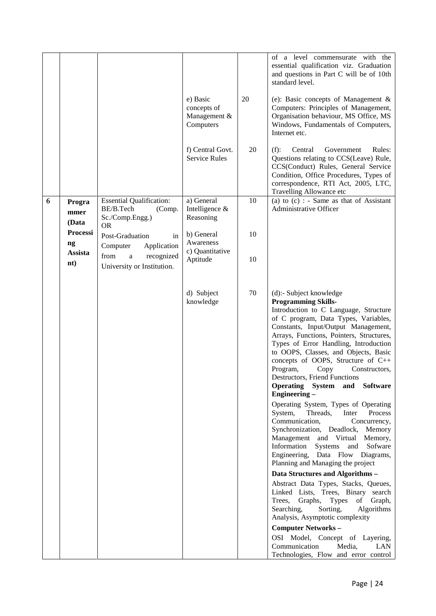|   |                                               |                                                                                             | e) Basic<br>concepts of<br>Management &<br>Computers | 20 | of a level commensurate with the<br>essential qualification viz. Graduation<br>and questions in Part C will be of 10th<br>standard level.<br>(e): Basic concepts of Management $\&$<br>Computers: Principles of Management,<br>Organisation behaviour, MS Office, MS<br>Windows, Fundamentals of Computers,<br>Internet etc.                                                                                                                                                                                                                                                                                                                                                                                                                                                                                                                                                                                                                                                                                                                                                                                    |
|---|-----------------------------------------------|---------------------------------------------------------------------------------------------|------------------------------------------------------|----|-----------------------------------------------------------------------------------------------------------------------------------------------------------------------------------------------------------------------------------------------------------------------------------------------------------------------------------------------------------------------------------------------------------------------------------------------------------------------------------------------------------------------------------------------------------------------------------------------------------------------------------------------------------------------------------------------------------------------------------------------------------------------------------------------------------------------------------------------------------------------------------------------------------------------------------------------------------------------------------------------------------------------------------------------------------------------------------------------------------------|
|   |                                               |                                                                                             | f) Central Govt.<br><b>Service Rules</b>             | 20 | (f):<br>Government<br>Rules:<br>Central<br>Questions relating to CCS(Leave) Rule,<br>CCS(Conduct) Rules, General Service<br>Condition, Office Procedures, Types of<br>correspondence, RTI Act, 2005, LTC,<br>Travelling Allowance etc                                                                                                                                                                                                                                                                                                                                                                                                                                                                                                                                                                                                                                                                                                                                                                                                                                                                           |
| 6 | Progra<br>mmer<br>(Data                       | <b>Essential Qualification:</b><br>BE/B.Tech<br>(Comp.<br>Sc./Comp.Engg.)<br><b>OR</b>      | a) General<br>Intelligence &<br>Reasoning            | 10 | (a) to $(c)$ : - Same as that of Assistant<br>Administrative Officer                                                                                                                                                                                                                                                                                                                                                                                                                                                                                                                                                                                                                                                                                                                                                                                                                                                                                                                                                                                                                                            |
|   | <b>Processi</b><br>$\boldsymbol{\mathsf{ng}}$ | Post-Graduation<br>in                                                                       | b) General<br>Awareness                              | 10 |                                                                                                                                                                                                                                                                                                                                                                                                                                                                                                                                                                                                                                                                                                                                                                                                                                                                                                                                                                                                                                                                                                                 |
|   | Assista<br>$\mathbf{nt}$                      | Computer<br>Application<br>from<br>recognized<br>$\mathbf{a}$<br>University or Institution. | c) Quantitative<br>Aptitude                          | 10 |                                                                                                                                                                                                                                                                                                                                                                                                                                                                                                                                                                                                                                                                                                                                                                                                                                                                                                                                                                                                                                                                                                                 |
|   |                                               |                                                                                             | d) Subject<br>knowledge                              | 70 | (d):- Subject knowledge<br><b>Programming Skills-</b><br>Introduction to C Language, Structure<br>of C program, Data Types, Variables,<br>Constants, Input/Output Management,<br>Arrays, Functions, Pointers, Structures,<br>Types of Error Handling, Introduction<br>to OOPS, Classes, and Objects, Basic<br>concepts of OOPS, Structure of C++<br>Program,<br>Copy<br>Constructors,<br><b>Destructors.</b> Friend Functions<br>Operating System and<br><b>Software</b><br>Engineering -<br>Operating System, Types of Operating<br>System,<br>Threads,<br>Inter<br>Process<br>Communication,<br>Concurrency,<br>Synchronization, Deadlock, Memory<br>Management and Virtual<br>Memory,<br>Information Systems<br>and<br>Sofware<br>Engineering, Data Flow Diagrams,<br>Planning and Managing the project<br>Data Structures and Algorithms -<br>Abstract Data Types, Stacks, Queues,<br>Linked Lists, Trees, Binary search<br>Graphs, Types<br>Trees,<br>of Graph,<br>Searching,<br>Sorting,<br>Algorithms<br>Analysis, Asymptotic complexity<br><b>Computer Networks-</b><br>OSI Model, Concept of Layering, |
|   |                                               |                                                                                             |                                                      |    | Communication<br>Media,<br>LAN<br>Technologies, Flow and error control                                                                                                                                                                                                                                                                                                                                                                                                                                                                                                                                                                                                                                                                                                                                                                                                                                                                                                                                                                                                                                          |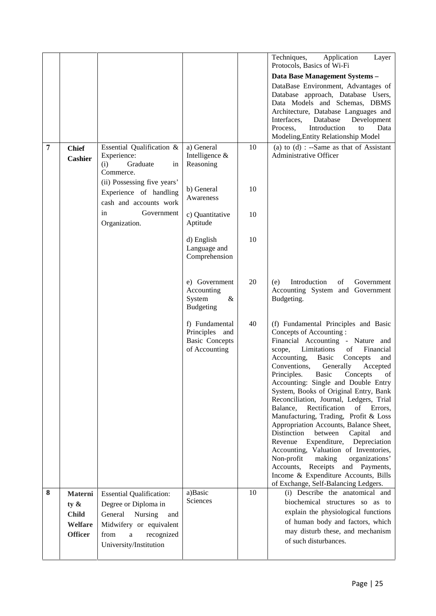|   |                                                                 |                                                                                                                                                                      |                                                                            |    | Techniques,<br>Application<br>Layer<br>Protocols, Basics of Wi-Fi                                                                                                                                                                                                                                                                                                                                                                                                                                                                                                                                                                                                                                                                                                                                                                                  |
|---|-----------------------------------------------------------------|----------------------------------------------------------------------------------------------------------------------------------------------------------------------|----------------------------------------------------------------------------|----|----------------------------------------------------------------------------------------------------------------------------------------------------------------------------------------------------------------------------------------------------------------------------------------------------------------------------------------------------------------------------------------------------------------------------------------------------------------------------------------------------------------------------------------------------------------------------------------------------------------------------------------------------------------------------------------------------------------------------------------------------------------------------------------------------------------------------------------------------|
|   |                                                                 |                                                                                                                                                                      |                                                                            |    | Data Base Management Systems -                                                                                                                                                                                                                                                                                                                                                                                                                                                                                                                                                                                                                                                                                                                                                                                                                     |
|   |                                                                 |                                                                                                                                                                      |                                                                            |    | DataBase Environment, Advantages of<br>Database approach, Database Users,<br>Data Models and Schemas, DBMS<br>Architecture, Database Languages and<br>Database<br>Development<br>Interfaces,<br>Introduction<br>Process,<br>Data<br>to<br>Modeling, Entity Relationship Model                                                                                                                                                                                                                                                                                                                                                                                                                                                                                                                                                                      |
| 7 | <b>Chief</b><br><b>Cashier</b>                                  | Essential Qualification &<br>Experience:<br>(i)<br>Graduate<br>in<br>Commerce.                                                                                       | a) General<br>Intelligence &<br>Reasoning                                  | 10 | (a) to $(d)$ : --Same as that of Assistant<br>Administrative Officer                                                                                                                                                                                                                                                                                                                                                                                                                                                                                                                                                                                                                                                                                                                                                                               |
|   |                                                                 | (ii) Possessing five years'<br>Experience of handling<br>cash and accounts work                                                                                      | b) General<br>Awareness                                                    | 10 |                                                                                                                                                                                                                                                                                                                                                                                                                                                                                                                                                                                                                                                                                                                                                                                                                                                    |
|   |                                                                 | in<br>Government<br>Organization.                                                                                                                                    | c) Quantitative<br>Aptitude                                                | 10 |                                                                                                                                                                                                                                                                                                                                                                                                                                                                                                                                                                                                                                                                                                                                                                                                                                                    |
|   |                                                                 |                                                                                                                                                                      | d) English<br>Language and<br>Comprehension                                | 10 |                                                                                                                                                                                                                                                                                                                                                                                                                                                                                                                                                                                                                                                                                                                                                                                                                                                    |
|   |                                                                 |                                                                                                                                                                      | e) Government<br>Accounting<br>System<br>&<br><b>Budgeting</b>             | 20 | Introduction<br>Government<br>of<br>(e)<br>Accounting System and Government<br>Budgeting.                                                                                                                                                                                                                                                                                                                                                                                                                                                                                                                                                                                                                                                                                                                                                          |
|   |                                                                 |                                                                                                                                                                      | f) Fundamental<br>Principles and<br><b>Basic Concepts</b><br>of Accounting | 40 | (f) Fundamental Principles and Basic<br>Concepts of Accounting:<br>Financial Accounting - Nature and<br>Limitations<br>Financial<br>scope,<br>of<br>Accounting,<br>Basic<br>Concepts<br>and<br>Conventions,<br>Generally<br>Accepted<br>Principles.<br><b>Basic</b><br>Concepts<br>of<br>Accounting: Single and Double Entry<br>System, Books of Original Entry, Bank<br>Reconciliation, Journal, Ledgers, Trial<br>Balance,<br>Rectification<br>of<br>Errors,<br>Manufacturing, Trading, Profit & Loss<br>Appropriation Accounts, Balance Sheet,<br>Distinction<br>between<br>Capital<br>and<br>Revenue<br>Expenditure,<br>Depreciation<br>Accounting, Valuation of Inventories,<br>Non-profit<br>making<br>organizations'<br>Accounts,<br>Receipts and Payments,<br>Income & Expenditure Accounts, Bills<br>of Exchange, Self-Balancing Ledgers. |
| 8 | Materni<br>ty $\&$<br><b>Child</b><br>Welfare<br><b>Officer</b> | <b>Essential Qualification:</b><br>Degree or Diploma in<br>General<br>Nursing<br>and<br>Midwifery or equivalent<br>from<br>recognized<br>a<br>University/Institution | a)Basic<br>Sciences                                                        | 10 | (i) Describe the anatomical and<br>biochemical structures so as to<br>explain the physiological functions<br>of human body and factors, which<br>may disturb these, and mechanism<br>of such disturbances.                                                                                                                                                                                                                                                                                                                                                                                                                                                                                                                                                                                                                                         |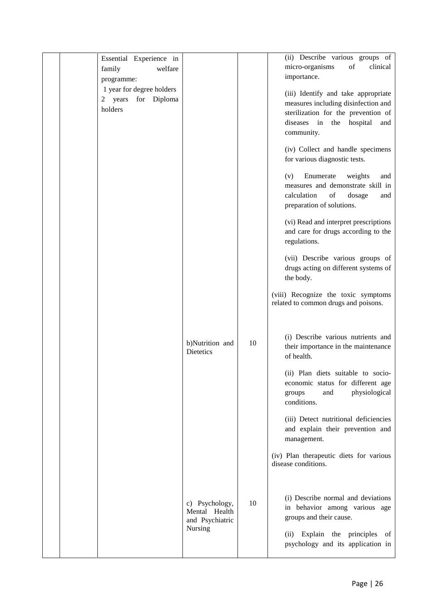| Essential Experience in<br>welfare<br>family<br>programme:  |                                                               |    | (ii) Describe various groups of<br>micro-organisms<br>of<br>clinical<br>importance.                                                                                |
|-------------------------------------------------------------|---------------------------------------------------------------|----|--------------------------------------------------------------------------------------------------------------------------------------------------------------------|
| 1 year for degree holders<br>2 years for Diploma<br>holders |                                                               |    | (iii) Identify and take appropriate<br>measures including disinfection and<br>sterilization for the prevention of<br>diseases in the hospital<br>and<br>community. |
|                                                             |                                                               |    | (iv) Collect and handle specimens<br>for various diagnostic tests.                                                                                                 |
|                                                             |                                                               |    | Enumerate<br>(v)<br>weights<br>and<br>measures and demonstrate skill in<br>calculation<br>of<br>dosage<br>and<br>preparation of solutions.                         |
|                                                             |                                                               |    | (vi) Read and interpret prescriptions<br>and care for drugs according to the<br>regulations.                                                                       |
|                                                             |                                                               |    | (vii) Describe various groups of<br>drugs acting on different systems of<br>the body.                                                                              |
|                                                             |                                                               |    | (viii) Recognize the toxic symptoms<br>related to common drugs and poisons.                                                                                        |
|                                                             | b)Nutrition and<br><b>Dietetics</b>                           | 10 | (i) Describe various nutrients and<br>their importance in the maintenance<br>of health.                                                                            |
|                                                             |                                                               |    | (ii) Plan diets suitable to socio-<br>economic status for different age<br>physiological<br>groups<br>and<br>conditions.                                           |
|                                                             |                                                               |    | (iii) Detect nutritional deficiencies<br>and explain their prevention and<br>management.                                                                           |
|                                                             |                                                               |    | (iv) Plan therapeutic diets for various<br>disease conditions.                                                                                                     |
|                                                             | c) Psychology,<br>Mental Health<br>and Psychiatric<br>Nursing | 10 | (i) Describe normal and deviations<br>in behavior among various age<br>groups and their cause.                                                                     |
|                                                             |                                                               |    | (ii) Explain the principles<br>of<br>psychology and its application in                                                                                             |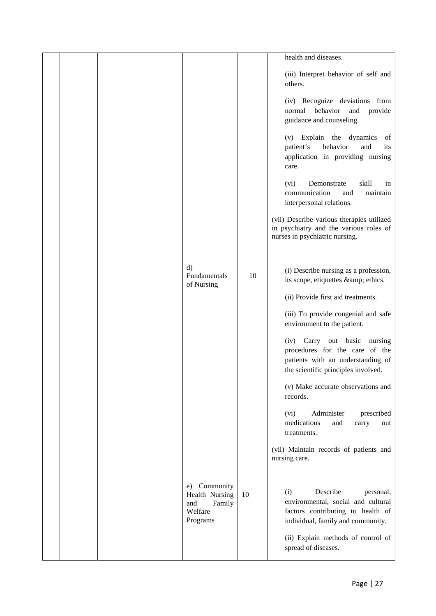|  |                                                                           |    | health and diseases.                                                                                                                          |
|--|---------------------------------------------------------------------------|----|-----------------------------------------------------------------------------------------------------------------------------------------------|
|  |                                                                           |    | (iii) Interpret behavior of self and<br>others.                                                                                               |
|  |                                                                           |    | (iv) Recognize deviations from<br>behavior<br>normal<br>and<br>provide<br>guidance and counseling.                                            |
|  |                                                                           |    | (v) Explain the dynamics<br>of<br>patient's<br>behavior<br>and<br>its<br>application in providing nursing<br>care.                            |
|  |                                                                           |    | Demonstrate<br>skill<br>(vi)<br>in<br>communication<br>maintain<br>and<br>interpersonal relations.                                            |
|  |                                                                           |    | (vii) Describe various therapies utilized<br>in psychiatry and the various roles of<br>nurses in psychiatric nursing.                         |
|  | $\mathbf{d}$<br>Fundamentals<br>of Nursing                                | 10 | (i) Describe nursing as a profession,<br>its scope, etiquettes & ethics.                                                                      |
|  |                                                                           |    | (ii) Provide first aid treatments.                                                                                                            |
|  |                                                                           |    | (iii) To provide congenial and safe<br>environment to the patient.                                                                            |
|  |                                                                           |    | (iv) Carry out basic<br>nursing<br>procedures for the care of the<br>patients with an understanding of<br>the scientific principles involved. |
|  |                                                                           |    | (v) Make accurate observations and<br>records.                                                                                                |
|  |                                                                           |    | Administer<br>(vi)<br>prescribed<br>medications<br>and<br>carry<br>out<br>treatments.                                                         |
|  |                                                                           |    | (vii) Maintain records of patients and<br>nursing care.                                                                                       |
|  | Community<br>e)<br>Health Nursing<br>Family<br>and<br>Welfare<br>Programs | 10 | Describe<br>(i)<br>personal,<br>environmental, social and cultural<br>factors contributing to health of<br>individual, family and community.  |
|  |                                                                           |    | (ii) Explain methods of control of<br>spread of diseases.                                                                                     |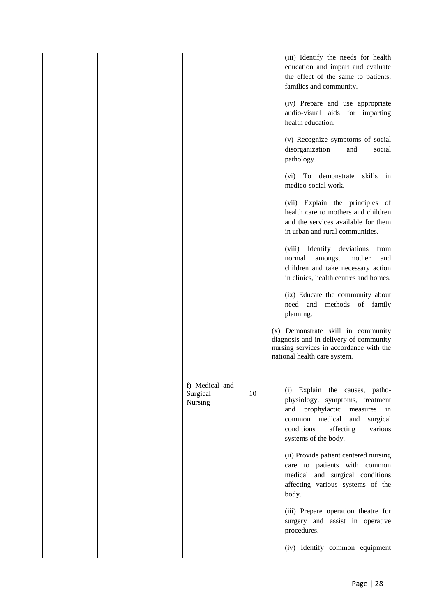|  |                                       |    | (iii) Identify the needs for health<br>education and impart and evaluate<br>the effect of the same to patients,<br>families and community.<br>(iv) Prepare and use appropriate<br>audio-visual aids for imparting<br>health education. |  |
|--|---------------------------------------|----|----------------------------------------------------------------------------------------------------------------------------------------------------------------------------------------------------------------------------------------|--|
|  |                                       |    | (v) Recognize symptoms of social<br>disorganization<br>social<br>and<br>pathology.                                                                                                                                                     |  |
|  |                                       |    | (vi) To demonstrate<br>skills in<br>medico-social work.                                                                                                                                                                                |  |
|  |                                       |    | (vii) Explain the principles of<br>health care to mothers and children<br>and the services available for them<br>in urban and rural communities.                                                                                       |  |
|  |                                       |    | (viii) Identify deviations<br>from<br>amongst<br>mother<br>normal<br>and<br>children and take necessary action<br>in clinics, health centres and homes.                                                                                |  |
|  |                                       |    | (ix) Educate the community about<br>need and<br>methods of family<br>planning.                                                                                                                                                         |  |
|  |                                       |    | (x) Demonstrate skill in community<br>diagnosis and in delivery of community<br>nursing services in accordance with the<br>national health care system.                                                                                |  |
|  | f) Medical and<br>Surgical<br>Nursing | 10 | (i) Explain the causes, patho-<br>physiology, symptoms, treatment<br>and prophylactic measures in<br>common medical<br>and<br>surgical<br>affecting<br>conditions<br>various<br>systems of the body.                                   |  |
|  |                                       |    | (ii) Provide patient centered nursing<br>care to patients with common<br>medical and surgical conditions<br>affecting various systems of the<br>body.                                                                                  |  |
|  |                                       |    | (iii) Prepare operation theatre for<br>surgery and assist in operative<br>procedures.                                                                                                                                                  |  |
|  |                                       |    | (iv) Identify common equipment                                                                                                                                                                                                         |  |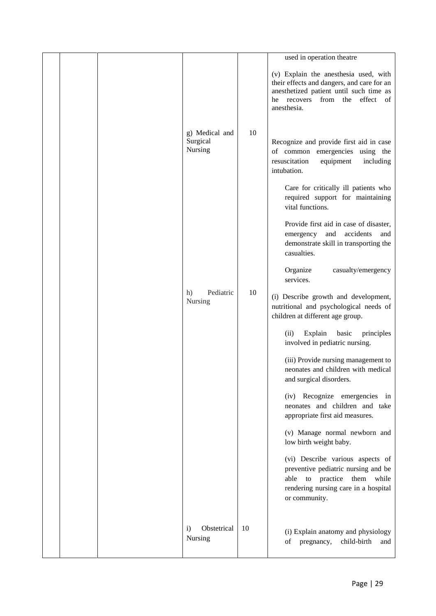|  |                                        |    | used in operation theatre                                                                                                                                                             |
|--|----------------------------------------|----|---------------------------------------------------------------------------------------------------------------------------------------------------------------------------------------|
|  |                                        |    | (v) Explain the anesthesia used, with<br>their effects and dangers, and care for an<br>anesthetized patient until such time as<br>recovers from the<br>effect of<br>he<br>anesthesia. |
|  | g) Medical and<br>Surgical<br>Nursing  | 10 | Recognize and provide first aid in case<br>of common emergencies using the<br>resuscitation<br>equipment<br>including<br>intubation.                                                  |
|  |                                        |    | Care for critically ill patients who<br>required support for maintaining<br>vital functions.                                                                                          |
|  |                                        |    | Provide first aid in case of disaster,<br>and<br>accidents<br>emergency<br>and<br>demonstrate skill in transporting the<br>casualties.                                                |
|  |                                        |    | Organize<br>casualty/emergency<br>services.                                                                                                                                           |
|  | Pediatric<br>h)<br>Nursing             | 10 | (i) Describe growth and development,<br>nutritional and psychological needs of<br>children at different age group.                                                                    |
|  |                                        |    | Explain<br>basic<br>principles<br>(ii)<br>involved in pediatric nursing.                                                                                                              |
|  |                                        |    | (iii) Provide nursing management to<br>neonates and children with medical<br>and surgical disorders.                                                                                  |
|  |                                        |    | (iv) Recognize emergencies in<br>neonates and children and take<br>appropriate first aid measures.                                                                                    |
|  |                                        |    | (v) Manage normal newborn and<br>low birth weight baby.                                                                                                                               |
|  |                                        |    | (vi) Describe various aspects of<br>preventive pediatric nursing and be<br>able to practice them while<br>rendering nursing care in a hospital<br>or community.                       |
|  | Obstetrical<br>$\mathbf{i}$<br>Nursing | 10 | (i) Explain anatomy and physiology<br>pregnancy,<br>child-birth<br>of<br>and                                                                                                          |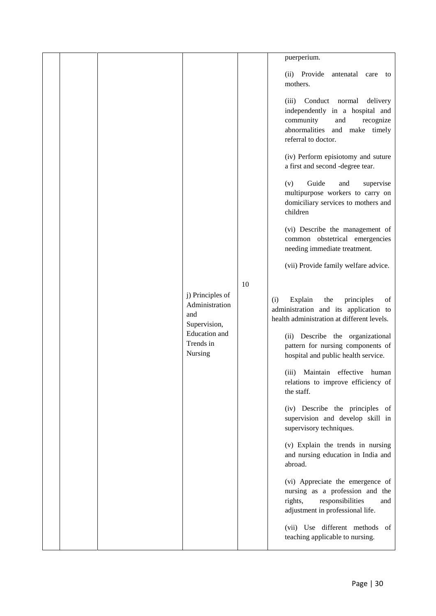|  |                                                                                                    |    | puerperium.                                                                                                                                                                                                                                                                                                                                                                                                                                                                                                                                                           |
|--|----------------------------------------------------------------------------------------------------|----|-----------------------------------------------------------------------------------------------------------------------------------------------------------------------------------------------------------------------------------------------------------------------------------------------------------------------------------------------------------------------------------------------------------------------------------------------------------------------------------------------------------------------------------------------------------------------|
|  |                                                                                                    |    | (ii) Provide<br>antenatal<br>care to<br>mothers.                                                                                                                                                                                                                                                                                                                                                                                                                                                                                                                      |
|  |                                                                                                    |    | Conduct<br>normal<br>delivery<br>(iii)<br>independently in a hospital and<br>community<br>and<br>recognize<br>abnormalities<br>and make timely<br>referral to doctor.                                                                                                                                                                                                                                                                                                                                                                                                 |
|  |                                                                                                    |    | (iv) Perform episiotomy and suture<br>a first and second -degree tear.                                                                                                                                                                                                                                                                                                                                                                                                                                                                                                |
|  |                                                                                                    |    | Guide<br>(v)<br>and<br>supervise<br>multipurpose workers to carry on<br>domiciliary services to mothers and<br>children                                                                                                                                                                                                                                                                                                                                                                                                                                               |
|  |                                                                                                    |    | (vi) Describe the management of<br>common obstetrical emergencies<br>needing immediate treatment.                                                                                                                                                                                                                                                                                                                                                                                                                                                                     |
|  |                                                                                                    |    | (vii) Provide family welfare advice.                                                                                                                                                                                                                                                                                                                                                                                                                                                                                                                                  |
|  | j) Principles of<br>Administration<br>and<br>Supervision,<br>Education and<br>Trends in<br>Nursing | 10 | Explain<br>the<br>principles<br>of<br>(i)<br>administration and its application to<br>health administration at different levels.<br>(ii) Describe the organizational<br>pattern for nursing components of<br>hospital and public health service.<br>Maintain effective human<br>(iii)<br>relations to improve efficiency of<br>the staff.<br>(iv) Describe the principles of<br>supervision and develop skill in<br>supervisory techniques.<br>(v) Explain the trends in nursing<br>and nursing education in India and<br>abroad.<br>(vi) Appreciate the emergence of |
|  |                                                                                                    |    | nursing as a profession and the<br>rights,<br>responsibilities<br>and<br>adjustment in professional life.                                                                                                                                                                                                                                                                                                                                                                                                                                                             |
|  |                                                                                                    |    | (vii) Use different methods of<br>teaching applicable to nursing.                                                                                                                                                                                                                                                                                                                                                                                                                                                                                                     |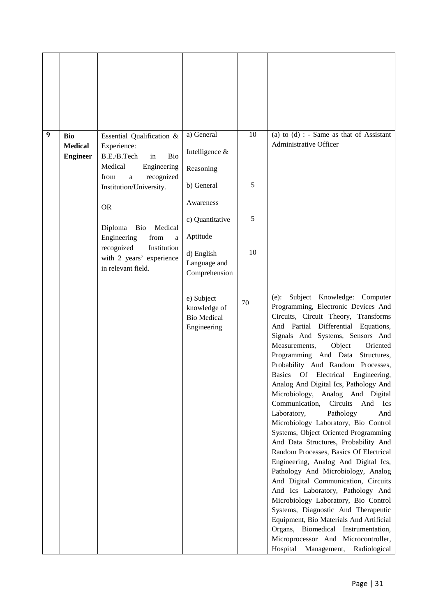| 9 | <b>Bio</b><br><b>Medical</b><br><b>Engineer</b> | Essential Qualification &<br>Experience:<br>B.E./B.Tech<br><b>Bio</b><br>in<br>Medical<br>Engineering   | a) General<br>Intelligence &<br>Reasoning                       | 10 | (a) to $(d)$ : - Same as that of Assistant<br>Administrative Officer                                                                                                                                                                                                                                                                                                                                                                                                                                                                                                                                                                                                                                                                                                                                                                                                                                                                                                                                                                                                                                                              |
|---|-------------------------------------------------|---------------------------------------------------------------------------------------------------------|-----------------------------------------------------------------|----|-----------------------------------------------------------------------------------------------------------------------------------------------------------------------------------------------------------------------------------------------------------------------------------------------------------------------------------------------------------------------------------------------------------------------------------------------------------------------------------------------------------------------------------------------------------------------------------------------------------------------------------------------------------------------------------------------------------------------------------------------------------------------------------------------------------------------------------------------------------------------------------------------------------------------------------------------------------------------------------------------------------------------------------------------------------------------------------------------------------------------------------|
|   |                                                 | from<br>recognized<br>a<br>Institution/University.                                                      | b) General                                                      | 5  |                                                                                                                                                                                                                                                                                                                                                                                                                                                                                                                                                                                                                                                                                                                                                                                                                                                                                                                                                                                                                                                                                                                                   |
|   |                                                 | <b>OR</b>                                                                                               | Awareness                                                       |    |                                                                                                                                                                                                                                                                                                                                                                                                                                                                                                                                                                                                                                                                                                                                                                                                                                                                                                                                                                                                                                                                                                                                   |
|   |                                                 | Diploma<br>Bio<br>Medical                                                                               | c) Quantitative<br>Aptitude                                     | 5  |                                                                                                                                                                                                                                                                                                                                                                                                                                                                                                                                                                                                                                                                                                                                                                                                                                                                                                                                                                                                                                                                                                                                   |
|   |                                                 | Engineering<br>from<br>a<br>recognized<br>Institution<br>with 2 years' experience<br>in relevant field. | d) English<br>Language and<br>Comprehension                     | 10 |                                                                                                                                                                                                                                                                                                                                                                                                                                                                                                                                                                                                                                                                                                                                                                                                                                                                                                                                                                                                                                                                                                                                   |
|   |                                                 |                                                                                                         | e) Subject<br>knowledge of<br><b>Bio Medical</b><br>Engineering | 70 | Subject Knowledge: Computer<br>$(e)$ :<br>Programming, Electronic Devices And<br>Circuits, Circuit Theory, Transforms<br>And Partial Differential Equations,<br>Signals And Systems, Sensors And<br>Measurements,<br>Object<br>Oriented<br>Programming And Data<br>Structures,<br>Probability And Random Processes,<br><b>Basics</b><br><b>Of</b><br>Electrical<br>Engineering,<br>Analog And Digital Ics, Pathology And<br>Microbiology, Analog And Digital<br>Circuits<br>Communication,<br>And<br><b>Ics</b><br>Laboratory,<br>Pathology<br>And<br>Microbiology Laboratory, Bio Control<br>Systems, Object Oriented Programming<br>And Data Structures, Probability And<br>Random Processes, Basics Of Electrical<br>Engineering, Analog And Digital Ics,<br>Pathology And Microbiology, Analog<br>And Digital Communication, Circuits<br>And Ics Laboratory, Pathology And<br>Microbiology Laboratory, Bio Control<br>Systems, Diagnostic And Therapeutic<br>Equipment, Bio Materials And Artificial<br>Organs, Biomedical Instrumentation,<br>Microprocessor And Microcontroller,<br>Hospital<br>Management,<br>Radiological |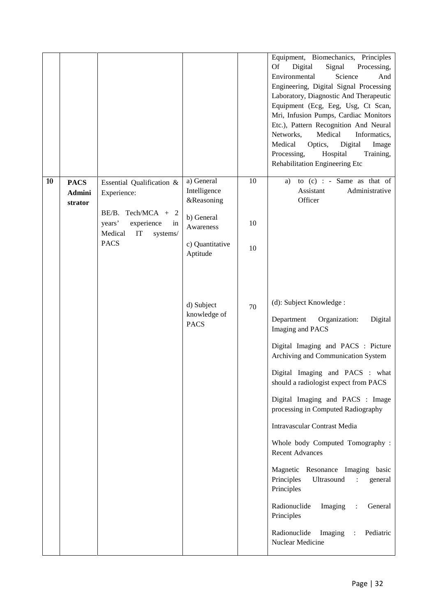|    |                                  |                                                                                              |                                                        |          | Equipment, Biomechanics, Principles<br>Digital<br>Signal<br><b>Of</b><br>Processing,<br>Science<br>Environmental<br>And<br>Engineering, Digital Signal Processing<br>Laboratory, Diagnostic And Therapeutic<br>Equipment (Ecg, Eeg, Usg, Ct Scan,<br>Mri, Infusion Pumps, Cardiac Monitors<br>Etc.), Pattern Recognition And Neural<br>Medical<br>Networks,<br>Informatics,<br>Medical<br>Digital<br>Optics,<br>Image<br>Processing,<br>Hospital<br>Training,<br>Rehabilitation Engineering Etc                                                                                                                                                        |
|----|----------------------------------|----------------------------------------------------------------------------------------------|--------------------------------------------------------|----------|--------------------------------------------------------------------------------------------------------------------------------------------------------------------------------------------------------------------------------------------------------------------------------------------------------------------------------------------------------------------------------------------------------------------------------------------------------------------------------------------------------------------------------------------------------------------------------------------------------------------------------------------------------|
| 10 | <b>PACS</b><br>Admini<br>strator | Essential Qualification &<br>Experience:<br>BE/B. Tech/MCA + 2<br>experience<br>years'<br>in | a) General<br>Intelligence<br>&Reasoning<br>b) General | 10<br>10 | to $(c)$ : - Same as that of<br>a)<br>Assistant<br>Administrative<br>Officer                                                                                                                                                                                                                                                                                                                                                                                                                                                                                                                                                                           |
|    |                                  | Medical<br>IT<br>systems/<br><b>PACS</b>                                                     | Awareness<br>c) Quantitative<br>Aptitude               | 10       |                                                                                                                                                                                                                                                                                                                                                                                                                                                                                                                                                                                                                                                        |
|    |                                  |                                                                                              | d) Subject<br>knowledge of<br><b>PACS</b>              | 70       | (d): Subject Knowledge :<br>Department<br>Organization:<br>Digital<br>Imaging and PACS<br>Digital Imaging and PACS : Picture<br>Archiving and Communication System<br>Digital Imaging and PACS : what<br>should a radiologist expect from PACS<br>Digital Imaging and PACS : Image<br>processing in Computed Radiography<br>Intravascular Contrast Media<br>Whole body Computed Tomography:<br><b>Recent Advances</b><br>Magnetic Resonance Imaging basic<br>Principles<br>Ultrasound<br>general<br>Principles<br>Radionuclide<br>Imaging<br>General<br>Principles<br>Radionuclide<br>Pediatric<br>Imaging<br>$\ddot{\phantom{a}}$<br>Nuclear Medicine |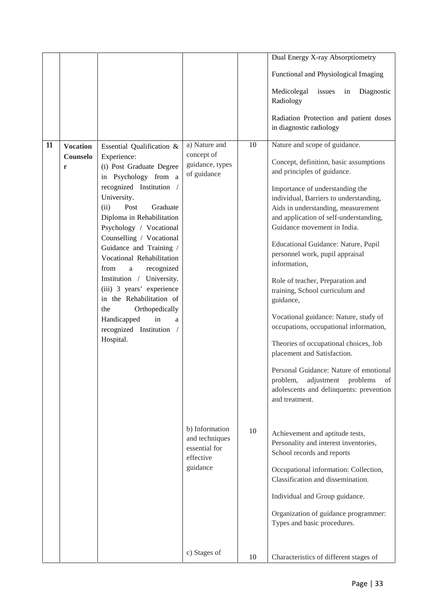|    |                             |                                                     |                                 |    | Dual Energy X-ray Absorptiometry                                          |
|----|-----------------------------|-----------------------------------------------------|---------------------------------|----|---------------------------------------------------------------------------|
|    |                             |                                                     |                                 |    | Functional and Physiological Imaging                                      |
|    |                             |                                                     |                                 |    | Medicolegal<br>Diagnostic<br>issues<br>in<br>Radiology                    |
|    |                             |                                                     |                                 |    | Radiation Protection and patient doses<br>in diagnostic radiology         |
| 11 | <b>Vocation</b><br>Counselo | Essential Qualification &<br>Experience:            | a) Nature and<br>concept of     | 10 | Nature and scope of guidance.                                             |
|    | r                           | (i) Post Graduate Degree<br>in Psychology from a    | guidance, types<br>of guidance  |    | Concept, definition, basic assumptions<br>and principles of guidance.     |
|    |                             | recognized Institution /<br>University.             |                                 |    | Importance of understanding the<br>individual, Barriers to understanding, |
|    |                             | (ii)<br>Post<br>Graduate                            |                                 |    | Aids in understanding, measurement                                        |
|    |                             | Diploma in Rehabilitation                           |                                 |    | and application of self-understanding,<br>Guidance movement in India.     |
|    |                             | Psychology / Vocational<br>Counselling / Vocational |                                 |    |                                                                           |
|    |                             | Guidance and Training /                             |                                 |    | Educational Guidance: Nature, Pupil                                       |
|    |                             | Vocational Rehabilitation                           |                                 |    | personnel work, pupil appraisal                                           |
|    |                             | recognized<br>from<br>a                             |                                 |    | information,                                                              |
|    |                             | Institution / University.                           |                                 |    | Role of teacher, Preparation and                                          |
|    |                             | (iii) 3 years' experience                           |                                 |    | training, School curriculum and                                           |
|    |                             | in the Rehabilitation of                            |                                 |    | guidance,                                                                 |
|    |                             | the<br>Orthopedically                               |                                 |    | Vocational guidance: Nature, study of                                     |
|    |                             | Handicapped<br>in<br>a                              |                                 |    | occupations, occupational information,                                    |
|    |                             | recognized Institution /<br>Hospital.               |                                 |    |                                                                           |
|    |                             |                                                     |                                 |    | Theories of occupational choices, Job<br>placement and Satisfaction.      |
|    |                             |                                                     |                                 |    | Personal Guidance: Nature of emotional                                    |
|    |                             |                                                     |                                 |    | problem, adjustment problems<br>of                                        |
|    |                             |                                                     |                                 |    | adolescents and delinquents: prevention                                   |
|    |                             |                                                     |                                 |    | and treatment.                                                            |
|    |                             |                                                     | b) Information                  | 10 | Achievement and aptitude tests,                                           |
|    |                             |                                                     | and techniques<br>essential for |    | Personality and interest inventories,                                     |
|    |                             |                                                     | effective                       |    | School records and reports                                                |
|    |                             |                                                     | guidance                        |    | Occupational information: Collection,                                     |
|    |                             |                                                     |                                 |    | Classification and dissemination.                                         |
|    |                             |                                                     |                                 |    |                                                                           |
|    |                             |                                                     |                                 |    | Individual and Group guidance.                                            |
|    |                             |                                                     |                                 |    | Organization of guidance programmer:                                      |
|    |                             |                                                     |                                 |    | Types and basic procedures.                                               |
|    |                             |                                                     | c) Stages of                    |    |                                                                           |
|    |                             |                                                     |                                 | 10 | Characteristics of different stages of                                    |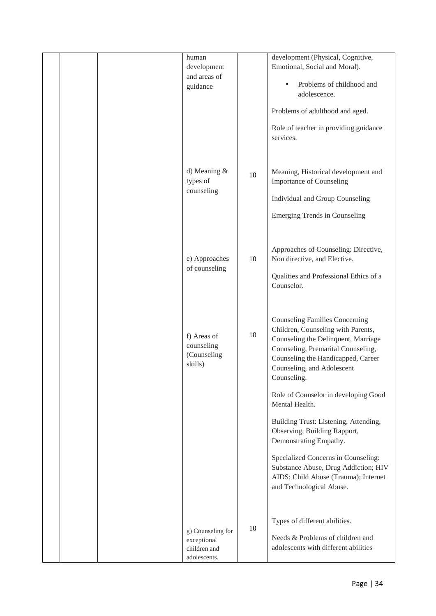|  | human<br>development<br>and areas of<br>guidance                 |    | development (Physical, Cognitive,<br>Emotional, Social and Moral).<br>Problems of childhood and<br>$\bullet$<br>adolescence.<br>Problems of adulthood and aged.<br>Role of teacher in providing guidance<br>services.                       |
|--|------------------------------------------------------------------|----|---------------------------------------------------------------------------------------------------------------------------------------------------------------------------------------------------------------------------------------------|
|  | d) Meaning &<br>types of<br>counseling                           | 10 | Meaning, Historical development and<br><b>Importance of Counseling</b><br>Individual and Group Counseling<br><b>Emerging Trends in Counseling</b>                                                                                           |
|  | e) Approaches<br>of counseling                                   | 10 | Approaches of Counseling: Directive,<br>Non directive, and Elective.<br>Qualities and Professional Ethics of a<br>Counselor.                                                                                                                |
|  | f) Areas of<br>counseling<br>(Counseling<br>skills)              | 10 | <b>Counseling Families Concerning</b><br>Children, Counseling with Parents,<br>Counseling the Delinquent, Marriage<br>Counseling, Premarital Counseling,<br>Counseling the Handicapped, Career<br>Counseling, and Adolescent<br>Counseling. |
|  |                                                                  |    | Role of Counselor in developing Good<br>Mental Health.<br>Building Trust: Listening, Attending,<br>Observing, Building Rapport,                                                                                                             |
|  |                                                                  |    | Demonstrating Empathy.<br>Specialized Concerns in Counseling:<br>Substance Abuse, Drug Addiction; HIV<br>AIDS; Child Abuse (Trauma); Internet<br>and Technological Abuse.                                                                   |
|  | g) Counseling for<br>exceptional<br>children and<br>adolescents. | 10 | Types of different abilities.<br>Needs & Problems of children and<br>adolescents with different abilities                                                                                                                                   |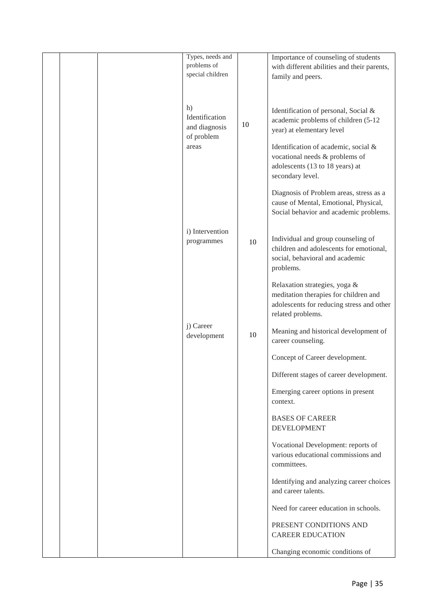|  | Types, needs and<br>problems of       |    | Importance of counseling of students                                                                                                     |
|--|---------------------------------------|----|------------------------------------------------------------------------------------------------------------------------------------------|
|  | special children                      |    | with different abilities and their parents,<br>family and peers.                                                                         |
|  |                                       |    |                                                                                                                                          |
|  | h)<br>Identification<br>and diagnosis | 10 | Identification of personal, Social &<br>academic problems of children (5-12<br>year) at elementary level                                 |
|  | of problem<br>areas                   |    | Identification of academic, social &<br>vocational needs & problems of<br>adolescents (13 to 18 years) at<br>secondary level.            |
|  |                                       |    | Diagnosis of Problem areas, stress as a<br>cause of Mental, Emotional, Physical,<br>Social behavior and academic problems.               |
|  | i) Intervention<br>programmes         | 10 | Individual and group counseling of<br>children and adolescents for emotional,<br>social, behavioral and academic<br>problems.            |
|  |                                       |    | Relaxation strategies, yoga &<br>meditation therapies for children and<br>adolescents for reducing stress and other<br>related problems. |
|  | j) Career<br>development              | 10 | Meaning and historical development of<br>career counseling.                                                                              |
|  |                                       |    | Concept of Career development.                                                                                                           |
|  |                                       |    | Different stages of career development.                                                                                                  |
|  |                                       |    | Emerging career options in present<br>context.                                                                                           |
|  |                                       |    | <b>BASES OF CAREER</b><br><b>DEVELOPMENT</b>                                                                                             |
|  |                                       |    | Vocational Development: reports of<br>various educational commissions and<br>committees.                                                 |
|  |                                       |    | Identifying and analyzing career choices<br>and career talents.                                                                          |
|  |                                       |    | Need for career education in schools.                                                                                                    |
|  |                                       |    | PRESENT CONDITIONS AND<br><b>CAREER EDUCATION</b>                                                                                        |
|  |                                       |    | Changing economic conditions of                                                                                                          |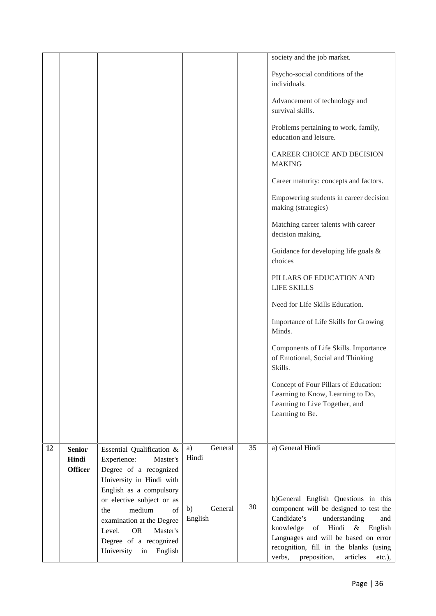|    |                        |                                                                                                                                              |                          |    | society and the job market.                                                                                                                                                                                                                                    |
|----|------------------------|----------------------------------------------------------------------------------------------------------------------------------------------|--------------------------|----|----------------------------------------------------------------------------------------------------------------------------------------------------------------------------------------------------------------------------------------------------------------|
|    |                        |                                                                                                                                              |                          |    | Psycho-social conditions of the<br>individuals.                                                                                                                                                                                                                |
|    |                        |                                                                                                                                              |                          |    | Advancement of technology and<br>survival skills.                                                                                                                                                                                                              |
|    |                        |                                                                                                                                              |                          |    | Problems pertaining to work, family,<br>education and leisure.                                                                                                                                                                                                 |
|    |                        |                                                                                                                                              |                          |    | CAREER CHOICE AND DECISION<br><b>MAKING</b>                                                                                                                                                                                                                    |
|    |                        |                                                                                                                                              |                          |    | Career maturity: concepts and factors.                                                                                                                                                                                                                         |
|    |                        |                                                                                                                                              |                          |    | Empowering students in career decision<br>making (strategies)                                                                                                                                                                                                  |
|    |                        |                                                                                                                                              |                          |    | Matching career talents with career<br>decision making.                                                                                                                                                                                                        |
|    |                        |                                                                                                                                              |                          |    | Guidance for developing life goals &<br>choices                                                                                                                                                                                                                |
|    |                        |                                                                                                                                              |                          |    | PILLARS OF EDUCATION AND<br><b>LIFE SKILLS</b>                                                                                                                                                                                                                 |
|    |                        |                                                                                                                                              |                          |    | Need for Life Skills Education.                                                                                                                                                                                                                                |
|    |                        |                                                                                                                                              |                          |    | Importance of Life Skills for Growing<br>Minds.                                                                                                                                                                                                                |
|    |                        |                                                                                                                                              |                          |    | Components of Life Skills. Importance<br>of Emotional, Social and Thinking<br>Skills.                                                                                                                                                                          |
|    |                        |                                                                                                                                              |                          |    | Concept of Four Pillars of Education:<br>Learning to Know, Learning to Do,<br>Learning to Live Together, and<br>Learning to Be.                                                                                                                                |
| 12 | <b>Senior</b><br>Hindi | Essential Qualification &<br>Experience:<br>Master's                                                                                         | General<br>a)<br>Hindi   | 35 | a) General Hindi                                                                                                                                                                                                                                               |
|    | <b>Officer</b>         | Degree of a recognized<br>University in Hindi with<br>English as a compulsory<br>or elective subject or as                                   |                          |    | b)General English Questions in this                                                                                                                                                                                                                            |
|    |                        | medium<br>of<br>the<br>examination at the Degree<br>Master's<br>Level.<br><b>OR</b><br>Degree of a recognized<br>University<br>English<br>in | General<br>b)<br>English | 30 | component will be designed to test the<br>Candidate's<br>understanding<br>and<br>of Hindi<br>$\&$<br>knowledge<br>English<br>Languages and will be based on error<br>recognition, fill in the blanks (using<br>verbs,<br>preposition,<br>articles<br>$etc.$ ), |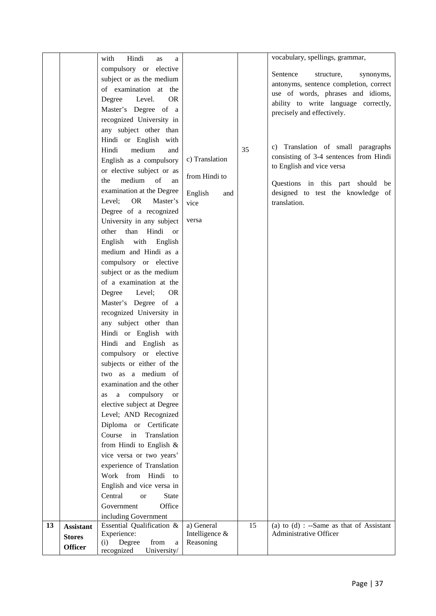| compulsory or elective<br>Sentence<br>structure,<br>synonyms,<br>subject or as the medium<br>antonyms, sentence completion, correct<br>of examination at the<br>use of words, phrases and idioms,<br>Degree<br>Level.<br><b>OR</b><br>ability to write language correctly,<br>Master's Degree of a<br>precisely and effectively.<br>recognized University in<br>any subject other than<br>Hindi or English with<br>c) Translation of small paragraphs<br>35<br>Hindi<br>medium<br>and<br>consisting of 3-4 sentences from Hindi<br>c) Translation<br>English as a compulsory<br>to English and vice versa<br>or elective subject or as<br>from Hindi to<br>medium of<br>the<br>an<br>Questions in this part should be<br>examination at the Degree<br>designed to test the knowledge of<br>English<br>and<br><b>OR</b><br>Master's<br>Level;<br>vice<br>translation.<br>Degree of a recognized<br>University in any subject<br>versa<br>than Hindi or<br>other<br>English<br>with English<br>medium and Hindi as a<br>compulsory or elective |  |
|----------------------------------------------------------------------------------------------------------------------------------------------------------------------------------------------------------------------------------------------------------------------------------------------------------------------------------------------------------------------------------------------------------------------------------------------------------------------------------------------------------------------------------------------------------------------------------------------------------------------------------------------------------------------------------------------------------------------------------------------------------------------------------------------------------------------------------------------------------------------------------------------------------------------------------------------------------------------------------------------------------------------------------------------|--|
|                                                                                                                                                                                                                                                                                                                                                                                                                                                                                                                                                                                                                                                                                                                                                                                                                                                                                                                                                                                                                                              |  |
|                                                                                                                                                                                                                                                                                                                                                                                                                                                                                                                                                                                                                                                                                                                                                                                                                                                                                                                                                                                                                                              |  |
|                                                                                                                                                                                                                                                                                                                                                                                                                                                                                                                                                                                                                                                                                                                                                                                                                                                                                                                                                                                                                                              |  |
|                                                                                                                                                                                                                                                                                                                                                                                                                                                                                                                                                                                                                                                                                                                                                                                                                                                                                                                                                                                                                                              |  |
|                                                                                                                                                                                                                                                                                                                                                                                                                                                                                                                                                                                                                                                                                                                                                                                                                                                                                                                                                                                                                                              |  |
|                                                                                                                                                                                                                                                                                                                                                                                                                                                                                                                                                                                                                                                                                                                                                                                                                                                                                                                                                                                                                                              |  |
|                                                                                                                                                                                                                                                                                                                                                                                                                                                                                                                                                                                                                                                                                                                                                                                                                                                                                                                                                                                                                                              |  |
|                                                                                                                                                                                                                                                                                                                                                                                                                                                                                                                                                                                                                                                                                                                                                                                                                                                                                                                                                                                                                                              |  |
|                                                                                                                                                                                                                                                                                                                                                                                                                                                                                                                                                                                                                                                                                                                                                                                                                                                                                                                                                                                                                                              |  |
|                                                                                                                                                                                                                                                                                                                                                                                                                                                                                                                                                                                                                                                                                                                                                                                                                                                                                                                                                                                                                                              |  |
|                                                                                                                                                                                                                                                                                                                                                                                                                                                                                                                                                                                                                                                                                                                                                                                                                                                                                                                                                                                                                                              |  |
|                                                                                                                                                                                                                                                                                                                                                                                                                                                                                                                                                                                                                                                                                                                                                                                                                                                                                                                                                                                                                                              |  |
|                                                                                                                                                                                                                                                                                                                                                                                                                                                                                                                                                                                                                                                                                                                                                                                                                                                                                                                                                                                                                                              |  |
|                                                                                                                                                                                                                                                                                                                                                                                                                                                                                                                                                                                                                                                                                                                                                                                                                                                                                                                                                                                                                                              |  |
|                                                                                                                                                                                                                                                                                                                                                                                                                                                                                                                                                                                                                                                                                                                                                                                                                                                                                                                                                                                                                                              |  |
|                                                                                                                                                                                                                                                                                                                                                                                                                                                                                                                                                                                                                                                                                                                                                                                                                                                                                                                                                                                                                                              |  |
|                                                                                                                                                                                                                                                                                                                                                                                                                                                                                                                                                                                                                                                                                                                                                                                                                                                                                                                                                                                                                                              |  |
|                                                                                                                                                                                                                                                                                                                                                                                                                                                                                                                                                                                                                                                                                                                                                                                                                                                                                                                                                                                                                                              |  |
|                                                                                                                                                                                                                                                                                                                                                                                                                                                                                                                                                                                                                                                                                                                                                                                                                                                                                                                                                                                                                                              |  |
|                                                                                                                                                                                                                                                                                                                                                                                                                                                                                                                                                                                                                                                                                                                                                                                                                                                                                                                                                                                                                                              |  |
|                                                                                                                                                                                                                                                                                                                                                                                                                                                                                                                                                                                                                                                                                                                                                                                                                                                                                                                                                                                                                                              |  |
| subject or as the medium                                                                                                                                                                                                                                                                                                                                                                                                                                                                                                                                                                                                                                                                                                                                                                                                                                                                                                                                                                                                                     |  |
| of a examination at the                                                                                                                                                                                                                                                                                                                                                                                                                                                                                                                                                                                                                                                                                                                                                                                                                                                                                                                                                                                                                      |  |
| Degree<br>Level;<br><b>OR</b>                                                                                                                                                                                                                                                                                                                                                                                                                                                                                                                                                                                                                                                                                                                                                                                                                                                                                                                                                                                                                |  |
| Master's Degree of a                                                                                                                                                                                                                                                                                                                                                                                                                                                                                                                                                                                                                                                                                                                                                                                                                                                                                                                                                                                                                         |  |
| recognized University in                                                                                                                                                                                                                                                                                                                                                                                                                                                                                                                                                                                                                                                                                                                                                                                                                                                                                                                                                                                                                     |  |
| any subject other than                                                                                                                                                                                                                                                                                                                                                                                                                                                                                                                                                                                                                                                                                                                                                                                                                                                                                                                                                                                                                       |  |
| Hindi or English with                                                                                                                                                                                                                                                                                                                                                                                                                                                                                                                                                                                                                                                                                                                                                                                                                                                                                                                                                                                                                        |  |
| Hindi and English as                                                                                                                                                                                                                                                                                                                                                                                                                                                                                                                                                                                                                                                                                                                                                                                                                                                                                                                                                                                                                         |  |
| compulsory or elective                                                                                                                                                                                                                                                                                                                                                                                                                                                                                                                                                                                                                                                                                                                                                                                                                                                                                                                                                                                                                       |  |
| subjects or either of the                                                                                                                                                                                                                                                                                                                                                                                                                                                                                                                                                                                                                                                                                                                                                                                                                                                                                                                                                                                                                    |  |
| two as a medium of                                                                                                                                                                                                                                                                                                                                                                                                                                                                                                                                                                                                                                                                                                                                                                                                                                                                                                                                                                                                                           |  |
| examination and the other                                                                                                                                                                                                                                                                                                                                                                                                                                                                                                                                                                                                                                                                                                                                                                                                                                                                                                                                                                                                                    |  |
| compulsory<br>a<br><b>or</b><br>as                                                                                                                                                                                                                                                                                                                                                                                                                                                                                                                                                                                                                                                                                                                                                                                                                                                                                                                                                                                                           |  |
| elective subject at Degree                                                                                                                                                                                                                                                                                                                                                                                                                                                                                                                                                                                                                                                                                                                                                                                                                                                                                                                                                                                                                   |  |
| Level; AND Recognized                                                                                                                                                                                                                                                                                                                                                                                                                                                                                                                                                                                                                                                                                                                                                                                                                                                                                                                                                                                                                        |  |
| Diploma or Certificate                                                                                                                                                                                                                                                                                                                                                                                                                                                                                                                                                                                                                                                                                                                                                                                                                                                                                                                                                                                                                       |  |
| Course in<br>Translation                                                                                                                                                                                                                                                                                                                                                                                                                                                                                                                                                                                                                                                                                                                                                                                                                                                                                                                                                                                                                     |  |
| from Hindi to English &                                                                                                                                                                                                                                                                                                                                                                                                                                                                                                                                                                                                                                                                                                                                                                                                                                                                                                                                                                                                                      |  |
| vice versa or two years'                                                                                                                                                                                                                                                                                                                                                                                                                                                                                                                                                                                                                                                                                                                                                                                                                                                                                                                                                                                                                     |  |
| experience of Translation                                                                                                                                                                                                                                                                                                                                                                                                                                                                                                                                                                                                                                                                                                                                                                                                                                                                                                                                                                                                                    |  |
| Work from Hindi to                                                                                                                                                                                                                                                                                                                                                                                                                                                                                                                                                                                                                                                                                                                                                                                                                                                                                                                                                                                                                           |  |
| English and vice versa in                                                                                                                                                                                                                                                                                                                                                                                                                                                                                                                                                                                                                                                                                                                                                                                                                                                                                                                                                                                                                    |  |
| Central<br><b>State</b><br><b>or</b>                                                                                                                                                                                                                                                                                                                                                                                                                                                                                                                                                                                                                                                                                                                                                                                                                                                                                                                                                                                                         |  |
| Office<br>Government                                                                                                                                                                                                                                                                                                                                                                                                                                                                                                                                                                                                                                                                                                                                                                                                                                                                                                                                                                                                                         |  |
| including Government                                                                                                                                                                                                                                                                                                                                                                                                                                                                                                                                                                                                                                                                                                                                                                                                                                                                                                                                                                                                                         |  |
| Essential Qualification &<br>a) General<br>15<br>(a) to $(d)$ : --Same as that of Assistant<br>13<br><b>Assistant</b>                                                                                                                                                                                                                                                                                                                                                                                                                                                                                                                                                                                                                                                                                                                                                                                                                                                                                                                        |  |
| Experience:<br>Administrative Officer<br>Intelligence &<br><b>Stores</b>                                                                                                                                                                                                                                                                                                                                                                                                                                                                                                                                                                                                                                                                                                                                                                                                                                                                                                                                                                     |  |
| (i) Degree<br>from<br>Reasoning<br>$\rm{a}$<br><b>Officer</b><br>recognized<br>University/                                                                                                                                                                                                                                                                                                                                                                                                                                                                                                                                                                                                                                                                                                                                                                                                                                                                                                                                                   |  |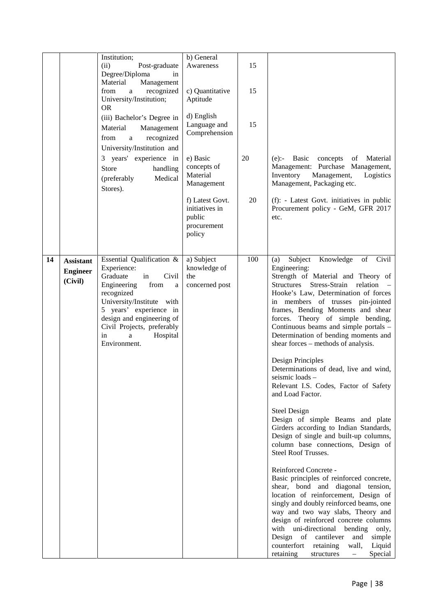|    |                                                | Institution;<br>(ii)<br>Post-graduate<br>Degree/Diploma<br>in<br>Material<br>Management<br>recognized<br>from<br>a<br>University/Institution;<br><b>OR</b><br>(iii) Bachelor's Degree in<br>Material<br>Management<br>recognized<br>from<br>a<br>University/Institution and<br>3 years' experience in<br>Store<br>handling<br>(preferably<br>Medical<br>Stores). | b) General<br>Awareness<br>c) Quantitative<br>Aptitude<br>d) English<br>Language and<br>Comprehension<br>e) Basic<br>concepts of<br>Material<br>Management | 15<br>15<br>15<br>20 | Material<br>$(e)$ :- Basic<br>concepts<br>of<br>Management: Purchase Management,<br>Inventory<br>Management,<br>Logistics<br>Management, Packaging etc.                                                                                                                                                                                                                                                                                                                                                                                                                                                                                                                                                                                                                                                                                                                                                                                                                                                                                                                                                                                                                                                                                                                    |
|----|------------------------------------------------|------------------------------------------------------------------------------------------------------------------------------------------------------------------------------------------------------------------------------------------------------------------------------------------------------------------------------------------------------------------|------------------------------------------------------------------------------------------------------------------------------------------------------------|----------------------|----------------------------------------------------------------------------------------------------------------------------------------------------------------------------------------------------------------------------------------------------------------------------------------------------------------------------------------------------------------------------------------------------------------------------------------------------------------------------------------------------------------------------------------------------------------------------------------------------------------------------------------------------------------------------------------------------------------------------------------------------------------------------------------------------------------------------------------------------------------------------------------------------------------------------------------------------------------------------------------------------------------------------------------------------------------------------------------------------------------------------------------------------------------------------------------------------------------------------------------------------------------------------|
|    |                                                |                                                                                                                                                                                                                                                                                                                                                                  | f) Latest Govt.<br>initiatives in<br>public<br>procurement<br>policy                                                                                       | 20                   | (f): - Latest Govt. initiatives in public<br>Procurement policy - GeM, GFR 2017<br>etc.                                                                                                                                                                                                                                                                                                                                                                                                                                                                                                                                                                                                                                                                                                                                                                                                                                                                                                                                                                                                                                                                                                                                                                                    |
| 14 | <b>Assistant</b><br><b>Engineer</b><br>(Civil) | Essential Qualification &<br>Experience:<br>Graduate<br>Civil<br>in<br>Engineering<br>from<br>a<br>recognized<br>University/Institute with<br>5 years' experience in<br>design and engineering of<br>Civil Projects, preferably<br>in<br>Hospital<br>a<br>Environment.                                                                                           | a) Subject<br>knowledge of<br>the<br>concerned post                                                                                                        | 100                  | Knowledge<br>of Civil<br>Subject<br>(a)<br>Engineering:<br>Strength of Material and Theory of<br>Stress-Strain relation -<br><b>Structures</b><br>Hooke's Law, Determination of forces<br>in members of trusses pin-jointed<br>frames, Bending Moments and shear<br>forces. Theory of simple bending,<br>Continuous beams and simple portals -<br>Determination of bending moments and<br>shear forces – methods of analysis.<br>Design Principles<br>Determinations of dead, live and wind,<br>seismic loads -<br>Relevant I.S. Codes, Factor of Safety<br>and Load Factor.<br><b>Steel Design</b><br>Design of simple Beams and plate<br>Girders according to Indian Standards,<br>Design of single and built-up columns,<br>column base connections, Design of<br><b>Steel Roof Trusses.</b><br>Reinforced Concrete -<br>Basic principles of reinforced concrete,<br>shear, bond and diagonal tension,<br>location of reinforcement, Design of<br>singly and doubly reinforced beams, one<br>way and two way slabs, Theory and<br>design of reinforced concrete columns<br>with uni-directional bending only,<br>Design of cantilever<br>and<br>simple<br>counterfort<br>retaining<br>wall,<br>Liquid<br>retaining<br>Special<br>structures<br>$\overline{\phantom{0}}$ |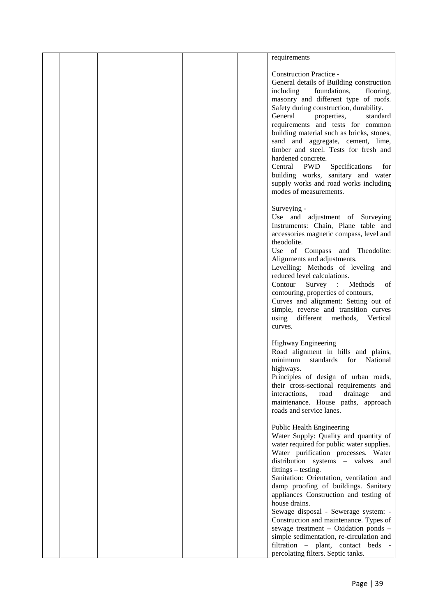|  |  | requirements                                   |  |
|--|--|------------------------------------------------|--|
|  |  |                                                |  |
|  |  | <b>Construction Practice -</b>                 |  |
|  |  | General details of Building construction       |  |
|  |  | including<br>foundations,<br>flooring,         |  |
|  |  | masonry and different type of roofs.           |  |
|  |  | Safety during construction, durability.        |  |
|  |  | General<br>properties,<br>standard             |  |
|  |  | requirements and tests for common              |  |
|  |  | building material such as bricks, stones,      |  |
|  |  | sand and aggregate, cement, lime,              |  |
|  |  | timber and steel. Tests for fresh and          |  |
|  |  | hardened concrete.                             |  |
|  |  | Central<br><b>PWD</b><br>Specifications<br>for |  |
|  |  | building works, sanitary and water             |  |
|  |  | supply works and road works including          |  |
|  |  | modes of measurements.                         |  |
|  |  | Surveying -                                    |  |
|  |  | Use and adjustment of Surveying                |  |
|  |  | Instruments: Chain, Plane table and            |  |
|  |  | accessories magnetic compass, level and        |  |
|  |  | theodolite.                                    |  |
|  |  | Use of Compass and Theodolite:                 |  |
|  |  | Alignments and adjustments.                    |  |
|  |  | Levelling: Methods of leveling and             |  |
|  |  | reduced level calculations.                    |  |
|  |  | Contour<br>Survey : Methods<br>of              |  |
|  |  | contouring, properties of contours,            |  |
|  |  | Curves and alignment: Setting out of           |  |
|  |  | simple, reverse and transition curves          |  |
|  |  | using different methods, Vertical              |  |
|  |  | curves.                                        |  |
|  |  | <b>Highway Engineering</b>                     |  |
|  |  | Road alignment in hills and plains,            |  |
|  |  | minimum<br>National<br>standards<br>for        |  |
|  |  | highways.                                      |  |
|  |  | Principles of design of urban roads,           |  |
|  |  | their cross-sectional requirements and         |  |
|  |  | interactions,<br>road<br>drainage<br>and       |  |
|  |  | maintenance. House paths, approach             |  |
|  |  | roads and service lanes.                       |  |
|  |  | Public Health Engineering                      |  |
|  |  | Water Supply: Quality and quantity of          |  |
|  |  | water required for public water supplies.      |  |
|  |  | Water purification processes. Water            |  |
|  |  | distribution systems - valves and              |  |
|  |  | fittings – testing.                            |  |
|  |  | Sanitation: Orientation, ventilation and       |  |
|  |  | damp proofing of buildings. Sanitary           |  |
|  |  | appliances Construction and testing of         |  |
|  |  | house drains.                                  |  |
|  |  | Sewage disposal - Sewerage system: -           |  |
|  |  | Construction and maintenance. Types of         |  |
|  |  | sewage treatment - Oxidation ponds -           |  |
|  |  | simple sedimentation, re-circulation and       |  |
|  |  | filtration - plant, contact beds -             |  |
|  |  | percolating filters. Septic tanks.             |  |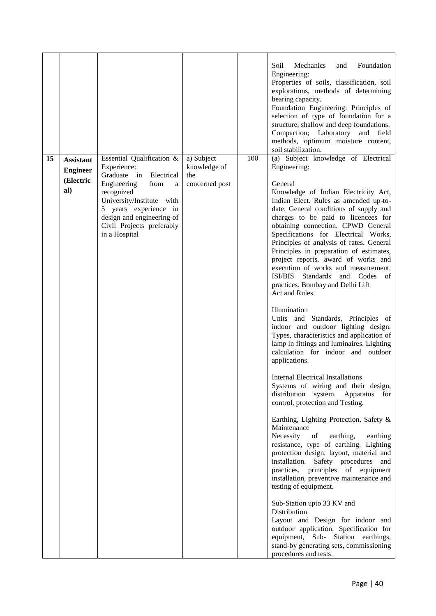|    |                                                         |                                                                                                                                                                                                                                               |                                                     |     | Soil<br>Mechanics<br>Foundation<br>and<br>Engineering:<br>Properties of soils, classification, soil<br>explorations, methods of determining<br>bearing capacity.<br>Foundation Engineering: Principles of<br>selection of type of foundation for a<br>structure, shallow and deep foundations.<br>Compaction; Laboratory and field<br>methods, optimum moisture content,<br>soil stabilization.                                                                                                                                                                                                                                                                                                                                                                                                                                                                                                                                                                                                                                                                                                                                                                                                                                                                                                                                                                                                                                                                                                                                                                                 |  |
|----|---------------------------------------------------------|-----------------------------------------------------------------------------------------------------------------------------------------------------------------------------------------------------------------------------------------------|-----------------------------------------------------|-----|---------------------------------------------------------------------------------------------------------------------------------------------------------------------------------------------------------------------------------------------------------------------------------------------------------------------------------------------------------------------------------------------------------------------------------------------------------------------------------------------------------------------------------------------------------------------------------------------------------------------------------------------------------------------------------------------------------------------------------------------------------------------------------------------------------------------------------------------------------------------------------------------------------------------------------------------------------------------------------------------------------------------------------------------------------------------------------------------------------------------------------------------------------------------------------------------------------------------------------------------------------------------------------------------------------------------------------------------------------------------------------------------------------------------------------------------------------------------------------------------------------------------------------------------------------------------------------|--|
| 15 | <b>Assistant</b><br><b>Engineer</b><br>(Electric<br>al) | Essential Qualification &<br>Experience:<br>Graduate in Electrical<br>Engineering<br>from<br>a<br>recognized<br>University/Institute with<br>5 years experience in<br>design and engineering of<br>Civil Projects preferably<br>in a Hospital | a) Subject<br>knowledge of<br>the<br>concerned post | 100 | (a) Subject knowledge of Electrical<br>Engineering:<br>General<br>Knowledge of Indian Electricity Act,<br>Indian Elect. Rules as amended up-to-<br>date. General conditions of supply and<br>charges to be paid to licencees for<br>obtaining connection. CPWD General<br>Specifications for Electrical Works,<br>Principles of analysis of rates. General<br>Principles in preparation of estimates,<br>project reports, award of works and<br>execution of works and measurement.<br>ISI/BIS Standards and Codes<br>of<br>practices. Bombay and Delhi Lift<br>Act and Rules.<br>Illumination<br>Units and Standards, Principles of<br>indoor and outdoor lighting design.<br>Types, characteristics and application of<br>lamp in fittings and luminaires. Lighting<br>calculation for indoor and outdoor<br>applications.<br><b>Internal Electrical Installations</b><br>Systems of wiring and their design,<br>distribution system. Apparatus for<br>control, protection and Testing.<br>Earthing, Lighting Protection, Safety &<br>Maintenance<br>Necessity<br>of<br>earthing,<br>earthing<br>resistance, type of earthing. Lighting<br>protection design, layout, material and<br>installation. Safety procedures<br>and<br>practices, principles of equipment<br>installation, preventive maintenance and<br>testing of equipment.<br>Sub-Station upto 33 KV and<br>Distribution<br>Layout and Design for indoor and<br>outdoor application. Specification for<br>equipment, Sub- Station earthings,<br>stand-by generating sets, commissioning<br>procedures and tests. |  |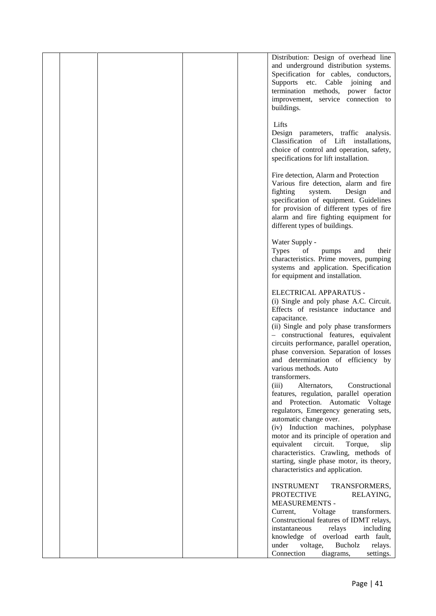|  |  | Distribution: Design of overhead line<br>and underground distribution systems.<br>Specification for cables, conductors,<br>Supports etc. Cable joining<br>and<br>termination methods, power factor<br>improvement, service connection to<br>buildings.                                                                                                                                                                                                                 |
|--|--|------------------------------------------------------------------------------------------------------------------------------------------------------------------------------------------------------------------------------------------------------------------------------------------------------------------------------------------------------------------------------------------------------------------------------------------------------------------------|
|  |  | Lifts<br>Design parameters, traffic analysis.<br>Classification of Lift installations,<br>choice of control and operation, safety,<br>specifications for lift installation.                                                                                                                                                                                                                                                                                            |
|  |  | Fire detection, Alarm and Protection<br>Various fire detection, alarm and fire<br>fighting<br>system.<br>Design<br>and<br>specification of equipment. Guidelines<br>for provision of different types of fire<br>alarm and fire fighting equipment for<br>different types of buildings.                                                                                                                                                                                 |
|  |  | Water Supply -<br><b>Types</b><br>of<br>their<br>pumps<br>and<br>characteristics. Prime movers, pumping<br>systems and application. Specification<br>for equipment and installation.                                                                                                                                                                                                                                                                                   |
|  |  | ELECTRICAL APPARATUS -<br>(i) Single and poly phase A.C. Circuit.<br>Effects of resistance inductance and<br>capacitance.<br>(ii) Single and poly phase transformers<br>- constructional features, equivalent<br>circuits performance, parallel operation,<br>phase conversion. Separation of losses<br>and determination of efficiency by<br>various methods. Auto                                                                                                    |
|  |  | transformers.<br>Constructional<br>(iii)<br>Alternators,<br>features, regulation, parallel operation<br>and Protection. Automatic Voltage<br>regulators, Emergency generating sets,<br>automatic change over.<br>(iv) Induction machines, polyphase<br>motor and its principle of operation and<br>equivalent<br>circuit.<br>Torque,<br>slip<br>characteristics. Crawling, methods of<br>starting, single phase motor, its theory,<br>characteristics and application. |
|  |  | TRANSFORMERS,<br><b>INSTRUMENT</b><br><b>PROTECTIVE</b><br>RELAYING,<br><b>MEASUREMENTS -</b><br>Current,<br>Voltage<br>transformers.<br>Constructional features of IDMT relays,<br>instantaneous<br>relays<br>including<br>knowledge of overload earth fault,<br>Bucholz<br>under<br>voltage,<br>relays.<br>Connection<br>diagrams,<br>settings.                                                                                                                      |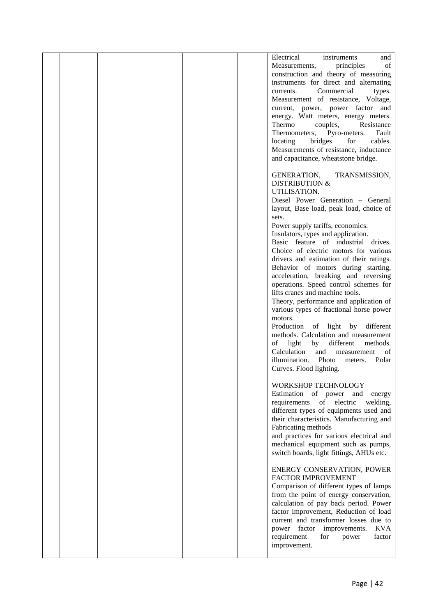|  |  | Electrical<br>instruments<br>and                                                   |  |
|--|--|------------------------------------------------------------------------------------|--|
|  |  | principles<br>of<br>Measurements,                                                  |  |
|  |  | construction and theory of measuring<br>instruments for direct and alternating     |  |
|  |  | Commercial<br>currents.<br>types.                                                  |  |
|  |  | Measurement of resistance, Voltage,                                                |  |
|  |  | current, power, power factor and                                                   |  |
|  |  | energy. Watt meters, energy meters.                                                |  |
|  |  | Thermo<br>couples,<br>Resistance<br>Thermometers,<br>Pyro-meters.<br>Fault         |  |
|  |  | locating<br>bridges<br>for<br>cables.                                              |  |
|  |  | Measurements of resistance, inductance                                             |  |
|  |  | and capacitance, wheatstone bridge.                                                |  |
|  |  | GENERATION,<br>TRANSMISSION,                                                       |  |
|  |  | <b>DISTRIBUTION &amp;</b>                                                          |  |
|  |  | UTILISATION.                                                                       |  |
|  |  | Diesel Power Generation - General                                                  |  |
|  |  | layout, Base load, peak load, choice of<br>sets.                                   |  |
|  |  | Power supply tariffs, economics.                                                   |  |
|  |  | Insulators, types and application.                                                 |  |
|  |  | Basic feature of industrial drives.                                                |  |
|  |  | Choice of electric motors for various<br>drivers and estimation of their ratings.  |  |
|  |  | Behavior of motors during starting,                                                |  |
|  |  | acceleration, breaking and reversing                                               |  |
|  |  | operations. Speed control schemes for                                              |  |
|  |  | lifts cranes and machine tools.                                                    |  |
|  |  | Theory, performance and application of<br>various types of fractional horse power  |  |
|  |  | motors.                                                                            |  |
|  |  | Production of light by different                                                   |  |
|  |  | methods. Calculation and measurement<br>light<br>of<br>by<br>different<br>methods. |  |
|  |  | Calculation<br>and<br>measurement<br>of                                            |  |
|  |  | illumination. Photo<br>Polar<br>meters.                                            |  |
|  |  | Curves. Flood lighting.                                                            |  |
|  |  | WORKSHOP TECHNOLOGY                                                                |  |
|  |  | Estimation of power and<br>energy                                                  |  |
|  |  | of electric<br>requirements<br>welding,                                            |  |
|  |  | different types of equipments used and                                             |  |
|  |  | their characteristics. Manufacturing and<br>Fabricating methods                    |  |
|  |  | and practices for various electrical and                                           |  |
|  |  | mechanical equipment such as pumps,                                                |  |
|  |  | switch boards, light fittings, AHUs etc.                                           |  |
|  |  | ENERGY CONSERVATION, POWER                                                         |  |
|  |  | FACTOR IMPROVEMENT                                                                 |  |
|  |  | Comparison of different types of lamps                                             |  |
|  |  | from the point of energy conservation,                                             |  |
|  |  | calculation of pay back period. Power<br>factor improvement, Reduction of load     |  |
|  |  | current and transformer losses due to                                              |  |
|  |  | power factor improvements.<br><b>KVA</b>                                           |  |
|  |  | requirement<br>for<br>power<br>factor                                              |  |
|  |  | improvement.                                                                       |  |
|  |  |                                                                                    |  |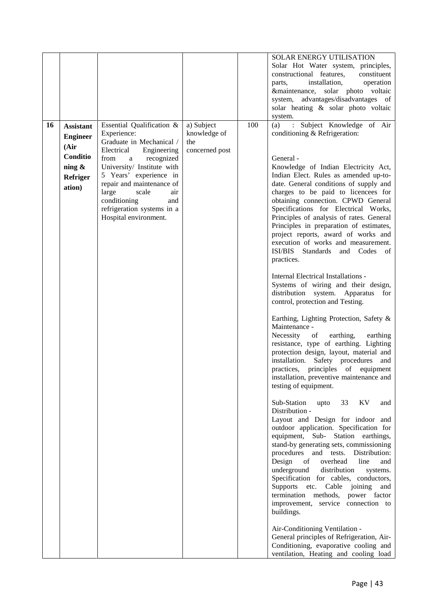|    |                  |                                          |                            |     | SOLAR ENERGY UTILISATION                                                          |  |
|----|------------------|------------------------------------------|----------------------------|-----|-----------------------------------------------------------------------------------|--|
|    |                  |                                          |                            |     | Solar Hot Water system, principles,                                               |  |
|    |                  |                                          |                            |     | constructional features,<br>constituent                                           |  |
|    |                  |                                          |                            |     | installation,<br>operation<br>parts,                                              |  |
|    |                  |                                          |                            |     | &maintenance, solar photo voltaic                                                 |  |
|    |                  |                                          |                            |     | system, advantages/disadvantages of                                               |  |
|    |                  |                                          |                            |     | solar heating & solar photo voltaic                                               |  |
|    |                  |                                          |                            |     | system.                                                                           |  |
| 16 | <b>Assistant</b> | Essential Qualification &<br>Experience: | a) Subject<br>knowledge of | 100 | : Subject Knowledge of Air<br>(a)<br>conditioning & Refrigeration:                |  |
|    | <b>Engineer</b>  | Graduate in Mechanical /                 | the                        |     |                                                                                   |  |
|    | (Air             | Electrical<br>Engineering                | concerned post             |     |                                                                                   |  |
|    | Conditio         | from<br>recognized<br>a                  |                            |     | General -                                                                         |  |
|    | ning $\&$        | University/ Institute with               |                            |     | Knowledge of Indian Electricity Act,                                              |  |
|    | Refriger         | 5 Years' experience in                   |                            |     | Indian Elect. Rules as amended up-to-                                             |  |
|    |                  | repair and maintenance of                |                            |     | date. General conditions of supply and                                            |  |
|    | ation)           | large<br>scale<br>air                    |                            |     | charges to be paid to licencees for                                               |  |
|    |                  | conditioning<br>and                      |                            |     | obtaining connection. CPWD General                                                |  |
|    |                  | refrigeration systems in a               |                            |     | Specifications for Electrical Works,                                              |  |
|    |                  | Hospital environment.                    |                            |     | Principles of analysis of rates. General                                          |  |
|    |                  |                                          |                            |     | Principles in preparation of estimates,                                           |  |
|    |                  |                                          |                            |     | project reports, award of works and                                               |  |
|    |                  |                                          |                            |     | execution of works and measurement.                                               |  |
|    |                  |                                          |                            |     | ISI/BIS Standards and Codes of                                                    |  |
|    |                  |                                          |                            |     | practices.                                                                        |  |
|    |                  |                                          |                            |     |                                                                                   |  |
|    |                  |                                          |                            |     | Internal Electrical Installations -                                               |  |
|    |                  |                                          |                            |     | Systems of wiring and their design,                                               |  |
|    |                  |                                          |                            |     | distribution system. Apparatus<br>for                                             |  |
|    |                  |                                          |                            |     | control, protection and Testing.                                                  |  |
|    |                  |                                          |                            |     | Earthing, Lighting Protection, Safety &                                           |  |
|    |                  |                                          |                            |     | Maintenance -                                                                     |  |
|    |                  |                                          |                            |     | of<br>earthing,<br>Necessity<br>earthing                                          |  |
|    |                  |                                          |                            |     | resistance, type of earthing. Lighting                                            |  |
|    |                  |                                          |                            |     | protection design, layout, material and                                           |  |
|    |                  |                                          |                            |     | installation. Safety procedures<br>and                                            |  |
|    |                  |                                          |                            |     | practices, principles of equipment                                                |  |
|    |                  |                                          |                            |     | installation, preventive maintenance and                                          |  |
|    |                  |                                          |                            |     | testing of equipment.                                                             |  |
|    |                  |                                          |                            |     |                                                                                   |  |
|    |                  |                                          |                            |     | Sub-Station<br>33<br>KV<br>upto<br>and                                            |  |
|    |                  |                                          |                            |     | Distribution -                                                                    |  |
|    |                  |                                          |                            |     | Layout and Design for indoor and                                                  |  |
|    |                  |                                          |                            |     | outdoor application. Specification for                                            |  |
|    |                  |                                          |                            |     | equipment, Sub- Station earthings,                                                |  |
|    |                  |                                          |                            |     | stand-by generating sets, commissioning<br>procedures and tests.<br>Distribution: |  |
|    |                  |                                          |                            |     | Design<br>of<br>overhead<br>line<br>and                                           |  |
|    |                  |                                          |                            |     | underground<br>distribution<br>systems.                                           |  |
|    |                  |                                          |                            |     | Specification for cables, conductors,                                             |  |
|    |                  |                                          |                            |     | etc.<br><b>Supports</b><br>Cable joining<br>and                                   |  |
|    |                  |                                          |                            |     | termination methods, power factor                                                 |  |
|    |                  |                                          |                            |     | improvement, service connection to                                                |  |
|    |                  |                                          |                            |     | buildings.                                                                        |  |
|    |                  |                                          |                            |     |                                                                                   |  |
|    |                  |                                          |                            |     | Air-Conditioning Ventilation -                                                    |  |
|    |                  |                                          |                            |     | General principles of Refrigeration, Air-                                         |  |
|    |                  |                                          |                            |     | Conditioning, evaporative cooling and                                             |  |
|    |                  |                                          |                            |     | ventilation, Heating and cooling load                                             |  |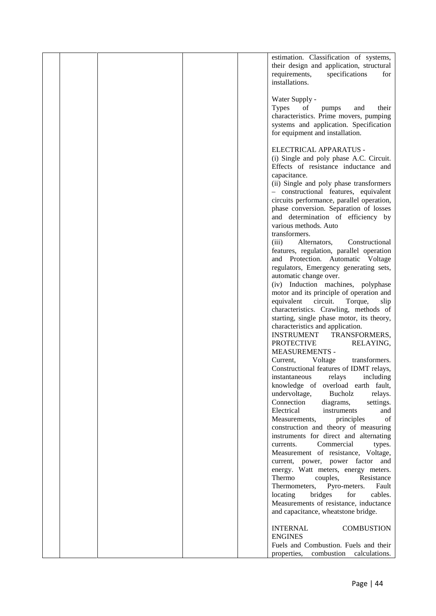|  |  | estimation. Classification of systems,                                              |  |
|--|--|-------------------------------------------------------------------------------------|--|
|  |  | their design and application, structural                                            |  |
|  |  | specifications<br>requirements,<br>for                                              |  |
|  |  | installations.                                                                      |  |
|  |  | Water Supply -                                                                      |  |
|  |  | <b>Types</b><br>of<br>and<br>their<br>pumps                                         |  |
|  |  | characteristics. Prime movers, pumping                                              |  |
|  |  | systems and application. Specification                                              |  |
|  |  | for equipment and installation.                                                     |  |
|  |  | ELECTRICAL APPARATUS -                                                              |  |
|  |  | (i) Single and poly phase A.C. Circuit.                                             |  |
|  |  | Effects of resistance inductance and                                                |  |
|  |  | capacitance.                                                                        |  |
|  |  | (ii) Single and poly phase transformers                                             |  |
|  |  | - constructional features, equivalent                                               |  |
|  |  | circuits performance, parallel operation,<br>phase conversion. Separation of losses |  |
|  |  | and determination of efficiency by                                                  |  |
|  |  | various methods. Auto                                                               |  |
|  |  | transformers.                                                                       |  |
|  |  | Constructional<br>(iii)<br>Alternators,                                             |  |
|  |  | features, regulation, parallel operation                                            |  |
|  |  | and Protection. Automatic Voltage                                                   |  |
|  |  | regulators, Emergency generating sets,<br>automatic change over.                    |  |
|  |  | (iv) Induction machines, polyphase                                                  |  |
|  |  | motor and its principle of operation and                                            |  |
|  |  | circuit.<br>equivalent<br>Torque,<br>slip                                           |  |
|  |  | characteristics. Crawling, methods of                                               |  |
|  |  | starting, single phase motor, its theory,                                           |  |
|  |  | characteristics and application.<br><b>INSTRUMENT</b><br>TRANSFORMERS,              |  |
|  |  | <b>PROTECTIVE</b><br>RELAYING,                                                      |  |
|  |  | <b>MEASUREMENTS -</b>                                                               |  |
|  |  | Voltage<br>Current,<br>transformers.                                                |  |
|  |  | Constructional features of IDMT relays,                                             |  |
|  |  | relays<br>including<br>instantaneous                                                |  |
|  |  | knowledge of overload earth fault,<br>undervoltage,<br>Bucholz<br>relays.           |  |
|  |  | Connection<br>diagrams,<br>settings.                                                |  |
|  |  | Electrical<br>instruments<br>and                                                    |  |
|  |  | Measurements,<br>principles<br>of                                                   |  |
|  |  | construction and theory of measuring                                                |  |
|  |  | instruments for direct and alternating<br>Commercial                                |  |
|  |  | currents.<br>types.<br>Measurement of resistance, Voltage,                          |  |
|  |  | current, power, power factor and                                                    |  |
|  |  | energy. Watt meters, energy meters.                                                 |  |
|  |  | Thermo<br>couples,<br>Resistance                                                    |  |
|  |  | Thermometers,<br>Pyro-meters.<br>Fault                                              |  |
|  |  | locating<br>bridges<br>for<br>cables.                                               |  |
|  |  | Measurements of resistance, inductance<br>and capacitance, wheatstone bridge.       |  |
|  |  |                                                                                     |  |
|  |  | <b>COMBUSTION</b><br><b>INTERNAL</b>                                                |  |
|  |  | <b>ENGINES</b>                                                                      |  |
|  |  | Fuels and Combustion. Fuels and their<br>combustion calculations.<br>properties,    |  |
|  |  |                                                                                     |  |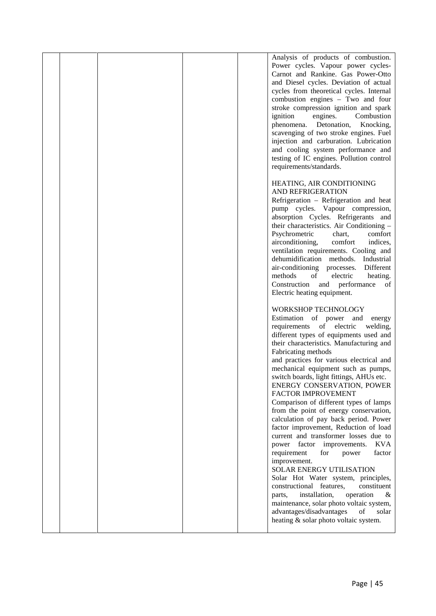|  |  | Analysis of products of combustion.          |  |
|--|--|----------------------------------------------|--|
|  |  | Power cycles. Vapour power cycles-           |  |
|  |  | Carnot and Rankine. Gas Power-Otto           |  |
|  |  |                                              |  |
|  |  | and Diesel cycles. Deviation of actual       |  |
|  |  | cycles from theoretical cycles. Internal     |  |
|  |  | combustion engines - Two and four            |  |
|  |  | stroke compression ignition and spark        |  |
|  |  | ignition<br>engines.<br>Combustion           |  |
|  |  | Detonation,<br>phenomena.<br>Knocking,       |  |
|  |  | scavenging of two stroke engines. Fuel       |  |
|  |  | injection and carburation. Lubrication       |  |
|  |  | and cooling system performance and           |  |
|  |  | testing of IC engines. Pollution control     |  |
|  |  | requirements/standards.                      |  |
|  |  |                                              |  |
|  |  |                                              |  |
|  |  | HEATING, AIR CONDITIONING                    |  |
|  |  | AND REFRIGERATION                            |  |
|  |  | Refrigeration - Refrigeration and heat       |  |
|  |  | pump cycles. Vapour compression,             |  |
|  |  | absorption Cycles. Refrigerants and          |  |
|  |  | their characteristics. Air Conditioning -    |  |
|  |  | Psychrometric<br>chart,<br>comfort           |  |
|  |  | airconditioning,<br>comfort<br>indices,      |  |
|  |  | ventilation requirements. Cooling and        |  |
|  |  | dehumidification methods. Industrial         |  |
|  |  | air-conditioning processes.<br>Different     |  |
|  |  | methods<br>electric<br>heating.<br>of        |  |
|  |  | Construction and performance<br>of           |  |
|  |  | Electric heating equipment.                  |  |
|  |  |                                              |  |
|  |  |                                              |  |
|  |  | WORKSHOP TECHNOLOGY                          |  |
|  |  | Estimation of power and energy               |  |
|  |  | requirements of electric<br>welding,         |  |
|  |  | different types of equipments used and       |  |
|  |  | their characteristics. Manufacturing and     |  |
|  |  | Fabricating methods                          |  |
|  |  | and practices for various electrical and     |  |
|  |  | mechanical equipment such as pumps,          |  |
|  |  | switch boards, light fittings, AHUs etc.     |  |
|  |  | ENERGY CONSERVATION, POWER                   |  |
|  |  | FACTOR IMPROVEMENT                           |  |
|  |  | Comparison of different types of lamps       |  |
|  |  | from the point of energy conservation,       |  |
|  |  | calculation of pay back period. Power        |  |
|  |  | factor improvement, Reduction of load        |  |
|  |  | current and transformer losses due to        |  |
|  |  | factor improvements.<br><b>KVA</b><br>power  |  |
|  |  | for<br>factor                                |  |
|  |  | requirement<br>power                         |  |
|  |  | improvement.                                 |  |
|  |  | SOLAR ENERGY UTILISATION                     |  |
|  |  | Solar Hot Water system, principles,          |  |
|  |  | constructional features,<br>constituent      |  |
|  |  | installation,<br>operation<br>$\&$<br>parts, |  |
|  |  | maintenance, solar photo voltaic system,     |  |
|  |  | of<br>advantages/disadvantages<br>solar      |  |
|  |  | heating & solar photo voltaic system.        |  |
|  |  |                                              |  |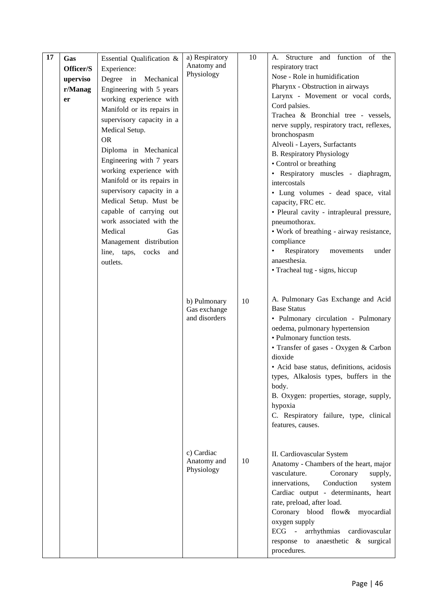| 17 | Gas<br>Officer/S<br>uperviso<br>r/Manag<br>er | Essential Qualification &<br>Experience:<br>Degree in Mechanical<br>Engineering with 5 years<br>working experience with<br>Manifold or its repairs in<br>supervisory capacity in a<br>Medical Setup.<br><b>OR</b><br>Diploma in Mechanical<br>Engineering with 7 years<br>working experience with<br>Manifold or its repairs in<br>supervisory capacity in a<br>Medical Setup. Must be<br>capable of carrying out<br>work associated with the<br>Medical<br>Gas<br>Management distribution<br>line, taps, cocks and<br>outlets. | a) Respiratory<br>Anatomy and<br>Physiology   | 10 | A. Structure and function of the<br>respiratory tract<br>Nose - Role in humidification<br>Pharynx - Obstruction in airways<br>Larynx - Movement or vocal cords,<br>Cord palsies.<br>Trachea & Bronchial tree - vessels,<br>nerve supply, respiratory tract, reflexes,<br>bronchospasm<br>Alveoli - Layers, Surfactants<br><b>B.</b> Respiratory Physiology<br>• Control or breathing<br>• Respiratory muscles - diaphragm,<br>intercostals<br>· Lung volumes - dead space, vital<br>capacity, FRC etc.<br>• Pleural cavity - intrapleural pressure,<br>pneumothorax.<br>• Work of breathing - airway resistance,<br>compliance<br>Respiratory<br>under<br>movements<br>anaesthesia.<br>• Tracheal tug - signs, hiccup |  |
|----|-----------------------------------------------|---------------------------------------------------------------------------------------------------------------------------------------------------------------------------------------------------------------------------------------------------------------------------------------------------------------------------------------------------------------------------------------------------------------------------------------------------------------------------------------------------------------------------------|-----------------------------------------------|----|-----------------------------------------------------------------------------------------------------------------------------------------------------------------------------------------------------------------------------------------------------------------------------------------------------------------------------------------------------------------------------------------------------------------------------------------------------------------------------------------------------------------------------------------------------------------------------------------------------------------------------------------------------------------------------------------------------------------------|--|
|    |                                               |                                                                                                                                                                                                                                                                                                                                                                                                                                                                                                                                 | b) Pulmonary<br>Gas exchange<br>and disorders | 10 | A. Pulmonary Gas Exchange and Acid<br><b>Base Status</b><br>· Pulmonary circulation - Pulmonary<br>oedema, pulmonary hypertension<br>• Pulmonary function tests.<br>• Transfer of gases - Oxygen & Carbon<br>dioxide<br>• Acid base status, definitions, acidosis<br>types, Alkalosis types, buffers in the<br>body.<br>B. Oxygen: properties, storage, supply,<br>hypoxia<br>C. Respiratory failure, type, clinical<br>features, causes.                                                                                                                                                                                                                                                                             |  |
|    |                                               |                                                                                                                                                                                                                                                                                                                                                                                                                                                                                                                                 | c) Cardiac<br>Anatomy and<br>Physiology       | 10 | II. Cardiovascular System<br>Anatomy - Chambers of the heart, major<br>vasculature.<br>Coronary<br>supply,<br>Conduction<br>innervations,<br>system<br>Cardiac output - determinants, heart<br>rate, preload, after load.<br>Coronary blood flow& myocardial<br>oxygen supply<br>arrhythmias cardiovascular<br>$ECG -$<br>response to anaesthetic & surgical<br>procedures.                                                                                                                                                                                                                                                                                                                                           |  |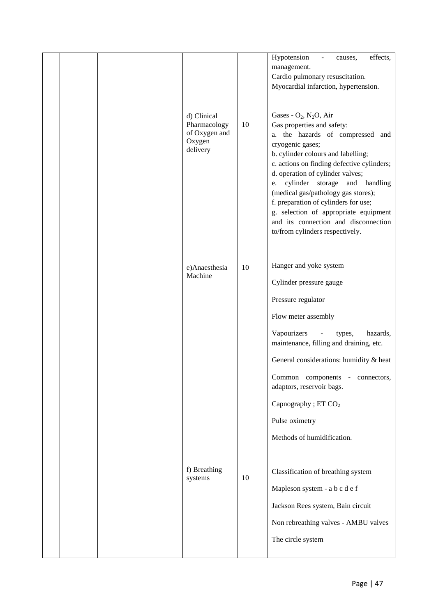|  |                               |    | effects,<br>Hypotension<br>causes,<br>$\overline{\phantom{a}}$              |
|--|-------------------------------|----|-----------------------------------------------------------------------------|
|  |                               |    | management.                                                                 |
|  |                               |    | Cardio pulmonary resuscitation.                                             |
|  |                               |    | Myocardial infarction, hypertension.                                        |
|  |                               |    |                                                                             |
|  | d) Clinical                   |    | Gases - $O_2$ , $N_2O$ , Air                                                |
|  | Pharmacology<br>of Oxygen and | 10 | Gas properties and safety:                                                  |
|  | Oxygen                        |    | a. the hazards of compressed and<br>cryogenic gases;                        |
|  | delivery                      |    | b. cylinder colours and labelling;                                          |
|  |                               |    | c. actions on finding defective cylinders;                                  |
|  |                               |    | d. operation of cylinder valves;                                            |
|  |                               |    | cylinder<br>storage and handling<br>e.                                      |
|  |                               |    | (medical gas/pathology gas stores);<br>f. preparation of cylinders for use; |
|  |                               |    | g. selection of appropriate equipment                                       |
|  |                               |    | and its connection and disconnection                                        |
|  |                               |    | to/from cylinders respectively.                                             |
|  |                               |    |                                                                             |
|  |                               | 10 | Hanger and yoke system                                                      |
|  | e)Anaesthesia<br>Machine      |    |                                                                             |
|  |                               |    | Cylinder pressure gauge                                                     |
|  |                               |    | Pressure regulator                                                          |
|  |                               |    | Flow meter assembly                                                         |
|  |                               |    | Vapourizers<br>hazards,<br>types,<br>$\overline{\phantom{a}}$               |
|  |                               |    | maintenance, filling and draining, etc.                                     |
|  |                               |    | General considerations: humidity & heat                                     |
|  |                               |    | Common components - connectors,                                             |
|  |                               |    | adaptors, reservoir bags.                                                   |
|  |                               |    | Capnography ; ET CO <sub>2</sub>                                            |
|  |                               |    | Pulse oximetry                                                              |
|  |                               |    | Methods of humidification.                                                  |
|  |                               |    |                                                                             |
|  | f) Breathing                  |    | Classification of breathing system                                          |
|  | systems                       | 10 |                                                                             |
|  |                               |    | Mapleson system - a b c d e f                                               |
|  |                               |    | Jackson Rees system, Bain circuit                                           |
|  |                               |    | Non rebreathing valves - AMBU valves                                        |
|  |                               |    | The circle system                                                           |
|  |                               |    |                                                                             |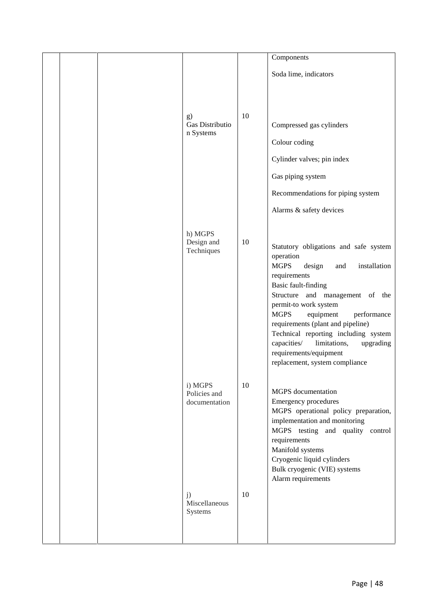|  |                                          |    | Components                                                                                                                                                                                                                                                                                                                                                                                                                                   |
|--|------------------------------------------|----|----------------------------------------------------------------------------------------------------------------------------------------------------------------------------------------------------------------------------------------------------------------------------------------------------------------------------------------------------------------------------------------------------------------------------------------------|
|  |                                          |    | Soda lime, indicators                                                                                                                                                                                                                                                                                                                                                                                                                        |
|  | g)<br>Gas Distributio<br>n Systems       | 10 | Compressed gas cylinders<br>Colour coding<br>Cylinder valves; pin index<br>Gas piping system                                                                                                                                                                                                                                                                                                                                                 |
|  |                                          |    | Recommendations for piping system<br>Alarms & safety devices                                                                                                                                                                                                                                                                                                                                                                                 |
|  | h) MGPS<br>Design and<br>Techniques      | 10 | Statutory obligations and safe system<br>operation<br><b>MGPS</b><br>installation<br>design<br>and<br>requirements<br><b>Basic fault-finding</b><br>Structure and management of the<br>permit-to work system<br><b>MGPS</b><br>equipment<br>performance<br>requirements (plant and pipeline)<br>Technical reporting including system<br>limitations,<br>capacities/<br>upgrading<br>requirements/equipment<br>replacement, system compliance |
|  | i) MGPS<br>Policies and<br>documentation | 10 | MGPS documentation<br><b>Emergency procedures</b><br>MGPS operational policy preparation,<br>implementation and monitoring<br>MGPS testing and quality control<br>requirements<br>Manifold systems<br>Cryogenic liquid cylinders<br>Bulk cryogenic (VIE) systems<br>Alarm requirements                                                                                                                                                       |
|  | j)<br>Miscellaneous<br>Systems           | 10 |                                                                                                                                                                                                                                                                                                                                                                                                                                              |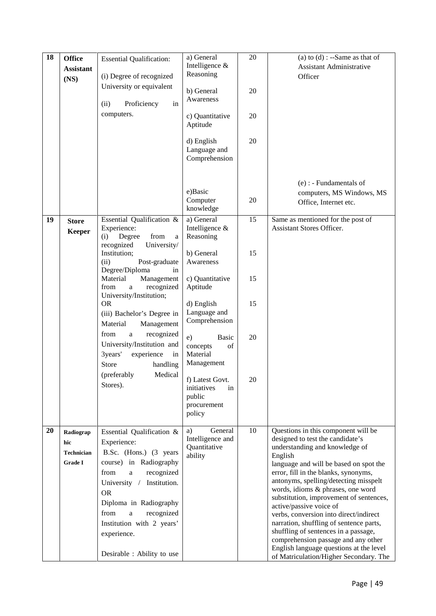| 18 | <b>Office</b><br><b>Assistant</b><br>(NS) | <b>Essential Qualification:</b><br>(i) Degree of recognized<br>University or equivalent<br>(ii)<br>Proficiency<br>in<br>computers. | a) General<br>Intelligence &<br>Reasoning<br>b) General<br>Awareness<br>c) Quantitative<br>Aptitude<br>d) English<br>Language and<br>Comprehension | 20<br>20<br>20<br>20 | (a) to $(d)$ : --Same as that of<br><b>Assistant Administrative</b><br>Officer    |
|----|-------------------------------------------|------------------------------------------------------------------------------------------------------------------------------------|----------------------------------------------------------------------------------------------------------------------------------------------------|----------------------|-----------------------------------------------------------------------------------|
|    |                                           |                                                                                                                                    | e)Basic<br>Computer<br>knowledge                                                                                                                   | 20                   | $(e)$ : - Fundamentals of<br>computers, MS Windows, MS<br>Office, Internet etc.   |
| 19 | <b>Store</b><br><b>Keeper</b>             | Essential Qualification &<br>Experience:<br>Degree<br>from<br>(i)<br>a<br>recognized<br>University/<br>Institution;                | a) General<br>Intelligence &<br>Reasoning<br>b) General                                                                                            | 15<br>15             | Same as mentioned for the post of<br>Assistant Stores Officer.                    |
|    |                                           | Post-graduate<br>(ii)<br>Degree/Diploma<br>in<br>Material<br>Management<br>from<br>recognized<br>a                                 | Awareness<br>c) Quantitative<br>Aptitude                                                                                                           | 15                   |                                                                                   |
|    |                                           | University/Institution;<br><b>OR</b><br>(iii) Bachelor's Degree in<br>Material<br>Management                                       | d) English<br>Language and<br>Comprehension                                                                                                        | 15                   |                                                                                   |
|    |                                           | recognized<br>from<br>a<br>University/Institution and<br>3years'<br>experience<br>in<br>Store<br>handling                          | e)<br>Basic<br>concepts<br>of<br>Material<br>Management                                                                                            | 20                   |                                                                                   |
|    |                                           | Medical<br>(preferably<br>Stores).                                                                                                 | f) Latest Govt.<br>initiatives<br>in<br>public<br>procurement<br>policy                                                                            | 20                   |                                                                                   |
| 20 | Radiograp                                 | Essential Qualification &                                                                                                          | General<br>a)                                                                                                                                      | 10                   | Questions in this component will be                                               |
|    | hic                                       | Experience:                                                                                                                        | Intelligence and<br>Quantitative                                                                                                                   |                      | designed to test the candidate's<br>understanding and knowledge of                |
|    | <b>Technician</b><br><b>Grade I</b>       | B.Sc. (Hons.) (3 years<br>course) in Radiography                                                                                   | ability                                                                                                                                            |                      | English                                                                           |
|    |                                           | recognized<br>from<br>a                                                                                                            |                                                                                                                                                    |                      | language and will be based on spot the<br>error, fill in the blanks, synonyms,    |
|    |                                           | Institution.<br>University /                                                                                                       |                                                                                                                                                    |                      | antonyms, spelling/detecting misspelt<br>words, idioms & phrases, one word        |
|    |                                           | <b>OR</b><br>Diploma in Radiography                                                                                                |                                                                                                                                                    |                      | substitution, improvement of sentences,                                           |
|    |                                           | from<br>recognized<br>a                                                                                                            |                                                                                                                                                    |                      | active/passive voice of<br>verbs, conversion into direct/indirect                 |
|    |                                           | Institution with 2 years'                                                                                                          |                                                                                                                                                    |                      | narration, shuffling of sentence parts,                                           |
|    |                                           | experience.                                                                                                                        |                                                                                                                                                    |                      | shuffling of sentences in a passage,<br>comprehension passage and any other       |
|    |                                           | Desirable : Ability to use                                                                                                         |                                                                                                                                                    |                      | English language questions at the level<br>of Matriculation/Higher Secondary. The |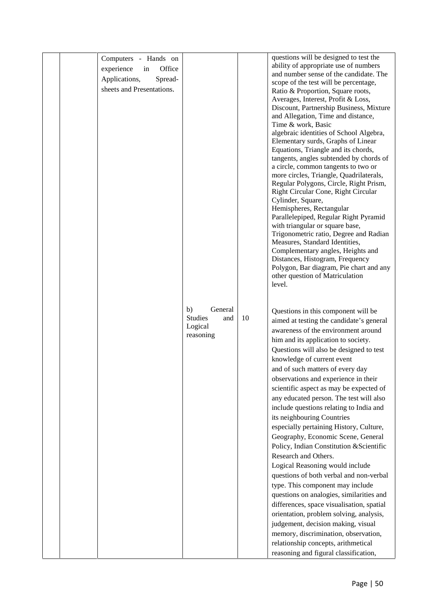|  | Computers - Hands on       |                                        |    | questions will be designed to test the                                            |
|--|----------------------------|----------------------------------------|----|-----------------------------------------------------------------------------------|
|  | experience<br>in<br>Office |                                        |    | ability of appropriate use of numbers                                             |
|  | Spread-<br>Applications,   |                                        |    | and number sense of the candidate. The                                            |
|  | sheets and Presentations.  |                                        |    | scope of the test will be percentage,                                             |
|  |                            |                                        |    | Ratio & Proportion, Square roots,<br>Averages, Interest, Profit & Loss,           |
|  |                            |                                        |    | Discount, Partnership Business, Mixture                                           |
|  |                            |                                        |    | and Allegation, Time and distance,                                                |
|  |                            |                                        |    | Time & work, Basic                                                                |
|  |                            |                                        |    | algebraic identities of School Algebra,                                           |
|  |                            |                                        |    | Elementary surds, Graphs of Linear                                                |
|  |                            |                                        |    | Equations, Triangle and its chords,                                               |
|  |                            |                                        |    | tangents, angles subtended by chords of                                           |
|  |                            |                                        |    | a circle, common tangents to two or                                               |
|  |                            |                                        |    | more circles, Triangle, Quadrilaterals,<br>Regular Polygons, Circle, Right Prism, |
|  |                            |                                        |    | Right Circular Cone, Right Circular                                               |
|  |                            |                                        |    | Cylinder, Square,                                                                 |
|  |                            |                                        |    | Hemispheres, Rectangular                                                          |
|  |                            |                                        |    | Parallelepiped, Regular Right Pyramid                                             |
|  |                            |                                        |    | with triangular or square base,                                                   |
|  |                            |                                        |    | Trigonometric ratio, Degree and Radian                                            |
|  |                            |                                        |    | Measures, Standard Identities,                                                    |
|  |                            |                                        |    | Complementary angles, Heights and<br>Distances, Histogram, Frequency              |
|  |                            |                                        |    | Polygon, Bar diagram, Pie chart and any                                           |
|  |                            |                                        |    | other question of Matriculation                                                   |
|  |                            |                                        |    | level.                                                                            |
|  |                            |                                        |    |                                                                                   |
|  |                            |                                        |    |                                                                                   |
|  |                            | b)<br>General<br><b>Studies</b><br>and | 10 | Questions in this component will be                                               |
|  |                            | Logical                                |    | aimed at testing the candidate's general                                          |
|  |                            | reasoning                              |    | awareness of the environment around                                               |
|  |                            |                                        |    | him and its application to society.                                               |
|  |                            |                                        |    | Questions will also be designed to test                                           |
|  |                            |                                        |    | knowledge of current event                                                        |
|  |                            |                                        |    | and of such matters of every day                                                  |
|  |                            |                                        |    | observations and experience in their                                              |
|  |                            |                                        |    | scientific aspect as may be expected of                                           |
|  |                            |                                        |    | any educated person. The test will also                                           |
|  |                            |                                        |    | include questions relating to India and                                           |
|  |                            |                                        |    | its neighbouring Countries                                                        |
|  |                            |                                        |    | especially pertaining History, Culture,                                           |
|  |                            |                                        |    | Geography, Economic Scene, General                                                |
|  |                            |                                        |    | Policy, Indian Constitution & Scientific                                          |
|  |                            |                                        |    | Research and Others.                                                              |
|  |                            |                                        |    | Logical Reasoning would include                                                   |
|  |                            |                                        |    | questions of both verbal and non-verbal                                           |
|  |                            |                                        |    | type. This component may include                                                  |
|  |                            |                                        |    | questions on analogies, similarities and                                          |
|  |                            |                                        |    | differences, space visualisation, spatial                                         |
|  |                            |                                        |    | orientation, problem solving, analysis,                                           |
|  |                            |                                        |    | judgement, decision making, visual                                                |
|  |                            |                                        |    | memory, discrimination, observation,                                              |
|  |                            |                                        |    | relationship concepts, arithmetical                                               |
|  |                            |                                        |    | reasoning and figural classification,                                             |
|  |                            |                                        |    |                                                                                   |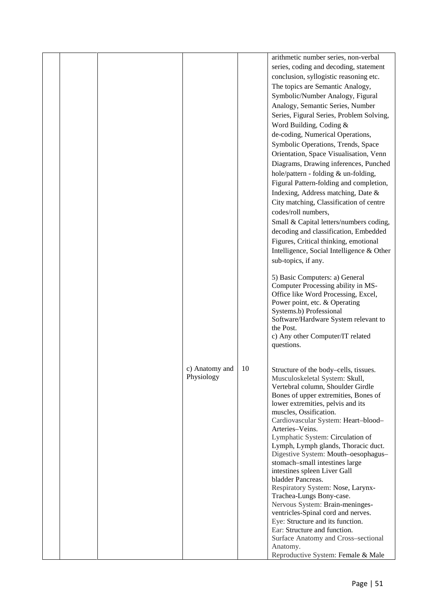|  |                |    | arithmetic number series, non-verbal                        |  |
|--|----------------|----|-------------------------------------------------------------|--|
|  |                |    | series, coding and decoding, statement                      |  |
|  |                |    | conclusion, syllogistic reasoning etc.                      |  |
|  |                |    | The topics are Semantic Analogy,                            |  |
|  |                |    | Symbolic/Number Analogy, Figural                            |  |
|  |                |    | Analogy, Semantic Series, Number                            |  |
|  |                |    | Series, Figural Series, Problem Solving,                    |  |
|  |                |    | Word Building, Coding &                                     |  |
|  |                |    | de-coding, Numerical Operations,                            |  |
|  |                |    | Symbolic Operations, Trends, Space                          |  |
|  |                |    | Orientation, Space Visualisation, Venn                      |  |
|  |                |    | Diagrams, Drawing inferences, Punched                       |  |
|  |                |    |                                                             |  |
|  |                |    | hole/pattern - folding & un-folding,                        |  |
|  |                |    | Figural Pattern-folding and completion,                     |  |
|  |                |    | Indexing, Address matching, Date &                          |  |
|  |                |    | City matching, Classification of centre                     |  |
|  |                |    | codes/roll numbers,                                         |  |
|  |                |    | Small & Capital letters/numbers coding,                     |  |
|  |                |    | decoding and classification, Embedded                       |  |
|  |                |    | Figures, Critical thinking, emotional                       |  |
|  |                |    | Intelligence, Social Intelligence & Other                   |  |
|  |                |    | sub-topics, if any.                                         |  |
|  |                |    | 5) Basic Computers: a) General                              |  |
|  |                |    | Computer Processing ability in MS-                          |  |
|  |                |    | Office like Word Processing, Excel,                         |  |
|  |                |    | Power point, etc. & Operating                               |  |
|  |                |    | Systems.b) Professional                                     |  |
|  |                |    | Software/Hardware System relevant to                        |  |
|  |                |    | the Post.<br>c) Any other Computer/IT related               |  |
|  |                |    | questions.                                                  |  |
|  |                |    |                                                             |  |
|  | c) Anatomy and | 10 | Structure of the body-cells, tissues.                       |  |
|  | Physiology     |    | Musculoskeletal System: Skull,                              |  |
|  |                |    | Vertebral column, Shoulder Girdle                           |  |
|  |                |    | Bones of upper extremities, Bones of                        |  |
|  |                |    | lower extremities, pelvis and its                           |  |
|  |                |    | muscles, Ossification.                                      |  |
|  |                |    | Cardiovascular System: Heart-blood-<br>Arteries-Veins.      |  |
|  |                |    | Lymphatic System: Circulation of                            |  |
|  |                |    | Lymph, Lymph glands, Thoracic duct.                         |  |
|  |                |    | Digestive System: Mouth-oesophagus-                         |  |
|  |                |    | stomach-small intestines large                              |  |
|  |                |    | intestines spleen Liver Gall                                |  |
|  |                |    | bladder Pancreas.                                           |  |
|  |                |    | Respiratory System: Nose, Larynx-                           |  |
|  |                |    | Trachea-Lungs Bony-case.<br>Nervous System: Brain-meninges- |  |
|  |                |    | ventricles-Spinal cord and nerves.                          |  |
|  |                |    | Eye: Structure and its function.                            |  |
|  |                |    | Ear: Structure and function.                                |  |
|  |                |    | Surface Anatomy and Cross-sectional                         |  |
|  |                |    | Anatomy.                                                    |  |
|  |                |    | Reproductive System: Female & Male                          |  |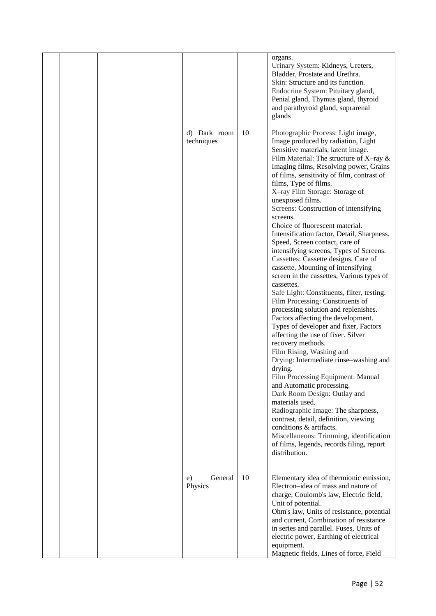|  |                            |    | organs.<br>Urinary System: Kidneys, Ureters,<br>Bladder, Prostate and Urethra.<br>Skin: Structure and its function.<br>Endocrine System: Pituitary gland,<br>Penial gland, Thymus gland, thyroid<br>and parathyroid gland, suprarenal<br>glands                                                                                                                                                                                                                                                                                                                                                                                                                                                                                                                                                                                                                                                                                                                                                                                                                                                                                                                                                                                                                                                                                                                                              |  |
|--|----------------------------|----|----------------------------------------------------------------------------------------------------------------------------------------------------------------------------------------------------------------------------------------------------------------------------------------------------------------------------------------------------------------------------------------------------------------------------------------------------------------------------------------------------------------------------------------------------------------------------------------------------------------------------------------------------------------------------------------------------------------------------------------------------------------------------------------------------------------------------------------------------------------------------------------------------------------------------------------------------------------------------------------------------------------------------------------------------------------------------------------------------------------------------------------------------------------------------------------------------------------------------------------------------------------------------------------------------------------------------------------------------------------------------------------------|--|
|  | d) Dark room<br>techniques | 10 | Photographic Process: Light image,<br>Image produced by radiation, Light<br>Sensitive materials, latent image.<br>Film Material: The structure of X-ray $\&$<br>Imaging films, Resolving power, Grains<br>of films, sensitivity of film, contrast of<br>films, Type of films.<br>X-ray Film Storage: Storage of<br>unexposed films.<br>Screens: Construction of intensifying<br>screens.<br>Choice of fluorescent material.<br>Intensification factor, Detail, Sharpness.<br>Speed, Screen contact, care of<br>intensifying screens, Types of Screens.<br>Cassettes: Cassette designs, Care of<br>cassette, Mounting of intensifying<br>screen in the cassettes, Various types of<br>cassettes.<br>Safe Light: Constituents, filter, testing.<br>Film Processing: Constituents of<br>processing solution and replenishes.<br>Factors affecting the development.<br>Types of developer and fixer, Factors<br>affecting the use of fixer. Silver<br>recovery methods.<br>Film Rising, Washing and<br>Drying: Intermediate rinse-washing and<br>drying.<br>Film Processing Equipment: Manual<br>and Automatic processing.<br>Dark Room Design: Outlay and<br>materials used.<br>Radiographic Image: The sharpness,<br>contrast, detail, definition, viewing<br>conditions & artifacts.<br>Miscellaneous: Trimming, identification<br>of films, legends, records filing, report<br>distribution. |  |
|  | General<br>e)<br>Physics   | 10 | Elementary idea of thermionic emission,<br>Electron-idea of mass and nature of<br>charge, Coulomb's law, Electric field,<br>Unit of potential.<br>Ohm's law, Units of resistance, potential<br>and current, Combination of resistance<br>in series and parallel. Fuses, Units of<br>electric power, Earthing of electrical<br>equipment.<br>Magnetic fields, Lines of force, Field                                                                                                                                                                                                                                                                                                                                                                                                                                                                                                                                                                                                                                                                                                                                                                                                                                                                                                                                                                                                           |  |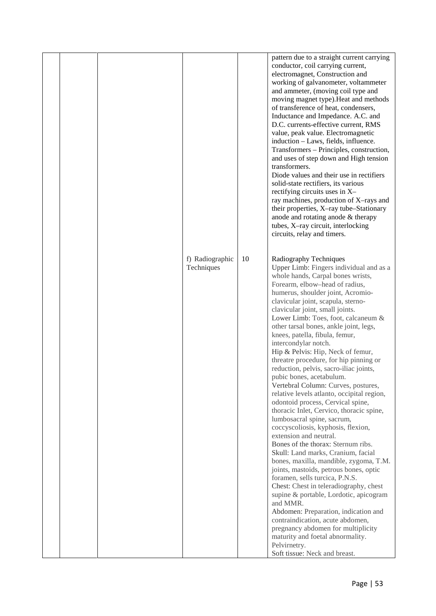|  |                               |    | pattern due to a straight current carrying<br>conductor, coil carrying current,<br>electromagnet, Construction and<br>working of galvanometer, voltammeter<br>and ammeter, (moving coil type and<br>moving magnet type). Heat and methods<br>of transference of heat, condensers,<br>Inductance and Impedance. A.C. and<br>D.C. currents-effective current, RMS<br>value, peak value. Electromagnetic<br>induction - Laws, fields, influence.<br>Transformers - Principles, construction,<br>and uses of step down and High tension<br>transformers.<br>Diode values and their use in rectifiers<br>solid-state rectifiers, its various<br>rectifying circuits uses in X-<br>ray machines, production of X-rays and<br>their properties, X-ray tube-Stationary<br>anode and rotating anode & therapy<br>tubes, X-ray circuit, interlocking<br>circuits, relay and timers.                                                                                                                                                                                                                                                                                                                                                                                                                                                           |  |
|--|-------------------------------|----|-------------------------------------------------------------------------------------------------------------------------------------------------------------------------------------------------------------------------------------------------------------------------------------------------------------------------------------------------------------------------------------------------------------------------------------------------------------------------------------------------------------------------------------------------------------------------------------------------------------------------------------------------------------------------------------------------------------------------------------------------------------------------------------------------------------------------------------------------------------------------------------------------------------------------------------------------------------------------------------------------------------------------------------------------------------------------------------------------------------------------------------------------------------------------------------------------------------------------------------------------------------------------------------------------------------------------------------|--|
|  | f) Radiographic<br>Techniques | 10 | Radiography Techniques<br>Upper Limb: Fingers individual and as a<br>whole hands, Carpal bones wrists,<br>Forearm, elbow-head of radius,<br>humerus, shoulder joint, Acromio-<br>clavicular joint, scapula, sterno-<br>clavicular joint, small joints.<br>Lower Limb: Toes, foot, calcaneum &<br>other tarsal bones, ankle joint, legs,<br>knees, patella, fibula, femur,<br>intercondylar notch.<br>Hip & Pelvis: Hip, Neck of femur,<br>threatre procedure, for hip pinning or<br>reduction, pelvis, sacro-iliac joints,<br>pubic bones, acetabulum.<br>Vertebral Column: Curves, postures,<br>relative levels atlanto, occipital region,<br>odontoid process, Cervical spine,<br>thoracic Inlet, Cervico, thoracic spine,<br>lumbosacral spine, sacrum,<br>coccyscoliosis, kyphosis, flexion,<br>extension and neutral.<br>Bones of the thorax: Sternum ribs.<br>Skull: Land marks, Cranium, facial<br>bones, maxilla, mandible, zygoma, T.M.<br>joints, mastoids, petrous bones, optic<br>foramen, sells turcica, P.N.S.<br>Chest: Chest in teleradiography, chest<br>supine & portable, Lordotic, apicogram<br>and MMR.<br>Abdomen: Preparation, indication and<br>contraindication, acute abdomen,<br>pregnancy abdomen for multiplicity<br>maturity and foetal abnormality.<br>Pelvirnetry.<br>Soft tissue: Neck and breast. |  |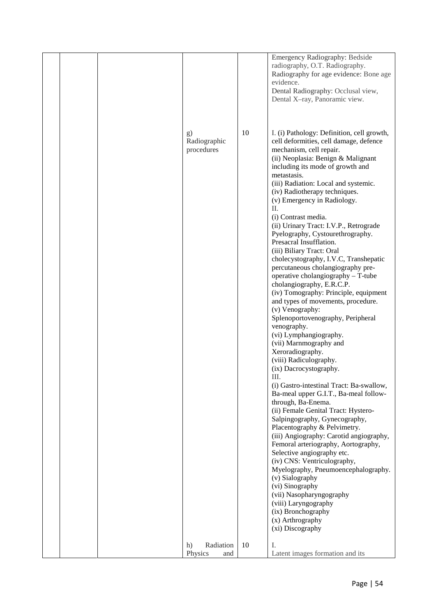|  |                                                                       |          | Emergency Radiography: Bedside<br>radiography, O.T. Radiography.<br>Radiography for age evidence: Bone age<br>evidence.<br>Dental Radiography: Occlusal view,<br>Dental X-ray, Panoramic view.                                                                                                                                                                                                                                                                                                                                                                                                                                                                                                                                                                                                                                                                                                                                                                                                                                                                                                                                                                                                                                                                                                                                                                                                                                                                                                                                          |
|--|-----------------------------------------------------------------------|----------|-----------------------------------------------------------------------------------------------------------------------------------------------------------------------------------------------------------------------------------------------------------------------------------------------------------------------------------------------------------------------------------------------------------------------------------------------------------------------------------------------------------------------------------------------------------------------------------------------------------------------------------------------------------------------------------------------------------------------------------------------------------------------------------------------------------------------------------------------------------------------------------------------------------------------------------------------------------------------------------------------------------------------------------------------------------------------------------------------------------------------------------------------------------------------------------------------------------------------------------------------------------------------------------------------------------------------------------------------------------------------------------------------------------------------------------------------------------------------------------------------------------------------------------------|
|  | g)<br>Radiographic<br>procedures<br>Radiation<br>h)<br>Physics<br>and | 10<br>10 | I. (i) Pathology: Definition, cell growth,<br>cell deformities, cell damage, defence<br>mechanism, cell repair.<br>(ii) Neoplasia: Benign & Malignant<br>including its mode of growth and<br>metastasis.<br>(iii) Radiation: Local and systemic.<br>(iv) Radiotherapy techniques.<br>(v) Emergency in Radiology.<br>II.<br>(i) Contrast media.<br>(ii) Urinary Tract: I.V.P., Retrograde<br>Pyelography, Cystourethrography.<br>Presacral Insufflation.<br>(iii) Biliary Tract: Oral<br>cholecystography, I.V.C, Transhepatic<br>percutaneous cholangiography pre-<br>operative cholangiography - T-tube<br>cholangiography, E.R.C.P.<br>(iv) Tomography: Principle, equipment<br>and types of movements, procedure.<br>(v) Venography:<br>Splenoportovenography, Peripheral<br>venography.<br>(vi) Lymphangiography.<br>(vii) Marnmography and<br>Xeroradiography.<br>(viii) Radiculography.<br>(ix) Dacrocystography.<br>Ш.<br>(i) Gastro-intestinal Tract: Ba-swallow,<br>Ba-meal upper G.I.T., Ba-meal follow-<br>through, Ba-Enema.<br>(ii) Female Genital Tract: Hystero-<br>Salpingography, Gynecography,<br>Placentography & Pelvimetry.<br>(iii) Angiography: Carotid angiography,<br>Femoral arteriography, Aortography,<br>Selective angiography etc.<br>(iv) CNS: Ventriculography,<br>Myelography, Pneumoencephalography.<br>(v) Sialography<br>(vi) Sinography<br>(vii) Nasopharyngography<br>(viii) Laryngography<br>(ix) Bronchography<br>(x) Arthrography<br>(xi) Discography<br>I.<br>Latent images formation and its |
|  |                                                                       |          |                                                                                                                                                                                                                                                                                                                                                                                                                                                                                                                                                                                                                                                                                                                                                                                                                                                                                                                                                                                                                                                                                                                                                                                                                                                                                                                                                                                                                                                                                                                                         |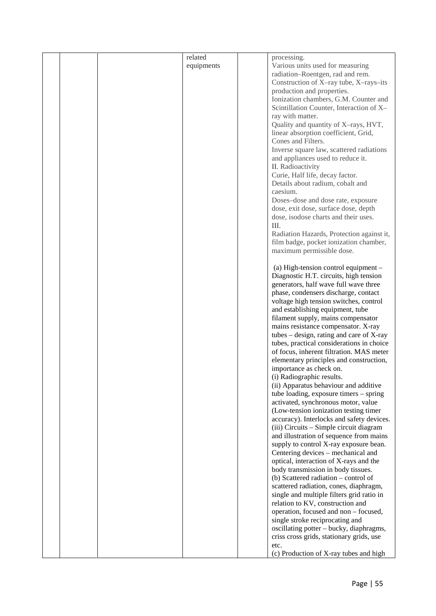|  | related    | processing.                                |  |
|--|------------|--------------------------------------------|--|
|  | equipments | Various units used for measuring           |  |
|  |            | radiation-Roentgen, rad and rem.           |  |
|  |            | Construction of X-ray tube, X-rays-its     |  |
|  |            | production and properties.                 |  |
|  |            | Ionization chambers, G.M. Counter and      |  |
|  |            | Scintillation Counter, Interaction of X-   |  |
|  |            | ray with matter.                           |  |
|  |            |                                            |  |
|  |            | Quality and quantity of X-rays, HVT,       |  |
|  |            | linear absorption coefficient, Grid,       |  |
|  |            | Cones and Filters.                         |  |
|  |            | Inverse square law, scattered radiations   |  |
|  |            | and appliances used to reduce it.          |  |
|  |            | II. Radioactivity                          |  |
|  |            | Curie, Half life, decay factor.            |  |
|  |            | Details about radium, cobalt and           |  |
|  |            | caesium.                                   |  |
|  |            | Doses-dose and dose rate, exposure         |  |
|  |            | dose, exit dose, surface dose, depth       |  |
|  |            | dose, isodose charts and their uses.       |  |
|  |            | Ш.                                         |  |
|  |            | Radiation Hazards, Protection against it,  |  |
|  |            | film badge, pocket ionization chamber,     |  |
|  |            |                                            |  |
|  |            | maximum permissible dose.                  |  |
|  |            |                                            |  |
|  |            | (a) High-tension control equipment -       |  |
|  |            | Diagnostic H.T. circuits, high tension     |  |
|  |            | generators, half wave full wave three      |  |
|  |            | phase, condensers discharge, contact       |  |
|  |            | voltage high tension switches, control     |  |
|  |            | and establishing equipment, tube           |  |
|  |            | filament supply, mains compensator         |  |
|  |            | mains resistance compensator. X-ray        |  |
|  |            | tubes $-$ design, rating and care of X-ray |  |
|  |            | tubes, practical considerations in choice  |  |
|  |            | of focus, inherent filtration. MAS meter   |  |
|  |            | elementary principles and construction,    |  |
|  |            | importance as check on.                    |  |
|  |            | (i) Radiographic results.                  |  |
|  |            | (ii) Apparatus behaviour and additive      |  |
|  |            | tube loading, exposure timers - spring     |  |
|  |            | activated, synchronous motor, value        |  |
|  |            | (Low-tension ionization testing timer      |  |
|  |            | accuracy). Interlocks and safety devices.  |  |
|  |            | (iii) Circuits - Simple circuit diagram    |  |
|  |            | and illustration of sequence from mains    |  |
|  |            |                                            |  |
|  |            | supply to control X-ray exposure bean.     |  |
|  |            | Centering devices - mechanical and         |  |
|  |            | optical, interaction of X-rays and the     |  |
|  |            | body transmission in body tissues.         |  |
|  |            | (b) Scattered radiation – control of       |  |
|  |            | scattered radiation, cones, diaphragm,     |  |
|  |            | single and multiple filters grid ratio in  |  |
|  |            | relation to KV, construction and           |  |
|  |            | operation, focused and non - focused,      |  |
|  |            | single stroke reciprocating and            |  |
|  |            | oscillating potter - bucky, diaphragms,    |  |
|  |            | criss cross grids, stationary grids, use   |  |
|  |            | etc.                                       |  |
|  |            | (c) Production of X-ray tubes and high     |  |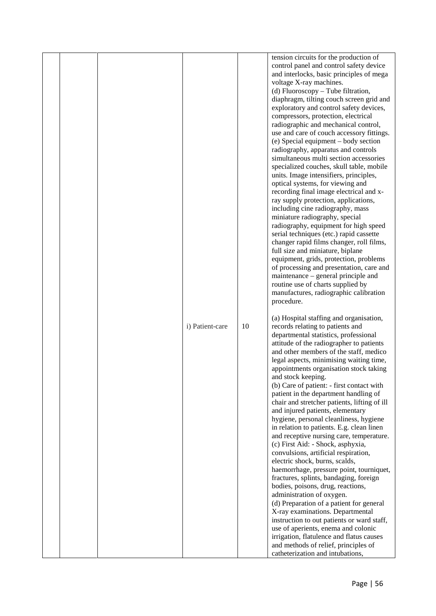| appointments organisation stock taking<br>and stock keeping.<br>(b) Care of patient: - first contact with<br>patient in the department handling of<br>chair and stretcher patients, lifting of ill<br>and injured patients, elementary<br>hygiene, personal cleanliness, hygiene<br>in relation to patients. E.g. clean linen<br>and receptive nursing care, temperature.<br>(c) First Aid: - Shock, asphyxia,<br>convulsions, artificial respiration,<br>electric shock, burns, scalds,<br>haemorrhage, pressure point, tourniquet,<br>fractures, splints, bandaging, foreign<br>bodies, poisons, drug, reactions,<br>administration of oxygen.<br>(d) Preparation of a patient for general<br>X-ray examinations. Departmental<br>instruction to out patients or ward staff,<br>use of aperients, enema and colonic<br>irrigation, flatulence and flatus causes<br>and methods of relief, principles of<br>catheterization and intubations, |  |  | i) Patient-care | 10 | use and care of couch accessory fittings.<br>(e) Special equipment – body section<br>radiography, apparatus and controls<br>simultaneous multi section accessories<br>specialized couches, skull table, mobile<br>units. Image intensifiers, principles,<br>optical systems, for viewing and<br>recording final image electrical and x-<br>ray supply protection, applications,<br>including cine radiography, mass<br>miniature radiography, special<br>radiography, equipment for high speed<br>serial techniques (etc.) rapid cassette<br>changer rapid films changer, roll films,<br>full size and miniature, biplane<br>equipment, grids, protection, problems<br>of processing and presentation, care and<br>maintenance – general principle and<br>routine use of charts supplied by<br>manufactures, radiographic calibration<br>procedure.<br>(a) Hospital staffing and organisation,<br>records relating to patients and<br>departmental statistics, professional<br>attitude of the radiographer to patients<br>and other members of the staff, medico<br>legal aspects, minimising waiting time, |
|-----------------------------------------------------------------------------------------------------------------------------------------------------------------------------------------------------------------------------------------------------------------------------------------------------------------------------------------------------------------------------------------------------------------------------------------------------------------------------------------------------------------------------------------------------------------------------------------------------------------------------------------------------------------------------------------------------------------------------------------------------------------------------------------------------------------------------------------------------------------------------------------------------------------------------------------------|--|--|-----------------|----|--------------------------------------------------------------------------------------------------------------------------------------------------------------------------------------------------------------------------------------------------------------------------------------------------------------------------------------------------------------------------------------------------------------------------------------------------------------------------------------------------------------------------------------------------------------------------------------------------------------------------------------------------------------------------------------------------------------------------------------------------------------------------------------------------------------------------------------------------------------------------------------------------------------------------------------------------------------------------------------------------------------------------------------------------------------------------------------------------------------|
|-----------------------------------------------------------------------------------------------------------------------------------------------------------------------------------------------------------------------------------------------------------------------------------------------------------------------------------------------------------------------------------------------------------------------------------------------------------------------------------------------------------------------------------------------------------------------------------------------------------------------------------------------------------------------------------------------------------------------------------------------------------------------------------------------------------------------------------------------------------------------------------------------------------------------------------------------|--|--|-----------------|----|--------------------------------------------------------------------------------------------------------------------------------------------------------------------------------------------------------------------------------------------------------------------------------------------------------------------------------------------------------------------------------------------------------------------------------------------------------------------------------------------------------------------------------------------------------------------------------------------------------------------------------------------------------------------------------------------------------------------------------------------------------------------------------------------------------------------------------------------------------------------------------------------------------------------------------------------------------------------------------------------------------------------------------------------------------------------------------------------------------------|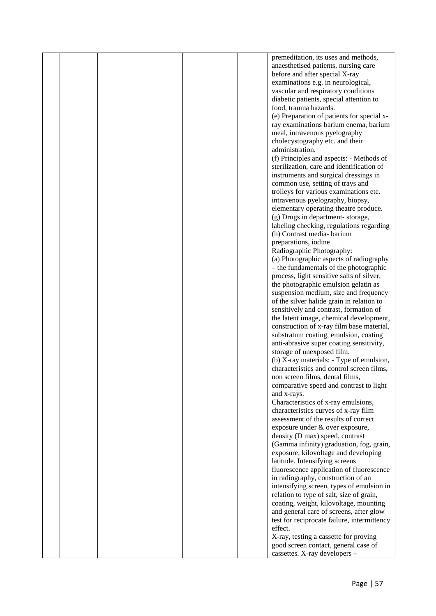|  |  | premeditation, its uses and methods,        |  |
|--|--|---------------------------------------------|--|
|  |  | anaesthetised patients, nursing care        |  |
|  |  | before and after special X-ray              |  |
|  |  | examinations e.g. in neurological,          |  |
|  |  | vascular and respiratory conditions         |  |
|  |  | diabetic patients, special attention to     |  |
|  |  | food, trauma hazards.                       |  |
|  |  | (e) Preparation of patients for special x-  |  |
|  |  | ray examinations barium enema, barium       |  |
|  |  | meal, intravenous pyelography               |  |
|  |  | cholecystography etc. and their             |  |
|  |  | administration.                             |  |
|  |  | (f) Principles and aspects: - Methods of    |  |
|  |  | sterilization, care and identification of   |  |
|  |  |                                             |  |
|  |  | instruments and surgical dressings in       |  |
|  |  | common use, setting of trays and            |  |
|  |  | trolleys for various examinations etc.      |  |
|  |  | intravenous pyelography, biopsy,            |  |
|  |  | elementary operating theatre produce.       |  |
|  |  | (g) Drugs in department-storage,            |  |
|  |  | labeling checking, regulations regarding    |  |
|  |  | (h) Contrast media-barium                   |  |
|  |  | preparations, iodine                        |  |
|  |  | Radiographic Photography:                   |  |
|  |  | (a) Photographic aspects of radiography     |  |
|  |  | - the fundamentals of the photographic      |  |
|  |  | process, light sensitive salts of silver,   |  |
|  |  | the photographic emulsion gelatin as        |  |
|  |  | suspension medium, size and frequency       |  |
|  |  | of the silver halide grain in relation to   |  |
|  |  | sensitively and contrast, formation of      |  |
|  |  | the latent image, chemical development,     |  |
|  |  | construction of x-ray film base material,   |  |
|  |  | substratum coating, emulsion, coating       |  |
|  |  | anti-abrasive super coating sensitivity,    |  |
|  |  | storage of unexposed film.                  |  |
|  |  | (b) X-ray materials: - Type of emulsion,    |  |
|  |  | characteristics and control screen films,   |  |
|  |  | non screen films, dental films,             |  |
|  |  | comparative speed and contrast to light     |  |
|  |  | and x-rays.                                 |  |
|  |  | Characteristics of x-ray emulsions,         |  |
|  |  | characteristics curves of x-ray film        |  |
|  |  | assessment of the results of correct        |  |
|  |  | exposure under & over exposure,             |  |
|  |  | density (D max) speed, contrast             |  |
|  |  | (Gamma infinity) graduation, fog, grain,    |  |
|  |  | exposure, kilovoltage and developing        |  |
|  |  | latitude. Intensifying screens              |  |
|  |  | fluorescence application of fluorescence    |  |
|  |  | in radiography, construction of an          |  |
|  |  | intensifying screen, types of emulsion in   |  |
|  |  | relation to type of salt, size of grain,    |  |
|  |  | coating, weight, kilovoltage, mounting      |  |
|  |  | and general care of screens, after glow     |  |
|  |  | test for reciprocate failure, intermittency |  |
|  |  | effect.                                     |  |
|  |  | X-ray, testing a cassette for proving       |  |
|  |  | good screen contact, general case of        |  |
|  |  | cassettes. X-ray developers -               |  |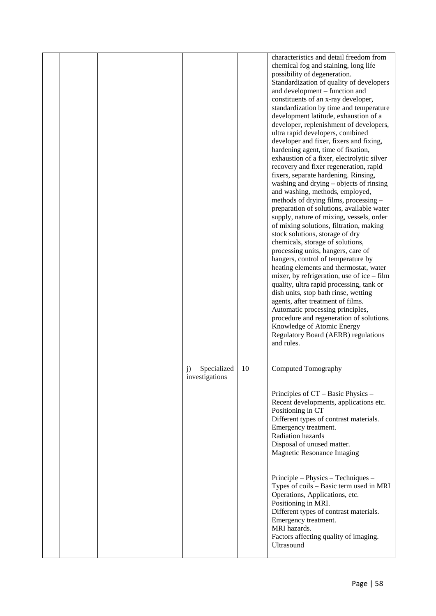|  |                                     | 10 | characteristics and detail freedom from<br>chemical fog and staining, long life<br>possibility of degeneration.<br>Standardization of quality of developers<br>and development – function and<br>constituents of an x-ray developer,<br>standardization by time and temperature<br>development latitude, exhaustion of a<br>developer, replenishment of developers,<br>ultra rapid developers, combined<br>developer and fixer, fixers and fixing,<br>hardening agent, time of fixation,<br>exhaustion of a fixer, electrolytic silver<br>recovery and fixer regeneration, rapid<br>fixers, separate hardening. Rinsing,<br>washing and drying - objects of rinsing<br>and washing, methods, employed,<br>methods of drying films, processing -<br>preparation of solutions, available water<br>supply, nature of mixing, vessels, order<br>of mixing solutions, filtration, making<br>stock solutions, storage of dry<br>chemicals, storage of solutions,<br>processing units, hangers, care of<br>hangers, control of temperature by<br>heating elements and thermostat, water<br>mixer, by refrigeration, use of ice $-$ film<br>quality, ultra rapid processing, tank or<br>dish units, stop bath rinse, wetting<br>agents, after treatment of films.<br>Automatic processing principles,<br>procedure and regeneration of solutions.<br>Knowledge of Atomic Energy<br>Regulatory Board (AERB) regulations<br>and rules.<br>Computed Tomography |  |
|--|-------------------------------------|----|-----------------------------------------------------------------------------------------------------------------------------------------------------------------------------------------------------------------------------------------------------------------------------------------------------------------------------------------------------------------------------------------------------------------------------------------------------------------------------------------------------------------------------------------------------------------------------------------------------------------------------------------------------------------------------------------------------------------------------------------------------------------------------------------------------------------------------------------------------------------------------------------------------------------------------------------------------------------------------------------------------------------------------------------------------------------------------------------------------------------------------------------------------------------------------------------------------------------------------------------------------------------------------------------------------------------------------------------------------------------------------------------------------------------------------------------------------|--|
|  | Specialized<br>j)<br>investigations |    | Principles of CT – Basic Physics –<br>Recent developments, applications etc.<br>Positioning in CT<br>Different types of contrast materials.<br>Emergency treatment.<br>Radiation hazards<br>Disposal of unused matter.<br><b>Magnetic Resonance Imaging</b>                                                                                                                                                                                                                                                                                                                                                                                                                                                                                                                                                                                                                                                                                                                                                                                                                                                                                                                                                                                                                                                                                                                                                                                         |  |
|  |                                     |    | Principle – Physics – Techniques –<br>Types of coils - Basic term used in MRI<br>Operations, Applications, etc.<br>Positioning in MRI.<br>Different types of contrast materials.<br>Emergency treatment.<br>MRI hazards.<br>Factors affecting quality of imaging.<br>Ultrasound                                                                                                                                                                                                                                                                                                                                                                                                                                                                                                                                                                                                                                                                                                                                                                                                                                                                                                                                                                                                                                                                                                                                                                     |  |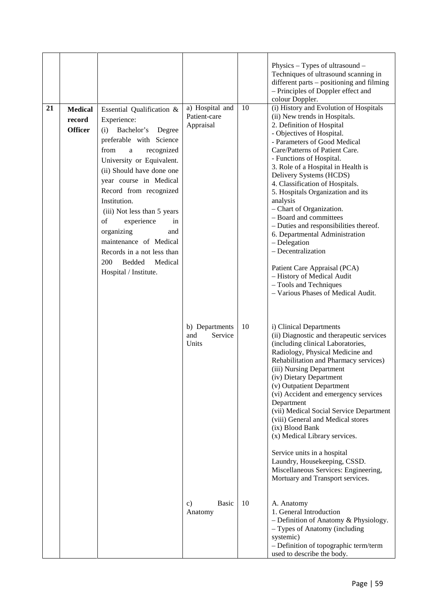|    |                                            |                                                                                                                                                                                                                                                                                                                                                                                                                                                        |                                              |    | Physics $-$ Types of ultrasound $-$<br>Techniques of ultrasound scanning in<br>different parts – positioning and filming<br>- Principles of Doppler effect and<br>colour Doppler.                                                                                                                                                                                                                                                                                                                                                                                                                                                                                                          |
|----|--------------------------------------------|--------------------------------------------------------------------------------------------------------------------------------------------------------------------------------------------------------------------------------------------------------------------------------------------------------------------------------------------------------------------------------------------------------------------------------------------------------|----------------------------------------------|----|--------------------------------------------------------------------------------------------------------------------------------------------------------------------------------------------------------------------------------------------------------------------------------------------------------------------------------------------------------------------------------------------------------------------------------------------------------------------------------------------------------------------------------------------------------------------------------------------------------------------------------------------------------------------------------------------|
| 21 | <b>Medical</b><br>record<br><b>Officer</b> | Essential Qualification &<br>Experience:<br>Bachelor's<br>Degree<br>(i)<br>preferable with Science<br>from<br>recognized<br>a<br>University or Equivalent.<br>(ii) Should have done one<br>year course in Medical<br>Record from recognized<br>Institution.<br>(iii) Not less than 5 years<br>of<br>experience<br>in<br>organizing<br>and<br>maintenance of Medical<br>Records in a not less than<br>200<br>Bedded<br>Medical<br>Hospital / Institute. | a) Hospital and<br>Patient-care<br>Appraisal | 10 | (i) History and Evolution of Hospitals<br>(ii) New trends in Hospitals.<br>2. Definition of Hospital<br>- Objectives of Hospital.<br>- Parameters of Good Medical<br>Care/Patterns of Patient Care.<br>- Functions of Hospital.<br>3. Role of a Hospital in Health is<br>Delivery Systems (HCDS)<br>4. Classification of Hospitals.<br>5. Hospitals Organization and its<br>analysis<br>- Chart of Organization.<br>- Board and committees<br>- Duties and responsibilities thereof.<br>6. Departmental Administration<br>- Delegation<br>- Decentralization<br>Patient Care Appraisal (PCA)<br>- History of Medical Audit<br>- Tools and Techniques<br>- Various Phases of Medical Audit. |
|    |                                            |                                                                                                                                                                                                                                                                                                                                                                                                                                                        | b) Departments<br>Service<br>and<br>Units    | 10 | i) Clinical Departments<br>(ii) Diagnostic and therapeutic services<br>(including clinical Laboratories,<br>Radiology, Physical Medicine and<br>Rehabilitation and Pharmacy services)<br>(iii) Nursing Department<br>(iv) Dietary Department<br>(v) Outpatient Department<br>(vi) Accident and emergency services<br>Department<br>(vii) Medical Social Service Department<br>(viii) General and Medical stores<br>(ix) Blood Bank<br>(x) Medical Library services.<br>Service units in a hospital<br>Laundry, Housekeeping, CSSD.<br>Miscellaneous Services: Engineering,<br>Mortuary and Transport services.                                                                             |
|    |                                            |                                                                                                                                                                                                                                                                                                                                                                                                                                                        | <b>Basic</b><br>c)<br>Anatomy                | 10 | A. Anatomy<br>1. General Introduction<br>- Definition of Anatomy & Physiology.<br>- Types of Anatomy (including<br>systemic)<br>- Definition of topographic term/term<br>used to describe the body.                                                                                                                                                                                                                                                                                                                                                                                                                                                                                        |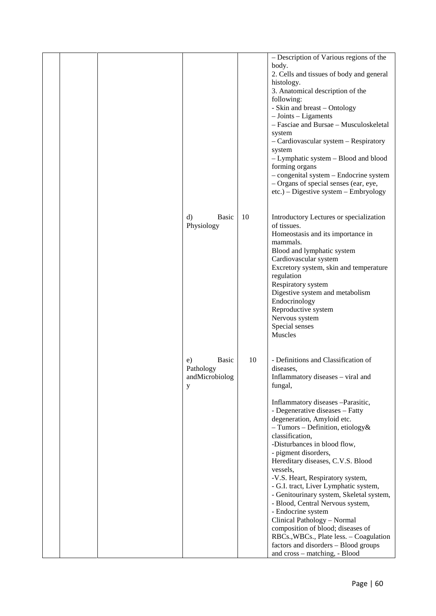|  |                                                        |    | - Description of Various regions of the<br>body.<br>2. Cells and tissues of body and general<br>histology.<br>3. Anatomical description of the<br>following:<br>- Skin and breast - Ontology<br>$-$ Joints $-$ Ligaments<br>- Fasciae and Bursae - Musculoskeletal<br>system<br>- Cardiovascular system - Respiratory<br>system<br>- Lymphatic system - Blood and blood<br>forming organs<br>- congenital system - Endocrine system<br>- Organs of special senses (ear, eye,<br>$etc.)$ – Digestive system – Embryology                                                                                                                                                                                                                              |
|--|--------------------------------------------------------|----|------------------------------------------------------------------------------------------------------------------------------------------------------------------------------------------------------------------------------------------------------------------------------------------------------------------------------------------------------------------------------------------------------------------------------------------------------------------------------------------------------------------------------------------------------------------------------------------------------------------------------------------------------------------------------------------------------------------------------------------------------|
|  | Basic<br>d)<br>Physiology                              | 10 | Introductory Lectures or specialization<br>of tissues.<br>Homeostasis and its importance in<br>mammals.<br>Blood and lymphatic system<br>Cardiovascular system<br>Excretory system, skin and temperature<br>regulation<br>Respiratory system<br>Digestive system and metabolism<br>Endocrinology<br>Reproductive system<br>Nervous system<br>Special senses<br>Muscles                                                                                                                                                                                                                                                                                                                                                                               |
|  | <b>Basic</b><br>e)<br>Pathology<br>andMicrobiolog<br>y | 10 | - Definitions and Classification of<br>diseases,<br>Inflammatory diseases – viral and<br>fungal,<br>Inflammatory diseases -Parasitic,<br>- Degenerative diseases - Fatty<br>degeneration, Amyloid etc.<br>$-$ Tumors – Definition, etiology &<br>classification,<br>-Disturbances in blood flow,<br>- pigment disorders,<br>Hereditary diseases, C.V.S. Blood<br>vessels.<br>-V.S. Heart, Respiratory system,<br>- G.I. tract, Liver Lymphatic system,<br>- Genitourinary system, Skeletal system,<br>- Blood, Central Nervous system,<br>- Endocrine system<br>Clinical Pathology - Normal<br>composition of blood; diseases of<br>RBCs., WBCs., Plate less. - Coagulation<br>factors and disorders - Blood groups<br>and cross - matching, - Blood |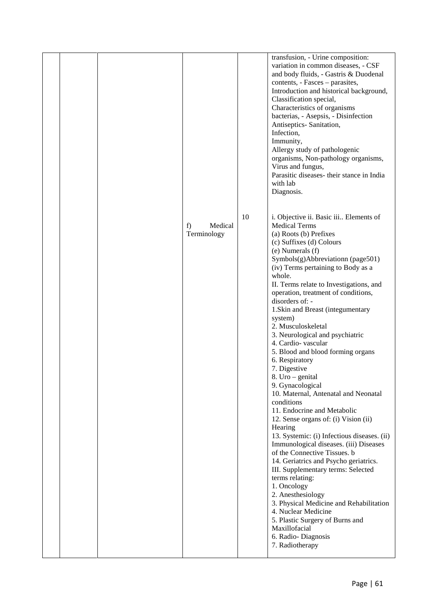|  | f)<br>Medical<br>Terminology | 10 | transfusion, - Urine composition:<br>variation in common diseases, - CSF<br>and body fluids, - Gastris & Duodenal<br>contents, - Fasces - parasites,<br>Introduction and historical background,<br>Classification special,<br>Characteristics of organisms<br>bacterias, - Asepsis, - Disinfection<br>Antiseptics-Sanitation,<br>Infection,<br>Immunity,<br>Allergy study of pathologenic<br>organisms, Non-pathology organisms,<br>Virus and fungus,<br>Parasitic diseases- their stance in India<br>with lab<br>Diagnosis.<br>i. Objective ii. Basic iii Elements of<br><b>Medical Terms</b><br>(a) Roots (b) Prefixes<br>(c) Suffixes (d) Colours<br>(e) Numerals (f)                                                                                                                                                                                                                                                                                                                                   |
|--|------------------------------|----|------------------------------------------------------------------------------------------------------------------------------------------------------------------------------------------------------------------------------------------------------------------------------------------------------------------------------------------------------------------------------------------------------------------------------------------------------------------------------------------------------------------------------------------------------------------------------------------------------------------------------------------------------------------------------------------------------------------------------------------------------------------------------------------------------------------------------------------------------------------------------------------------------------------------------------------------------------------------------------------------------------|
|  |                              |    | Symbols(g)Abbreviationn (page501)<br>(iv) Terms pertaining to Body as a<br>whole.<br>II. Terms relate to Investigations, and<br>operation, treatment of conditions,<br>disorders of: -<br>1. Skin and Breast (integumentary<br>system)<br>2. Musculoskeletal<br>3. Neurological and psychiatric<br>4. Cardio-vascular<br>5. Blood and blood forming organs<br>6. Respiratory<br>7. Digestive<br>8. Uro - genital<br>9. Gynacological<br>10. Maternal, Antenatal and Neonatal<br>conditions<br>11. Endocrine and Metabolic<br>12. Sense organs of: (i) Vision (ii)<br>Hearing<br>13. Systemic: (i) Infectious diseases. (ii)<br>Immunological diseases. (iii) Diseases<br>of the Connective Tissues. b<br>14. Geriatrics and Psycho geriatrics.<br>III. Supplementary terms: Selected<br>terms relating:<br>1. Oncology<br>2. Anesthesiology<br>3. Physical Medicine and Rehabilitation<br>4. Nuclear Medicine<br>5. Plastic Surgery of Burns and<br>Maxillofacial<br>6. Radio-Diagnosis<br>7. Radiotherapy |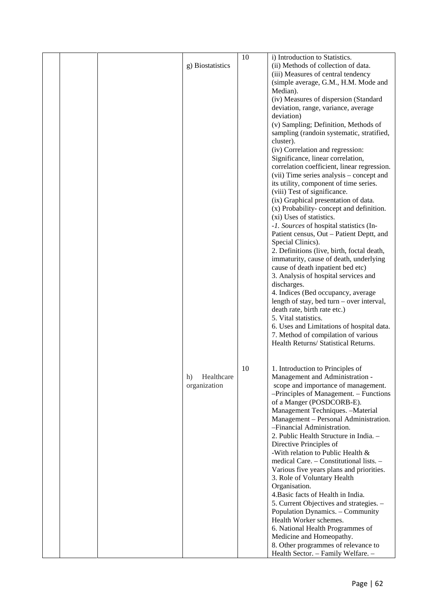|  |                  | 10 | i) Introduction to Statistics.                                       |
|--|------------------|----|----------------------------------------------------------------------|
|  | g) Biostatistics |    | (ii) Methods of collection of data.                                  |
|  |                  |    | (iii) Measures of central tendency                                   |
|  |                  |    | (simple average, G.M., H.M. Mode and                                 |
|  |                  |    | Median).                                                             |
|  |                  |    | (iv) Measures of dispersion (Standard                                |
|  |                  |    | deviation, range, variance, average                                  |
|  |                  |    | deviation)                                                           |
|  |                  |    | (v) Sampling; Definition, Methods of                                 |
|  |                  |    | sampling (randoin systematic, stratified,                            |
|  |                  |    | cluster).                                                            |
|  |                  |    | (iv) Correlation and regression:                                     |
|  |                  |    | Significance, linear correlation,                                    |
|  |                  |    | correlation coefficient, linear regression.                          |
|  |                  |    | (vii) Time series analysis – concept and                             |
|  |                  |    | its utility, component of time series.                               |
|  |                  |    | (viii) Test of significance.<br>(ix) Graphical presentation of data. |
|  |                  |    | (x) Probability-concept and definition.                              |
|  |                  |    | (xi) Uses of statistics.                                             |
|  |                  |    | -1. Sources of hospital statistics (In-                              |
|  |                  |    | Patient census, Out - Patient Deptt, and                             |
|  |                  |    | Special Clinics).                                                    |
|  |                  |    | 2. Definitions (live, birth, foctal death,                           |
|  |                  |    | immaturity, cause of death, underlying                               |
|  |                  |    | cause of death inpatient bed etc)                                    |
|  |                  |    | 3. Analysis of hospital services and                                 |
|  |                  |    | discharges.                                                          |
|  |                  |    | 4. Indices (Bed occupancy, average                                   |
|  |                  |    | length of stay, bed turn $-$ over interval,                          |
|  |                  |    | death rate, birth rate etc.)                                         |
|  |                  |    | 5. Vital statistics.                                                 |
|  |                  |    | 6. Uses and Limitations of hospital data.                            |
|  |                  |    | 7. Method of compilation of various                                  |
|  |                  |    | Health Returns/ Statistical Returns.                                 |
|  |                  |    |                                                                      |
|  |                  |    |                                                                      |
|  |                  | 10 | 1. Introduction to Principles of                                     |
|  | Healthcare<br>h) |    | Management and Administration -                                      |
|  | organization     |    | scope and importance of management.                                  |
|  |                  |    | -Principles of Management. - Functions                               |
|  |                  |    | of a Manger (POSDCORB-E).<br>Management Techniques. - Material       |
|  |                  |    | Management - Personal Administration.                                |
|  |                  |    | -Financial Administration.                                           |
|  |                  |    | 2. Public Health Structure in India. -                               |
|  |                  |    | Directive Principles of                                              |
|  |                  |    | -With relation to Public Health &                                    |
|  |                  |    | medical Care. - Constitutional lists. -                              |
|  |                  |    | Various five years plans and priorities.                             |
|  |                  |    | 3. Role of Voluntary Health                                          |
|  |                  |    | Organisation.                                                        |
|  |                  |    | 4. Basic facts of Health in India.                                   |
|  |                  |    | 5. Current Objectives and strategies. -                              |
|  |                  |    | Population Dynamics. - Community                                     |
|  |                  |    | Health Worker schemes.                                               |
|  |                  |    | 6. National Health Programmes of                                     |
|  |                  |    | Medicine and Homeopathy.                                             |
|  |                  |    | 8. Other programmes of relevance to                                  |
|  |                  |    | Health Sector. - Family Welfare. -                                   |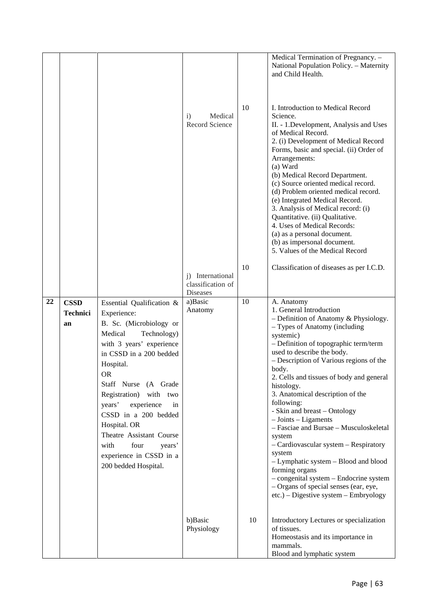|    |                                      |                                                                                                                                                                                                                                                                                                                                                                                                                 | Medical<br>$\mathbf{i}$<br>Record Science<br>i) International<br>classification of<br><b>Diseases</b> | 10<br>10 | Medical Termination of Pregnancy. -<br>National Population Policy. - Maternity<br>and Child Health.<br>I. Introduction to Medical Record<br>Science.<br>II. - 1. Development, Analysis and Uses<br>of Medical Record.<br>2. (i) Development of Medical Record<br>Forms, basic and special. (ii) Order of<br>Arrangements:<br>(a) Ward<br>(b) Medical Record Department.<br>(c) Source oriented medical record.<br>(d) Problem oriented medical record.<br>(e) Integrated Medical Record.<br>3. Analysis of Medical record: (i)<br>Quantitative. (ii) Qualitative.<br>4. Uses of Medical Records:<br>(a) as a personal document.<br>(b) as impersonal document.<br>5. Values of the Medical Record<br>Classification of diseases as per I.C.D. |
|----|--------------------------------------|-----------------------------------------------------------------------------------------------------------------------------------------------------------------------------------------------------------------------------------------------------------------------------------------------------------------------------------------------------------------------------------------------------------------|-------------------------------------------------------------------------------------------------------|----------|-----------------------------------------------------------------------------------------------------------------------------------------------------------------------------------------------------------------------------------------------------------------------------------------------------------------------------------------------------------------------------------------------------------------------------------------------------------------------------------------------------------------------------------------------------------------------------------------------------------------------------------------------------------------------------------------------------------------------------------------------|
| 22 | <b>CSSD</b><br><b>Technici</b><br>an | Essential Qualification &<br>Experience:<br>B. Sc. (Microbiology or<br>Medical<br>Technology)<br>with 3 years' experience<br>in CSSD in a 200 bedded<br>Hospital.<br><b>OR</b><br>Staff Nurse (A Grade<br>Registration) with two<br>experience<br>years'<br>in<br>CSSD in a 200 bedded<br>Hospital. OR<br>Theatre Assistant Course<br>four<br>with<br>years'<br>experience in CSSD in a<br>200 bedded Hospital. | a)Basic<br>Anatomy                                                                                    | 10       | A. Anatomy<br>1. General Introduction<br>- Definition of Anatomy & Physiology.<br>- Types of Anatomy (including<br>systemic)<br>- Definition of topographic term/term<br>used to describe the body.<br>- Description of Various regions of the<br>body.<br>2. Cells and tissues of body and general<br>histology.<br>3. Anatomical description of the<br>following:<br>- Skin and breast - Ontology<br>$-$ Joints $-$ Ligaments<br>- Fasciae and Bursae - Musculoskeletal<br>system<br>- Cardiovascular system - Respiratory<br>system<br>- Lymphatic system - Blood and blood<br>forming organs<br>- congenital system - Endocrine system<br>- Organs of special senses (ear, eye,<br>$etc.)$ – Digestive system – Embryology                |
|    |                                      |                                                                                                                                                                                                                                                                                                                                                                                                                 | b)Basic<br>Physiology                                                                                 | 10       | Introductory Lectures or specialization<br>of tissues.<br>Homeostasis and its importance in<br>mammals.<br>Blood and lymphatic system                                                                                                                                                                                                                                                                                                                                                                                                                                                                                                                                                                                                         |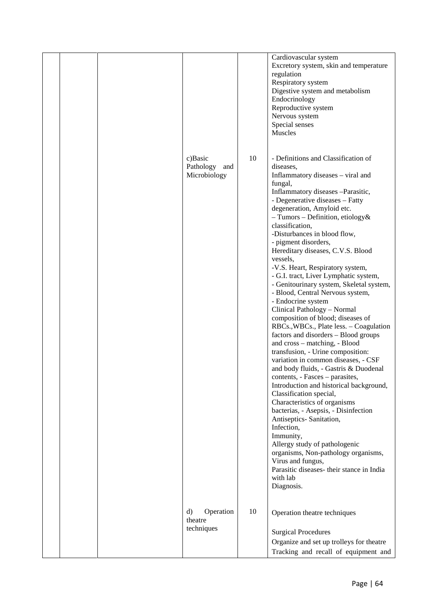|  |                                             |    | Cardiovascular system<br>Excretory system, skin and temperature<br>regulation<br>Respiratory system<br>Digestive system and metabolism<br>Endocrinology<br>Reproductive system<br>Nervous system<br>Special senses<br>Muscles                                                                                                                                                                                                                                                                                                                                                                                                                                                                                                                                                                                                                                                                                                                                                                                                                                                                                                                                                                                                                                                        |
|--|---------------------------------------------|----|--------------------------------------------------------------------------------------------------------------------------------------------------------------------------------------------------------------------------------------------------------------------------------------------------------------------------------------------------------------------------------------------------------------------------------------------------------------------------------------------------------------------------------------------------------------------------------------------------------------------------------------------------------------------------------------------------------------------------------------------------------------------------------------------------------------------------------------------------------------------------------------------------------------------------------------------------------------------------------------------------------------------------------------------------------------------------------------------------------------------------------------------------------------------------------------------------------------------------------------------------------------------------------------|
|  | c)Basic<br>Pathology<br>and<br>Microbiology | 10 | - Definitions and Classification of<br>diseases,<br>Inflammatory diseases - viral and<br>fungal,<br>Inflammatory diseases -Parasitic,<br>- Degenerative diseases - Fatty<br>degeneration, Amyloid etc.<br>$-$ Tumors – Definition, etiology &<br>classification,<br>-Disturbances in blood flow,<br>- pigment disorders,<br>Hereditary diseases, C.V.S. Blood<br>vessels,<br>-V.S. Heart, Respiratory system,<br>- G.I. tract, Liver Lymphatic system,<br>- Genitourinary system, Skeletal system,<br>- Blood, Central Nervous system,<br>- Endocrine system<br>Clinical Pathology - Normal<br>composition of blood; diseases of<br>RBCs., WBCs., Plate less. - Coagulation<br>factors and disorders - Blood groups<br>and cross - matching, - Blood<br>transfusion, - Urine composition:<br>variation in common diseases, - CSF<br>and body fluids, - Gastris & Duodenal<br>contents, - Fasces – parasites,<br>Introduction and historical background,<br>Classification special,<br>Characteristics of organisms<br>bacterias, - Asepsis, - Disinfection<br>Antiseptics-Sanitation,<br>Infection,<br>Immunity,<br>Allergy study of pathologenic<br>organisms, Non-pathology organisms,<br>Virus and fungus,<br>Parasitic diseases- their stance in India<br>with lab<br>Diagnosis. |
|  | Operation<br>d)<br>theatre<br>techniques    | 10 | Operation theatre techniques<br><b>Surgical Procedures</b><br>Organize and set up trolleys for theatre<br>Tracking and recall of equipment and                                                                                                                                                                                                                                                                                                                                                                                                                                                                                                                                                                                                                                                                                                                                                                                                                                                                                                                                                                                                                                                                                                                                       |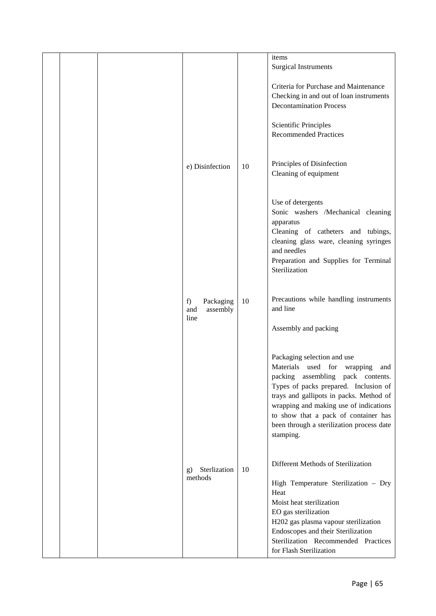|  |                                            |    | items<br><b>Surgical Instruments</b>                                                                                                                                                                                                                                                                                                   |
|--|--------------------------------------------|----|----------------------------------------------------------------------------------------------------------------------------------------------------------------------------------------------------------------------------------------------------------------------------------------------------------------------------------------|
|  |                                            |    | Criteria for Purchase and Maintenance<br>Checking in and out of loan instruments<br><b>Decontamination Process</b>                                                                                                                                                                                                                     |
|  |                                            |    | Scientific Principles<br><b>Recommended Practices</b>                                                                                                                                                                                                                                                                                  |
|  | e) Disinfection                            | 10 | Principles of Disinfection<br>Cleaning of equipment                                                                                                                                                                                                                                                                                    |
|  |                                            |    | Use of detergents<br>Sonic washers /Mechanical cleaning<br>apparatus<br>Cleaning of catheters and tubings,<br>cleaning glass ware, cleaning syringes<br>and needles<br>Preparation and Supplies for Terminal<br>Sterilization                                                                                                          |
|  | Packaging<br>f)<br>assembly<br>and<br>line | 10 | Precautions while handling instruments<br>and line<br>Assembly and packing                                                                                                                                                                                                                                                             |
|  |                                            |    | Packaging selection and use<br>Materials used for wrapping<br>and<br>packing assembling pack contents.<br>Types of packs prepared. Inclusion of<br>trays and gallipots in packs. Method of<br>wrapping and making use of indications<br>to show that a pack of container has<br>been through a sterilization process date<br>stamping. |
|  | Sterlization<br>g)<br>methods              | 10 | Different Methods of Sterilization<br>High Temperature Sterilization - Dry<br>Heat<br>Moist heat sterilization<br>EO gas sterilization<br>H202 gas plasma vapour sterilization<br>Endoscopes and their Sterilization                                                                                                                   |
|  |                                            |    | Sterilization Recommended Practices<br>for Flash Sterilization                                                                                                                                                                                                                                                                         |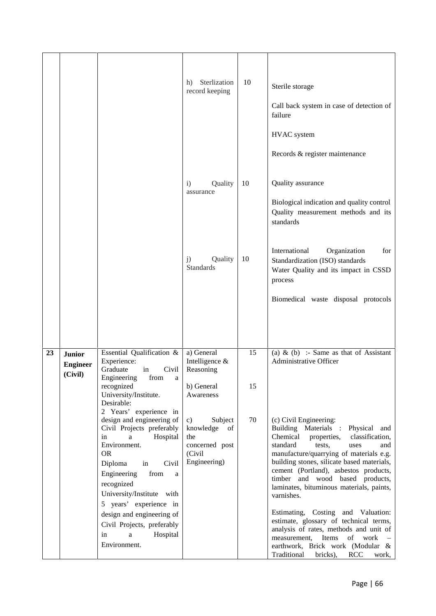|    |                                             |                                                                                                                                                                                                                                                                                                                                                              | Sterlization<br>h)<br>record keeping                                                        | 10       | Sterile storage<br>Call back system in case of detection of<br>failure<br>HVAC system<br>Records & register maintenance                                                                                                                                                                                                                                                                                                                                                                                                                     |
|----|---------------------------------------------|--------------------------------------------------------------------------------------------------------------------------------------------------------------------------------------------------------------------------------------------------------------------------------------------------------------------------------------------------------------|---------------------------------------------------------------------------------------------|----------|---------------------------------------------------------------------------------------------------------------------------------------------------------------------------------------------------------------------------------------------------------------------------------------------------------------------------------------------------------------------------------------------------------------------------------------------------------------------------------------------------------------------------------------------|
|    |                                             |                                                                                                                                                                                                                                                                                                                                                              | Quality<br>$\mathbf{i}$<br>assurance                                                        | 10       | Quality assurance<br>Biological indication and quality control<br>Quality measurement methods and its<br>standards                                                                                                                                                                                                                                                                                                                                                                                                                          |
|    |                                             |                                                                                                                                                                                                                                                                                                                                                              | Quality<br>j)<br>Standards                                                                  | 10       | International<br>Organization<br>for<br>Standardization (ISO) standards<br>Water Quality and its impact in CSSD<br>process                                                                                                                                                                                                                                                                                                                                                                                                                  |
|    |                                             |                                                                                                                                                                                                                                                                                                                                                              |                                                                                             |          | Biomedical waste disposal protocols                                                                                                                                                                                                                                                                                                                                                                                                                                                                                                         |
| 23 | <b>Junior</b><br><b>Engineer</b><br>(Civil) | Essential Qualification &<br>Experience:<br>Graduate<br>Civil<br>in<br>Engineering<br>from<br>a<br>recognized<br>University/Institute.<br>Desirable:                                                                                                                                                                                                         | a) General<br>Intelligence &<br>Reasoning<br>b) General<br>Awareness                        | 15<br>15 | (a) & (b) :- Same as that of Assistant<br>Administrative Officer                                                                                                                                                                                                                                                                                                                                                                                                                                                                            |
|    |                                             | 2 Years' experience in<br>design and engineering of<br>Civil Projects preferably<br>Hospital<br>in<br>a<br>Environment.<br><b>OR</b><br>Diploma<br>Civil<br>in<br>Engineering<br>from<br>a<br>recognized<br>University/Institute with<br>5 years' experience in<br>design and engineering of<br>Civil Projects, preferably<br>Hospital<br>$\mathbf{a}$<br>in | Subject<br>$\mathbf{c})$<br>knowledge of<br>the<br>concerned post<br>(Civil<br>Engineering) | 70       | (c) Civil Engineering:<br>Building Materials :<br>Physical<br>and<br>Chemical<br>classification,<br>properties,<br>standard<br>tests,<br>uses<br>and<br>manufacture/quarrying of materials e.g.<br>building stones, silicate based materials,<br>cement (Portland), asbestos products,<br>timber and wood based products,<br>laminates, bituminous materials, paints,<br>varnishes.<br>Estimating, Costing and Valuation:<br>estimate, glossary of technical terms,<br>analysis of rates, methods and unit of<br>measurement, Items of work |
|    |                                             | Environment.                                                                                                                                                                                                                                                                                                                                                 |                                                                                             |          | earthwork, Brick work (Modular &<br>Traditional<br>bricks),<br><b>RCC</b><br>work,                                                                                                                                                                                                                                                                                                                                                                                                                                                          |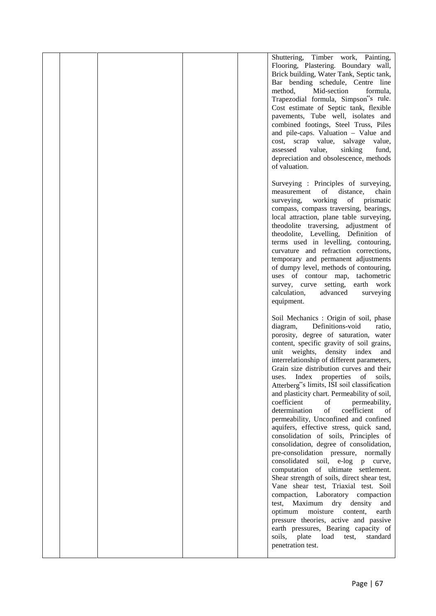|  |  | Shuttering, Timber work, Painting,           |  |
|--|--|----------------------------------------------|--|
|  |  | Flooring, Plastering. Boundary wall,         |  |
|  |  | Brick building, Water Tank, Septic tank,     |  |
|  |  | Bar bending schedule, Centre line            |  |
|  |  | method,<br>Mid-section<br>formula,           |  |
|  |  | Trapezodial formula, Simpson"s rule.         |  |
|  |  | Cost estimate of Septic tank, flexible       |  |
|  |  |                                              |  |
|  |  | pavements, Tube well, isolates and           |  |
|  |  | combined footings, Steel Truss, Piles        |  |
|  |  | and pile-caps. Valuation - Value and         |  |
|  |  | cost, scrap value,<br>salvage<br>value,      |  |
|  |  | value,<br>sinking<br>assessed<br>fund,       |  |
|  |  | depreciation and obsolescence, methods       |  |
|  |  | of valuation.                                |  |
|  |  |                                              |  |
|  |  | Surveying : Principles of surveying,         |  |
|  |  | measurement of<br>distance,<br>chain         |  |
|  |  | working<br>of prismatic<br>surveying,        |  |
|  |  | compass, compass traversing, bearings,       |  |
|  |  | local attraction, plane table surveying,     |  |
|  |  | theodolite traversing, adjustment of         |  |
|  |  | theodolite, Levelling, Definition of         |  |
|  |  | terms used in levelling, contouring,         |  |
|  |  | curvature and refraction corrections,        |  |
|  |  | temporary and permanent adjustments          |  |
|  |  | of dumpy level, methods of contouring,       |  |
|  |  | uses of contour map, tachometric             |  |
|  |  | survey, curve setting, earth work            |  |
|  |  | calculation,<br>advanced<br>surveying        |  |
|  |  | equipment.                                   |  |
|  |  |                                              |  |
|  |  | Soil Mechanics : Origin of soil, phase       |  |
|  |  | Definitions-void<br>diagram,<br>ratio,       |  |
|  |  | porosity, degree of saturation, water        |  |
|  |  | content, specific gravity of soil grains,    |  |
|  |  | weights,<br>density index<br>unit<br>and     |  |
|  |  |                                              |  |
|  |  | interrelationship of different parameters,   |  |
|  |  | Grain size distribution curves and their     |  |
|  |  | Index<br>soils,<br>properties<br>of<br>uses. |  |
|  |  | Atterberg"s limits, ISI soil classification  |  |
|  |  | and plasticity chart. Permeability of soil,  |  |
|  |  | coefficient<br>of<br>permeability,           |  |
|  |  | of<br>determination<br>coefficient<br>of     |  |
|  |  | permeability, Unconfined and confined        |  |
|  |  | aquifers, effective stress, quick sand,      |  |
|  |  | consolidation of soils, Principles of        |  |
|  |  | consolidation, degree of consolidation,      |  |
|  |  | pre-consolidation pressure, normally         |  |
|  |  | soil, e-log<br>consolidated<br>p<br>curve,   |  |
|  |  | computation of ultimate settlement.          |  |
|  |  | Shear strength of soils, direct shear test,  |  |
|  |  | Vane shear test, Triaxial test. Soil         |  |
|  |  | compaction, Laboratory compaction            |  |
|  |  | Maximum<br>dry density and<br>test,          |  |
|  |  | moisture<br>optimum<br>content,<br>earth     |  |
|  |  | pressure theories, active and passive        |  |
|  |  | earth pressures, Bearing capacity of         |  |
|  |  | load<br>soils,<br>plate<br>standard<br>test, |  |
|  |  | penetration test.                            |  |
|  |  |                                              |  |
|  |  |                                              |  |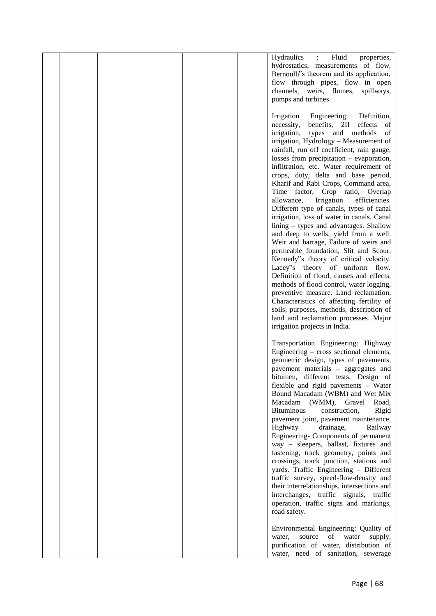|  |  | Hydraulics<br>Fluid<br>$\ddot{\cdot}$<br>properties,                            |  |
|--|--|---------------------------------------------------------------------------------|--|
|  |  | hydrostatics, measurements of flow,                                             |  |
|  |  | Bernoulli <sup>*</sup> s theorem and its application,                           |  |
|  |  | flow through pipes, flow in open                                                |  |
|  |  | channels, weirs, flumes, spillways,                                             |  |
|  |  | pumps and turbines.                                                             |  |
|  |  | Engineering:<br>Irrigation<br>Definition,                                       |  |
|  |  | effects<br>necessity,<br>benefits, 2II<br>- of                                  |  |
|  |  | irrigation,<br>types and methods<br>of                                          |  |
|  |  | irrigation, Hydrology - Measurement of                                          |  |
|  |  | rainfall, run off coefficient, rain gauge,                                      |  |
|  |  | losses from precipitation $-$ evaporation,                                      |  |
|  |  | infiltration, etc. Water requirement of                                         |  |
|  |  | crops, duty, delta and base period,                                             |  |
|  |  | Kharif and Rabi Crops, Command area,<br>Time factor, Crop ratio, Overlap        |  |
|  |  | Irrigation<br>allowance,<br>efficiencies.                                       |  |
|  |  | Different type of canals, types of canal                                        |  |
|  |  | irrigation, loss of water in canals. Canal                                      |  |
|  |  | $\lim_{x \to a}$ types and advantages. Shallow                                  |  |
|  |  | and deep to wells, yield from a well.                                           |  |
|  |  | Weir and barrage, Failure of weirs and                                          |  |
|  |  | permeable foundation, Slit and Scour,<br>Kennedy"s theory of critical velocity. |  |
|  |  | Lacey"s theory of uniform flow.                                                 |  |
|  |  | Definition of flood, causes and effects,                                        |  |
|  |  | methods of flood control, water logging,                                        |  |
|  |  | preventive measure. Land reclamation,                                           |  |
|  |  | Characteristics of affecting fertility of                                       |  |
|  |  | soils, purposes, methods, description of                                        |  |
|  |  | land and reclamation processes. Major<br>irrigation projects in India.          |  |
|  |  |                                                                                 |  |
|  |  | Transportation Engineering: Highway                                             |  |
|  |  | Engineering – cross sectional elements,                                         |  |
|  |  | geometric design, types of pavements,                                           |  |
|  |  | pavement materials - aggregates and                                             |  |
|  |  | bitumen, different tests, Design of<br>flexible and rigid pavements - Water     |  |
|  |  | Bound Macadam (WBM) and Wet Mix                                                 |  |
|  |  | Macadam (WMM),<br>Gravel<br>Road,                                               |  |
|  |  | <b>Bituminous</b><br>construction,<br>Rigid                                     |  |
|  |  | pavement joint, pavement maintenance,                                           |  |
|  |  | Highway<br>drainage,<br>Railway                                                 |  |
|  |  | Engineering- Components of permanent                                            |  |
|  |  | way - sleepers, ballast, fixtures and<br>fastening, track geometry, points and  |  |
|  |  | crossings, track junction, stations and                                         |  |
|  |  | yards. Traffic Engineering - Different                                          |  |
|  |  | traffic survey, speed-flow-density and                                          |  |
|  |  | their interrelationships, intersections and                                     |  |
|  |  | interchanges, traffic signals, traffic                                          |  |
|  |  | operation, traffic signs and markings,                                          |  |
|  |  | road safety.                                                                    |  |
|  |  | Environmental Engineering: Quality of                                           |  |
|  |  | source<br>of<br>water<br>supply,<br>water,                                      |  |
|  |  | purification of water, distribution of                                          |  |
|  |  | water, need of sanitation, sewerage                                             |  |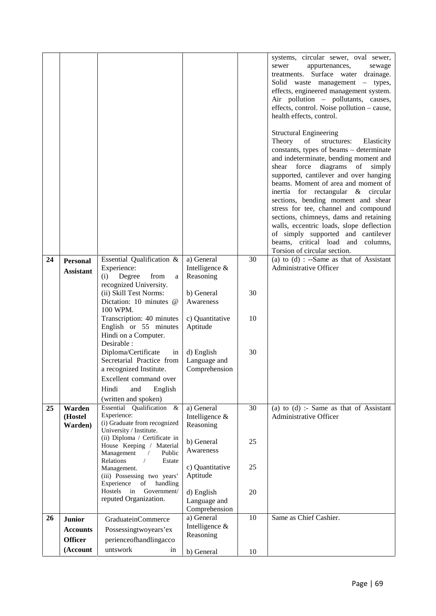|    |                    |                                                                                                                        |                                             |    | systems, circular sewer, oval sewer,<br>sewer<br>appurtenances,<br>sewage<br>treatments. Surface water drainage.<br>Solid waste management – types,<br>effects, engineered management system.<br>Air pollution - pollutants, causes,<br>effects, control. Noise pollution - cause,<br>health effects, control.                                                                                                                                                                                                                                                                                                     |
|----|--------------------|------------------------------------------------------------------------------------------------------------------------|---------------------------------------------|----|--------------------------------------------------------------------------------------------------------------------------------------------------------------------------------------------------------------------------------------------------------------------------------------------------------------------------------------------------------------------------------------------------------------------------------------------------------------------------------------------------------------------------------------------------------------------------------------------------------------------|
|    |                    |                                                                                                                        |                                             |    | <b>Structural Engineering</b><br>Theory<br>of<br>structures:<br>Elasticity<br>constants, types of beams – determinate<br>and indeterminate, bending moment and<br>diagrams<br>force<br>of<br>shear<br>simply<br>supported, cantilever and over hanging<br>beams. Moment of area and moment of<br>inertia for rectangular & circular<br>sections, bending moment and shear<br>stress for tee, channel and compound<br>sections, chimneys, dams and retaining<br>walls, eccentric loads, slope deflection<br>of simply supported and cantilever<br>beams, critical load and columns,<br>Torsion of circular section. |
| 24 | <b>Personal</b>    | Essential Qualification &                                                                                              | a) General                                  | 30 | (a) to $(d)$ : --Same as that of Assistant                                                                                                                                                                                                                                                                                                                                                                                                                                                                                                                                                                         |
|    | <b>Assistant</b>   | Experience:<br>Degree<br>from<br>(i)<br>a<br>recognized University.                                                    | Intelligence &<br>Reasoning                 |    | Administrative Officer                                                                                                                                                                                                                                                                                                                                                                                                                                                                                                                                                                                             |
|    |                    | (ii) Skill Test Norms:<br>Dictation: 10 minutes @<br>100 WPM.                                                          | b) General<br>Awareness                     | 30 |                                                                                                                                                                                                                                                                                                                                                                                                                                                                                                                                                                                                                    |
|    |                    | Transcription: 40 minutes<br>English or 55 minutes<br>Hindi on a Computer.<br>Desirable :                              | c) Quantitative<br>Aptitude                 | 10 |                                                                                                                                                                                                                                                                                                                                                                                                                                                                                                                                                                                                                    |
|    |                    | Diploma/Certificate<br>in<br>Secretarial Practice from<br>a recognized Institute.<br>Excellent command over            | d) English<br>Language and<br>Comprehension | 30 |                                                                                                                                                                                                                                                                                                                                                                                                                                                                                                                                                                                                                    |
|    |                    | Hindi<br>and<br>English                                                                                                |                                             |    |                                                                                                                                                                                                                                                                                                                                                                                                                                                                                                                                                                                                                    |
| 25 | Warden             | (written and spoken)<br>Essential Qualification &                                                                      | a) General                                  | 30 | (a) to $(d)$ :- Same as that of Assistant                                                                                                                                                                                                                                                                                                                                                                                                                                                                                                                                                                          |
|    | (Hostel<br>Warden) | Experience:<br>(i) Graduate from recognized<br>University / Institute.                                                 | Intelligence $\&$<br>Reasoning              |    | Administrative Officer                                                                                                                                                                                                                                                                                                                                                                                                                                                                                                                                                                                             |
|    |                    | (ii) Diploma / Certificate in<br>House Keeping / Material<br>Management<br>Public<br>Relations<br>Estate<br>$\sqrt{2}$ | b) General<br>Awareness                     | 25 |                                                                                                                                                                                                                                                                                                                                                                                                                                                                                                                                                                                                                    |
|    |                    | Management.<br>(iii) Possessing two years'<br>Experience<br>of<br>handling                                             | c) Quantitative<br>Aptitude                 | 25 |                                                                                                                                                                                                                                                                                                                                                                                                                                                                                                                                                                                                                    |
|    |                    | Government/<br>Hostels in<br>reputed Organization.                                                                     | d) English<br>Language and<br>Comprehension | 20 |                                                                                                                                                                                                                                                                                                                                                                                                                                                                                                                                                                                                                    |
| 26 | <b>Junior</b>      | <b>GraduateinCommerce</b>                                                                                              | a) General                                  | 10 | Same as Chief Cashier.                                                                                                                                                                                                                                                                                                                                                                                                                                                                                                                                                                                             |
|    | <b>Accounts</b>    | Possessingtwoyears'ex                                                                                                  | Intelligence &                              |    |                                                                                                                                                                                                                                                                                                                                                                                                                                                                                                                                                                                                                    |
|    | <b>Officer</b>     | perienceofhandlingacco                                                                                                 | Reasoning                                   |    |                                                                                                                                                                                                                                                                                                                                                                                                                                                                                                                                                                                                                    |
|    | (Account           | untswork<br>in                                                                                                         | b) General                                  | 10 |                                                                                                                                                                                                                                                                                                                                                                                                                                                                                                                                                                                                                    |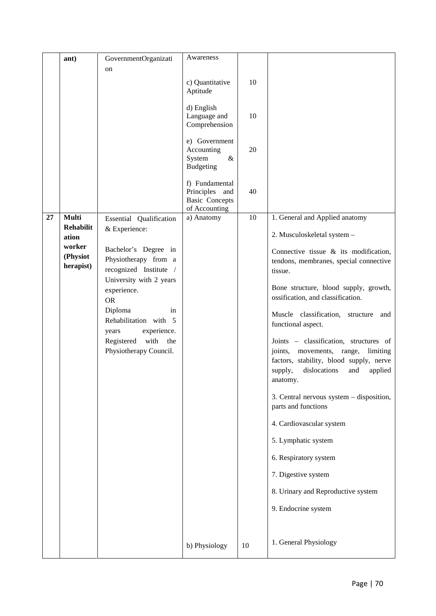|    | ant)                            | GovernmentOrganizati                                                                                                          | Awareness                                                                     |        |                                                                                                                                                                                        |
|----|---------------------------------|-------------------------------------------------------------------------------------------------------------------------------|-------------------------------------------------------------------------------|--------|----------------------------------------------------------------------------------------------------------------------------------------------------------------------------------------|
|    |                                 | on                                                                                                                            |                                                                               |        |                                                                                                                                                                                        |
|    |                                 |                                                                                                                               | c) Quantitative<br>Aptitude                                                   | 10     |                                                                                                                                                                                        |
|    |                                 |                                                                                                                               | d) English<br>Language and<br>Comprehension                                   | 10     |                                                                                                                                                                                        |
|    |                                 |                                                                                                                               | e) Government<br>Accounting<br>$\&$<br>System<br><b>Budgeting</b>             | 20     |                                                                                                                                                                                        |
|    |                                 |                                                                                                                               | f) Fundamental<br>Principles<br>and<br><b>Basic Concepts</b><br>of Accounting | 40     |                                                                                                                                                                                        |
| 27 | <b>Multi</b>                    | Essential Qualification                                                                                                       | a) Anatomy                                                                    | $10\,$ | 1. General and Applied anatomy                                                                                                                                                         |
|    | <b>Rehabilit</b><br>ation       | & Experience:                                                                                                                 |                                                                               |        | 2. Musculoskeletal system -                                                                                                                                                            |
|    | worker<br>(Physiot<br>herapist) | Bachelor's Degree in<br>Physiotherapy from a<br>recognized Institute /<br>University with 2 years<br>experience.<br><b>OR</b> |                                                                               |        | Connective tissue $\&$ its modification,<br>tendons, membranes, special connective<br>tissue.<br>Bone structure, blood supply, growth,<br>ossification, and classification.            |
|    |                                 | Diploma<br>in<br>Rehabilitation with 5<br>experience.<br>years                                                                |                                                                               |        | Muscle classification,<br>structure<br>and<br>functional aspect.                                                                                                                       |
|    |                                 | with<br>Registered<br>the<br>Physiotherapy Council.                                                                           |                                                                               |        | Joints - classification, structures of<br>movements, range,<br>joints,<br>limiting<br>factors, stability, blood supply, nerve<br>dislocations<br>supply,<br>and<br>applied<br>anatomy. |
|    |                                 |                                                                                                                               |                                                                               |        | 3. Central nervous system – disposition,<br>parts and functions                                                                                                                        |
|    |                                 |                                                                                                                               |                                                                               |        | 4. Cardiovascular system                                                                                                                                                               |
|    |                                 |                                                                                                                               |                                                                               |        | 5. Lymphatic system                                                                                                                                                                    |
|    |                                 |                                                                                                                               |                                                                               |        | 6. Respiratory system                                                                                                                                                                  |
|    |                                 |                                                                                                                               |                                                                               |        | 7. Digestive system                                                                                                                                                                    |
|    |                                 |                                                                                                                               |                                                                               |        | 8. Urinary and Reproductive system                                                                                                                                                     |
|    |                                 |                                                                                                                               |                                                                               |        | 9. Endocrine system                                                                                                                                                                    |
|    |                                 |                                                                                                                               |                                                                               |        |                                                                                                                                                                                        |
|    |                                 |                                                                                                                               | b) Physiology                                                                 | 10     | 1. General Physiology                                                                                                                                                                  |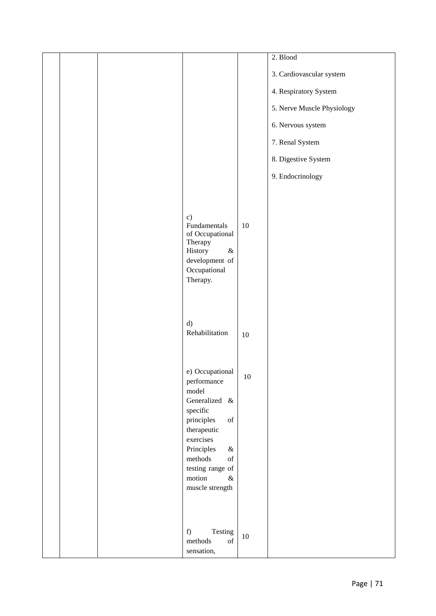|  |                                                                                                                                                                                                                                                                                                                                                                                                                      |        | 2. Blood                   |
|--|----------------------------------------------------------------------------------------------------------------------------------------------------------------------------------------------------------------------------------------------------------------------------------------------------------------------------------------------------------------------------------------------------------------------|--------|----------------------------|
|  |                                                                                                                                                                                                                                                                                                                                                                                                                      |        | 3. Cardiovascular system   |
|  |                                                                                                                                                                                                                                                                                                                                                                                                                      |        | 4. Respiratory System      |
|  |                                                                                                                                                                                                                                                                                                                                                                                                                      |        | 5. Nerve Muscle Physiology |
|  |                                                                                                                                                                                                                                                                                                                                                                                                                      |        | 6. Nervous system          |
|  |                                                                                                                                                                                                                                                                                                                                                                                                                      |        | 7. Renal System            |
|  |                                                                                                                                                                                                                                                                                                                                                                                                                      |        | 8. Digestive System        |
|  |                                                                                                                                                                                                                                                                                                                                                                                                                      |        | 9. Endocrinology           |
|  |                                                                                                                                                                                                                                                                                                                                                                                                                      |        |                            |
|  | $\mathbf{c})$<br>Fundamentals<br>of Occupational<br>Therapy<br>History<br>$\&$<br>development of<br>Occupational<br>Therapy.                                                                                                                                                                                                                                                                                         | $10\,$ |                            |
|  | d)<br>Rehabilitation                                                                                                                                                                                                                                                                                                                                                                                                 | 10     |                            |
|  | e) Occupational<br>performance<br>model<br>Generalized &<br>specific<br>principles<br>$% \left( \left( \mathcal{A},\mathcal{A}\right) \right) =\left( \mathcal{A},\mathcal{A}\right)$ of<br>therapeutic<br>exercises<br>Principles<br>$\&$<br>methods<br>$% \left( \left( \mathcal{A},\mathcal{A}\right) \right) =\left( \mathcal{A},\mathcal{A}\right)$ of<br>testing range of<br>motion<br>$\&$<br>muscle strength | $10\,$ |                            |
|  | Testing<br>f)<br>$\sigma$<br>methods<br>sensation,                                                                                                                                                                                                                                                                                                                                                                   | $10\,$ |                            |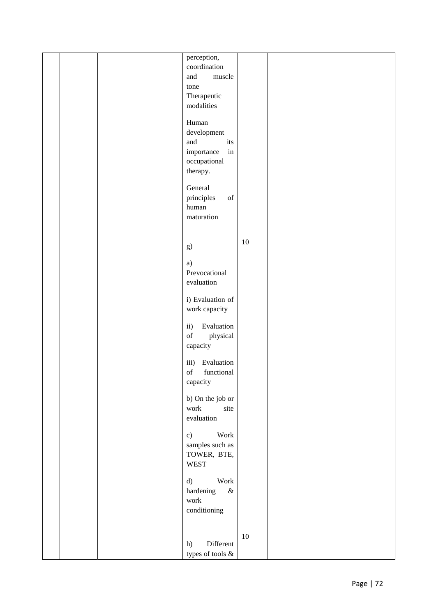|  | perception,                                                                                                      |        |  |
|--|------------------------------------------------------------------------------------------------------------------|--------|--|
|  | coordination                                                                                                     |        |  |
|  | and<br>muscle                                                                                                    |        |  |
|  | tone                                                                                                             |        |  |
|  | Therapeutic                                                                                                      |        |  |
|  | modalities                                                                                                       |        |  |
|  |                                                                                                                  |        |  |
|  | Human                                                                                                            |        |  |
|  | development                                                                                                      |        |  |
|  | and<br>its                                                                                                       |        |  |
|  | $\operatorname{in}$<br>$\mathop{\text{importance}}$                                                              |        |  |
|  | occupational                                                                                                     |        |  |
|  | therapy.                                                                                                         |        |  |
|  |                                                                                                                  |        |  |
|  | General                                                                                                          |        |  |
|  | principles<br>$_{\mathrm{of}}$                                                                                   |        |  |
|  | human                                                                                                            |        |  |
|  | maturation                                                                                                       |        |  |
|  |                                                                                                                  |        |  |
|  |                                                                                                                  |        |  |
|  | g)                                                                                                               | $10\,$ |  |
|  |                                                                                                                  |        |  |
|  | a)                                                                                                               |        |  |
|  | Prevocational                                                                                                    |        |  |
|  | evaluation                                                                                                       |        |  |
|  |                                                                                                                  |        |  |
|  | i) Evaluation of                                                                                                 |        |  |
|  | work capacity                                                                                                    |        |  |
|  |                                                                                                                  |        |  |
|  | ii)<br>Evaluation                                                                                                |        |  |
|  | $% \left( \left( \mathcal{A},\mathcal{A}\right) \right) =\left( \mathcal{A},\mathcal{A}\right)$ of<br>physical   |        |  |
|  | capacity                                                                                                         |        |  |
|  |                                                                                                                  |        |  |
|  | Evaluation<br>iii)                                                                                               |        |  |
|  | functional<br>$% \left( \left( \mathcal{A},\mathcal{A}\right) \right) =\left( \mathcal{A},\mathcal{A}\right)$ of |        |  |
|  | capacity                                                                                                         |        |  |
|  |                                                                                                                  |        |  |
|  | b) On the job or                                                                                                 |        |  |
|  | work<br>site                                                                                                     |        |  |
|  | evaluation                                                                                                       |        |  |
|  |                                                                                                                  |        |  |
|  | Work<br>c)                                                                                                       |        |  |
|  | samples such as                                                                                                  |        |  |
|  | TOWER, BTE,                                                                                                      |        |  |
|  | <b>WEST</b>                                                                                                      |        |  |
|  |                                                                                                                  |        |  |
|  | Work<br>d)                                                                                                       |        |  |
|  | hardening<br>$\&$                                                                                                |        |  |
|  | work                                                                                                             |        |  |
|  | conditioning                                                                                                     |        |  |
|  |                                                                                                                  |        |  |
|  |                                                                                                                  | $10\,$ |  |
|  | Different<br>h)                                                                                                  |        |  |
|  | types of tools $\&$                                                                                              |        |  |
|  |                                                                                                                  |        |  |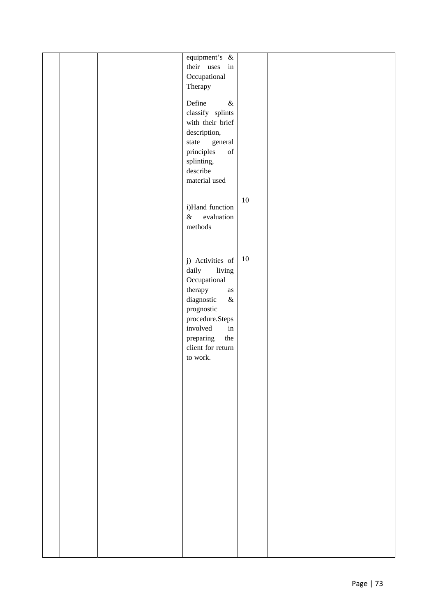|  | equipment's &<br>their uses in<br>Occupational<br>Therapy<br>Define<br>$\&$<br>classify splints<br>with their brief<br>description,<br>state<br>general<br>principles<br>$% \left( \left( \mathcal{A},\mathcal{A}\right) \right) =\left( \mathcal{A},\mathcal{A}\right)$ of<br>splinting,<br>describe<br>material used<br>i)Hand function<br>$\&$<br>evaluation<br>methods | $10\,$ |  |
|--|----------------------------------------------------------------------------------------------------------------------------------------------------------------------------------------------------------------------------------------------------------------------------------------------------------------------------------------------------------------------------|--------|--|
|  | j) Activities of<br>living<br>daily<br>Occupational<br>therapy<br>$\rm as$<br>diagnostic<br>$\&$<br>prognostic<br>$\operatorname{procedure}.Steps$<br>involved<br>in<br>preparing<br>the<br>client for return<br>to work.                                                                                                                                                  | $10\,$ |  |
|  |                                                                                                                                                                                                                                                                                                                                                                            |        |  |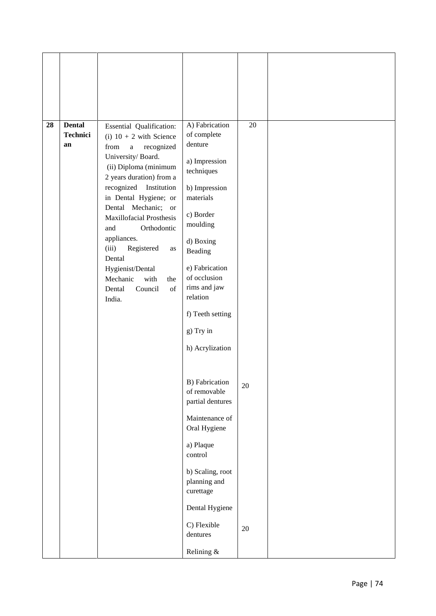| 28 | <b>Dental</b><br>Technici<br>an | Essential Qualification:<br>(i) $10 + 2$ with Science<br>from<br>recognized<br>$\mathbf{a}$<br>University/Board.<br>(ii) Diploma (minimum<br>2 years duration) from a<br>recognized Institution<br>in Dental Hygiene; or<br>Dental Mechanic; or<br><b>Maxillofacial Prosthesis</b><br>Orthodontic<br>and<br>appliances.<br>(iii)<br>Registered<br>as<br>Dental<br>Hygienist/Dental<br>Mechanic<br>with<br>the<br>Dental<br>of<br>Council<br>India. | A) Fabrication<br>of complete<br>denture<br>a) Impression<br>techniques<br>b) Impression<br>materials<br>c) Border<br>moulding<br>d) Boxing<br>Beading<br>e) Fabrication<br>of occlusion<br>rims and jaw<br>relation | 20     |
|----|---------------------------------|----------------------------------------------------------------------------------------------------------------------------------------------------------------------------------------------------------------------------------------------------------------------------------------------------------------------------------------------------------------------------------------------------------------------------------------------------|----------------------------------------------------------------------------------------------------------------------------------------------------------------------------------------------------------------------|--------|
|    |                                 |                                                                                                                                                                                                                                                                                                                                                                                                                                                    | f) Teeth setting<br>g) Try in<br>h) Acrylization                                                                                                                                                                     |        |
|    |                                 |                                                                                                                                                                                                                                                                                                                                                                                                                                                    | <b>B)</b> Fabrication<br>of removable<br>partial dentures                                                                                                                                                            | $20\,$ |
|    |                                 |                                                                                                                                                                                                                                                                                                                                                                                                                                                    | Maintenance of<br>Oral Hygiene                                                                                                                                                                                       |        |
|    |                                 |                                                                                                                                                                                                                                                                                                                                                                                                                                                    | a) Plaque<br>control                                                                                                                                                                                                 |        |
|    |                                 |                                                                                                                                                                                                                                                                                                                                                                                                                                                    | b) Scaling, root<br>planning and<br>curettage                                                                                                                                                                        |        |
|    |                                 |                                                                                                                                                                                                                                                                                                                                                                                                                                                    | Dental Hygiene                                                                                                                                                                                                       |        |
|    |                                 |                                                                                                                                                                                                                                                                                                                                                                                                                                                    | C) Flexible<br>dentures                                                                                                                                                                                              | 20     |
|    |                                 |                                                                                                                                                                                                                                                                                                                                                                                                                                                    | Relining &                                                                                                                                                                                                           |        |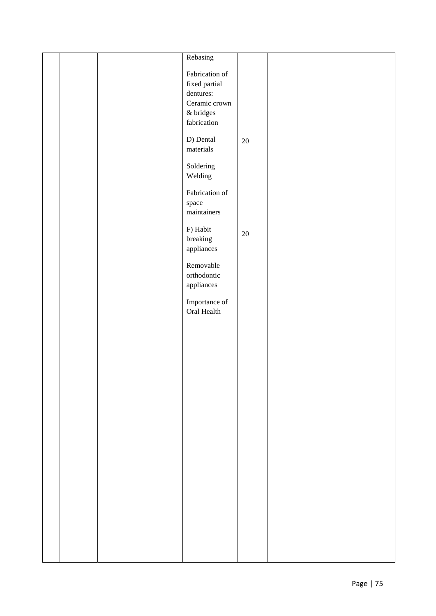|  | Rebasing                     |        |  |
|--|------------------------------|--------|--|
|  | Fabrication of               |        |  |
|  |                              |        |  |
|  | fixed partial                |        |  |
|  | dentures:                    |        |  |
|  | Ceramic crown                |        |  |
|  | $\&$ bridges                 |        |  |
|  | $\operatorname{fabrication}$ |        |  |
|  |                              |        |  |
|  | D) Dental                    | $20\,$ |  |
|  | materials                    |        |  |
|  | Soldering                    |        |  |
|  |                              |        |  |
|  | Welding                      |        |  |
|  | Fabrication of               |        |  |
|  | space                        |        |  |
|  | maintainers                  |        |  |
|  |                              |        |  |
|  | F) Habit                     |        |  |
|  | breaking                     | $20\,$ |  |
|  | appliances                   |        |  |
|  |                              |        |  |
|  | Removable                    |        |  |
|  | orthodontic                  |        |  |
|  | appliances                   |        |  |
|  |                              |        |  |
|  | Importance of                |        |  |
|  | Oral Health                  |        |  |
|  |                              |        |  |
|  |                              |        |  |
|  |                              |        |  |
|  |                              |        |  |
|  |                              |        |  |
|  |                              |        |  |
|  |                              |        |  |
|  |                              |        |  |
|  |                              |        |  |
|  |                              |        |  |
|  |                              |        |  |
|  |                              |        |  |
|  |                              |        |  |
|  |                              |        |  |
|  |                              |        |  |
|  |                              |        |  |
|  |                              |        |  |
|  |                              |        |  |
|  |                              |        |  |
|  |                              |        |  |
|  |                              |        |  |
|  |                              |        |  |
|  |                              |        |  |
|  |                              |        |  |
|  |                              |        |  |
|  |                              |        |  |
|  |                              |        |  |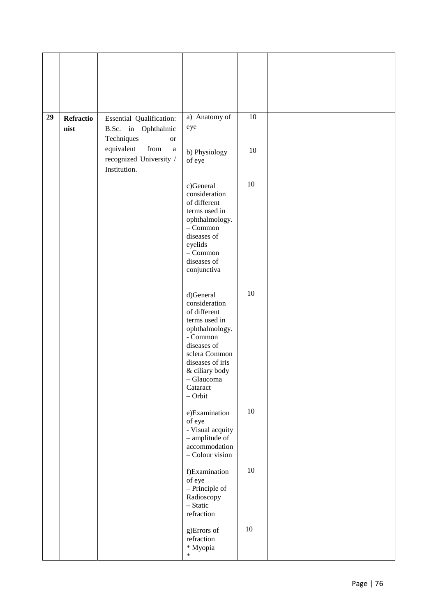| 29 | Refractio<br>nist | Essential Qualification:<br>B.Sc. in Ophthalmic<br>Techniques<br><b>or</b> | a) Anatomy of<br>eye                                                                                                                                                                                   | 10     |
|----|-------------------|----------------------------------------------------------------------------|--------------------------------------------------------------------------------------------------------------------------------------------------------------------------------------------------------|--------|
|    |                   | from<br>equivalent<br>$\rm{a}$<br>recognized University /<br>Institution.  | b) Physiology<br>of eye                                                                                                                                                                                | 10     |
|    |                   |                                                                            | c)General<br>consideration<br>of different<br>terms used in<br>ophthalmology.<br>$-$ Common<br>diseases of<br>eyelids<br>$-$ Common<br>diseases of<br>conjunctiva                                      | 10     |
|    |                   |                                                                            | d)General<br>consideration<br>of different<br>terms used in<br>ophthalmology.<br>- Common<br>diseases of<br>sclera Common<br>diseases of iris<br>& ciliary body<br>- Glaucoma<br>Cataract<br>$-$ Orbit | 10     |
|    |                   |                                                                            | e)Examination<br>of eye<br>- Visual acquity<br>- amplitude of<br>accommodation<br>- Colour vision                                                                                                      | $10\,$ |
|    |                   |                                                                            | f)Examination<br>of eye<br>- Principle of<br>Radioscopy<br>- Static<br>refraction                                                                                                                      | $10\,$ |
|    |                   |                                                                            | g)Errors of<br>refraction<br>* Myopia<br>$\ast$                                                                                                                                                        | $10\,$ |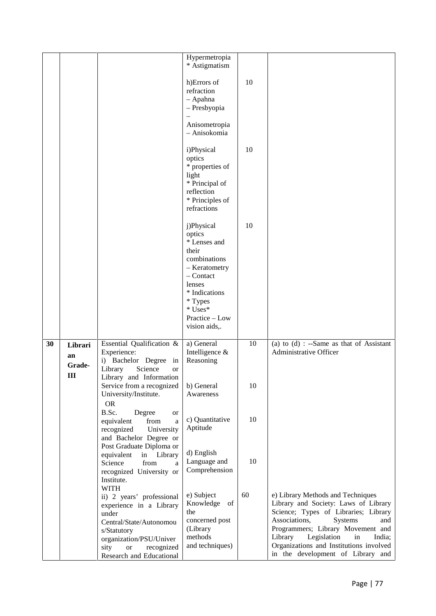|    |                                         |                                                                                                                                                                                                                  | Hypermetropia                                                                                                                                                                     |    |                                                                                                                                                                                                                                                                                                                     |
|----|-----------------------------------------|------------------------------------------------------------------------------------------------------------------------------------------------------------------------------------------------------------------|-----------------------------------------------------------------------------------------------------------------------------------------------------------------------------------|----|---------------------------------------------------------------------------------------------------------------------------------------------------------------------------------------------------------------------------------------------------------------------------------------------------------------------|
|    |                                         |                                                                                                                                                                                                                  | * Astigmatism                                                                                                                                                                     |    |                                                                                                                                                                                                                                                                                                                     |
|    |                                         |                                                                                                                                                                                                                  | h)Errors of<br>refraction<br>- Apahna<br>- Presbyopia<br>Anisometropia<br>- Anisokomia                                                                                            | 10 |                                                                                                                                                                                                                                                                                                                     |
|    |                                         |                                                                                                                                                                                                                  | i)Physical<br>optics<br>* properties of<br>light<br>* Principal of<br>reflection<br>* Principles of<br>refractions                                                                | 10 |                                                                                                                                                                                                                                                                                                                     |
|    |                                         |                                                                                                                                                                                                                  | j)Physical<br>optics<br>* Lenses and<br>their<br>combinations<br>- Keratometry<br>$-$ Contact<br>lenses<br>* Indications<br>* Types<br>* Uses*<br>Practice – Low<br>vision aids,. | 10 |                                                                                                                                                                                                                                                                                                                     |
| 30 | Librari<br>an<br>Grade-<br>$\mathbf{I}$ | Essential Qualification &<br>Experience:<br>i) Bachelor Degree in<br>Library<br>Science<br><b>or</b><br>Library and Information                                                                                  | a) General<br>Intelligence &<br>Reasoning                                                                                                                                         | 10 | (a) to $(d)$ : --Same as that of Assistant<br>Administrative Officer                                                                                                                                                                                                                                                |
|    |                                         | Service from a recognized<br>University/Institute.<br><b>OR</b>                                                                                                                                                  | b) General<br>Awareness                                                                                                                                                           | 10 |                                                                                                                                                                                                                                                                                                                     |
|    |                                         | B.Sc.<br>Degree<br>or<br>equivalent<br>from<br>a<br>recognized<br>University<br>and Bachelor Degree or<br>Post Graduate Diploma or                                                                               | c) Quantitative<br>Aptitude                                                                                                                                                       | 10 |                                                                                                                                                                                                                                                                                                                     |
|    |                                         | equivalent<br>in Library<br>Science<br>from<br>a<br>recognized University or<br>Institute.                                                                                                                       | d) English<br>Language and<br>Comprehension                                                                                                                                       | 10 |                                                                                                                                                                                                                                                                                                                     |
|    |                                         | <b>WITH</b><br>ii) 2 years' professional<br>experience in a Library<br>under<br>Central/State/Autonomou<br>s/Statutory<br>organization/PSU/Univer<br>sity<br>recognized<br><b>or</b><br>Research and Educational | e) Subject<br>Knowledge<br>of<br>the<br>concerned post<br>(Library<br>methods<br>and techniques)                                                                                  | 60 | e) Library Methods and Techniques<br>Library and Society: Laws of Library<br>Science; Types of Libraries; Library<br>Associations,<br>Systems<br>and<br>Programmers; Library Movement and<br>Library<br>Legislation<br>in<br>India;<br>Organizations and Institutions involved<br>in the development of Library and |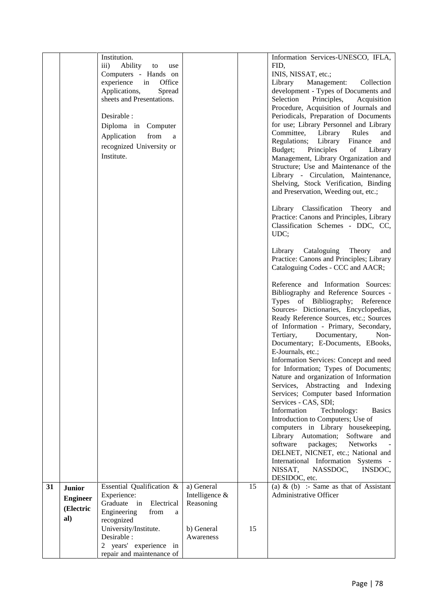|    |                 | Institution.                                     |                |    | Information Services-UNESCO, IFLA,                                                |
|----|-----------------|--------------------------------------------------|----------------|----|-----------------------------------------------------------------------------------|
|    |                 | Ability<br>$\overline{111}$ )<br>to<br>use       |                |    | FID,                                                                              |
|    |                 | Computers - Hands on                             |                |    | INIS, NISSAT, etc.;                                                               |
|    |                 | experience in<br>Office                          |                |    | Library<br>Management:<br>Collection                                              |
|    |                 | Applications,<br>Spread                          |                |    | development - Types of Documents and                                              |
|    |                 | sheets and Presentations.                        |                |    | Selection<br>Principles,<br>Acquisition<br>Procedure, Acquisition of Journals and |
|    |                 | Desirable :                                      |                |    | Periodicals, Preparation of Documents                                             |
|    |                 |                                                  |                |    | for use; Library Personnel and Library                                            |
|    |                 | Diploma in Computer                              |                |    | Committee, Library<br>Rules<br>and                                                |
|    |                 | Application<br>from<br>a                         |                |    | Regulations; Library<br>Finance<br>and                                            |
|    |                 | recognized University or                         |                |    | Budget;<br>Principles<br>of<br>Library                                            |
|    |                 | Institute.                                       |                |    | Management, Library Organization and                                              |
|    |                 |                                                  |                |    | Structure; Use and Maintenance of the                                             |
|    |                 |                                                  |                |    | Library - Circulation, Maintenance,                                               |
|    |                 |                                                  |                |    | Shelving, Stock Verification, Binding                                             |
|    |                 |                                                  |                |    | and Preservation, Weeding out, etc.;                                              |
|    |                 |                                                  |                |    | Library Classification Theory<br>and                                              |
|    |                 |                                                  |                |    | Practice: Canons and Principles, Library                                          |
|    |                 |                                                  |                |    | Classification Schemes - DDC, CC,                                                 |
|    |                 |                                                  |                |    | UDC;                                                                              |
|    |                 |                                                  |                |    | Library Cataloguing Theory<br>and                                                 |
|    |                 |                                                  |                |    | Practice: Canons and Principles; Library                                          |
|    |                 |                                                  |                |    | Cataloguing Codes - CCC and AACR;                                                 |
|    |                 |                                                  |                |    | Reference and Information Sources:                                                |
|    |                 |                                                  |                |    | Bibliography and Reference Sources -                                              |
|    |                 |                                                  |                |    | Types of Bibliography; Reference                                                  |
|    |                 |                                                  |                |    | Sources- Dictionaries, Encyclopedias,                                             |
|    |                 |                                                  |                |    | Ready Reference Sources, etc.; Sources                                            |
|    |                 |                                                  |                |    | of Information - Primary, Secondary,                                              |
|    |                 |                                                  |                |    | Documentary,<br>Tertiary,<br>Non-                                                 |
|    |                 |                                                  |                |    | Documentary; E-Documents, EBooks,<br>E-Journals, etc.;                            |
|    |                 |                                                  |                |    | Information Services: Concept and need                                            |
|    |                 |                                                  |                |    | for Information; Types of Documents;                                              |
|    |                 |                                                  |                |    | Nature and organization of Information                                            |
|    |                 |                                                  |                |    | Services, Abstracting and Indexing                                                |
|    |                 |                                                  |                |    | Services; Computer based Information                                              |
|    |                 |                                                  |                |    | Services - CAS, SDI;                                                              |
|    |                 |                                                  |                |    | Information<br>Technology:<br><b>Basics</b>                                       |
|    |                 |                                                  |                |    | Introduction to Computers; Use of                                                 |
|    |                 |                                                  |                |    | computers in Library housekeeping,<br>Software and                                |
|    |                 |                                                  |                |    | Library Automation;<br>software<br>packages;<br>Networks                          |
|    |                 |                                                  |                |    | DELNET, NICNET, etc.; National and                                                |
|    |                 |                                                  |                |    | International Information Systems -                                               |
|    |                 |                                                  |                |    | NISSAT,<br>NASSDOC,<br>INSDOC,                                                    |
|    |                 |                                                  |                |    | DESIDOC, etc.                                                                     |
| 31 | <b>Junior</b>   | Essential Qualification $\overline{\mathscr{X}}$ | a) General     | 15 | (a) & (b) :- Same as that of $\overline{\text{Assistant}}$                        |
|    | <b>Engineer</b> | Experience:                                      | Intelligence & |    | Administrative Officer                                                            |
|    | (Electric       | Graduate in<br>Electrical                        | Reasoning      |    |                                                                                   |
|    | al)             | Engineering<br>from<br>a<br>recognized           |                |    |                                                                                   |
|    |                 | University/Institute.                            | b) General     | 15 |                                                                                   |
|    |                 | Desirable :                                      | Awareness      |    |                                                                                   |
|    |                 | 2 years' experience in                           |                |    |                                                                                   |
|    |                 | repair and maintenance of                        |                |    |                                                                                   |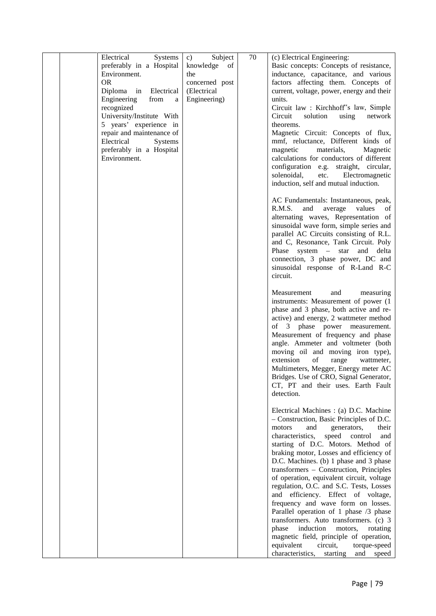| recognized<br>University/Institute With<br>5 years' experience in<br>repair and maintenance of<br>Electrical<br>Systems<br>preferably in a Hospital<br>Environment. |  | units.<br>Circuit law : Kirchhoff's law, Simple<br>Circuit<br>solution<br>using<br>network<br>theorems.<br>Magnetic Circuit: Concepts of flux,<br>mmf, reluctance, Different kinds of<br>magnetic<br>materials,<br>Magnetic<br>calculations for conductors of different<br>configuration e.g. straight, circular,<br>solenoidal,<br>Electromagnetic<br>etc.                                                                                                                                                                                                                                                                                                                                                                                |  |
|---------------------------------------------------------------------------------------------------------------------------------------------------------------------|--|--------------------------------------------------------------------------------------------------------------------------------------------------------------------------------------------------------------------------------------------------------------------------------------------------------------------------------------------------------------------------------------------------------------------------------------------------------------------------------------------------------------------------------------------------------------------------------------------------------------------------------------------------------------------------------------------------------------------------------------------|--|
|                                                                                                                                                                     |  | induction, self and mutual induction.<br>AC Fundamentals: Instantaneous, peak,<br>R.M.S.<br>and<br>average<br>values<br>of<br>alternating waves, Representation of<br>sinusoidal wave form, simple series and<br>parallel AC Circuits consisting of R.L.<br>and C, Resonance, Tank Circuit. Poly<br>Phase system $-$ star<br>and delta<br>connection, 3 phase power, DC and<br>sinusoidal response of R-Land R-C<br>circuit.                                                                                                                                                                                                                                                                                                               |  |
|                                                                                                                                                                     |  | Measurement<br>and<br>measuring<br>instruments: Measurement of power (1)<br>phase and 3 phase, both active and re-<br>active) and energy, 2 wattmeter method<br>of 3 phase power measurement.<br>Measurement of frequency and phase<br>angle. Ammeter and voltmeter (both<br>moving oil and moving iron type),<br>extension<br>of<br>range<br>wattmeter,<br>Multimeters, Megger, Energy meter AC<br>Bridges. Use of CRO, Signal Generator,<br>CT, PT and their uses. Earth Fault<br>detection.                                                                                                                                                                                                                                             |  |
|                                                                                                                                                                     |  | Electrical Machines : (a) D.C. Machine<br>- Construction, Basic Principles of D.C.<br>and<br>generators,<br>their<br>motors<br>characteristics,<br>speed<br>control<br>and<br>starting of D.C. Motors. Method of<br>braking motor, Losses and efficiency of<br>D.C. Machines. (b) 1 phase and 3 phase<br>transformers - Construction, Principles<br>of operation, equivalent circuit, voltage<br>regulation, O.C. and S.C. Tests, Losses<br>and efficiency. Effect of voltage,<br>frequency and wave form on losses.<br>Parallel operation of 1 phase /3 phase<br>transformers. Auto transformers. (c) 3<br>induction<br>motors,<br>phase<br>rotating<br>magnetic field, principle of operation,<br>equivalent<br>circuit,<br>torque-speed |  |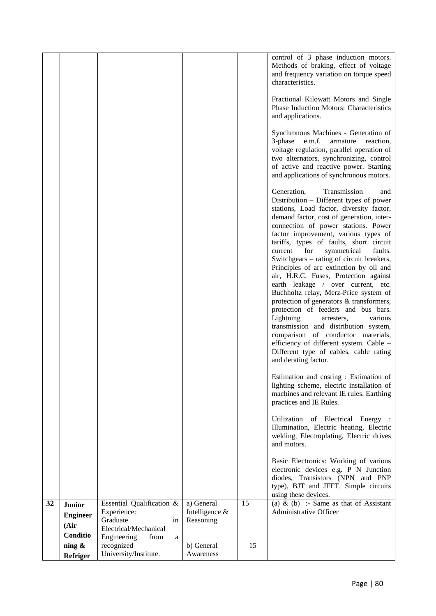|    |                                                      |                                                                                                                 |                                           |    | control of 3 phase induction motors.<br>Methods of braking, effect of voltage<br>and frequency variation on torque speed<br>characteristics.<br>Fractional Kilowatt Motors and Single<br>Phase Induction Motors: Characteristics<br>and applications.<br>Synchronous Machines - Generation of                                                                                                                                                                                                                                                                                                                                                                                                                                                                                                                                                                                     |
|----|------------------------------------------------------|-----------------------------------------------------------------------------------------------------------------|-------------------------------------------|----|-----------------------------------------------------------------------------------------------------------------------------------------------------------------------------------------------------------------------------------------------------------------------------------------------------------------------------------------------------------------------------------------------------------------------------------------------------------------------------------------------------------------------------------------------------------------------------------------------------------------------------------------------------------------------------------------------------------------------------------------------------------------------------------------------------------------------------------------------------------------------------------|
|    |                                                      |                                                                                                                 |                                           |    | e.m.f.<br>armature<br>3-phase<br>reaction,<br>voltage regulation, parallel operation of<br>two alternators, synchronizing, control<br>of active and reactive power. Starting<br>and applications of synchronous motors.                                                                                                                                                                                                                                                                                                                                                                                                                                                                                                                                                                                                                                                           |
|    |                                                      |                                                                                                                 |                                           |    | Generation,<br>Transmission<br>and<br>Distribution – Different types of power<br>stations, Load factor, diversity factor,<br>demand factor, cost of generation, inter-<br>connection of power stations. Power<br>factor improvement, various types of<br>tariffs, types of faults, short circuit<br>for<br>symmetrical<br>current<br>faults.<br>Switchgears – rating of circuit breakers,<br>Principles of arc extinction by oil and<br>air, H.R.C. Fuses, Protection against<br>earth leakage / over current, etc.<br>Buchholtz relay, Merz-Price system of<br>protection of generators & transformers,<br>protection of feeders and bus bars.<br>Lightning<br>various<br>arresters,<br>transmission and distribution system,<br>comparison of conductor materials,<br>efficiency of different system. Cable -<br>Different type of cables, cable rating<br>and derating factor. |
|    |                                                      |                                                                                                                 |                                           |    | Estimation and costing : Estimation of<br>lighting scheme, electric installation of<br>machines and relevant IE rules. Earthing<br>practices and IE Rules.                                                                                                                                                                                                                                                                                                                                                                                                                                                                                                                                                                                                                                                                                                                        |
|    |                                                      |                                                                                                                 |                                           |    | Utilization of Electrical Energy :<br>Illumination, Electric heating, Electric<br>welding, Electroplating, Electric drives<br>and motors.                                                                                                                                                                                                                                                                                                                                                                                                                                                                                                                                                                                                                                                                                                                                         |
|    |                                                      |                                                                                                                 |                                           |    | Basic Electronics: Working of various<br>electronic devices e.g. P N Junction<br>diodes, Transistors (NPN and PNP<br>type), BJT and JFET. Simple circuits<br>using these devices.                                                                                                                                                                                                                                                                                                                                                                                                                                                                                                                                                                                                                                                                                                 |
| 32 | <b>Junior</b><br><b>Engineer</b><br>(Air<br>Conditio | Essential Qualification &<br>Experience:<br>Graduate<br>in<br>Electrical/Mechanical<br>Engineering<br>from<br>a | a) General<br>Intelligence &<br>Reasoning | 15 | (a) & (b) :- Same as that of Assistant<br><b>Administrative Officer</b>                                                                                                                                                                                                                                                                                                                                                                                                                                                                                                                                                                                                                                                                                                                                                                                                           |
|    | ning &<br>Refriger                                   | recognized<br>University/Institute.                                                                             | b) General<br>Awareness                   | 15 |                                                                                                                                                                                                                                                                                                                                                                                                                                                                                                                                                                                                                                                                                                                                                                                                                                                                                   |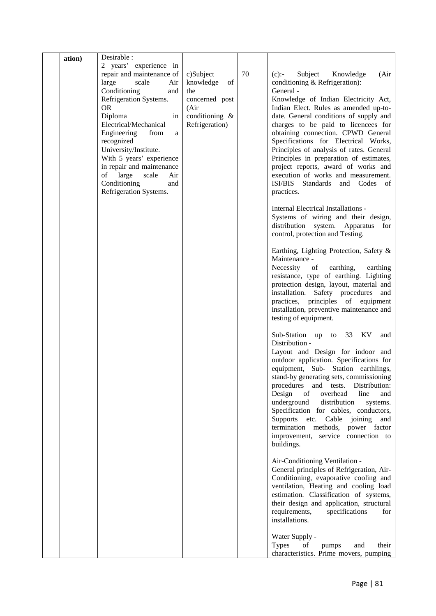| ation) | Desirable :                                                                                                                                                                                                                                                                                                                                                                                   |                                                                                                    |    |                                                                                                                                                                                                                                                                                                                                                                                                                                                                                                                                                                  |  |
|--------|-----------------------------------------------------------------------------------------------------------------------------------------------------------------------------------------------------------------------------------------------------------------------------------------------------------------------------------------------------------------------------------------------|----------------------------------------------------------------------------------------------------|----|------------------------------------------------------------------------------------------------------------------------------------------------------------------------------------------------------------------------------------------------------------------------------------------------------------------------------------------------------------------------------------------------------------------------------------------------------------------------------------------------------------------------------------------------------------------|--|
|        | 2 years' experience in<br>repair and maintenance of<br>large<br>scale<br>Air<br>Conditioning<br>and<br>Refrigeration Systems.<br><b>OR</b><br>Diploma<br>in<br>Electrical/Mechanical<br>Engineering<br>from<br>a<br>recognized<br>University/Institute.<br>With 5 years' experience<br>in repair and maintenance<br>of large<br>scale<br>Air<br>Conditioning<br>and<br>Refrigeration Systems. | c)Subject<br>knowledge<br>of<br>the<br>concerned post<br>(Air)<br>conditioning &<br>Refrigeration) | 70 | Subject<br>Knowledge<br>$(c)$ :-<br>(Air)<br>conditioning & Refrigeration):<br>General -<br>Knowledge of Indian Electricity Act,<br>Indian Elect. Rules as amended up-to-<br>date. General conditions of supply and<br>charges to be paid to licencees for<br>obtaining connection. CPWD General<br>Specifications for Electrical Works,<br>Principles of analysis of rates. General<br>Principles in preparation of estimates,<br>project reports, award of works and<br>execution of works and measurement.<br>ISI/BIS Standards<br>and Codes of<br>practices. |  |
|        |                                                                                                                                                                                                                                                                                                                                                                                               |                                                                                                    |    | <b>Internal Electrical Installations -</b><br>Systems of wiring and their design,<br>distribution system. Apparatus<br>for<br>control, protection and Testing.                                                                                                                                                                                                                                                                                                                                                                                                   |  |
|        |                                                                                                                                                                                                                                                                                                                                                                                               |                                                                                                    |    | Earthing, Lighting Protection, Safety &<br>Maintenance -<br>Necessity<br>of<br>earthing,<br>earthing<br>resistance, type of earthing. Lighting<br>protection design, layout, material and<br>installation. Safety procedures<br>and<br>practices, principles of equipment<br>installation, preventive maintenance and<br>testing of equipment.                                                                                                                                                                                                                   |  |
|        |                                                                                                                                                                                                                                                                                                                                                                                               |                                                                                                    |    | Sub-Station up to 33 KV<br>and<br>Distribution -<br>Layout and Design for indoor and<br>outdoor application. Specifications for<br>equipment, Sub- Station earthlings,<br>stand-by generating sets, commissioning<br>procedures<br>Distribution:<br>and<br>tests.<br>Design<br>line<br>of<br>overhead<br>and<br>underground<br>distribution<br>systems.<br>Specification for cables, conductors,<br>Supports etc.<br>joining<br>Cable<br>and<br>termination methods, power factor<br>improvement, service connection to<br>buildings.                            |  |
|        |                                                                                                                                                                                                                                                                                                                                                                                               |                                                                                                    |    | Air-Conditioning Ventilation -<br>General principles of Refrigeration, Air-<br>Conditioning, evaporative cooling and<br>ventilation, Heating and cooling load<br>estimation. Classification of systems,<br>their design and application, structural<br>requirements,<br>specifications<br>for<br>installations.                                                                                                                                                                                                                                                  |  |
|        |                                                                                                                                                                                                                                                                                                                                                                                               |                                                                                                    |    | Water Supply -<br><b>Types</b><br>of<br>and<br>their<br>pumps<br>characteristics. Prime movers, pumping                                                                                                                                                                                                                                                                                                                                                                                                                                                          |  |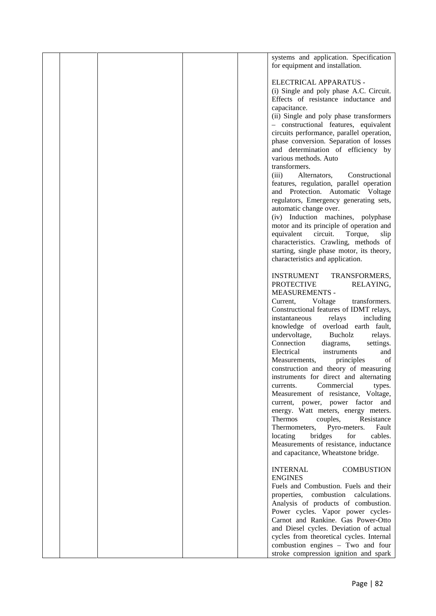|  |  | systems and application. Specification    |  |
|--|--|-------------------------------------------|--|
|  |  | for equipment and installation.           |  |
|  |  |                                           |  |
|  |  |                                           |  |
|  |  | ELECTRICAL APPARATUS -                    |  |
|  |  | (i) Single and poly phase A.C. Circuit.   |  |
|  |  | Effects of resistance inductance and      |  |
|  |  | capacitance.                              |  |
|  |  | (ii) Single and poly phase transformers   |  |
|  |  | - constructional features, equivalent     |  |
|  |  |                                           |  |
|  |  | circuits performance, parallel operation, |  |
|  |  | phase conversion. Separation of losses    |  |
|  |  | and determination of efficiency by        |  |
|  |  | various methods. Auto                     |  |
|  |  | transformers.                             |  |
|  |  | Alternators,<br>Constructional<br>(iii)   |  |
|  |  | features, regulation, parallel operation  |  |
|  |  |                                           |  |
|  |  | and Protection. Automatic Voltage         |  |
|  |  | regulators, Emergency generating sets,    |  |
|  |  | automatic change over.                    |  |
|  |  | (iv) Induction machines, polyphase        |  |
|  |  | motor and its principle of operation and  |  |
|  |  | equivalent<br>circuit.<br>Torque,<br>slip |  |
|  |  | characteristics. Crawling, methods of     |  |
|  |  | starting, single phase motor, its theory, |  |
|  |  |                                           |  |
|  |  | characteristics and application.          |  |
|  |  |                                           |  |
|  |  | <b>INSTRUMENT</b><br>TRANSFORMERS,        |  |
|  |  | <b>PROTECTIVE</b><br>RELAYING,            |  |
|  |  | <b>MEASUREMENTS -</b>                     |  |
|  |  | Voltage<br>transformers.<br>Current,      |  |
|  |  | Constructional features of IDMT relays,   |  |
|  |  |                                           |  |
|  |  | instantaneous<br>relays<br>including      |  |
|  |  | knowledge of overload earth fault,        |  |
|  |  | undervoltage,<br>Bucholz<br>relays.       |  |
|  |  | Connection<br>diagrams,<br>settings.      |  |
|  |  | Electrical<br>instruments<br>and          |  |
|  |  | Measurements,<br>of<br>principles         |  |
|  |  | construction and theory of measuring      |  |
|  |  | instruments for direct and alternating    |  |
|  |  |                                           |  |
|  |  | Commercial<br>currents.<br>types.         |  |
|  |  | Measurement of resistance, Voltage,       |  |
|  |  | current, power, power factor and          |  |
|  |  | energy. Watt meters, energy meters.       |  |
|  |  | Resistance<br>Thermos<br>couples,         |  |
|  |  | Thermometers,<br>Pyro-meters.<br>Fault    |  |
|  |  | bridges<br>locating<br>for<br>cables.     |  |
|  |  | Measurements of resistance, inductance    |  |
|  |  | and capacitance, Wheatstone bridge.       |  |
|  |  |                                           |  |
|  |  |                                           |  |
|  |  | <b>COMBUSTION</b><br><b>INTERNAL</b>      |  |
|  |  | <b>ENGINES</b>                            |  |
|  |  | Fuels and Combustion. Fuels and their     |  |
|  |  | combustion calculations.<br>properties,   |  |
|  |  | Analysis of products of combustion.       |  |
|  |  | Power cycles. Vapor power cycles-         |  |
|  |  | Carnot and Rankine. Gas Power-Otto        |  |
|  |  |                                           |  |
|  |  | and Diesel cycles. Deviation of actual    |  |
|  |  | cycles from theoretical cycles. Internal  |  |
|  |  | combustion engines - Two and four         |  |
|  |  | stroke compression ignition and spark     |  |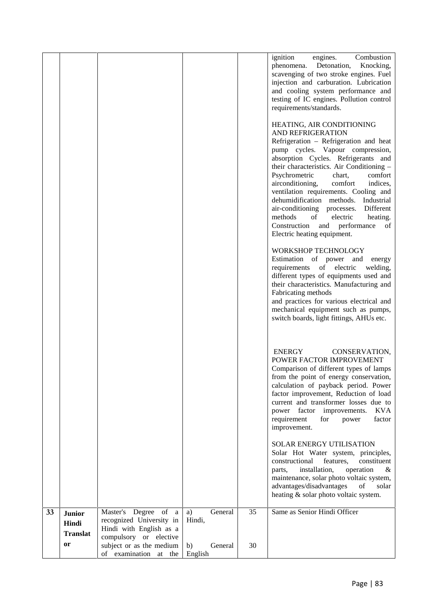|    |                                           |                                                                                                       |                          |    | ignition<br>Combustion<br>engines.<br>Detonation,<br>phenomena.<br>Knocking,<br>scavenging of two stroke engines. Fuel<br>injection and carburation. Lubrication<br>and cooling system performance and<br>testing of IC engines. Pollution control<br>requirements/standards.<br>HEATING, AIR CONDITIONING<br>AND REFRIGERATION<br>Refrigeration – Refrigeration and heat<br>pump cycles. Vapour compression,<br>absorption Cycles. Refrigerants and<br>their characteristics. Air Conditioning -<br>Psychrometric<br>comfort<br>chart,<br>airconditioning,<br>comfort<br>indices,<br>ventilation requirements. Cooling and<br>dehumidification methods. Industrial<br>air-conditioning processes.<br>Different<br>methods<br>of<br>electric<br>heating.<br>Construction and performance<br>of<br>Electric heating equipment.<br><b>WORKSHOP TECHNOLOGY</b><br>Estimation of power and energy<br>requirements of electric<br>welding,<br>different types of equipments used and<br>their characteristics. Manufacturing and<br>Fabricating methods<br>and practices for various electrical and<br>mechanical equipment such as pumps,<br>switch boards, light fittings, AHUs etc. |  |
|----|-------------------------------------------|-------------------------------------------------------------------------------------------------------|--------------------------|----|-----------------------------------------------------------------------------------------------------------------------------------------------------------------------------------------------------------------------------------------------------------------------------------------------------------------------------------------------------------------------------------------------------------------------------------------------------------------------------------------------------------------------------------------------------------------------------------------------------------------------------------------------------------------------------------------------------------------------------------------------------------------------------------------------------------------------------------------------------------------------------------------------------------------------------------------------------------------------------------------------------------------------------------------------------------------------------------------------------------------------------------------------------------------------------------|--|
|    |                                           |                                                                                                       |                          |    | ENERGY<br>CONSERVATION,<br>POWER FACTOR IMPROVEMENT<br>Comparison of different types of lamps<br>from the point of energy conservation,<br>calculation of payback period. Power<br>factor improvement, Reduction of load<br>current and transformer losses due to<br>power factor improvements.<br><b>KVA</b><br>requirement<br>for<br>power<br>factor<br>improvement.<br>SOLAR ENERGY UTILISATION<br>Solar Hot Water system, principles,<br>constituent<br>constructional<br>features.<br>operation<br>installation,<br>parts,<br>&<br>maintenance, solar photo voltaic system,<br>advantages/disadvantages<br>of<br>solar<br>heating & solar photo voltaic system.                                                                                                                                                                                                                                                                                                                                                                                                                                                                                                              |  |
| 33 | <b>Junior</b><br>Hindi<br><b>Translat</b> | Master's Degree of a<br>recognized University in<br>Hindi with English as a<br>compulsory or elective | General<br>a)<br>Hindi,  | 35 | Same as Senior Hindi Officer                                                                                                                                                                                                                                                                                                                                                                                                                                                                                                                                                                                                                                                                                                                                                                                                                                                                                                                                                                                                                                                                                                                                                      |  |
|    | or                                        | subject or as the medium<br>of examination at the                                                     | b)<br>General<br>English | 30 |                                                                                                                                                                                                                                                                                                                                                                                                                                                                                                                                                                                                                                                                                                                                                                                                                                                                                                                                                                                                                                                                                                                                                                                   |  |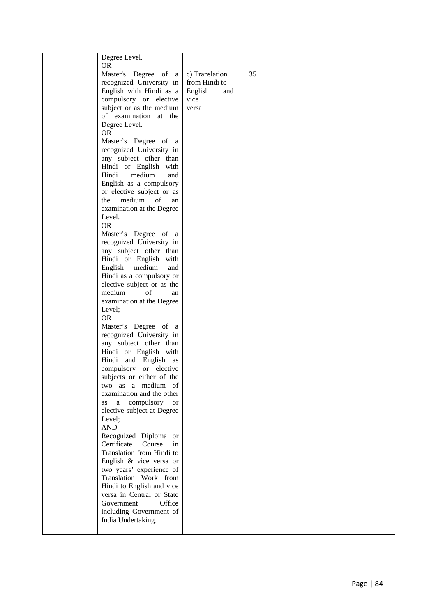| Degree Level.                       |                |    |  |
|-------------------------------------|----------------|----|--|
| <b>OR</b>                           |                |    |  |
| Master's Degree of a                | c) Translation | 35 |  |
| recognized University in            | from Hindi to  |    |  |
| English with Hindi as a             | English<br>and |    |  |
| compulsory or elective              | vice           |    |  |
| subject or as the medium            | versa          |    |  |
| of examination at the               |                |    |  |
|                                     |                |    |  |
| Degree Level.                       |                |    |  |
| <b>OR</b>                           |                |    |  |
| Master's Degree of a                |                |    |  |
| recognized University in            |                |    |  |
| any subject other than              |                |    |  |
| Hindi or English with               |                |    |  |
| Hindi<br>medium<br>and              |                |    |  |
| English as a compulsory             |                |    |  |
| or elective subject or as           |                |    |  |
| medium<br>of<br>the<br>an           |                |    |  |
| examination at the Degree           |                |    |  |
| Level.                              |                |    |  |
| <b>OR</b>                           |                |    |  |
| Master's Degree of a                |                |    |  |
| recognized University in            |                |    |  |
| any subject other than              |                |    |  |
| Hindi or English with               |                |    |  |
| English<br>medium<br>and            |                |    |  |
| Hindi as a compulsory or            |                |    |  |
| elective subject or as the          |                |    |  |
| medium<br>of<br>an                  |                |    |  |
| examination at the Degree           |                |    |  |
| Level;                              |                |    |  |
| <b>OR</b>                           |                |    |  |
| Master's Degree of a                |                |    |  |
| recognized University in            |                |    |  |
| any subject other than              |                |    |  |
| Hindi or English with               |                |    |  |
| Hindi and English as                |                |    |  |
| compulsory or elective              |                |    |  |
| subjects or either of the           |                |    |  |
| two as a medium of                  |                |    |  |
| examination and the other           |                |    |  |
| a compulsory<br><sub>or</sub><br>as |                |    |  |
| elective subject at Degree          |                |    |  |
| Level;                              |                |    |  |
| <b>AND</b>                          |                |    |  |
| Recognized Diploma or               |                |    |  |
| Certificate<br>Course<br>in         |                |    |  |
| Translation from Hindi to           |                |    |  |
| English & vice versa or             |                |    |  |
| two years' experience of            |                |    |  |
| Translation Work from               |                |    |  |
| Hindi to English and vice           |                |    |  |
| versa in Central or State           |                |    |  |
| Office<br>Government                |                |    |  |
| including Government of             |                |    |  |
| India Undertaking.                  |                |    |  |
|                                     |                |    |  |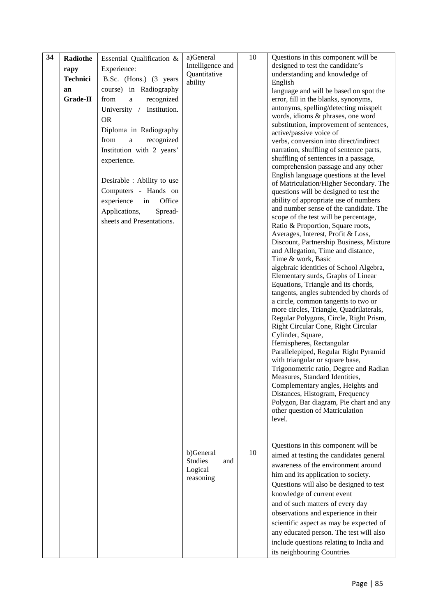| 34 | Radiothe        | Essential Qualification &    | a)General             | 10 | Questions in this component will be                                              |
|----|-----------------|------------------------------|-----------------------|----|----------------------------------------------------------------------------------|
|    | rapy            | Experience:                  | Intelligence and      |    | designed to test the candidate's                                                 |
|    | <b>Technici</b> | B.Sc. (Hons.) (3 years       | Quantitative          |    | understanding and knowledge of                                                   |
|    | an              | course) in Radiography       | ability               |    | English                                                                          |
|    | Grade-II        | from<br>recognized<br>a      |                       |    | language and will be based on spot the<br>error, fill in the blanks, synonyms,   |
|    |                 |                              |                       |    | antonyms, spelling/detecting misspelt                                            |
|    |                 | University /<br>Institution. |                       |    | words, idioms & phrases, one word                                                |
|    |                 | <b>OR</b>                    |                       |    | substitution, improvement of sentences,                                          |
|    |                 | Diploma in Radiography       |                       |    | active/passive voice of                                                          |
|    |                 | recognized<br>from<br>a      |                       |    | verbs, conversion into direct/indirect                                           |
|    |                 | Institution with 2 years'    |                       |    | narration, shuffling of sentence parts,                                          |
|    |                 | experience.                  |                       |    | shuffling of sentences in a passage,                                             |
|    |                 |                              |                       |    | comprehension passage and any other                                              |
|    |                 | Desirable : Ability to use   |                       |    | English language questions at the level                                          |
|    |                 | Computers - Hands on         |                       |    | of Matriculation/Higher Secondary. The<br>questions will be designed to test the |
|    |                 | experience<br>in<br>Office   |                       |    | ability of appropriate use of numbers                                            |
|    |                 |                              |                       |    | and number sense of the candidate. The                                           |
|    |                 | Applications,<br>Spread-     |                       |    | scope of the test will be percentage,                                            |
|    |                 | sheets and Presentations.    |                       |    | Ratio & Proportion, Square roots,                                                |
|    |                 |                              |                       |    | Averages, Interest, Profit & Loss,                                               |
|    |                 |                              |                       |    | Discount, Partnership Business, Mixture                                          |
|    |                 |                              |                       |    | and Allegation, Time and distance,                                               |
|    |                 |                              |                       |    | Time & work, Basic                                                               |
|    |                 |                              |                       |    | algebraic identities of School Algebra,<br>Elementary surds, Graphs of Linear    |
|    |                 |                              |                       |    | Equations, Triangle and its chords,                                              |
|    |                 |                              |                       |    | tangents, angles subtended by chords of                                          |
|    |                 |                              |                       |    | a circle, common tangents to two or                                              |
|    |                 |                              |                       |    | more circles, Triangle, Quadrilaterals,                                          |
|    |                 |                              |                       |    | Regular Polygons, Circle, Right Prism,                                           |
|    |                 |                              |                       |    | Right Circular Cone, Right Circular                                              |
|    |                 |                              |                       |    | Cylinder, Square,                                                                |
|    |                 |                              |                       |    | Hemispheres, Rectangular                                                         |
|    |                 |                              |                       |    | Parallelepiped, Regular Right Pyramid<br>with triangular or square base,         |
|    |                 |                              |                       |    | Trigonometric ratio, Degree and Radian                                           |
|    |                 |                              |                       |    | Measures, Standard Identities,                                                   |
|    |                 |                              |                       |    | Complementary angles, Heights and                                                |
|    |                 |                              |                       |    | Distances, Histogram, Frequency                                                  |
|    |                 |                              |                       |    | Polygon, Bar diagram, Pie chart and any                                          |
|    |                 |                              |                       |    | other question of Matriculation                                                  |
|    |                 |                              |                       |    | level.                                                                           |
|    |                 |                              |                       |    |                                                                                  |
|    |                 |                              |                       |    |                                                                                  |
|    |                 |                              | b)General             | 10 | Questions in this component will be                                              |
|    |                 |                              | <b>Studies</b><br>and |    | aimed at testing the candidates general                                          |
|    |                 |                              | Logical               |    | awareness of the environment around                                              |
|    |                 |                              | reasoning             |    | him and its application to society.                                              |
|    |                 |                              |                       |    | Questions will also be designed to test                                          |
|    |                 |                              |                       |    | knowledge of current event                                                       |
|    |                 |                              |                       |    | and of such matters of every day                                                 |
|    |                 |                              |                       |    | observations and experience in their                                             |
|    |                 |                              |                       |    | scientific aspect as may be expected of                                          |
|    |                 |                              |                       |    | any educated person. The test will also                                          |
|    |                 |                              |                       |    | include questions relating to India and                                          |
|    |                 |                              |                       |    | its neighbouring Countries                                                       |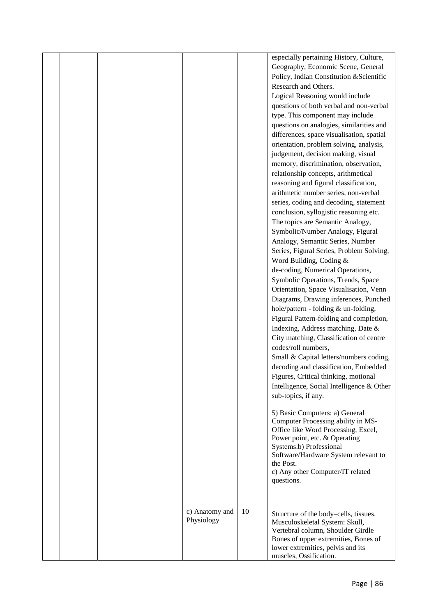|  |                              |    | especially pertaining History, Culture,<br>Geography, Economic Scene, General<br>Policy, Indian Constitution & Scientific<br>Research and Others.<br>Logical Reasoning would include<br>questions of both verbal and non-verbal<br>type. This component may include<br>questions on analogies, similarities and<br>differences, space visualisation, spatial<br>orientation, problem solving, analysis,<br>judgement, decision making, visual<br>memory, discrimination, observation,<br>relationship concepts, arithmetical<br>reasoning and figural classification,<br>arithmetic number series, non-verbal<br>series, coding and decoding, statement<br>conclusion, syllogistic reasoning etc.<br>The topics are Semantic Analogy,<br>Symbolic/Number Analogy, Figural<br>Analogy, Semantic Series, Number<br>Series, Figural Series, Problem Solving,<br>Word Building, Coding &<br>de-coding, Numerical Operations,<br>Symbolic Operations, Trends, Space<br>Orientation, Space Visualisation, Venn<br>Diagrams, Drawing inferences, Punched<br>hole/pattern - folding & un-folding,<br>Figural Pattern-folding and completion,<br>Indexing, Address matching, Date &<br>City matching, Classification of centre<br>codes/roll numbers,<br>Small & Capital letters/numbers coding,<br>decoding and classification, Embedded<br>Figures, Critical thinking, motional<br>Intelligence, Social Intelligence & Other<br>sub-topics, if any.<br>5) Basic Computers: a) General<br>Computer Processing ability in MS-<br>Office like Word Processing, Excel,<br>Power point, etc. & Operating<br>Systems.b) Professional<br>Software/Hardware System relevant to<br>the Post.<br>c) Any other Computer/IT related<br>questions. |
|--|------------------------------|----|--------------------------------------------------------------------------------------------------------------------------------------------------------------------------------------------------------------------------------------------------------------------------------------------------------------------------------------------------------------------------------------------------------------------------------------------------------------------------------------------------------------------------------------------------------------------------------------------------------------------------------------------------------------------------------------------------------------------------------------------------------------------------------------------------------------------------------------------------------------------------------------------------------------------------------------------------------------------------------------------------------------------------------------------------------------------------------------------------------------------------------------------------------------------------------------------------------------------------------------------------------------------------------------------------------------------------------------------------------------------------------------------------------------------------------------------------------------------------------------------------------------------------------------------------------------------------------------------------------------------------------------------------------------------------------------------------------------------------------|
|  | c) Anatomy and<br>Physiology | 10 | Structure of the body-cells, tissues.<br>Musculoskeletal System: Skull,<br>Vertebral column, Shoulder Girdle<br>Bones of upper extremities, Bones of<br>lower extremities, pelvis and its<br>muscles, Ossification.                                                                                                                                                                                                                                                                                                                                                                                                                                                                                                                                                                                                                                                                                                                                                                                                                                                                                                                                                                                                                                                                                                                                                                                                                                                                                                                                                                                                                                                                                                            |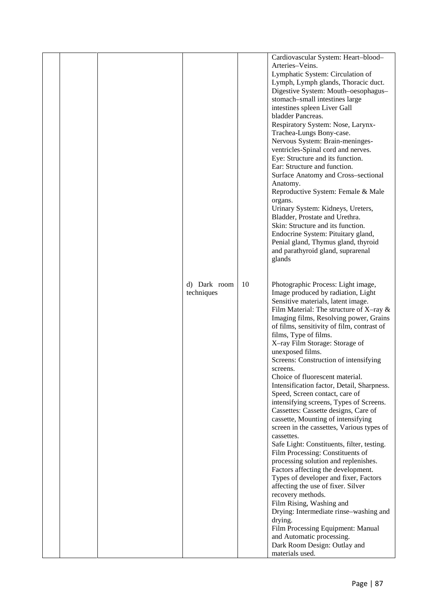|  |              |    | Cardiovascular System: Heart-blood-        |  |
|--|--------------|----|--------------------------------------------|--|
|  |              |    | Arteries-Veins.                            |  |
|  |              |    | Lymphatic System: Circulation of           |  |
|  |              |    | Lymph, Lymph glands, Thoracic duct.        |  |
|  |              |    | Digestive System: Mouth-oesophagus-        |  |
|  |              |    | stomach-small intestines large             |  |
|  |              |    | intestines spleen Liver Gall               |  |
|  |              |    | bladder Pancreas.                          |  |
|  |              |    | Respiratory System: Nose, Larynx-          |  |
|  |              |    | Trachea-Lungs Bony-case.                   |  |
|  |              |    | Nervous System: Brain-meninges-            |  |
|  |              |    | ventricles-Spinal cord and nerves.         |  |
|  |              |    | Eye: Structure and its function.           |  |
|  |              |    | Ear: Structure and function.               |  |
|  |              |    | Surface Anatomy and Cross-sectional        |  |
|  |              |    | Anatomy.                                   |  |
|  |              |    | Reproductive System: Female & Male         |  |
|  |              |    | organs.                                    |  |
|  |              |    | Urinary System: Kidneys, Ureters,          |  |
|  |              |    | Bladder, Prostate and Urethra.             |  |
|  |              |    | Skin: Structure and its function.          |  |
|  |              |    | Endocrine System: Pituitary gland,         |  |
|  |              |    | Penial gland, Thymus gland, thyroid        |  |
|  |              |    | and parathyroid gland, suprarenal          |  |
|  |              |    | glands                                     |  |
|  |              |    |                                            |  |
|  |              |    |                                            |  |
|  | d) Dark room | 10 | Photographic Process: Light image,         |  |
|  | techniques   |    | Image produced by radiation, Light         |  |
|  |              |    | Sensitive materials, latent image.         |  |
|  |              |    | Film Material: The structure of X-ray $\&$ |  |
|  |              |    | Imaging films, Resolving power, Grains     |  |
|  |              |    | of films, sensitivity of film, contrast of |  |
|  |              |    | films, Type of films.                      |  |
|  |              |    | X-ray Film Storage: Storage of             |  |
|  |              |    | unexposed films.                           |  |
|  |              |    | Screens: Construction of intensifying      |  |
|  |              |    | screens.                                   |  |
|  |              |    | Choice of fluorescent material.            |  |
|  |              |    | Intensification factor, Detail, Sharpness. |  |
|  |              |    | Speed, Screen contact, care of             |  |
|  |              |    | intensifying screens, Types of Screens.    |  |
|  |              |    | Cassettes: Cassette designs, Care of       |  |
|  |              |    | cassette, Mounting of intensifying         |  |
|  |              |    | screen in the cassettes, Various types of  |  |
|  |              |    | cassettes.                                 |  |
|  |              |    | Safe Light: Constituents, filter, testing. |  |
|  |              |    | Film Processing: Constituents of           |  |
|  |              |    | processing solution and replenishes.       |  |
|  |              |    | Factors affecting the development.         |  |
|  |              |    | Types of developer and fixer, Factors      |  |
|  |              |    | affecting the use of fixer. Silver         |  |
|  |              |    | recovery methods.                          |  |
|  |              |    | Film Rising, Washing and                   |  |
|  |              |    | Drying: Intermediate rinse-washing and     |  |
|  |              |    | drying.                                    |  |
|  |              |    | Film Processing Equipment: Manual          |  |
|  |              |    | and Automatic processing.                  |  |
|  |              |    | Dark Room Design: Outlay and               |  |
|  |              |    | materials used.                            |  |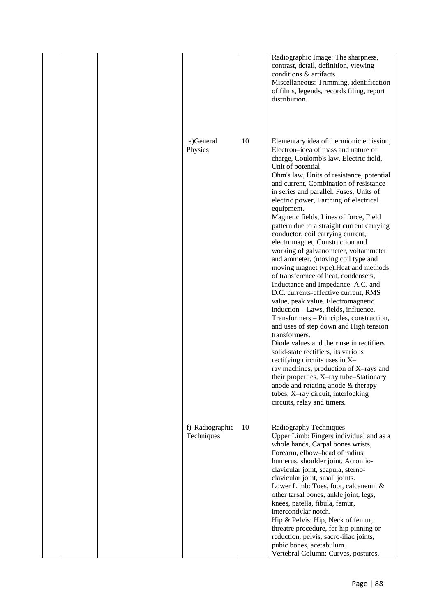|  | e)General                     | 10 | Radiographic Image: The sharpness,<br>contrast, detail, definition, viewing<br>conditions & artifacts.<br>Miscellaneous: Trimming, identification<br>of films, legends, records filing, report<br>distribution.<br>Elementary idea of thermionic emission,                                                                                                                                                                                                                                                                                                                                                                                                                                                                                                                                                                                                                                                                                                                                                                                                                                                                                                                                                             |  |
|--|-------------------------------|----|------------------------------------------------------------------------------------------------------------------------------------------------------------------------------------------------------------------------------------------------------------------------------------------------------------------------------------------------------------------------------------------------------------------------------------------------------------------------------------------------------------------------------------------------------------------------------------------------------------------------------------------------------------------------------------------------------------------------------------------------------------------------------------------------------------------------------------------------------------------------------------------------------------------------------------------------------------------------------------------------------------------------------------------------------------------------------------------------------------------------------------------------------------------------------------------------------------------------|--|
|  | Physics                       |    | Electron-idea of mass and nature of<br>charge, Coulomb's law, Electric field,<br>Unit of potential.<br>Ohm's law, Units of resistance, potential<br>and current, Combination of resistance<br>in series and parallel. Fuses, Units of<br>electric power, Earthing of electrical<br>equipment.<br>Magnetic fields, Lines of force, Field<br>pattern due to a straight current carrying<br>conductor, coil carrying current,<br>electromagnet, Construction and<br>working of galvanometer, voltammeter<br>and ammeter, (moving coil type and<br>moving magnet type). Heat and methods<br>of transference of heat, condensers,<br>Inductance and Impedance. A.C. and<br>D.C. currents-effective current, RMS<br>value, peak value. Electromagnetic<br>induction - Laws, fields, influence.<br>Transformers - Principles, construction,<br>and uses of step down and High tension<br>transformers.<br>Diode values and their use in rectifiers<br>solid-state rectifiers, its various<br>rectifying circuits uses in X-<br>ray machines, production of X-rays and<br>their properties, X-ray tube-Stationary<br>anode and rotating anode $&$ therapy<br>tubes, X-ray circuit, interlocking<br>circuits, relay and timers. |  |
|  | f) Radiographic<br>Techniques | 10 | Radiography Techniques<br>Upper Limb: Fingers individual and as a<br>whole hands, Carpal bones wrists,<br>Forearm, elbow-head of radius,<br>humerus, shoulder joint, Acromio-<br>clavicular joint, scapula, sterno-<br>clavicular joint, small joints.<br>Lower Limb: Toes, foot, calcaneum &<br>other tarsal bones, ankle joint, legs,<br>knees, patella, fibula, femur,<br>intercondylar notch.<br>Hip & Pelvis: Hip, Neck of femur,<br>threatre procedure, for hip pinning or<br>reduction, pelvis, sacro-iliac joints,<br>pubic bones, acetabulum.<br>Vertebral Column: Curves, postures,                                                                                                                                                                                                                                                                                                                                                                                                                                                                                                                                                                                                                          |  |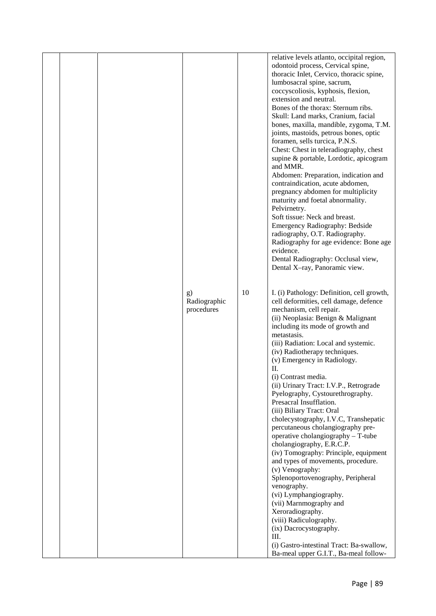|  |                                  |    | relative levels atlanto, occipital region,<br>odontoid process, Cervical spine,<br>thoracic Inlet, Cervico, thoracic spine,<br>lumbosacral spine, sacrum,                                 |  |
|--|----------------------------------|----|-------------------------------------------------------------------------------------------------------------------------------------------------------------------------------------------|--|
|  |                                  |    | coccyscoliosis, kyphosis, flexion,<br>extension and neutral.<br>Bones of the thorax: Sternum ribs.                                                                                        |  |
|  |                                  |    | Skull: Land marks, Cranium, facial<br>bones, maxilla, mandible, zygoma, T.M.<br>joints, mastoids, petrous bones, optic                                                                    |  |
|  |                                  |    | foramen, sells turcica, P.N.S.<br>Chest: Chest in teleradiography, chest<br>supine & portable, Lordotic, apicogram<br>and MMR.                                                            |  |
|  |                                  |    | Abdomen: Preparation, indication and<br>contraindication, acute abdomen,<br>pregnancy abdomen for multiplicity<br>maturity and foetal abnormality.                                        |  |
|  |                                  |    | Pelvirnetry.<br>Soft tissue: Neck and breast.<br><b>Emergency Radiography: Bedside</b>                                                                                                    |  |
|  |                                  |    | radiography, O.T. Radiography.<br>Radiography for age evidence: Bone age<br>evidence.<br>Dental Radiography: Occlusal view,                                                               |  |
|  |                                  |    | Dental X-ray, Panoramic view.                                                                                                                                                             |  |
|  | g)<br>Radiographic<br>procedures | 10 | I. (i) Pathology: Definition, cell growth,<br>cell deformities, cell damage, defence<br>mechanism, cell repair.<br>(ii) Neoplasia: Benign & Malignant<br>including its mode of growth and |  |
|  |                                  |    | metastasis.<br>(iii) Radiation: Local and systemic.<br>(iv) Radiotherapy techniques.<br>(v) Emergency in Radiology.                                                                       |  |
|  |                                  |    | П.<br>(i) Contrast media.<br>(ii) Urinary Tract: I.V.P., Retrograde<br>Pyelography, Cystourethrography.                                                                                   |  |
|  |                                  |    | Presacral Insufflation.<br>(iii) Biliary Tract: Oral<br>cholecystography, I.V.C, Transhepatic                                                                                             |  |
|  |                                  |    | percutaneous cholangiography pre-<br>operative cholangiography - T-tube<br>cholangiography, E.R.C.P.<br>(iv) Tomography: Principle, equipment                                             |  |
|  |                                  |    | and types of movements, procedure.<br>(v) Venography:<br>Splenoportovenography, Peripheral<br>venography.                                                                                 |  |
|  |                                  |    | (vi) Lymphangiography.<br>(vii) Marnmography and<br>Xeroradiography.                                                                                                                      |  |
|  |                                  |    | (viii) Radiculography.<br>(ix) Dacrocystography.<br>Ш.                                                                                                                                    |  |
|  |                                  |    | (i) Gastro-intestinal Tract: Ba-swallow,<br>Ba-meal upper G.I.T., Ba-meal follow-                                                                                                         |  |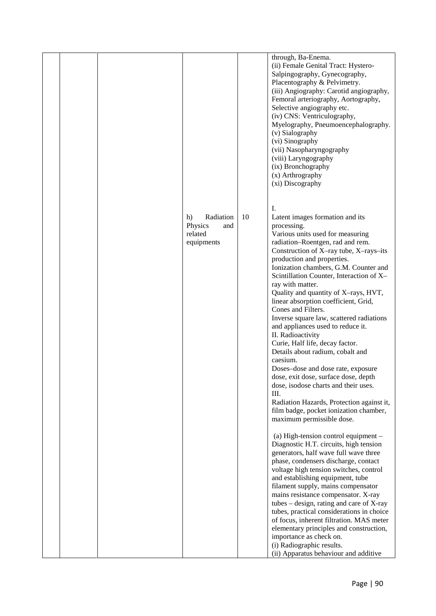|  |                                                            |    | through, Ba-Enema.<br>(ii) Female Genital Tract: Hystero-<br>Salpingography, Gynecography,<br>Placentography & Pelvimetry.<br>(iii) Angiography: Carotid angiography,<br>Femoral arteriography, Aortography,<br>Selective angiography etc.<br>(iv) CNS: Ventriculography,<br>Myelography, Pneumoencephalography.<br>(v) Sialography<br>(vi) Sinography<br>(vii) Nasopharyngography<br>(viii) Laryngography<br>(ix) Bronchography<br>(x) Arthrography<br>(xi) Discography                                                                                                                                                                                                                                                                                                                                                                                                                                                                                                                                                                                                                                                                                                                                                                                                                                                                                                                                                                                                      |
|--|------------------------------------------------------------|----|-------------------------------------------------------------------------------------------------------------------------------------------------------------------------------------------------------------------------------------------------------------------------------------------------------------------------------------------------------------------------------------------------------------------------------------------------------------------------------------------------------------------------------------------------------------------------------------------------------------------------------------------------------------------------------------------------------------------------------------------------------------------------------------------------------------------------------------------------------------------------------------------------------------------------------------------------------------------------------------------------------------------------------------------------------------------------------------------------------------------------------------------------------------------------------------------------------------------------------------------------------------------------------------------------------------------------------------------------------------------------------------------------------------------------------------------------------------------------------|
|  | Radiation<br>h)<br>Physics<br>and<br>related<br>equipments | 10 | I.<br>Latent images formation and its<br>processing.<br>Various units used for measuring<br>radiation-Roentgen, rad and rem.<br>Construction of X-ray tube, X-rays-its<br>production and properties.<br>Ionization chambers, G.M. Counter and<br>Scintillation Counter, Interaction of X-<br>ray with matter.<br>Quality and quantity of X-rays, HVT,<br>linear absorption coefficient, Grid,<br>Cones and Filters.<br>Inverse square law, scattered radiations<br>and appliances used to reduce it.<br>II. Radioactivity<br>Curie, Half life, decay factor.<br>Details about radium, cobalt and<br>caesium.<br>Doses-dose and dose rate, exposure<br>dose, exit dose, surface dose, depth<br>dose, isodose charts and their uses.<br>Ш.<br>Radiation Hazards, Protection against it,<br>film badge, pocket ionization chamber,<br>maximum permissible dose.<br>(a) High-tension control equipment -<br>Diagnostic H.T. circuits, high tension<br>generators, half wave full wave three<br>phase, condensers discharge, contact<br>voltage high tension switches, control<br>and establishing equipment, tube<br>filament supply, mains compensator<br>mains resistance compensator. X-ray<br>tubes $-$ design, rating and care of X-ray<br>tubes, practical considerations in choice<br>of focus, inherent filtration. MAS meter<br>elementary principles and construction,<br>importance as check on.<br>(i) Radiographic results.<br>(ii) Apparatus behaviour and additive |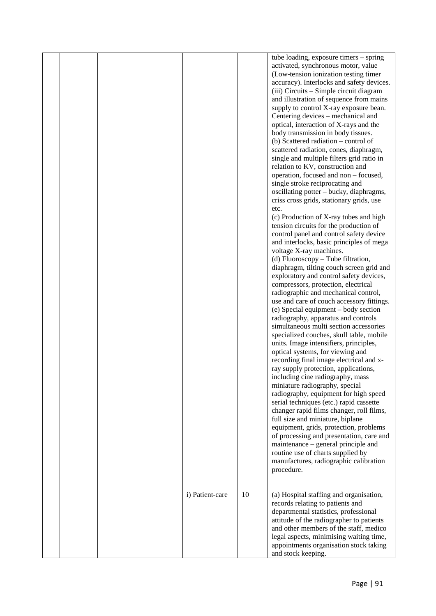| activated, synchronous motor, value<br>(Low-tension ionization testing timer<br>accuracy). Interlocks and safety devices.<br>(iii) Circuits - Simple circuit diagram<br>and illustration of sequence from mains<br>supply to control X-ray exposure bean.<br>Centering devices – mechanical and<br>optical, interaction of X-rays and the<br>body transmission in body tissues.<br>(b) Scattered radiation – control of<br>scattered radiation, cones, diaphragm,<br>single and multiple filters grid ratio in<br>relation to KV, construction and<br>operation, focused and non - focused,<br>single stroke reciprocating and<br>oscillating potter - bucky, diaphragms,<br>criss cross grids, stationary grids, use<br>etc.<br>(c) Production of X-ray tubes and high<br>tension circuits for the production of<br>control panel and control safety device<br>and interlocks, basic principles of mega<br>voltage X-ray machines.<br>(d) Fluoroscopy - Tube filtration,<br>diaphragm, tilting couch screen grid and<br>exploratory and control safety devices,<br>compressors, protection, electrical<br>radiographic and mechanical control,<br>use and care of couch accessory fittings.<br>(e) Special equipment – body section<br>radiography, apparatus and controls<br>simultaneous multi section accessories<br>specialized couches, skull table, mobile<br>units. Image intensifiers, principles,<br>optical systems, for viewing and<br>recording final image electrical and x-<br>ray supply protection, applications,<br>including cine radiography, mass<br>miniature radiography, special<br>radiography, equipment for high speed<br>serial techniques (etc.) rapid cassette<br>changer rapid films changer, roll films,<br>full size and miniature, biplane<br>equipment, grids, protection, problems<br>of processing and presentation, care and<br>maintenance – general principle and<br>routine use of charts supplied by<br>manufactures, radiographic calibration<br>procedure.<br>10<br>i) Patient-care<br>(a) Hospital staffing and organisation,<br>records relating to patients and<br>departmental statistics, professional<br>attitude of the radiographer to patients<br>and other members of the staff, medico<br>legal aspects, minimising waiting time,<br>appointments organisation stock taking |  |  | tube loading, exposure timers - spring |  |
|------------------------------------------------------------------------------------------------------------------------------------------------------------------------------------------------------------------------------------------------------------------------------------------------------------------------------------------------------------------------------------------------------------------------------------------------------------------------------------------------------------------------------------------------------------------------------------------------------------------------------------------------------------------------------------------------------------------------------------------------------------------------------------------------------------------------------------------------------------------------------------------------------------------------------------------------------------------------------------------------------------------------------------------------------------------------------------------------------------------------------------------------------------------------------------------------------------------------------------------------------------------------------------------------------------------------------------------------------------------------------------------------------------------------------------------------------------------------------------------------------------------------------------------------------------------------------------------------------------------------------------------------------------------------------------------------------------------------------------------------------------------------------------------------------------------------------------------------------------------------------------------------------------------------------------------------------------------------------------------------------------------------------------------------------------------------------------------------------------------------------------------------------------------------------------------------------------------------------------------------------------------------------------------------------------------------------------|--|--|----------------------------------------|--|
|                                                                                                                                                                                                                                                                                                                                                                                                                                                                                                                                                                                                                                                                                                                                                                                                                                                                                                                                                                                                                                                                                                                                                                                                                                                                                                                                                                                                                                                                                                                                                                                                                                                                                                                                                                                                                                                                                                                                                                                                                                                                                                                                                                                                                                                                                                                                    |  |  |                                        |  |
|                                                                                                                                                                                                                                                                                                                                                                                                                                                                                                                                                                                                                                                                                                                                                                                                                                                                                                                                                                                                                                                                                                                                                                                                                                                                                                                                                                                                                                                                                                                                                                                                                                                                                                                                                                                                                                                                                                                                                                                                                                                                                                                                                                                                                                                                                                                                    |  |  |                                        |  |
|                                                                                                                                                                                                                                                                                                                                                                                                                                                                                                                                                                                                                                                                                                                                                                                                                                                                                                                                                                                                                                                                                                                                                                                                                                                                                                                                                                                                                                                                                                                                                                                                                                                                                                                                                                                                                                                                                                                                                                                                                                                                                                                                                                                                                                                                                                                                    |  |  |                                        |  |
|                                                                                                                                                                                                                                                                                                                                                                                                                                                                                                                                                                                                                                                                                                                                                                                                                                                                                                                                                                                                                                                                                                                                                                                                                                                                                                                                                                                                                                                                                                                                                                                                                                                                                                                                                                                                                                                                                                                                                                                                                                                                                                                                                                                                                                                                                                                                    |  |  |                                        |  |
|                                                                                                                                                                                                                                                                                                                                                                                                                                                                                                                                                                                                                                                                                                                                                                                                                                                                                                                                                                                                                                                                                                                                                                                                                                                                                                                                                                                                                                                                                                                                                                                                                                                                                                                                                                                                                                                                                                                                                                                                                                                                                                                                                                                                                                                                                                                                    |  |  |                                        |  |
|                                                                                                                                                                                                                                                                                                                                                                                                                                                                                                                                                                                                                                                                                                                                                                                                                                                                                                                                                                                                                                                                                                                                                                                                                                                                                                                                                                                                                                                                                                                                                                                                                                                                                                                                                                                                                                                                                                                                                                                                                                                                                                                                                                                                                                                                                                                                    |  |  |                                        |  |
|                                                                                                                                                                                                                                                                                                                                                                                                                                                                                                                                                                                                                                                                                                                                                                                                                                                                                                                                                                                                                                                                                                                                                                                                                                                                                                                                                                                                                                                                                                                                                                                                                                                                                                                                                                                                                                                                                                                                                                                                                                                                                                                                                                                                                                                                                                                                    |  |  |                                        |  |
|                                                                                                                                                                                                                                                                                                                                                                                                                                                                                                                                                                                                                                                                                                                                                                                                                                                                                                                                                                                                                                                                                                                                                                                                                                                                                                                                                                                                                                                                                                                                                                                                                                                                                                                                                                                                                                                                                                                                                                                                                                                                                                                                                                                                                                                                                                                                    |  |  |                                        |  |
|                                                                                                                                                                                                                                                                                                                                                                                                                                                                                                                                                                                                                                                                                                                                                                                                                                                                                                                                                                                                                                                                                                                                                                                                                                                                                                                                                                                                                                                                                                                                                                                                                                                                                                                                                                                                                                                                                                                                                                                                                                                                                                                                                                                                                                                                                                                                    |  |  |                                        |  |
|                                                                                                                                                                                                                                                                                                                                                                                                                                                                                                                                                                                                                                                                                                                                                                                                                                                                                                                                                                                                                                                                                                                                                                                                                                                                                                                                                                                                                                                                                                                                                                                                                                                                                                                                                                                                                                                                                                                                                                                                                                                                                                                                                                                                                                                                                                                                    |  |  |                                        |  |
|                                                                                                                                                                                                                                                                                                                                                                                                                                                                                                                                                                                                                                                                                                                                                                                                                                                                                                                                                                                                                                                                                                                                                                                                                                                                                                                                                                                                                                                                                                                                                                                                                                                                                                                                                                                                                                                                                                                                                                                                                                                                                                                                                                                                                                                                                                                                    |  |  |                                        |  |
|                                                                                                                                                                                                                                                                                                                                                                                                                                                                                                                                                                                                                                                                                                                                                                                                                                                                                                                                                                                                                                                                                                                                                                                                                                                                                                                                                                                                                                                                                                                                                                                                                                                                                                                                                                                                                                                                                                                                                                                                                                                                                                                                                                                                                                                                                                                                    |  |  |                                        |  |
|                                                                                                                                                                                                                                                                                                                                                                                                                                                                                                                                                                                                                                                                                                                                                                                                                                                                                                                                                                                                                                                                                                                                                                                                                                                                                                                                                                                                                                                                                                                                                                                                                                                                                                                                                                                                                                                                                                                                                                                                                                                                                                                                                                                                                                                                                                                                    |  |  |                                        |  |
|                                                                                                                                                                                                                                                                                                                                                                                                                                                                                                                                                                                                                                                                                                                                                                                                                                                                                                                                                                                                                                                                                                                                                                                                                                                                                                                                                                                                                                                                                                                                                                                                                                                                                                                                                                                                                                                                                                                                                                                                                                                                                                                                                                                                                                                                                                                                    |  |  |                                        |  |
|                                                                                                                                                                                                                                                                                                                                                                                                                                                                                                                                                                                                                                                                                                                                                                                                                                                                                                                                                                                                                                                                                                                                                                                                                                                                                                                                                                                                                                                                                                                                                                                                                                                                                                                                                                                                                                                                                                                                                                                                                                                                                                                                                                                                                                                                                                                                    |  |  |                                        |  |
|                                                                                                                                                                                                                                                                                                                                                                                                                                                                                                                                                                                                                                                                                                                                                                                                                                                                                                                                                                                                                                                                                                                                                                                                                                                                                                                                                                                                                                                                                                                                                                                                                                                                                                                                                                                                                                                                                                                                                                                                                                                                                                                                                                                                                                                                                                                                    |  |  |                                        |  |
|                                                                                                                                                                                                                                                                                                                                                                                                                                                                                                                                                                                                                                                                                                                                                                                                                                                                                                                                                                                                                                                                                                                                                                                                                                                                                                                                                                                                                                                                                                                                                                                                                                                                                                                                                                                                                                                                                                                                                                                                                                                                                                                                                                                                                                                                                                                                    |  |  |                                        |  |
|                                                                                                                                                                                                                                                                                                                                                                                                                                                                                                                                                                                                                                                                                                                                                                                                                                                                                                                                                                                                                                                                                                                                                                                                                                                                                                                                                                                                                                                                                                                                                                                                                                                                                                                                                                                                                                                                                                                                                                                                                                                                                                                                                                                                                                                                                                                                    |  |  |                                        |  |
|                                                                                                                                                                                                                                                                                                                                                                                                                                                                                                                                                                                                                                                                                                                                                                                                                                                                                                                                                                                                                                                                                                                                                                                                                                                                                                                                                                                                                                                                                                                                                                                                                                                                                                                                                                                                                                                                                                                                                                                                                                                                                                                                                                                                                                                                                                                                    |  |  |                                        |  |
|                                                                                                                                                                                                                                                                                                                                                                                                                                                                                                                                                                                                                                                                                                                                                                                                                                                                                                                                                                                                                                                                                                                                                                                                                                                                                                                                                                                                                                                                                                                                                                                                                                                                                                                                                                                                                                                                                                                                                                                                                                                                                                                                                                                                                                                                                                                                    |  |  |                                        |  |
|                                                                                                                                                                                                                                                                                                                                                                                                                                                                                                                                                                                                                                                                                                                                                                                                                                                                                                                                                                                                                                                                                                                                                                                                                                                                                                                                                                                                                                                                                                                                                                                                                                                                                                                                                                                                                                                                                                                                                                                                                                                                                                                                                                                                                                                                                                                                    |  |  |                                        |  |
|                                                                                                                                                                                                                                                                                                                                                                                                                                                                                                                                                                                                                                                                                                                                                                                                                                                                                                                                                                                                                                                                                                                                                                                                                                                                                                                                                                                                                                                                                                                                                                                                                                                                                                                                                                                                                                                                                                                                                                                                                                                                                                                                                                                                                                                                                                                                    |  |  |                                        |  |
|                                                                                                                                                                                                                                                                                                                                                                                                                                                                                                                                                                                                                                                                                                                                                                                                                                                                                                                                                                                                                                                                                                                                                                                                                                                                                                                                                                                                                                                                                                                                                                                                                                                                                                                                                                                                                                                                                                                                                                                                                                                                                                                                                                                                                                                                                                                                    |  |  |                                        |  |
|                                                                                                                                                                                                                                                                                                                                                                                                                                                                                                                                                                                                                                                                                                                                                                                                                                                                                                                                                                                                                                                                                                                                                                                                                                                                                                                                                                                                                                                                                                                                                                                                                                                                                                                                                                                                                                                                                                                                                                                                                                                                                                                                                                                                                                                                                                                                    |  |  |                                        |  |
|                                                                                                                                                                                                                                                                                                                                                                                                                                                                                                                                                                                                                                                                                                                                                                                                                                                                                                                                                                                                                                                                                                                                                                                                                                                                                                                                                                                                                                                                                                                                                                                                                                                                                                                                                                                                                                                                                                                                                                                                                                                                                                                                                                                                                                                                                                                                    |  |  |                                        |  |
|                                                                                                                                                                                                                                                                                                                                                                                                                                                                                                                                                                                                                                                                                                                                                                                                                                                                                                                                                                                                                                                                                                                                                                                                                                                                                                                                                                                                                                                                                                                                                                                                                                                                                                                                                                                                                                                                                                                                                                                                                                                                                                                                                                                                                                                                                                                                    |  |  |                                        |  |
|                                                                                                                                                                                                                                                                                                                                                                                                                                                                                                                                                                                                                                                                                                                                                                                                                                                                                                                                                                                                                                                                                                                                                                                                                                                                                                                                                                                                                                                                                                                                                                                                                                                                                                                                                                                                                                                                                                                                                                                                                                                                                                                                                                                                                                                                                                                                    |  |  |                                        |  |
|                                                                                                                                                                                                                                                                                                                                                                                                                                                                                                                                                                                                                                                                                                                                                                                                                                                                                                                                                                                                                                                                                                                                                                                                                                                                                                                                                                                                                                                                                                                                                                                                                                                                                                                                                                                                                                                                                                                                                                                                                                                                                                                                                                                                                                                                                                                                    |  |  |                                        |  |
|                                                                                                                                                                                                                                                                                                                                                                                                                                                                                                                                                                                                                                                                                                                                                                                                                                                                                                                                                                                                                                                                                                                                                                                                                                                                                                                                                                                                                                                                                                                                                                                                                                                                                                                                                                                                                                                                                                                                                                                                                                                                                                                                                                                                                                                                                                                                    |  |  |                                        |  |
|                                                                                                                                                                                                                                                                                                                                                                                                                                                                                                                                                                                                                                                                                                                                                                                                                                                                                                                                                                                                                                                                                                                                                                                                                                                                                                                                                                                                                                                                                                                                                                                                                                                                                                                                                                                                                                                                                                                                                                                                                                                                                                                                                                                                                                                                                                                                    |  |  |                                        |  |
|                                                                                                                                                                                                                                                                                                                                                                                                                                                                                                                                                                                                                                                                                                                                                                                                                                                                                                                                                                                                                                                                                                                                                                                                                                                                                                                                                                                                                                                                                                                                                                                                                                                                                                                                                                                                                                                                                                                                                                                                                                                                                                                                                                                                                                                                                                                                    |  |  |                                        |  |
|                                                                                                                                                                                                                                                                                                                                                                                                                                                                                                                                                                                                                                                                                                                                                                                                                                                                                                                                                                                                                                                                                                                                                                                                                                                                                                                                                                                                                                                                                                                                                                                                                                                                                                                                                                                                                                                                                                                                                                                                                                                                                                                                                                                                                                                                                                                                    |  |  |                                        |  |
|                                                                                                                                                                                                                                                                                                                                                                                                                                                                                                                                                                                                                                                                                                                                                                                                                                                                                                                                                                                                                                                                                                                                                                                                                                                                                                                                                                                                                                                                                                                                                                                                                                                                                                                                                                                                                                                                                                                                                                                                                                                                                                                                                                                                                                                                                                                                    |  |  |                                        |  |
|                                                                                                                                                                                                                                                                                                                                                                                                                                                                                                                                                                                                                                                                                                                                                                                                                                                                                                                                                                                                                                                                                                                                                                                                                                                                                                                                                                                                                                                                                                                                                                                                                                                                                                                                                                                                                                                                                                                                                                                                                                                                                                                                                                                                                                                                                                                                    |  |  |                                        |  |
|                                                                                                                                                                                                                                                                                                                                                                                                                                                                                                                                                                                                                                                                                                                                                                                                                                                                                                                                                                                                                                                                                                                                                                                                                                                                                                                                                                                                                                                                                                                                                                                                                                                                                                                                                                                                                                                                                                                                                                                                                                                                                                                                                                                                                                                                                                                                    |  |  |                                        |  |
|                                                                                                                                                                                                                                                                                                                                                                                                                                                                                                                                                                                                                                                                                                                                                                                                                                                                                                                                                                                                                                                                                                                                                                                                                                                                                                                                                                                                                                                                                                                                                                                                                                                                                                                                                                                                                                                                                                                                                                                                                                                                                                                                                                                                                                                                                                                                    |  |  |                                        |  |
|                                                                                                                                                                                                                                                                                                                                                                                                                                                                                                                                                                                                                                                                                                                                                                                                                                                                                                                                                                                                                                                                                                                                                                                                                                                                                                                                                                                                                                                                                                                                                                                                                                                                                                                                                                                                                                                                                                                                                                                                                                                                                                                                                                                                                                                                                                                                    |  |  |                                        |  |
|                                                                                                                                                                                                                                                                                                                                                                                                                                                                                                                                                                                                                                                                                                                                                                                                                                                                                                                                                                                                                                                                                                                                                                                                                                                                                                                                                                                                                                                                                                                                                                                                                                                                                                                                                                                                                                                                                                                                                                                                                                                                                                                                                                                                                                                                                                                                    |  |  |                                        |  |
|                                                                                                                                                                                                                                                                                                                                                                                                                                                                                                                                                                                                                                                                                                                                                                                                                                                                                                                                                                                                                                                                                                                                                                                                                                                                                                                                                                                                                                                                                                                                                                                                                                                                                                                                                                                                                                                                                                                                                                                                                                                                                                                                                                                                                                                                                                                                    |  |  |                                        |  |
|                                                                                                                                                                                                                                                                                                                                                                                                                                                                                                                                                                                                                                                                                                                                                                                                                                                                                                                                                                                                                                                                                                                                                                                                                                                                                                                                                                                                                                                                                                                                                                                                                                                                                                                                                                                                                                                                                                                                                                                                                                                                                                                                                                                                                                                                                                                                    |  |  |                                        |  |
|                                                                                                                                                                                                                                                                                                                                                                                                                                                                                                                                                                                                                                                                                                                                                                                                                                                                                                                                                                                                                                                                                                                                                                                                                                                                                                                                                                                                                                                                                                                                                                                                                                                                                                                                                                                                                                                                                                                                                                                                                                                                                                                                                                                                                                                                                                                                    |  |  |                                        |  |
|                                                                                                                                                                                                                                                                                                                                                                                                                                                                                                                                                                                                                                                                                                                                                                                                                                                                                                                                                                                                                                                                                                                                                                                                                                                                                                                                                                                                                                                                                                                                                                                                                                                                                                                                                                                                                                                                                                                                                                                                                                                                                                                                                                                                                                                                                                                                    |  |  |                                        |  |
|                                                                                                                                                                                                                                                                                                                                                                                                                                                                                                                                                                                                                                                                                                                                                                                                                                                                                                                                                                                                                                                                                                                                                                                                                                                                                                                                                                                                                                                                                                                                                                                                                                                                                                                                                                                                                                                                                                                                                                                                                                                                                                                                                                                                                                                                                                                                    |  |  |                                        |  |
|                                                                                                                                                                                                                                                                                                                                                                                                                                                                                                                                                                                                                                                                                                                                                                                                                                                                                                                                                                                                                                                                                                                                                                                                                                                                                                                                                                                                                                                                                                                                                                                                                                                                                                                                                                                                                                                                                                                                                                                                                                                                                                                                                                                                                                                                                                                                    |  |  |                                        |  |
|                                                                                                                                                                                                                                                                                                                                                                                                                                                                                                                                                                                                                                                                                                                                                                                                                                                                                                                                                                                                                                                                                                                                                                                                                                                                                                                                                                                                                                                                                                                                                                                                                                                                                                                                                                                                                                                                                                                                                                                                                                                                                                                                                                                                                                                                                                                                    |  |  |                                        |  |
|                                                                                                                                                                                                                                                                                                                                                                                                                                                                                                                                                                                                                                                                                                                                                                                                                                                                                                                                                                                                                                                                                                                                                                                                                                                                                                                                                                                                                                                                                                                                                                                                                                                                                                                                                                                                                                                                                                                                                                                                                                                                                                                                                                                                                                                                                                                                    |  |  |                                        |  |
|                                                                                                                                                                                                                                                                                                                                                                                                                                                                                                                                                                                                                                                                                                                                                                                                                                                                                                                                                                                                                                                                                                                                                                                                                                                                                                                                                                                                                                                                                                                                                                                                                                                                                                                                                                                                                                                                                                                                                                                                                                                                                                                                                                                                                                                                                                                                    |  |  |                                        |  |
|                                                                                                                                                                                                                                                                                                                                                                                                                                                                                                                                                                                                                                                                                                                                                                                                                                                                                                                                                                                                                                                                                                                                                                                                                                                                                                                                                                                                                                                                                                                                                                                                                                                                                                                                                                                                                                                                                                                                                                                                                                                                                                                                                                                                                                                                                                                                    |  |  |                                        |  |
|                                                                                                                                                                                                                                                                                                                                                                                                                                                                                                                                                                                                                                                                                                                                                                                                                                                                                                                                                                                                                                                                                                                                                                                                                                                                                                                                                                                                                                                                                                                                                                                                                                                                                                                                                                                                                                                                                                                                                                                                                                                                                                                                                                                                                                                                                                                                    |  |  |                                        |  |
|                                                                                                                                                                                                                                                                                                                                                                                                                                                                                                                                                                                                                                                                                                                                                                                                                                                                                                                                                                                                                                                                                                                                                                                                                                                                                                                                                                                                                                                                                                                                                                                                                                                                                                                                                                                                                                                                                                                                                                                                                                                                                                                                                                                                                                                                                                                                    |  |  |                                        |  |
|                                                                                                                                                                                                                                                                                                                                                                                                                                                                                                                                                                                                                                                                                                                                                                                                                                                                                                                                                                                                                                                                                                                                                                                                                                                                                                                                                                                                                                                                                                                                                                                                                                                                                                                                                                                                                                                                                                                                                                                                                                                                                                                                                                                                                                                                                                                                    |  |  |                                        |  |
|                                                                                                                                                                                                                                                                                                                                                                                                                                                                                                                                                                                                                                                                                                                                                                                                                                                                                                                                                                                                                                                                                                                                                                                                                                                                                                                                                                                                                                                                                                                                                                                                                                                                                                                                                                                                                                                                                                                                                                                                                                                                                                                                                                                                                                                                                                                                    |  |  |                                        |  |
|                                                                                                                                                                                                                                                                                                                                                                                                                                                                                                                                                                                                                                                                                                                                                                                                                                                                                                                                                                                                                                                                                                                                                                                                                                                                                                                                                                                                                                                                                                                                                                                                                                                                                                                                                                                                                                                                                                                                                                                                                                                                                                                                                                                                                                                                                                                                    |  |  |                                        |  |
|                                                                                                                                                                                                                                                                                                                                                                                                                                                                                                                                                                                                                                                                                                                                                                                                                                                                                                                                                                                                                                                                                                                                                                                                                                                                                                                                                                                                                                                                                                                                                                                                                                                                                                                                                                                                                                                                                                                                                                                                                                                                                                                                                                                                                                                                                                                                    |  |  |                                        |  |
|                                                                                                                                                                                                                                                                                                                                                                                                                                                                                                                                                                                                                                                                                                                                                                                                                                                                                                                                                                                                                                                                                                                                                                                                                                                                                                                                                                                                                                                                                                                                                                                                                                                                                                                                                                                                                                                                                                                                                                                                                                                                                                                                                                                                                                                                                                                                    |  |  |                                        |  |
|                                                                                                                                                                                                                                                                                                                                                                                                                                                                                                                                                                                                                                                                                                                                                                                                                                                                                                                                                                                                                                                                                                                                                                                                                                                                                                                                                                                                                                                                                                                                                                                                                                                                                                                                                                                                                                                                                                                                                                                                                                                                                                                                                                                                                                                                                                                                    |  |  |                                        |  |
|                                                                                                                                                                                                                                                                                                                                                                                                                                                                                                                                                                                                                                                                                                                                                                                                                                                                                                                                                                                                                                                                                                                                                                                                                                                                                                                                                                                                                                                                                                                                                                                                                                                                                                                                                                                                                                                                                                                                                                                                                                                                                                                                                                                                                                                                                                                                    |  |  |                                        |  |
|                                                                                                                                                                                                                                                                                                                                                                                                                                                                                                                                                                                                                                                                                                                                                                                                                                                                                                                                                                                                                                                                                                                                                                                                                                                                                                                                                                                                                                                                                                                                                                                                                                                                                                                                                                                                                                                                                                                                                                                                                                                                                                                                                                                                                                                                                                                                    |  |  |                                        |  |
|                                                                                                                                                                                                                                                                                                                                                                                                                                                                                                                                                                                                                                                                                                                                                                                                                                                                                                                                                                                                                                                                                                                                                                                                                                                                                                                                                                                                                                                                                                                                                                                                                                                                                                                                                                                                                                                                                                                                                                                                                                                                                                                                                                                                                                                                                                                                    |  |  |                                        |  |
|                                                                                                                                                                                                                                                                                                                                                                                                                                                                                                                                                                                                                                                                                                                                                                                                                                                                                                                                                                                                                                                                                                                                                                                                                                                                                                                                                                                                                                                                                                                                                                                                                                                                                                                                                                                                                                                                                                                                                                                                                                                                                                                                                                                                                                                                                                                                    |  |  |                                        |  |
|                                                                                                                                                                                                                                                                                                                                                                                                                                                                                                                                                                                                                                                                                                                                                                                                                                                                                                                                                                                                                                                                                                                                                                                                                                                                                                                                                                                                                                                                                                                                                                                                                                                                                                                                                                                                                                                                                                                                                                                                                                                                                                                                                                                                                                                                                                                                    |  |  |                                        |  |
|                                                                                                                                                                                                                                                                                                                                                                                                                                                                                                                                                                                                                                                                                                                                                                                                                                                                                                                                                                                                                                                                                                                                                                                                                                                                                                                                                                                                                                                                                                                                                                                                                                                                                                                                                                                                                                                                                                                                                                                                                                                                                                                                                                                                                                                                                                                                    |  |  | and stock keeping.                     |  |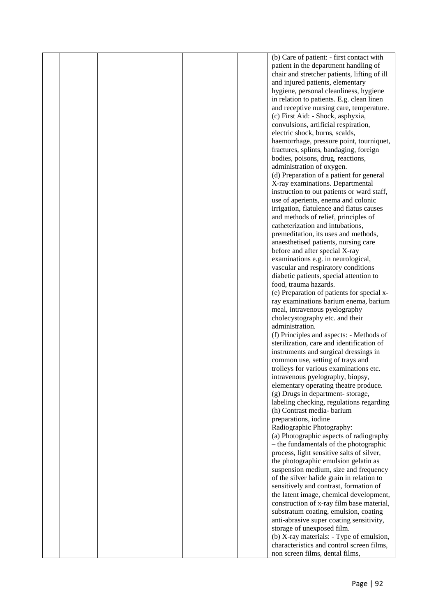|  |  | (b) Care of patient: - first contact with         |  |
|--|--|---------------------------------------------------|--|
|  |  | patient in the department handling of             |  |
|  |  | chair and stretcher patients, lifting of ill      |  |
|  |  | and injured patients, elementary                  |  |
|  |  | hygiene, personal cleanliness, hygiene            |  |
|  |  | in relation to patients. E.g. clean linen         |  |
|  |  | and receptive nursing care, temperature.          |  |
|  |  | (c) First Aid: - Shock, asphyxia,                 |  |
|  |  | convulsions, artificial respiration,              |  |
|  |  | electric shock, burns, scalds,                    |  |
|  |  | haemorrhage, pressure point, tourniquet,          |  |
|  |  | fractures, splints, bandaging, foreign            |  |
|  |  | bodies, poisons, drug, reactions,                 |  |
|  |  | administration of oxygen.                         |  |
|  |  | (d) Preparation of a patient for general          |  |
|  |  | X-ray examinations. Departmental                  |  |
|  |  | instruction to out patients or ward staff,        |  |
|  |  | use of aperients, enema and colonic               |  |
|  |  | irrigation, flatulence and flatus causes          |  |
|  |  | and methods of relief, principles of              |  |
|  |  | catheterization and intubations,                  |  |
|  |  | premeditation, its uses and methods,              |  |
|  |  | anaesthetised patients, nursing care              |  |
|  |  | before and after special X-ray                    |  |
|  |  | examinations e.g. in neurological,                |  |
|  |  | vascular and respiratory conditions               |  |
|  |  | diabetic patients, special attention to           |  |
|  |  | food, trauma hazards.                             |  |
|  |  | (e) Preparation of patients for special x-        |  |
|  |  | ray examinations barium enema, barium             |  |
|  |  | meal, intravenous pyelography                     |  |
|  |  | cholecystography etc. and their                   |  |
|  |  | administration.                                   |  |
|  |  | (f) Principles and aspects: - Methods of          |  |
|  |  | sterilization, care and identification of         |  |
|  |  | instruments and surgical dressings in             |  |
|  |  | common use, setting of trays and                  |  |
|  |  | trolleys for various examinations etc.            |  |
|  |  | intravenous pyelography, biopsy,                  |  |
|  |  | elementary operating theatre produce.             |  |
|  |  | (g) Drugs in department-storage,                  |  |
|  |  | labeling checking, regulations regarding          |  |
|  |  | (h) Contrast media-barium                         |  |
|  |  | preparations, iodine<br>Radiographic Photography: |  |
|  |  | (a) Photographic aspects of radiography           |  |
|  |  | - the fundamentals of the photographic            |  |
|  |  | process, light sensitive salts of silver,         |  |
|  |  | the photographic emulsion gelatin as              |  |
|  |  | suspension medium, size and frequency             |  |
|  |  | of the silver halide grain in relation to         |  |
|  |  | sensitively and contrast, formation of            |  |
|  |  | the latent image, chemical development,           |  |
|  |  | construction of x-ray film base material,         |  |
|  |  | substratum coating, emulsion, coating             |  |
|  |  | anti-abrasive super coating sensitivity,          |  |
|  |  | storage of unexposed film.                        |  |
|  |  | (b) X-ray materials: - Type of emulsion,          |  |
|  |  | characteristics and control screen films,         |  |
|  |  | non screen films, dental films,                   |  |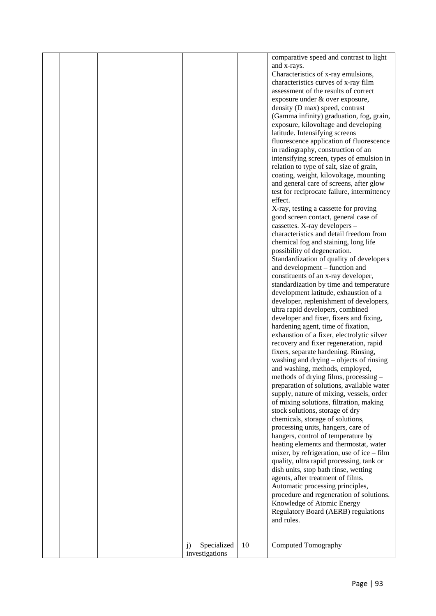|  |                   |    | comparative speed and contrast to light      |  |
|--|-------------------|----|----------------------------------------------|--|
|  |                   |    | and x-rays.                                  |  |
|  |                   |    | Characteristics of x-ray emulsions,          |  |
|  |                   |    | characteristics curves of x-ray film         |  |
|  |                   |    | assessment of the results of correct         |  |
|  |                   |    | exposure under & over exposure,              |  |
|  |                   |    | density (D max) speed, contrast              |  |
|  |                   |    | (Gamma infinity) graduation, fog, grain,     |  |
|  |                   |    | exposure, kilovoltage and developing         |  |
|  |                   |    | latitude. Intensifying screens               |  |
|  |                   |    | fluorescence application of fluorescence     |  |
|  |                   |    | in radiography, construction of an           |  |
|  |                   |    | intensifying screen, types of emulsion in    |  |
|  |                   |    | relation to type of salt, size of grain,     |  |
|  |                   |    | coating, weight, kilovoltage, mounting       |  |
|  |                   |    | and general care of screens, after glow      |  |
|  |                   |    | test for reciprocate failure, intermittency  |  |
|  |                   |    | effect.                                      |  |
|  |                   |    | X-ray, testing a cassette for proving        |  |
|  |                   |    | good screen contact, general case of         |  |
|  |                   |    | cassettes. X-ray developers -                |  |
|  |                   |    | characteristics and detail freedom from      |  |
|  |                   |    | chemical fog and staining, long life         |  |
|  |                   |    | possibility of degeneration.                 |  |
|  |                   |    | Standardization of quality of developers     |  |
|  |                   |    | and development – function and               |  |
|  |                   |    | constituents of an x-ray developer,          |  |
|  |                   |    | standardization by time and temperature      |  |
|  |                   |    | development latitude, exhaustion of a        |  |
|  |                   |    | developer, replenishment of developers,      |  |
|  |                   |    | ultra rapid developers, combined             |  |
|  |                   |    | developer and fixer, fixers and fixing,      |  |
|  |                   |    | hardening agent, time of fixation,           |  |
|  |                   |    | exhaustion of a fixer, electrolytic silver   |  |
|  |                   |    | recovery and fixer regeneration, rapid       |  |
|  |                   |    | fixers, separate hardening. Rinsing,         |  |
|  |                   |    | washing and drying - objects of rinsing      |  |
|  |                   |    | and washing, methods, employed,              |  |
|  |                   |    | methods of drying films, processing –        |  |
|  |                   |    | preparation of solutions, available water    |  |
|  |                   |    | supply, nature of mixing, vessels, order     |  |
|  |                   |    | of mixing solutions, filtration, making      |  |
|  |                   |    | stock solutions, storage of dry              |  |
|  |                   |    | chemicals, storage of solutions,             |  |
|  |                   |    | processing units, hangers, care of           |  |
|  |                   |    | hangers, control of temperature by           |  |
|  |                   |    | heating elements and thermostat, water       |  |
|  |                   |    | mixer, by refrigeration, use of ice $-$ film |  |
|  |                   |    | quality, ultra rapid processing, tank or     |  |
|  |                   |    | dish units, stop bath rinse, wetting         |  |
|  |                   |    | agents, after treatment of films.            |  |
|  |                   |    | Automatic processing principles,             |  |
|  |                   |    | procedure and regeneration of solutions.     |  |
|  |                   |    | Knowledge of Atomic Energy                   |  |
|  |                   |    | Regulatory Board (AERB) regulations          |  |
|  |                   |    | and rules.                                   |  |
|  |                   |    |                                              |  |
|  | Specialized<br>j) | 10 | Computed Tomography                          |  |
|  | investigations    |    |                                              |  |
|  |                   |    |                                              |  |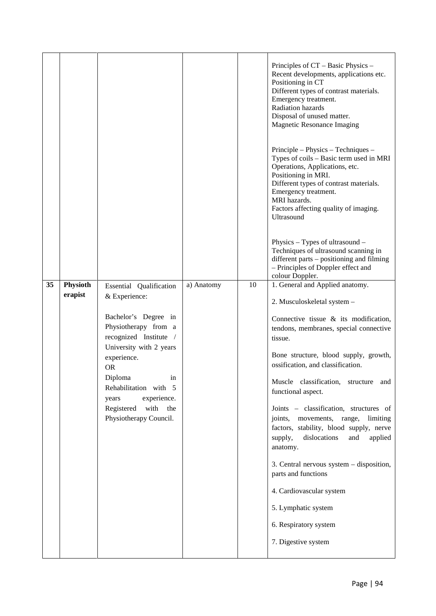|    |                     |                                                                                                   |            |    | Principles of CT – Basic Physics –<br>Recent developments, applications etc.<br>Positioning in CT<br>Different types of contrast materials.<br>Emergency treatment.<br><b>Radiation hazards</b><br>Disposal of unused matter.<br>Magnetic Resonance Imaging<br>Principle – Physics – Techniques –<br>Types of coils - Basic term used in MRI<br>Operations, Applications, etc.<br>Positioning in MRI.<br>Different types of contrast materials.<br>Emergency treatment.<br>MRI hazards.<br>Factors affecting quality of imaging.<br>Ultrasound |
|----|---------------------|---------------------------------------------------------------------------------------------------|------------|----|------------------------------------------------------------------------------------------------------------------------------------------------------------------------------------------------------------------------------------------------------------------------------------------------------------------------------------------------------------------------------------------------------------------------------------------------------------------------------------------------------------------------------------------------|
|    |                     |                                                                                                   |            |    | Physics - Types of ultrasound -<br>Techniques of ultrasound scanning in<br>different parts – positioning and filming<br>- Principles of Doppler effect and<br>colour Doppler.                                                                                                                                                                                                                                                                                                                                                                  |
| 35 | Physioth<br>erapist | Essential Qualification<br>& Experience:                                                          | a) Anatomy | 10 | 1. General and Applied anatomy.<br>2. Musculoskeletal system -                                                                                                                                                                                                                                                                                                                                                                                                                                                                                 |
|    |                     | Bachelor's Degree in<br>Physiotherapy from a<br>recognized Institute /<br>University with 2 years |            |    | Connective tissue $\&$ its modification,<br>tendons, membranes, special connective<br>tissue.                                                                                                                                                                                                                                                                                                                                                                                                                                                  |
|    |                     | experience.<br><b>OR</b>                                                                          |            |    | Bone structure, blood supply, growth,<br>ossification, and classification.                                                                                                                                                                                                                                                                                                                                                                                                                                                                     |
|    |                     | Diploma<br>in<br>Rehabilitation with 5<br>experience.<br>years                                    |            |    | Muscle classification, structure and<br>functional aspect.                                                                                                                                                                                                                                                                                                                                                                                                                                                                                     |
|    |                     | Registered<br>with<br>the<br>Physiotherapy Council.                                               |            |    | Joints - classification, structures of<br>movements, range,<br>limiting<br>joints,<br>factors, stability, blood supply, nerve<br>dislocations<br>applied<br>supply,<br>and<br>anatomy.                                                                                                                                                                                                                                                                                                                                                         |
|    |                     |                                                                                                   |            |    | 3. Central nervous system - disposition,<br>parts and functions                                                                                                                                                                                                                                                                                                                                                                                                                                                                                |
|    |                     |                                                                                                   |            |    | 4. Cardiovascular system                                                                                                                                                                                                                                                                                                                                                                                                                                                                                                                       |
|    |                     |                                                                                                   |            |    | 5. Lymphatic system                                                                                                                                                                                                                                                                                                                                                                                                                                                                                                                            |
|    |                     |                                                                                                   |            |    | 6. Respiratory system                                                                                                                                                                                                                                                                                                                                                                                                                                                                                                                          |
|    |                     |                                                                                                   |            |    | 7. Digestive system                                                                                                                                                                                                                                                                                                                                                                                                                                                                                                                            |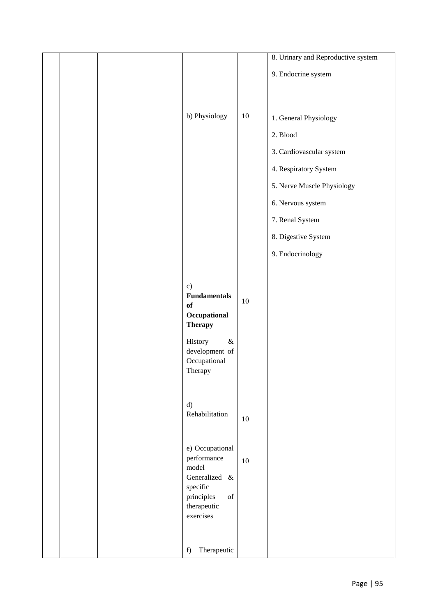|  |                                                                                                                  |        | 8. Urinary and Reproductive system |
|--|------------------------------------------------------------------------------------------------------------------|--------|------------------------------------|
|  |                                                                                                                  |        | 9. Endocrine system                |
|  |                                                                                                                  |        |                                    |
|  | b) Physiology                                                                                                    | 10     | 1. General Physiology              |
|  |                                                                                                                  |        | 2. Blood                           |
|  |                                                                                                                  |        | 3. Cardiovascular system           |
|  |                                                                                                                  |        | 4. Respiratory System              |
|  |                                                                                                                  |        | 5. Nerve Muscle Physiology         |
|  |                                                                                                                  |        | 6. Nervous system                  |
|  |                                                                                                                  |        | 7. Renal System                    |
|  |                                                                                                                  |        | 8. Digestive System                |
|  |                                                                                                                  |        | 9. Endocrinology                   |
|  |                                                                                                                  |        |                                    |
|  | c)<br><b>Fundamentals</b>                                                                                        |        |                                    |
|  | of<br>Occupational                                                                                               | 10     |                                    |
|  | <b>Therapy</b>                                                                                                   |        |                                    |
|  | $\&$<br>History                                                                                                  |        |                                    |
|  | development of<br>Occupational                                                                                   |        |                                    |
|  | Therapy                                                                                                          |        |                                    |
|  |                                                                                                                  |        |                                    |
|  | d)<br>Rehabilitation                                                                                             | $10\,$ |                                    |
|  |                                                                                                                  |        |                                    |
|  | e) Occupational                                                                                                  |        |                                    |
|  | performance<br>model                                                                                             | 10     |                                    |
|  | Generalized &<br>specific                                                                                        |        |                                    |
|  | $% \left( \left( \mathcal{A},\mathcal{A}\right) \right) =\left( \mathcal{A},\mathcal{A}\right)$ of<br>principles |        |                                    |
|  | therapeutic<br>exercises                                                                                         |        |                                    |
|  |                                                                                                                  |        |                                    |
|  | Therapeutic<br>f)                                                                                                |        |                                    |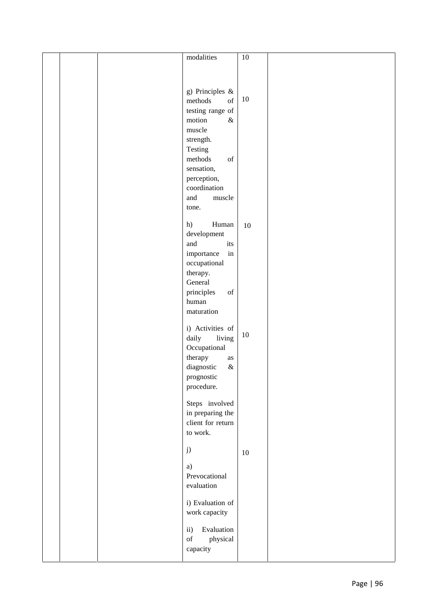|  | modalities                                                                                                       | $10\,$ |  |
|--|------------------------------------------------------------------------------------------------------------------|--------|--|
|  |                                                                                                                  |        |  |
|  |                                                                                                                  |        |  |
|  |                                                                                                                  |        |  |
|  |                                                                                                                  |        |  |
|  | g) Principles $\&$                                                                                               |        |  |
|  | of<br>methods                                                                                                    | $10\,$ |  |
|  | testing range of                                                                                                 |        |  |
|  | motion<br>$\&$                                                                                                   |        |  |
|  | muscle                                                                                                           |        |  |
|  | strength.                                                                                                        |        |  |
|  |                                                                                                                  |        |  |
|  | Testing                                                                                                          |        |  |
|  | methods<br>$% \left( \left( \mathcal{A},\mathcal{A}\right) \right) =\left( \mathcal{A},\mathcal{A}\right)$ of    |        |  |
|  | sensation,                                                                                                       |        |  |
|  | perception,                                                                                                      |        |  |
|  | coordination                                                                                                     |        |  |
|  | and<br>muscle                                                                                                    |        |  |
|  |                                                                                                                  |        |  |
|  | tone.                                                                                                            |        |  |
|  | h)<br>Human                                                                                                      |        |  |
|  |                                                                                                                  | $10\,$ |  |
|  | development                                                                                                      |        |  |
|  | and<br>its                                                                                                       |        |  |
|  | $\operatorname{in}$<br>importance                                                                                |        |  |
|  | occupational                                                                                                     |        |  |
|  | therapy.                                                                                                         |        |  |
|  | General                                                                                                          |        |  |
|  | principles<br>$% \left( \left( \mathcal{A},\mathcal{A}\right) \right) =\left( \mathcal{A},\mathcal{A}\right)$ of |        |  |
|  | human                                                                                                            |        |  |
|  | maturation                                                                                                       |        |  |
|  |                                                                                                                  |        |  |
|  | i) Activities of                                                                                                 |        |  |
|  |                                                                                                                  | $10\,$ |  |
|  | daily<br>living                                                                                                  |        |  |
|  | Occupational                                                                                                     |        |  |
|  | therapy<br>$\rm as$                                                                                              |        |  |
|  | diagnostic<br>$\&$                                                                                               |        |  |
|  | prognostic                                                                                                       |        |  |
|  | procedure.                                                                                                       |        |  |
|  |                                                                                                                  |        |  |
|  | Steps involved                                                                                                   |        |  |
|  | in preparing the                                                                                                 |        |  |
|  | client for return                                                                                                |        |  |
|  |                                                                                                                  |        |  |
|  | to work.                                                                                                         |        |  |
|  |                                                                                                                  |        |  |
|  | j)                                                                                                               | $10\,$ |  |
|  |                                                                                                                  |        |  |
|  | a)                                                                                                               |        |  |
|  | Prevocational                                                                                                    |        |  |
|  | evaluation                                                                                                       |        |  |
|  |                                                                                                                  |        |  |
|  | i) Evaluation of                                                                                                 |        |  |
|  | work capacity                                                                                                    |        |  |
|  |                                                                                                                  |        |  |
|  | Evaluation<br>$\mathbf{ii}$                                                                                      |        |  |
|  | $% \left( \left( \mathcal{A},\mathcal{A}\right) \right) =\left( \mathcal{A},\mathcal{A}\right)$ of<br>physical   |        |  |
|  | capacity                                                                                                         |        |  |
|  |                                                                                                                  |        |  |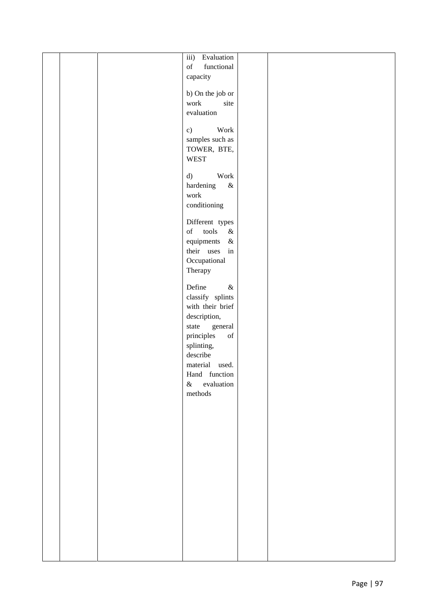| functional<br>of<br>capacity<br>b) On the job or<br>work<br>site<br>evaluation<br>Work<br>c)<br>samples such as<br>TOWER, BTE,<br><b>WEST</b> |  |
|-----------------------------------------------------------------------------------------------------------------------------------------------|--|
|                                                                                                                                               |  |
|                                                                                                                                               |  |
|                                                                                                                                               |  |
|                                                                                                                                               |  |
|                                                                                                                                               |  |
|                                                                                                                                               |  |
|                                                                                                                                               |  |
| Work<br>d)                                                                                                                                    |  |
| hardening<br>$\&$                                                                                                                             |  |
| work<br>conditioning                                                                                                                          |  |
| Different types                                                                                                                               |  |
| of<br>$\operatorname{tools}$<br>$\&$                                                                                                          |  |
| equipments<br>$\&$<br>their uses<br>in                                                                                                        |  |
| Occupational                                                                                                                                  |  |
| Therapy                                                                                                                                       |  |
| Define<br>$\&$                                                                                                                                |  |
| classify splints<br>with their brief                                                                                                          |  |
| description,                                                                                                                                  |  |
| state<br>general<br>principles<br>$% \left( \left( \mathcal{A},\mathcal{A}\right) \right) =\left( \mathcal{A},\mathcal{A}\right)$ of          |  |
| splinting,                                                                                                                                    |  |
| describe                                                                                                                                      |  |
| material used.<br>Hand function                                                                                                               |  |
| evaluation<br>$\&$                                                                                                                            |  |
| methods                                                                                                                                       |  |
|                                                                                                                                               |  |
|                                                                                                                                               |  |
|                                                                                                                                               |  |
|                                                                                                                                               |  |
|                                                                                                                                               |  |
|                                                                                                                                               |  |
|                                                                                                                                               |  |
|                                                                                                                                               |  |
|                                                                                                                                               |  |
|                                                                                                                                               |  |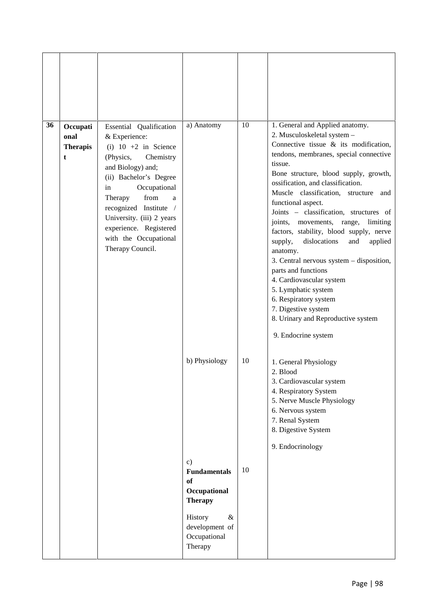| 36 | Occupati<br>onal<br><b>Therapis</b><br>t | Essential Qualification<br>& Experience:<br>(i) $10 + 2$ in Science<br>(Physics,<br>Chemistry<br>and Biology) and;<br>(ii) Bachelor's Degree<br>Occupational<br>in<br>Therapy<br>from<br>a<br>recognized Institute /<br>University. (iii) 2 years<br>experience. Registered<br>with the Occupational<br>Therapy Council. | a) Anatomy                                                                   | 10 | 1. General and Applied anatomy.<br>2. Musculoskeletal system -<br>Connective tissue $\&$ its modification,<br>tendons, membranes, special connective<br>tissue.<br>Bone structure, blood supply, growth,<br>ossification, and classification.<br>Muscle classification, structure and<br>functional aspect.<br>Joints - classification, structures of<br>joints,<br>movements, range,<br>limiting<br>factors, stability, blood supply, nerve<br>dislocations<br>supply,<br>and<br>applied<br>anatomy.<br>3. Central nervous system - disposition,<br>parts and functions<br>4. Cardiovascular system<br>5. Lymphatic system<br>6. Respiratory system<br>7. Digestive system<br>8. Urinary and Reproductive system<br>9. Endocrine system |
|----|------------------------------------------|--------------------------------------------------------------------------------------------------------------------------------------------------------------------------------------------------------------------------------------------------------------------------------------------------------------------------|------------------------------------------------------------------------------|----|------------------------------------------------------------------------------------------------------------------------------------------------------------------------------------------------------------------------------------------------------------------------------------------------------------------------------------------------------------------------------------------------------------------------------------------------------------------------------------------------------------------------------------------------------------------------------------------------------------------------------------------------------------------------------------------------------------------------------------------|
|    |                                          |                                                                                                                                                                                                                                                                                                                          | b) Physiology                                                                | 10 | 1. General Physiology<br>2. Blood<br>3. Cardiovascular system<br>4. Respiratory System<br>5. Nerve Muscle Physiology<br>6. Nervous system<br>7. Renal System<br>8. Digestive System<br>9. Endocrinology                                                                                                                                                                                                                                                                                                                                                                                                                                                                                                                                  |
|    |                                          |                                                                                                                                                                                                                                                                                                                          | $\mathbf{c})$<br><b>Fundamentals</b><br>of<br>Occupational<br><b>Therapy</b> | 10 |                                                                                                                                                                                                                                                                                                                                                                                                                                                                                                                                                                                                                                                                                                                                          |
|    |                                          |                                                                                                                                                                                                                                                                                                                          | $\&$<br>History<br>development of<br>Occupational<br>Therapy                 |    |                                                                                                                                                                                                                                                                                                                                                                                                                                                                                                                                                                                                                                                                                                                                          |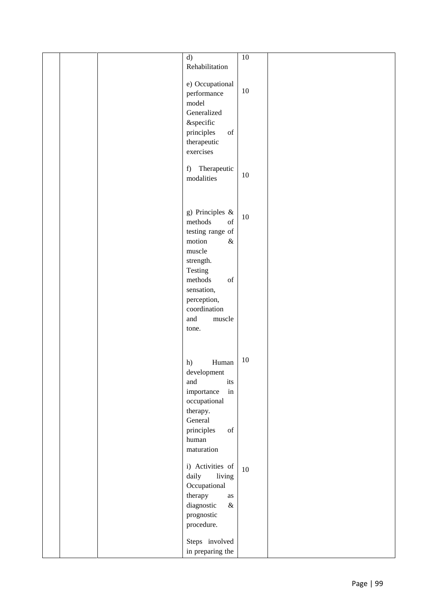|  | d)                                                                                                               | $10\,$ |  |
|--|------------------------------------------------------------------------------------------------------------------|--------|--|
|  | Rehabilitation                                                                                                   |        |  |
|  |                                                                                                                  |        |  |
|  | e) Occupational                                                                                                  |        |  |
|  | performance                                                                                                      | $10\,$ |  |
|  | model                                                                                                            |        |  |
|  | Generalized                                                                                                      |        |  |
|  |                                                                                                                  |        |  |
|  | &specific                                                                                                        |        |  |
|  | principles<br>$% \left( \left( \mathcal{A},\mathcal{A}\right) \right) =\left( \mathcal{A},\mathcal{A}\right)$ of |        |  |
|  | therapeutic                                                                                                      |        |  |
|  | exercises                                                                                                        |        |  |
|  |                                                                                                                  |        |  |
|  | Therapeutic<br>f                                                                                                 | $10\,$ |  |
|  | modalities                                                                                                       |        |  |
|  |                                                                                                                  |        |  |
|  |                                                                                                                  |        |  |
|  | g) Principles $\&$                                                                                               |        |  |
|  | methods<br>of                                                                                                    | $10\,$ |  |
|  |                                                                                                                  |        |  |
|  | testing range of                                                                                                 |        |  |
|  | motion<br>$\&$                                                                                                   |        |  |
|  | muscle                                                                                                           |        |  |
|  | strength.                                                                                                        |        |  |
|  | Testing                                                                                                          |        |  |
|  | methods<br>$% \left( \left( \mathcal{A},\mathcal{A}\right) \right) =\left( \mathcal{A},\mathcal{A}\right)$ of    |        |  |
|  | sensation,                                                                                                       |        |  |
|  | perception,                                                                                                      |        |  |
|  | coordination                                                                                                     |        |  |
|  | and<br>muscle                                                                                                    |        |  |
|  | tone.                                                                                                            |        |  |
|  |                                                                                                                  |        |  |
|  |                                                                                                                  |        |  |
|  |                                                                                                                  |        |  |
|  | Human<br>h)                                                                                                      | $10\,$ |  |
|  | development                                                                                                      |        |  |
|  | and<br>its                                                                                                       |        |  |
|  | importance<br>$\operatorname{in}$                                                                                |        |  |
|  | occupational                                                                                                     |        |  |
|  | therapy.                                                                                                         |        |  |
|  | General                                                                                                          |        |  |
|  | principles<br>$_{\mathrm{of}}$                                                                                   |        |  |
|  | human                                                                                                            |        |  |
|  | maturation                                                                                                       |        |  |
|  |                                                                                                                  |        |  |
|  | i) Activities of                                                                                                 | 10     |  |
|  | daily<br>living                                                                                                  |        |  |
|  | Occupational                                                                                                     |        |  |
|  | therapy<br>$\rm as$                                                                                              |        |  |
|  | diagnostic<br>$\&$                                                                                               |        |  |
|  |                                                                                                                  |        |  |
|  | prognostic                                                                                                       |        |  |
|  | procedure.                                                                                                       |        |  |
|  | Steps involved                                                                                                   |        |  |
|  |                                                                                                                  |        |  |
|  | in preparing the                                                                                                 |        |  |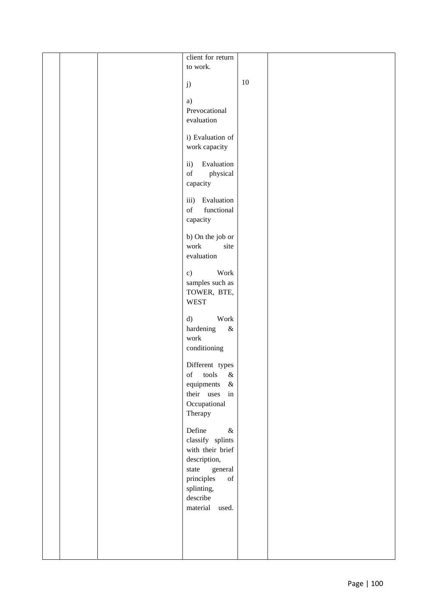|  | client for return                                                                                                                      |        |  |
|--|----------------------------------------------------------------------------------------------------------------------------------------|--------|--|
|  | to work.                                                                                                                               |        |  |
|  |                                                                                                                                        |        |  |
|  | j)                                                                                                                                     | $10\,$ |  |
|  |                                                                                                                                        |        |  |
|  | a)                                                                                                                                     |        |  |
|  | Prevocational                                                                                                                          |        |  |
|  | evaluation                                                                                                                             |        |  |
|  | i) Evaluation of                                                                                                                       |        |  |
|  | work capacity                                                                                                                          |        |  |
|  |                                                                                                                                        |        |  |
|  | Evaluation<br>$\mathbf{ii}$ )                                                                                                          |        |  |
|  | $% \left( \left( \mathcal{A},\mathcal{A}\right) \right) =\left( \mathcal{A},\mathcal{A}\right)$ of<br>physical                         |        |  |
|  | capacity                                                                                                                               |        |  |
|  |                                                                                                                                        |        |  |
|  | Evaluation<br>iii)<br>functional<br>$% \left( \left( \mathcal{A},\mathcal{A}\right) \right) =\left( \mathcal{A},\mathcal{A}\right)$ of |        |  |
|  |                                                                                                                                        |        |  |
|  | capacity                                                                                                                               |        |  |
|  | b) On the job or                                                                                                                       |        |  |
|  | work<br>site                                                                                                                           |        |  |
|  | evaluation                                                                                                                             |        |  |
|  |                                                                                                                                        |        |  |
|  | Work<br>c)                                                                                                                             |        |  |
|  | samples such as                                                                                                                        |        |  |
|  | TOWER, BTE,<br><b>WEST</b>                                                                                                             |        |  |
|  |                                                                                                                                        |        |  |
|  | Work<br>d)                                                                                                                             |        |  |
|  | hardening<br>$\&$                                                                                                                      |        |  |
|  | work                                                                                                                                   |        |  |
|  | conditioning                                                                                                                           |        |  |
|  |                                                                                                                                        |        |  |
|  | Different types<br>$% \left( \left( \mathcal{A},\mathcal{A}\right) \right) =\left( \mathcal{A},\mathcal{A}\right)$ of<br>tools<br>$\&$ |        |  |
|  | equipments<br>$\&$                                                                                                                     |        |  |
|  | their uses<br>in                                                                                                                       |        |  |
|  | Occupational                                                                                                                           |        |  |
|  | Therapy                                                                                                                                |        |  |
|  |                                                                                                                                        |        |  |
|  | Define<br>$\&$                                                                                                                         |        |  |
|  | classify splints                                                                                                                       |        |  |
|  | with their brief                                                                                                                       |        |  |
|  | description,                                                                                                                           |        |  |
|  | state<br>general                                                                                                                       |        |  |
|  | principles<br>$% \left( \left( \mathcal{A},\mathcal{A}\right) \right) =\left( \mathcal{A},\mathcal{A}\right)$ of                       |        |  |
|  | splinting,<br>$\operatorname{describe}$                                                                                                |        |  |
|  | material<br>used.                                                                                                                      |        |  |
|  |                                                                                                                                        |        |  |
|  |                                                                                                                                        |        |  |
|  |                                                                                                                                        |        |  |
|  |                                                                                                                                        |        |  |
|  |                                                                                                                                        |        |  |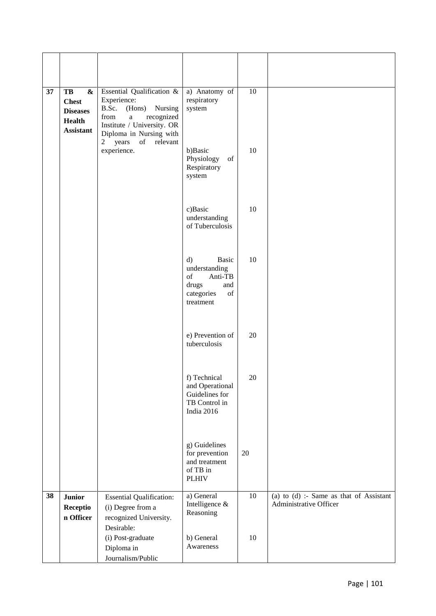| 37 | TB<br>$\boldsymbol{\&}$<br><b>Chest</b><br><b>Diseases</b><br><b>Health</b><br><b>Assistant</b> | Essential Qualification &<br>Experience:<br>B.Sc.<br>(Hons)<br>Nursing<br>from<br>recognized<br>$\rm{a}$<br>Institute / University. OR<br>Diploma in Nursing with | a) Anatomy of<br>respiratory<br>system                                                                                                                                                                          | 10 |                                                                     |
|----|-------------------------------------------------------------------------------------------------|-------------------------------------------------------------------------------------------------------------------------------------------------------------------|-----------------------------------------------------------------------------------------------------------------------------------------------------------------------------------------------------------------|----|---------------------------------------------------------------------|
|    |                                                                                                 | 2 years<br>of relevant<br>experience.                                                                                                                             | b)Basic<br>Physiology<br>of<br>Respiratory<br>system                                                                                                                                                            | 10 |                                                                     |
|    |                                                                                                 |                                                                                                                                                                   | c)Basic<br>understanding<br>of Tuberculosis                                                                                                                                                                     | 10 |                                                                     |
|    |                                                                                                 |                                                                                                                                                                   | $\mathbf{d}$<br><b>Basic</b><br>understanding<br>of<br>Anti-TB<br>drugs<br>and<br>$% \left( \left( \mathcal{A},\mathcal{A}\right) \right) =\left( \mathcal{A},\mathcal{A}\right)$ of<br>categories<br>treatment | 10 |                                                                     |
|    |                                                                                                 |                                                                                                                                                                   | e) Prevention of<br>tuberculosis                                                                                                                                                                                | 20 |                                                                     |
|    |                                                                                                 |                                                                                                                                                                   | f) Technical<br>and Operational<br>Guidelines for<br>TB Control in<br>India 2016                                                                                                                                | 20 |                                                                     |
|    |                                                                                                 |                                                                                                                                                                   | g) Guidelines<br>for prevention<br>and treatment<br>of TB in<br><b>PLHIV</b>                                                                                                                                    | 20 |                                                                     |
| 38 | <b>Junior</b><br>Receptio<br>n Officer                                                          | <b>Essential Qualification:</b><br>(i) Degree from a<br>recognized University.<br>Desirable:                                                                      | a) General<br>Intelligence &<br>Reasoning                                                                                                                                                                       | 10 | (a) to $(d)$ :- Same as that of Assistant<br>Administrative Officer |
|    |                                                                                                 | (i) Post-graduate<br>Diploma in<br>Journalism/Public                                                                                                              | b) General<br>Awareness                                                                                                                                                                                         | 10 |                                                                     |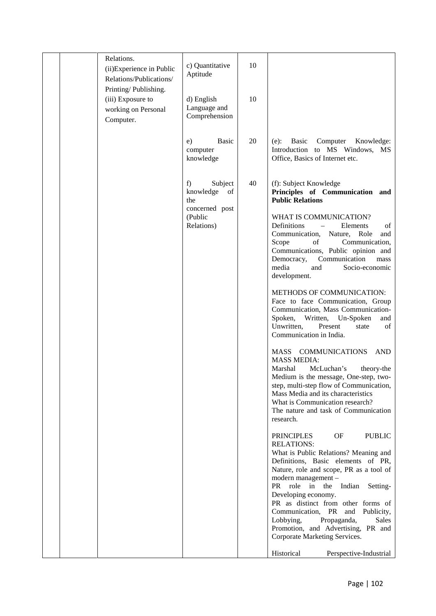|  | Relations.<br>(ii) Experience in Public<br>Relations/Publications/<br>Printing/Publishing.<br>(iii) Exposure to<br>working on Personal | c) Quantitative<br>Aptitude<br>d) English<br>Language and<br>Comprehension      | 10<br>10 |                                                                                                                                                                                                                                                                                                                                                                                                                                                                                                                                                                                                                                                                                                                                                                                                                                                                                                                                                                                                                                                                                                                                                                                                                                                                                                                                                                                                 |  |
|--|----------------------------------------------------------------------------------------------------------------------------------------|---------------------------------------------------------------------------------|----------|-------------------------------------------------------------------------------------------------------------------------------------------------------------------------------------------------------------------------------------------------------------------------------------------------------------------------------------------------------------------------------------------------------------------------------------------------------------------------------------------------------------------------------------------------------------------------------------------------------------------------------------------------------------------------------------------------------------------------------------------------------------------------------------------------------------------------------------------------------------------------------------------------------------------------------------------------------------------------------------------------------------------------------------------------------------------------------------------------------------------------------------------------------------------------------------------------------------------------------------------------------------------------------------------------------------------------------------------------------------------------------------------------|--|
|  | Computer.                                                                                                                              | <b>Basic</b><br>e)<br>computer<br>knowledge                                     | 20       | Basic<br>Computer<br>Knowledge:<br>$(e)$ :<br>Introduction to MS Windows, MS<br>Office, Basics of Internet etc.                                                                                                                                                                                                                                                                                                                                                                                                                                                                                                                                                                                                                                                                                                                                                                                                                                                                                                                                                                                                                                                                                                                                                                                                                                                                                 |  |
|  |                                                                                                                                        | Subject<br>f)<br>knowledge of<br>the<br>concerned post<br>(Public<br>Relations) | 40       | (f): Subject Knowledge<br>Principles of Communication and<br><b>Public Relations</b><br>WHAT IS COMMUNICATION?<br>Definitions<br>Elements<br>of<br>$\overline{\phantom{m}}$<br>Communication, Nature, Role<br>and<br>Scope<br>Communication,<br>of<br>Communications, Public opinion and<br>Communication<br>Democracy,<br>mass<br>media<br>and<br>Socio-economic<br>development.<br>METHODS OF COMMUNICATION:<br>Face to face Communication, Group<br>Communication, Mass Communication-<br>Spoken,<br>Written, Un-Spoken<br>and<br>Unwritten,<br>Present<br>of<br>state<br>Communication in India.<br>MASS COMMUNICATIONS<br>AND<br><b>MASS MEDIA:</b><br>Marshal<br>McLuchan's<br>theory-the<br>Medium is the message, One-step, two-<br>step, multi-step flow of Communication,<br>Mass Media and its characteristics<br>What is Communication research?<br>The nature and task of Communication<br>research.<br><b>PRINCIPLES</b><br>OF<br><b>PUBLIC</b><br><b>RELATIONS:</b><br>What is Public Relations? Meaning and<br>Definitions, Basic elements of PR,<br>Nature, role and scope, PR as a tool of<br>modern management -<br>PR role in the Indian<br>Setting-<br>Developing economy.<br>PR as distinct from other forms of<br>Communication, PR and<br>Publicity,<br>Lobbying,<br>Propaganda,<br><b>Sales</b><br>Promotion, and Advertising, PR and<br>Corporate Marketing Services. |  |
|  |                                                                                                                                        |                                                                                 |          | Historical<br>Perspective-Industrial                                                                                                                                                                                                                                                                                                                                                                                                                                                                                                                                                                                                                                                                                                                                                                                                                                                                                                                                                                                                                                                                                                                                                                                                                                                                                                                                                            |  |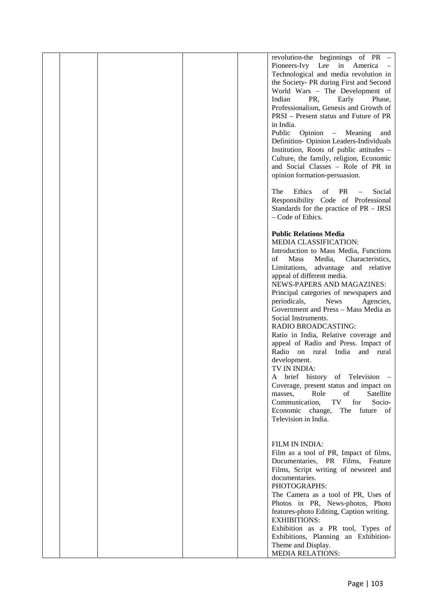|  |  | revolution-the beginnings of PR –        |  |
|--|--|------------------------------------------|--|
|  |  | Pioneers-Ivy Lee in America              |  |
|  |  | Technological and media revolution in    |  |
|  |  | the Society- PR during First and Second  |  |
|  |  | World Wars - The Development of          |  |
|  |  | Indian<br>PR,<br>Early<br>Phase.         |  |
|  |  | Professionalism, Genesis and Growth of   |  |
|  |  | PRSI – Present status and Future of PR   |  |
|  |  | in India.                                |  |
|  |  | Public<br>Opinion – Meaning<br>and       |  |
|  |  | Definition-Opinion Leaders-Individuals   |  |
|  |  | Institution, Roots of public attitudes - |  |
|  |  | Culture, the family, religion, Economic  |  |
|  |  | and Social Classes - Role of PR in       |  |
|  |  |                                          |  |
|  |  | opinion formation-persuasion.            |  |
|  |  | Ethics<br>PR<br>The<br>of<br>Social      |  |
|  |  | $\qquad \qquad -$                        |  |
|  |  | Responsibility Code of Professional      |  |
|  |  | Standards for the practice of PR – IRSI  |  |
|  |  | - Code of Ethics.                        |  |
|  |  |                                          |  |
|  |  | <b>Public Relations Media</b>            |  |
|  |  | <b>MEDIA CLASSIFICATION:</b>             |  |
|  |  | Introduction to Mass Media, Functions    |  |
|  |  | Mass<br>οf<br>Media,<br>Characteristics, |  |
|  |  | Limitations, advantage and relative      |  |
|  |  | appeal of different media.               |  |
|  |  | NEWS-PAPERS AND MAGAZINES:               |  |
|  |  | Principal categories of newspapers and   |  |
|  |  | periodicals,<br><b>News</b><br>Agencies, |  |
|  |  | Government and Press - Mass Media as     |  |
|  |  | Social Instruments.                      |  |
|  |  | <b>RADIO BROADCASTING:</b>               |  |
|  |  | Ratio in India, Relative coverage and    |  |
|  |  | appeal of Radio and Press. Impact of     |  |
|  |  | Radio on rural India<br>and rural        |  |
|  |  | development.                             |  |
|  |  | TV IN INDIA:                             |  |
|  |  | brief history<br>of Television<br>A      |  |
|  |  | Coverage, present status and impact on   |  |
|  |  | Role<br>of<br>Satellite<br>masses,       |  |
|  |  | TV<br>for<br>Socio-<br>Communication,    |  |
|  |  | Economic change,<br>The future of        |  |
|  |  | Television in India.                     |  |
|  |  |                                          |  |
|  |  |                                          |  |
|  |  | FILM IN INDIA:                           |  |
|  |  | Film as a tool of PR, Impact of films,   |  |
|  |  | Documentaries, PR Films, Feature         |  |
|  |  | Films, Script writing of newsreel and    |  |
|  |  | documentaries.                           |  |
|  |  | PHOTOGRAPHS:                             |  |
|  |  | The Camera as a tool of PR, Uses of      |  |
|  |  | Photos in PR, News-photos, Photo         |  |
|  |  | features-photo Editing, Caption writing. |  |
|  |  | <b>EXHIBITIONS:</b>                      |  |
|  |  | Exhibition as a PR tool, Types of        |  |
|  |  | Exhibitions, Planning an Exhibition-     |  |
|  |  | Theme and Display.                       |  |
|  |  | <b>MEDIA RELATIONS:</b>                  |  |
|  |  |                                          |  |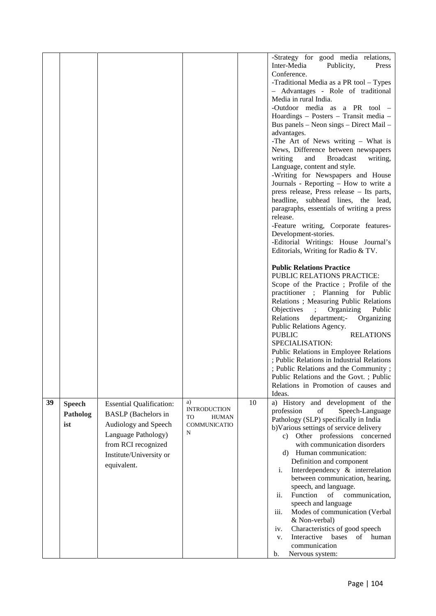|    |                                  |                                                                                                                                                                               |                                                                             |    | -Strategy for good media relations,<br>Inter-Media<br>Publicity,<br>Press<br>Conference.<br>-Traditional Media as a PR tool - Types<br>- Advantages - Role of traditional<br>Media in rural India.<br>-Outdoor media as a PR tool -<br>Hoardings - Posters - Transit media -<br>Bus panels - Neon sings - Direct Mail -<br>advantages.<br>-The Art of News writing - What is<br>News, Difference between newspapers<br>writing<br><b>Broadcast</b><br>writing,<br>and<br>Language, content and style.<br>-Writing for Newspapers and House<br>Journals - Reporting - How to write a<br>press release, Press release - Its parts,<br>headline, subhead lines, the lead,<br>paragraphs, essentials of writing a press<br>release.<br>-Feature writing, Corporate features-<br>Development-stories.<br>-Editorial Writings: House Journal's<br>Editorials, Writing for Radio & TV.<br><b>Public Relations Practice</b><br>PUBLIC RELATIONS PRACTICE:<br>Scope of the Practice; Profile of the<br>practitioner ; Planning for Public<br>Relations ; Measuring Public Relations<br>$\sum_{i=1}^{n}$<br>Organizing<br>Public<br>Relations<br>department;-<br>Organizing<br>Public Relations Agency.<br><b>PUBLIC</b><br><b>RELATIONS</b><br>SPECIALISATION:<br>Public Relations in Employee Relations<br>; Public Relations in Industrial Relations<br>; Public Relations and the Community;<br>Public Relations and the Govt.; Public<br>Relations in Promotion of causes and<br>Ideas. |
|----|----------------------------------|-------------------------------------------------------------------------------------------------------------------------------------------------------------------------------|-----------------------------------------------------------------------------|----|------------------------------------------------------------------------------------------------------------------------------------------------------------------------------------------------------------------------------------------------------------------------------------------------------------------------------------------------------------------------------------------------------------------------------------------------------------------------------------------------------------------------------------------------------------------------------------------------------------------------------------------------------------------------------------------------------------------------------------------------------------------------------------------------------------------------------------------------------------------------------------------------------------------------------------------------------------------------------------------------------------------------------------------------------------------------------------------------------------------------------------------------------------------------------------------------------------------------------------------------------------------------------------------------------------------------------------------------------------------------------------------------------------------------------------------------------------------------------------|
| 39 | <b>Speech</b><br>Patholog<br>ist | <b>Essential Qualification:</b><br><b>BASLP</b> (Bachelors in<br>Audiology and Speech<br>Language Pathology)<br>from RCI recognized<br>Institute/University or<br>equivalent. | a)<br><b>INTRODUCTION</b><br>TO<br><b>HUMAN</b><br><b>COMMUNICATIO</b><br>N | 10 | a) History and development of the<br>profession<br>$% \left( \left( \mathcal{A},\mathcal{A}\right) \right) =\left( \mathcal{A},\mathcal{A}\right)$ of<br>Speech-Language<br>Pathology (SLP) specifically in India<br>b) Various settings of service delivery<br>c) Other professions concerned<br>with communication disorders<br>d) Human communication:<br>Definition and component<br>Interdependency & interrelation<br>i.<br>between communication, hearing,<br>speech, and language.<br>communication,<br>Function<br>ii.<br>of<br>speech and language<br>iii.<br>Modes of communication (Verbal<br>& Non-verbal)<br>Characteristics of good speech<br>iv.<br>Interactive bases<br>of human<br>V.<br>communication<br>Nervous system:<br>b.                                                                                                                                                                                                                                                                                                                                                                                                                                                                                                                                                                                                                                                                                                                                  |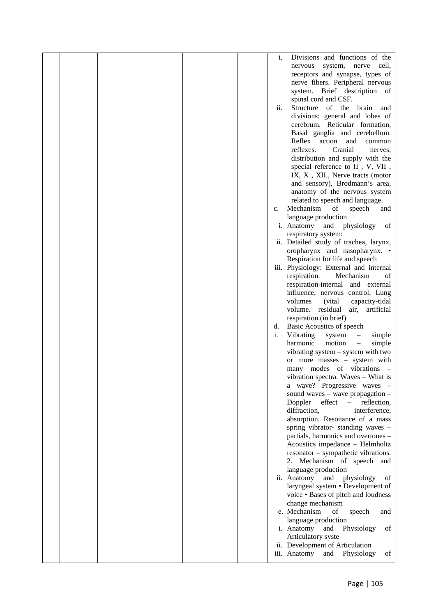|  |  | i.  | Divisions and functions of the                                        |  |
|--|--|-----|-----------------------------------------------------------------------|--|
|  |  |     | system,<br>nerve<br>cell,<br>nervous                                  |  |
|  |  |     | receptors and synapse, types of                                       |  |
|  |  |     | nerve fibers. Peripheral nervous                                      |  |
|  |  |     | system. Brief description of                                          |  |
|  |  |     | spinal cord and CSF.                                                  |  |
|  |  | ii. | Structure of the<br>brain<br>and                                      |  |
|  |  |     | divisions: general and lobes of                                       |  |
|  |  |     | cerebrum. Reticular formation,                                        |  |
|  |  |     | Basal ganglia and cerebellum.                                         |  |
|  |  |     | Reflex action<br>and<br>common                                        |  |
|  |  |     | reflexes.<br>Cranial<br>nerves.                                       |  |
|  |  |     | distribution and supply with the                                      |  |
|  |  |     | special reference to II , V, VII ,                                    |  |
|  |  |     | IX, X, XII., Nerve tracts (motor                                      |  |
|  |  |     | and sensory), Brodmann's area,                                        |  |
|  |  |     | anatomy of the nervous system                                         |  |
|  |  |     | related to speech and language.                                       |  |
|  |  | c.  | Mechanism<br>of<br>speech<br>and                                      |  |
|  |  |     | language production                                                   |  |
|  |  |     | i. Anatomy and<br>physiology<br>of                                    |  |
|  |  |     | respiratory system:                                                   |  |
|  |  |     | ii. Detailed study of trachea, larynx,                                |  |
|  |  |     | oropharynx and nasopharynx. •                                         |  |
|  |  |     | Respiration for life and speech                                       |  |
|  |  |     | iii. Physiology: External and internal                                |  |
|  |  |     | respiration.<br>Mechanism<br>of                                       |  |
|  |  |     | respiration-internal and external                                     |  |
|  |  |     | influence, nervous control, Lung                                      |  |
|  |  |     | volumes<br>(vital)<br>capacity-tidal                                  |  |
|  |  |     | volume. residual<br>air, artificial<br>respiration.(in brief)         |  |
|  |  | d.  | Basic Acoustics of speech                                             |  |
|  |  | i.  | Vibrating<br>system<br>simple<br>$\qquad \qquad -$                    |  |
|  |  |     | harmonic<br>motion<br>simple<br>$\qquad \qquad -$                     |  |
|  |  |     | vibrating system – system with two                                    |  |
|  |  |     | or more masses - system with                                          |  |
|  |  |     | many modes of vibrations                                              |  |
|  |  |     | vibration spectra. Waves – What is                                    |  |
|  |  |     | a wave? Progressive waves -                                           |  |
|  |  |     | sound waves $-$ wave propagation $-$                                  |  |
|  |  |     | effect<br>Doppler<br>reflection,<br>$\overline{\phantom{a}}$          |  |
|  |  |     | diffraction,<br>interference,                                         |  |
|  |  |     | absorption. Resonance of a mass                                       |  |
|  |  |     | spring vibrator-standing waves -                                      |  |
|  |  |     | partials, harmonics and overtones -                                   |  |
|  |  |     | Acoustics impedance - Helmholtz                                       |  |
|  |  |     | resonator – sympathetic vibrations.                                   |  |
|  |  |     | 2. Mechanism of speech and                                            |  |
|  |  |     | language production<br>of                                             |  |
|  |  |     | ii. Anatomy<br>physiology<br>and<br>laryngeal system • Development of |  |
|  |  |     | voice . Bases of pitch and loudness                                   |  |
|  |  |     | change mechanism                                                      |  |
|  |  |     | e. Mechanism<br>of<br>speech<br>and                                   |  |
|  |  |     | language production                                                   |  |
|  |  |     | i. Anatomy<br>and<br>Physiology<br>of                                 |  |
|  |  |     | Articulatory syste                                                    |  |
|  |  |     | ii. Development of Articulation                                       |  |
|  |  |     | iii. Anatomy<br>Physiology<br>and<br>of                               |  |
|  |  |     |                                                                       |  |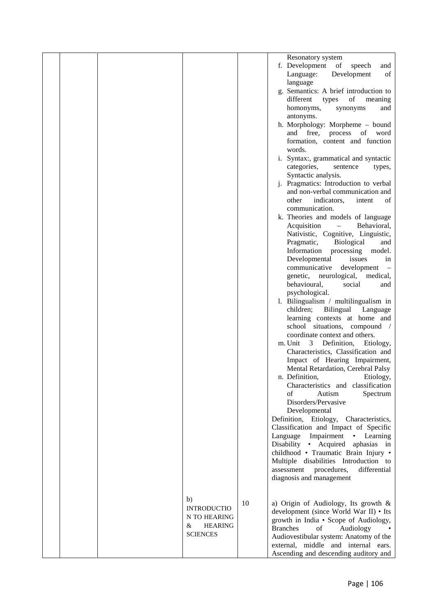|  |                     |    | Resonatory system                                        |
|--|---------------------|----|----------------------------------------------------------|
|  |                     |    | f. Development<br>of<br>speech<br>and                    |
|  |                     |    | of<br>Language:<br>Development                           |
|  |                     |    | language                                                 |
|  |                     |    | g. Semantics: A brief introduction to                    |
|  |                     |    | of<br>different<br>types<br>meaning                      |
|  |                     |    | homonyms,<br>synonyms<br>and                             |
|  |                     |    |                                                          |
|  |                     |    | antonyms.                                                |
|  |                     |    | h. Morphology: Morpheme - bound                          |
|  |                     |    | and free, process of word                                |
|  |                     |    | formation, content and function<br>words.                |
|  |                     |    |                                                          |
|  |                     |    | i. Syntax:, grammatical and syntactic                    |
|  |                     |    | categories,<br>sentence<br>types,                        |
|  |                     |    | Syntactic analysis.                                      |
|  |                     |    | j. Pragmatics: Introduction to verbal                    |
|  |                     |    | and non-verbal communication and                         |
|  |                     |    | other<br>indicators,<br>of<br>intent                     |
|  |                     |    | communication.                                           |
|  |                     |    | k. Theories and models of language                       |
|  |                     |    | Acquisition<br>$\equiv$<br>Behavioral,                   |
|  |                     |    | Nativistic, Cognitive, Linguistic,                       |
|  |                     |    | Biological<br>Pragmatic,<br>and                          |
|  |                     |    | Information processing<br>model.                         |
|  |                     |    | Developmental<br>issues<br>in                            |
|  |                     |    | communicative<br>development<br>$\overline{\phantom{a}}$ |
|  |                     |    | genetic,<br>neurological,<br>medical,                    |
|  |                     |    | behavioural,<br>social<br>and                            |
|  |                     |    | psychological.                                           |
|  |                     |    | 1. Bilingualism / multilingualism in                     |
|  |                     |    | Bilingual Language<br>children;                          |
|  |                     |    | learning contexts at home and                            |
|  |                     |    | school situations, compound /                            |
|  |                     |    | coordinate context and others.                           |
|  |                     |    | m. Unit<br>$\mathbf{3}$<br>Definition,<br>Etiology,      |
|  |                     |    | Characteristics, Classification and                      |
|  |                     |    | Impact of Hearing Impairment,                            |
|  |                     |    | Mental Retardation, Cerebral Palsy                       |
|  |                     |    | n. Definition,<br>Etiology,                              |
|  |                     |    | Characteristics and classification                       |
|  |                     |    | $\sigma$ f<br>Autism<br>Spectrum                         |
|  |                     |    | Disorders/Pervasive                                      |
|  |                     |    | Developmental                                            |
|  |                     |    | Definition, Etiology, Characteristics,                   |
|  |                     |    | Classification and Impact of Specific                    |
|  |                     |    | Language Impairment • Learning                           |
|  |                     |    | Disability • Acquired aphasias in                        |
|  |                     |    | childhood · Traumatic Brain Injury ·                     |
|  |                     |    | Multiple disabilities Introduction to                    |
|  |                     |    | assessment<br>procedures,<br>differential                |
|  |                     |    | diagnosis and management                                 |
|  |                     |    |                                                          |
|  |                     |    |                                                          |
|  | b)                  | 10 | a) Origin of Audiology, Its growth $\&$                  |
|  | <b>INTRODUCTIO</b>  |    | development (since World War II) • Its                   |
|  | N TO HEARING        |    | growth in India • Scope of Audiology,                    |
|  | <b>HEARING</b><br>& |    | <b>Branches</b><br>of<br>Audiology                       |
|  | <b>SCIENCES</b>     |    | Audiovestibular system: Anatomy of the                   |
|  |                     |    | external, middle and internal ears.                      |
|  |                     |    |                                                          |
|  |                     |    | Ascending and descending auditory and                    |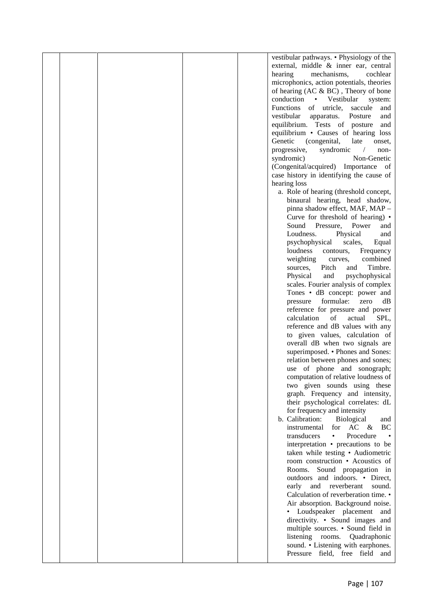|  |  | vestibular pathways. • Physiology of the       |  |
|--|--|------------------------------------------------|--|
|  |  | external, middle & inner ear, central          |  |
|  |  | hearing<br>mechanisms,<br>cochlear             |  |
|  |  | microphonics, action potentials, theories      |  |
|  |  | of hearing (AC & BC), Theory of bone           |  |
|  |  | conduction • Vestibular<br>system:             |  |
|  |  | <b>Functions</b><br>of utricle, saccule<br>and |  |
|  |  | vestibular<br>apparatus.<br>Posture<br>and     |  |
|  |  | equilibrium. Tests of posture<br>and           |  |
|  |  | equilibrium • Causes of hearing loss           |  |
|  |  | Genetic<br>(congenital,<br>late<br>onset,      |  |
|  |  | progressive,<br>syndromic<br>non-              |  |
|  |  | syndromic)<br>Non-Genetic                      |  |
|  |  | (Congenital/acquired) Importance of            |  |
|  |  | case history in identifying the cause of       |  |
|  |  | hearing loss                                   |  |
|  |  | a. Role of hearing (threshold concept,         |  |
|  |  | binaural hearing, head shadow,                 |  |
|  |  | pinna shadow effect, MAF, MAP -                |  |
|  |  | Curve for threshold of hearing) •              |  |
|  |  | Sound Pressure,<br>Power<br>and                |  |
|  |  | Loudness.<br>Physical<br>and                   |  |
|  |  | psychophysical<br>scales,<br>Equal             |  |
|  |  | loudness<br>contours,<br>Frequency             |  |
|  |  | weighting<br>combined<br>curves,               |  |
|  |  | Timbre.<br>Pitch<br>sources,<br>and            |  |
|  |  | Physical<br>and<br>psychophysical              |  |
|  |  | scales. Fourier analysis of complex            |  |
|  |  | Tones • dB concept: power and                  |  |
|  |  | formulae:<br>pressure<br>zero<br>dB            |  |
|  |  | reference for pressure and power               |  |
|  |  | calculation<br>of<br>actual<br>SPL,            |  |
|  |  | reference and dB values with any               |  |
|  |  | to given values, calculation of                |  |
|  |  | overall dB when two signals are                |  |
|  |  | superimposed. • Phones and Sones:              |  |
|  |  | relation between phones and sones;             |  |
|  |  | use of phone and sonograph;                    |  |
|  |  | computation of relative loudness of            |  |
|  |  | two given sounds using these                   |  |
|  |  | graph. Frequency and intensity,                |  |
|  |  | their psychological correlates: dL             |  |
|  |  | for frequency and intensity                    |  |
|  |  | b. Calibration:<br><b>Biological</b><br>and    |  |
|  |  | instrumental<br>BC<br>for $AC \&$              |  |
|  |  | transducers<br>Procedure<br>$\bullet$          |  |
|  |  | interpretation • precautions to be             |  |
|  |  | taken while testing • Audiometric              |  |
|  |  | room construction • Acoustics of               |  |
|  |  | Rooms.<br>Sound propagation in                 |  |
|  |  | outdoors and indoors. • Direct,                |  |
|  |  | and reverberant sound.<br>early                |  |
|  |  | Calculation of reverberation time. •           |  |
|  |  | Air absorption. Background noise.              |  |
|  |  | • Loudspeaker placement and                    |  |
|  |  | directivity. • Sound images and                |  |
|  |  | multiple sources. • Sound field in             |  |
|  |  | listening rooms. Quadraphonic                  |  |
|  |  | sound. • Listening with earphones.             |  |
|  |  | Pressure field, free field and                 |  |
|  |  |                                                |  |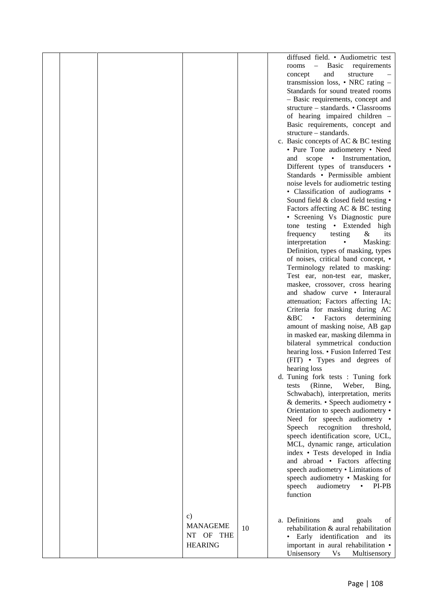|  |                 |    | diffused field. • Audiometric test           |  |
|--|-----------------|----|----------------------------------------------|--|
|  |                 |    | - Basic requirements<br>rooms                |  |
|  |                 |    | and<br>concept<br>structure                  |  |
|  |                 |    | transmission loss, $\bullet$ NRC rating $-$  |  |
|  |                 |    | Standards for sound treated rooms            |  |
|  |                 |    | - Basic requirements, concept and            |  |
|  |                 |    | structure - standards. • Classrooms          |  |
|  |                 |    | of hearing impaired children -               |  |
|  |                 |    | Basic requirements, concept and              |  |
|  |                 |    | structure – standards.                       |  |
|  |                 |    | c. Basic concepts of AC & BC testing         |  |
|  |                 |    |                                              |  |
|  |                 |    | • Pure Tone audiometery • Need               |  |
|  |                 |    | scope • Instrumentation,<br>and              |  |
|  |                 |    | Different types of transducers •             |  |
|  |                 |    | Standards • Permissible ambient              |  |
|  |                 |    | noise levels for audiometric testing         |  |
|  |                 |    | • Classification of audiograms •             |  |
|  |                 |    | Sound field & closed field testing •         |  |
|  |                 |    | Factors affecting AC & BC testing            |  |
|  |                 |    | • Screening Vs Diagnostic pure               |  |
|  |                 |    | tone testing • Extended high                 |  |
|  |                 |    | frequency<br>testing<br>&<br>its             |  |
|  |                 |    | interpretation<br>Masking:<br>٠              |  |
|  |                 |    | Definition, types of masking, types          |  |
|  |                 |    | of noises, critical band concept, •          |  |
|  |                 |    | Terminology related to masking:              |  |
|  |                 |    | Test ear, non-test ear, masker,              |  |
|  |                 |    | maskee, crossover, cross hearing             |  |
|  |                 |    | and shadow curve • Interaural                |  |
|  |                 |    | attenuation; Factors affecting IA;           |  |
|  |                 |    | Criteria for masking during AC               |  |
|  |                 |    | Factors<br>$\&BC \rightarrow$<br>determining |  |
|  |                 |    | amount of masking noise, AB gap              |  |
|  |                 |    | in masked ear, masking dilemma in            |  |
|  |                 |    | bilateral symmetrical conduction             |  |
|  |                 |    | hearing loss. • Fusion Inferred Test         |  |
|  |                 |    | (FIT) • Types and degrees of                 |  |
|  |                 |    |                                              |  |
|  |                 |    | hearing loss                                 |  |
|  |                 |    | d. Tuning fork tests : Tuning fork           |  |
|  |                 |    | (Rinne,<br>Weber,<br>Bing,<br>tests          |  |
|  |                 |    | Schwabach), interpretation, merits           |  |
|  |                 |    | & demerits. • Speech audiometry •            |  |
|  |                 |    | Orientation to speech audiometry •           |  |
|  |                 |    | Need for speech audiometry •                 |  |
|  |                 |    | recognition<br>Speech<br>threshold,          |  |
|  |                 |    | speech identification score, UCL,            |  |
|  |                 |    | MCL, dynamic range, articulation             |  |
|  |                 |    | index • Tests developed in India             |  |
|  |                 |    | and abroad • Factors affecting               |  |
|  |                 |    | speech audiometry . Limitations of           |  |
|  |                 |    | speech audiometry . Masking for              |  |
|  |                 |    | audiometry<br>speech<br>PI-PB<br>$\bullet$   |  |
|  |                 |    | function                                     |  |
|  |                 |    |                                              |  |
|  |                 |    |                                              |  |
|  | c)              |    | a. Definitions<br>and<br>goals<br>οf         |  |
|  | <b>MANAGEME</b> | 10 | rehabilitation & aural rehabilitation        |  |
|  | NT OF THE       |    | • Early identification and its               |  |
|  | <b>HEARING</b>  |    | important in aural rehabilitation •          |  |
|  |                 |    | Unisensory<br><b>Vs</b><br>Multisensory      |  |
|  |                 |    |                                              |  |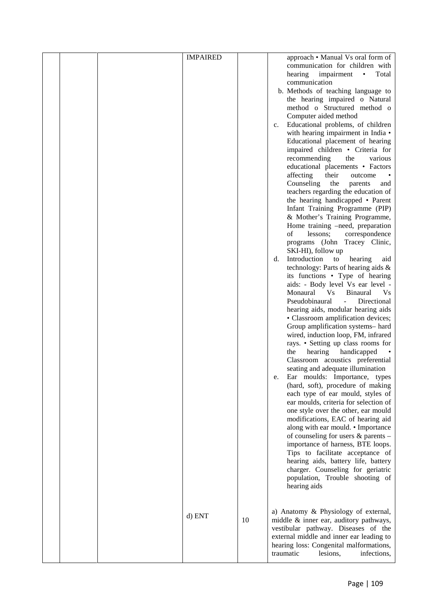|  | <b>IMPAIRED</b> |    | approach • Manual Vs oral form of                               |
|--|-----------------|----|-----------------------------------------------------------------|
|  |                 |    | communication for children with                                 |
|  |                 |    | impairment<br>Total<br>hearing<br>$\bullet$                     |
|  |                 |    | communication                                                   |
|  |                 |    | b. Methods of teaching language to                              |
|  |                 |    | the hearing impaired o Natural                                  |
|  |                 |    | method o Structured method o                                    |
|  |                 |    |                                                                 |
|  |                 |    | Computer aided method                                           |
|  |                 |    | Educational problems, of children<br>c.                         |
|  |                 |    | with hearing impairment in India •                              |
|  |                 |    | Educational placement of hearing                                |
|  |                 |    | impaired children • Criteria for                                |
|  |                 |    | recommending<br>various<br>the                                  |
|  |                 |    | educational placements • Factors                                |
|  |                 |    | their<br>affecting<br>outcome                                   |
|  |                 |    | Counseling<br>the<br>parents<br>and                             |
|  |                 |    | teachers regarding the education of                             |
|  |                 |    | the hearing handicapped • Parent                                |
|  |                 |    | Infant Training Programme (PIP)                                 |
|  |                 |    | & Mother's Training Programme,                                  |
|  |                 |    | Home training -need, preparation                                |
|  |                 |    | of<br>lessons;<br>correspondence                                |
|  |                 |    | programs (John Tracey Clinic,                                   |
|  |                 |    | SKI-HI), follow up                                              |
|  |                 |    | Introduction<br>to<br>hearing<br>d.<br>aid                      |
|  |                 |    | technology: Parts of hearing aids &                             |
|  |                 |    | its functions • Type of hearing                                 |
|  |                 |    | aids: - Body level Vs ear level -                               |
|  |                 |    | Monaural<br>V <sub>S</sub><br><b>Binaural</b><br>V <sub>S</sub> |
|  |                 |    | Pseudobinaural<br>Directional<br>$\mathbb{L}^{\mathbb{N}}$      |
|  |                 |    | hearing aids, modular hearing aids                              |
|  |                 |    |                                                                 |
|  |                 |    | • Classroom amplification devices;                              |
|  |                 |    | Group amplification systems- hard                               |
|  |                 |    | wired, induction loop, FM, infrared                             |
|  |                 |    | rays. • Setting up class rooms for                              |
|  |                 |    | hearing<br>handicapped<br>the                                   |
|  |                 |    | Classroom acoustics preferential                                |
|  |                 |    | seating and adequate illumination                               |
|  |                 |    | Ear moulds: Importance, types<br>e.                             |
|  |                 |    | (hard, soft), procedure of making                               |
|  |                 |    | each type of ear mould, styles of                               |
|  |                 |    | ear moulds, criteria for selection of                           |
|  |                 |    | one style over the other, ear mould                             |
|  |                 |    | modifications, EAC of hearing aid                               |
|  |                 |    | along with ear mould. • Importance                              |
|  |                 |    | of counseling for users & parents -                             |
|  |                 |    | importance of harness, BTE loops.                               |
|  |                 |    | Tips to facilitate acceptance of                                |
|  |                 |    | hearing aids, battery life, battery                             |
|  |                 |    | charger. Counseling for geriatric                               |
|  |                 |    | population, Trouble shooting of                                 |
|  |                 |    | hearing aids                                                    |
|  |                 |    |                                                                 |
|  |                 |    |                                                                 |
|  |                 |    | a) Anatomy & Physiology of external,                            |
|  | d) ENT          | 10 | middle & inner ear, auditory pathways,                          |
|  |                 |    | vestibular pathway. Diseases of the                             |
|  |                 |    | external middle and inner ear leading to                        |
|  |                 |    | hearing loss: Congenital malformations,                         |
|  |                 |    | traumatic<br>lesions,<br>infections,                            |
|  |                 |    |                                                                 |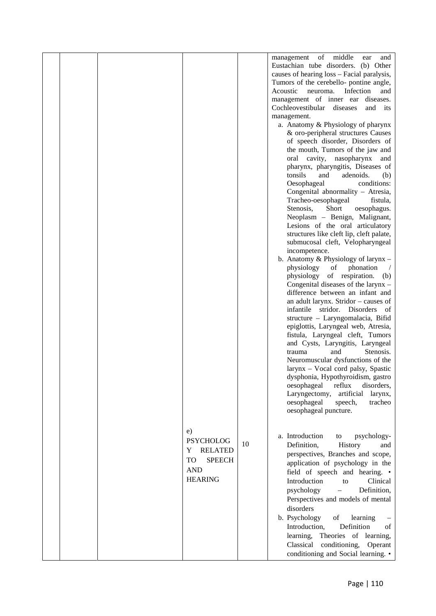|  |                                                                                                             |    | management of middle<br>and<br>ear<br>Eustachian tube disorders. (b) Other<br>causes of hearing loss - Facial paralysis,<br>Tumors of the cerebello- pontine angle,<br>Acoustic<br>Infection<br>neuroma.<br>and<br>management of inner ear diseases.<br>Cochleovestibular diseases<br>and its<br>management.<br>a. Anatomy & Physiology of pharynx<br>& oro-peripheral structures Causes<br>of speech disorder, Disorders of<br>the mouth, Tumors of the jaw and<br>cavity,<br>nasopharynx<br>oral<br>and<br>pharynx, pharyngitis, Diseases of<br>tonsils<br>and<br>adenoids.<br>(b)<br>Oesophageal<br>conditions:<br>Congenital abnormality - Atresia,<br>Tracheo-oesophageal<br>fistula,<br>Stenosis,<br>Short<br>oesophagus.<br>Neoplasm - Benign, Malignant,<br>Lesions of the oral articulatory<br>structures like cleft lip, cleft palate,<br>submucosal cleft, Velopharyngeal<br>incompetence.<br>b. Anatomy & Physiology of larynx -<br>physiology<br>phonation<br>of<br>$\sqrt{2}$<br>of respiration.<br>physiology<br>(b)<br>Congenital diseases of the larynx -<br>difference between an infant and<br>an adult larynx. Stridor - causes of<br>infantile stridor. Disorders<br>- of<br>structure - Laryngomalacia, Bifid<br>epiglottis, Laryngeal web, Atresia,<br>fistula, Laryngeal cleft, Tumors<br>and Cysts, Laryngitis, Laryngeal<br>Stenosis.<br>trauma<br>and<br>Neuromuscular dysfunctions of the |  |
|--|-------------------------------------------------------------------------------------------------------------|----|-----------------------------------------------------------------------------------------------------------------------------------------------------------------------------------------------------------------------------------------------------------------------------------------------------------------------------------------------------------------------------------------------------------------------------------------------------------------------------------------------------------------------------------------------------------------------------------------------------------------------------------------------------------------------------------------------------------------------------------------------------------------------------------------------------------------------------------------------------------------------------------------------------------------------------------------------------------------------------------------------------------------------------------------------------------------------------------------------------------------------------------------------------------------------------------------------------------------------------------------------------------------------------------------------------------------------------------------------------------------------------------------------------------------------|--|
|  |                                                                                                             |    | larynx - Vocal cord palsy, Spastic<br>dysphonia, Hypothyroidism, gastro<br>oesophageal<br>reflux<br>disorders,<br>Laryngectomy,<br>artificial<br>larynx,<br>oesophageal<br>speech,<br>tracheo<br>oesophageal puncture.                                                                                                                                                                                                                                                                                                                                                                                                                                                                                                                                                                                                                                                                                                                                                                                                                                                                                                                                                                                                                                                                                                                                                                                                |  |
|  | e)<br><b>PSYCHOLOG</b><br><b>RELATED</b><br>Y<br><b>TO</b><br><b>SPEECH</b><br><b>AND</b><br><b>HEARING</b> | 10 | a. Introduction<br>psychology-<br>to<br>Definition,<br>History<br>and<br>perspectives, Branches and scope,<br>application of psychology in the<br>field of speech and hearing. •<br>Introduction<br>Clinical<br>to<br>Definition,<br>psychology<br>$\qquad \qquad -$<br>Perspectives and models of mental<br>disorders<br>b. Psychology<br>of<br>learning<br>Definition<br>Introduction,<br>οf<br>Theories of learning,<br>learning,<br>Classical<br>conditioning,<br>Operant<br>conditioning and Social learning. •                                                                                                                                                                                                                                                                                                                                                                                                                                                                                                                                                                                                                                                                                                                                                                                                                                                                                                  |  |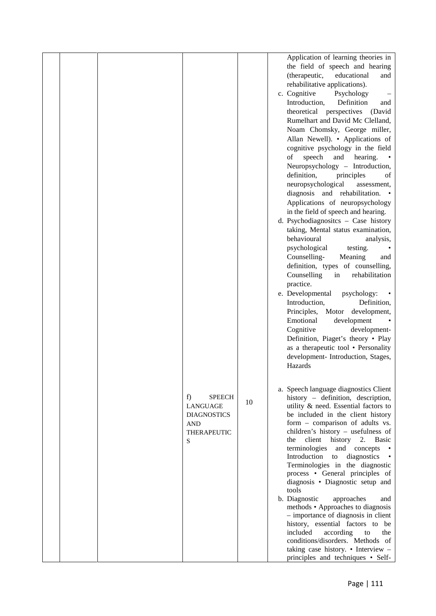|  |                                                                                                |    | Application of learning theories in<br>the field of speech and hearing<br>(therapeutic,<br>educational<br>and<br>rehabilitative applications).<br>c. Cognitive<br>Psychology<br>$\qquad \qquad -$<br>Introduction,<br>Definition<br>and<br>theoretical perspectives<br>(David<br>Rumelhart and David Mc Clelland,<br>Noam Chomsky, George miller,<br>Allan Newell). • Applications of<br>cognitive psychology in the field<br>speech<br>hearing.<br>of<br>and<br>Neuropsychology - Introduction,<br>definition,<br>principles<br>of<br>neuropsychological<br>assessment,<br>diagnosis and rehabilitation.<br>Applications of neuropsychology<br>in the field of speech and hearing.<br>d. Psychodiagnosites - Case history<br>taking, Mental status examination,<br>behavioural<br>analysis,<br>psychological<br>testing.<br>Counselling-<br>Meaning<br>and<br>definition, types of counselling,<br>Counselling<br>rehabilitation<br>in<br>practice.<br>e. Developmental<br>psychology:<br>٠<br>Introduction,<br>Definition,<br>Principles,<br>Motor development,<br>Emotional<br>development<br>Cognitive<br>development-<br>Definition, Piaget's theory . Play<br>as a therapeutic tool • Personality<br>development- Introduction, Stages, |
|--|------------------------------------------------------------------------------------------------|----|-----------------------------------------------------------------------------------------------------------------------------------------------------------------------------------------------------------------------------------------------------------------------------------------------------------------------------------------------------------------------------------------------------------------------------------------------------------------------------------------------------------------------------------------------------------------------------------------------------------------------------------------------------------------------------------------------------------------------------------------------------------------------------------------------------------------------------------------------------------------------------------------------------------------------------------------------------------------------------------------------------------------------------------------------------------------------------------------------------------------------------------------------------------------------------------------------------------------------------------------------|
|  | f)<br><b>SPEECH</b><br>LANGUAGE<br><b>DIAGNOSTICS</b><br><b>AND</b><br><b>THERAPEUTIC</b><br>S | 10 | Hazards<br>a. Speech language diagnostics Client<br>history - definition, description,<br>utility & need. Essential factors to<br>be included in the client history<br>form - comparison of adults vs.<br>children's history - usefulness of<br>client history 2.<br>the<br><b>Basic</b><br>terminologies<br>and concepts<br>Introduction<br>diagnostics<br>to<br>Terminologies in the diagnostic<br>process • General principles of<br>diagnosis • Diagnostic setup and<br>tools<br>b. Diagnostic<br>approaches<br>and<br>methods • Approaches to diagnosis<br>- importance of diagnosis in client<br>history, essential factors to be<br>according<br>included<br>to<br>the<br>conditions/disorders. Methods of<br>taking case history. • Interview $-$<br>principles and techniques • Self-                                                                                                                                                                                                                                                                                                                                                                                                                                                |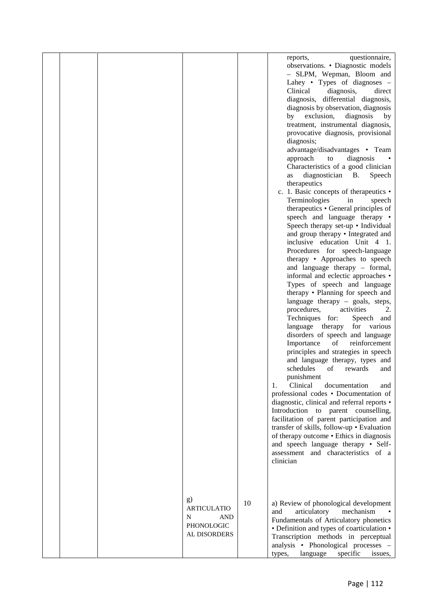|  |                                                                    |    | questionnaire,<br>reports,<br>observations. • Diagnostic models<br>- SLPM, Wepman, Bloom and<br>Lahey • Types of diagnoses $-$<br>Clinical<br>diagnosis,<br>direct<br>diagnosis, differential diagnosis,<br>diagnosis by observation, diagnosis<br>exclusion,<br>diagnosis<br>by<br>by<br>treatment, instrumental diagnosis,<br>provocative diagnosis, provisional<br>diagnosis;<br>advantage/disadvantages • Team<br>approach<br>diagnosis<br>to<br>Characteristics of a good clinician<br>diagnostician B.<br>Speech<br>as<br>therapeutics<br>c. 1. Basic concepts of the rapeutics •<br>Terminologies<br>in<br>speech<br>therapeutics • General principles of<br>speech and language therapy •<br>Speech therapy set-up • Individual<br>and group therapy • Integrated and<br>inclusive education Unit 4 1.<br>Procedures for speech-language<br>therapy • Approaches to speech<br>and language therapy - formal,<br>informal and eclectic approaches •<br>Types of speech and language<br>therapy • Planning for speech and<br>language therapy – goals, steps,<br>procedures,<br>activities<br>2.<br>Techniques for:<br>Speech and<br>language therapy<br>for various<br>disorders of speech and language<br>Importance<br>of<br>reinforcement<br>principles and strategies in speech<br>and language therapy, types and<br>schedules<br>of<br>rewards<br>and<br>punishment<br>Clinical<br>documentation<br>1.<br>and<br>professional codes • Documentation of<br>diagnostic, clinical and referral reports •<br>Introduction to parent counselling,<br>facilitation of parent participation and<br>transfer of skills, follow-up . Evaluation<br>of therapy outcome • Ethics in diagnosis<br>and speech language therapy • Self-<br>assessment and characteristics of a<br>clinician |
|--|--------------------------------------------------------------------|----|--------------------------------------------------------------------------------------------------------------------------------------------------------------------------------------------------------------------------------------------------------------------------------------------------------------------------------------------------------------------------------------------------------------------------------------------------------------------------------------------------------------------------------------------------------------------------------------------------------------------------------------------------------------------------------------------------------------------------------------------------------------------------------------------------------------------------------------------------------------------------------------------------------------------------------------------------------------------------------------------------------------------------------------------------------------------------------------------------------------------------------------------------------------------------------------------------------------------------------------------------------------------------------------------------------------------------------------------------------------------------------------------------------------------------------------------------------------------------------------------------------------------------------------------------------------------------------------------------------------------------------------------------------------------------------------------------------------------------------------------------------------------------------------------|
|  | g)<br><b>ARTICULATIO</b><br>N<br>AND<br>PHONOLOGIC<br>AL DISORDERS | 10 | a) Review of phonological development<br>articulatory<br>mechanism<br>and<br>Fundamentals of Articulatory phonetics<br>• Definition and types of coarticulation •<br>Transcription methods in perceptual<br>analysis • Phonological processes -<br>language<br>specific<br>types,<br>issues,                                                                                                                                                                                                                                                                                                                                                                                                                                                                                                                                                                                                                                                                                                                                                                                                                                                                                                                                                                                                                                                                                                                                                                                                                                                                                                                                                                                                                                                                                               |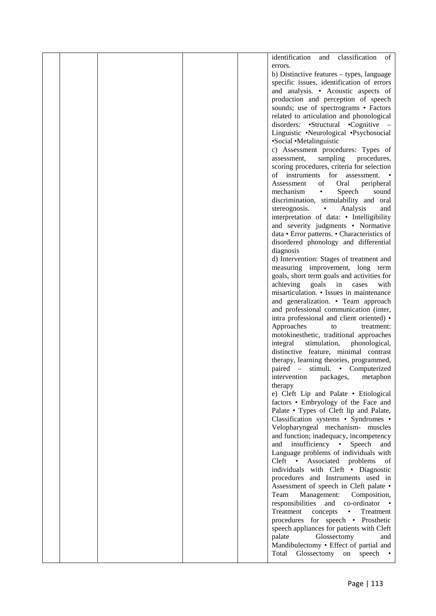|  |  | identification<br>classification<br>and<br>of                                        |  |
|--|--|--------------------------------------------------------------------------------------|--|
|  |  | errors.                                                                              |  |
|  |  | b) Distinctive features $-$ types, language                                          |  |
|  |  | specific issues, identification of errors                                            |  |
|  |  | and analysis. • Acoustic aspects of                                                  |  |
|  |  | production and perception of speech                                                  |  |
|  |  | sounds; use of spectrograms • Factors                                                |  |
|  |  | related to articulation and phonological                                             |  |
|  |  | disorders: •Structural •Cognitive –                                                  |  |
|  |  | Linguistic •Neurological •Psychosocial                                               |  |
|  |  | •Social •Metalinguistic                                                              |  |
|  |  | c) Assessment procedures: Types of                                                   |  |
|  |  | sampling<br>procedures,<br>assessment,<br>scoring procedures, criteria for selection |  |
|  |  | instruments for assessment.<br>οf                                                    |  |
|  |  | Assessment<br>of<br>Oral<br>peripheral                                               |  |
|  |  | mechanism<br>Speech<br>$\bullet$<br>sound                                            |  |
|  |  | discrimination, stimulability and oral                                               |  |
|  |  | stereognosis.<br>Analysis<br>$\bullet$<br>and                                        |  |
|  |  | interpretation of data: • Intelligibility                                            |  |
|  |  | and severity judgments • Normative                                                   |  |
|  |  | data . Error patterns. . Characteristics of                                          |  |
|  |  | disordered phonology and differential                                                |  |
|  |  | diagnosis                                                                            |  |
|  |  | d) Intervention: Stages of treatment and                                             |  |
|  |  | measuring improvement, long term                                                     |  |
|  |  | goals, short term goals and activities for<br>achieving<br>goals in cases<br>with    |  |
|  |  | misarticulation. • Issues in maintenance                                             |  |
|  |  | and generalization. • Team approach                                                  |  |
|  |  | and professional communication (inter,                                               |  |
|  |  | intra professional and client oriented) •                                            |  |
|  |  | Approaches<br>to<br>treatment:                                                       |  |
|  |  | motokinesthetic, traditional approaches                                              |  |
|  |  | integral<br>stimulation,<br>phonological,                                            |  |
|  |  | distinctive feature, minimal contrast                                                |  |
|  |  | therapy, learning theories, programmed,                                              |  |
|  |  | paired – stimuli. • Computerized<br>intervention<br>packages,<br>metaphon            |  |
|  |  | therapy                                                                              |  |
|  |  | e) Cleft Lip and Palate • Etiological                                                |  |
|  |  | factors • Embryology of the Face and                                                 |  |
|  |  | Palate • Types of Cleft lip and Palate,                                              |  |
|  |  | Classification systems • Syndromes •                                                 |  |
|  |  | Velopharyngeal mechanism- muscles                                                    |  |
|  |  | and function; inadequacy, incompetency                                               |  |
|  |  | insufficiency •<br>Speech<br>and<br>and<br>Language problems of individuals with     |  |
|  |  | Cleft • Associated<br>problems<br>of                                                 |  |
|  |  | individuals with Cleft • Diagnostic                                                  |  |
|  |  | procedures and Instruments used in                                                   |  |
|  |  | Assessment of speech in Cleft palate .                                               |  |
|  |  | Management:<br>Composition,<br>Team                                                  |  |
|  |  | responsibilities and co-ordinator •                                                  |  |
|  |  | Treatment<br>concepts<br>• Treatment                                                 |  |
|  |  | procedures for speech • Prosthetic                                                   |  |
|  |  | speech appliances for patients with Cleft                                            |  |
|  |  | palate<br>Glossectomy<br>and<br>Mandibulectomy . Effect of partial and               |  |
|  |  | Total<br>Glossectomy<br>on<br>speech                                                 |  |
|  |  |                                                                                      |  |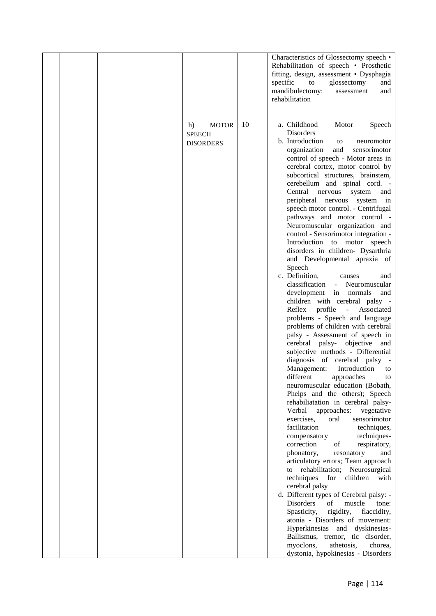|  |                                                         |    | Characteristics of Glossectomy speech •<br>Rehabilitation of speech • Prosthetic<br>fitting, design, assessment · Dysphagia<br>specific<br>to<br>glossectomy<br>and<br>mandibulectomy:<br>assessment<br>and<br>rehabilitation                                                                                                                                                                                                                                                                                                                                                                                                                                                                                                                                                                                                                                                                                                                                                                                                                                                                                                                                                                                                                                                                                                                                                                                                                                                                                                                                                                                        |
|--|---------------------------------------------------------|----|----------------------------------------------------------------------------------------------------------------------------------------------------------------------------------------------------------------------------------------------------------------------------------------------------------------------------------------------------------------------------------------------------------------------------------------------------------------------------------------------------------------------------------------------------------------------------------------------------------------------------------------------------------------------------------------------------------------------------------------------------------------------------------------------------------------------------------------------------------------------------------------------------------------------------------------------------------------------------------------------------------------------------------------------------------------------------------------------------------------------------------------------------------------------------------------------------------------------------------------------------------------------------------------------------------------------------------------------------------------------------------------------------------------------------------------------------------------------------------------------------------------------------------------------------------------------------------------------------------------------|
|  | h)<br><b>MOTOR</b><br><b>SPEECH</b><br><b>DISORDERS</b> | 10 | a. Childhood<br>Motor<br>Speech<br>Disorders<br>b. Introduction<br>to<br>neuromotor<br>organization<br>and<br>sensorimotor<br>control of speech - Motor areas in<br>cerebral cortex, motor control by<br>subcortical structures, brainstem,<br>cerebellum and spinal cord. -<br>Central<br>nervous<br>system<br>and<br>peripheral nervous<br>system in<br>speech motor control. - Centrifugal<br>pathways and motor control -<br>Neuromuscular organization and<br>control - Sensorimotor integration -<br>Introduction to motor speech<br>disorders in children- Dysarthria<br>and Developmental apraxia of<br>Speech<br>c. Definition,<br>causes<br>and<br>classification<br>Neuromuscular<br>$\overline{\phantom{a}}$<br>development<br>in normals<br>and<br>children with cerebral palsy -<br>profile<br>Reflex<br>$\sim$<br>Associated<br>problems - Speech and language<br>problems of children with cerebral<br>palsy - Assessment of speech in<br>cerebral palsy- objective<br>and<br>subjective methods - Differential<br>diagnosis of cerebral palsy<br>$\sim$<br>Management:<br>Introduction<br>to<br>different<br>approaches<br>to<br>neuromuscular education (Bobath,<br>Phelps and the others); Speech<br>rehabiliatation in cerebral palsy-<br>Verbal<br>approaches:<br>vegetative<br>exercises,<br>sensorimotor<br>oral<br>facilitation<br>techniques,<br>techniques-<br>compensatory<br>correction<br>of<br>respiratory,<br>phonatory,<br>resonatory<br>and<br>articulatory errors; Team approach<br>rehabilitation; Neurosurgical<br>to<br>techniques<br>for<br>children<br>with<br>cerebral palsy |
|  |                                                         |    | d. Different types of Cerebral palsy: -<br>Disorders<br>of<br>muscle<br>tone:<br>rigidity,<br>Spasticity,<br>flaccidity,<br>atonia - Disorders of movement:<br>Hyperkinesias and dyskinesias-<br>Ballismus, tremor, tic disorder,<br>myoclons,<br>athetosis,<br>chorea,<br>dystonia, hypokinesias - Disorders                                                                                                                                                                                                                                                                                                                                                                                                                                                                                                                                                                                                                                                                                                                                                                                                                                                                                                                                                                                                                                                                                                                                                                                                                                                                                                        |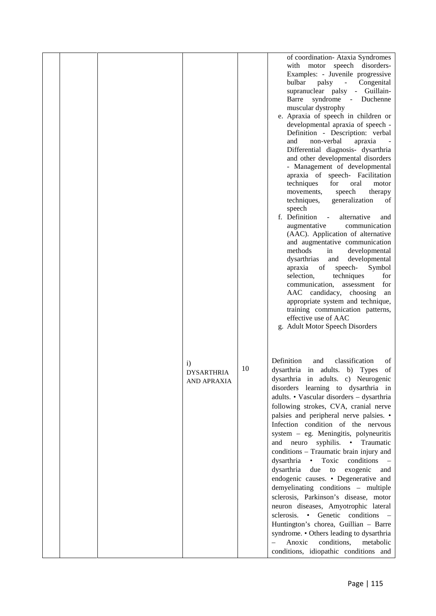|  |                                                  |    | of coordination- Ataxia Syndromes<br>with motor speech disorders-<br>Examples: - Juvenile progressive<br>bulbar<br>palsy<br>$\omega_{\rm{eff}}$<br>Congenital<br>supranuclear palsy - Guillain-<br>syndrome - Duchenne<br>Barre<br>muscular dystrophy<br>e. Apraxia of speech in children or<br>developmental apraxia of speech -<br>Definition - Description: verbal<br>non-verbal<br>apraxia<br>and<br>Differential diagnosis- dysarthria<br>and other developmental disorders<br>- Management of developmental<br>apraxia of speech- Facilitation<br>for<br>techniques<br>oral<br>motor<br>speech<br>movements,<br>therapy<br>techniques,<br>generalization<br>οf<br>speech<br>f. Definition<br>alternative<br>$\sim$ $\sim$<br>and<br>augmentative<br>communication<br>(AAC). Application of alternative<br>and augmentative communication<br>methods<br>developmental<br>in<br>dysarthrias<br>and<br>developmental<br>Symbol<br>apraxia<br>of<br>speech-<br>selection,<br>techniques<br>for<br>communication,<br>assessment<br>for<br>AAC candidacy, choosing<br>an<br>appropriate system and technique,<br>training communication patterns,<br>effective use of AAC<br>g. Adult Motor Speech Disorders |
|--|--------------------------------------------------|----|--------------------------------------------------------------------------------------------------------------------------------------------------------------------------------------------------------------------------------------------------------------------------------------------------------------------------------------------------------------------------------------------------------------------------------------------------------------------------------------------------------------------------------------------------------------------------------------------------------------------------------------------------------------------------------------------------------------------------------------------------------------------------------------------------------------------------------------------------------------------------------------------------------------------------------------------------------------------------------------------------------------------------------------------------------------------------------------------------------------------------------------------------------------------------------------------------------------|
|  | $\mathbf{i}$<br><b>DYSARTHRIA</b><br>AND APRAXIA | 10 | Definition<br>classification<br>and<br>οf<br>dysarthria in adults. b) Types<br>of<br>dysarthria in adults. c) Neurogenic<br>disorders learning to dysarthria in<br>adults. • Vascular disorders - dysarthria<br>following strokes, CVA, cranial nerve<br>palsies and peripheral nerve palsies. •<br>Infection condition of the nervous<br>system - eg. Meningitis, polyneuritis<br>and neuro<br>syphilis.<br>• Traumatic<br>conditions - Traumatic brain injury and<br>dysarthria<br>$\bullet$<br>Toxic<br>conditions<br>dysarthria<br>exogenic<br>due<br>to<br>and<br>endogenic causes. • Degenerative and<br>demyelinating conditions - multiple<br>sclerosis, Parkinson's disease, motor<br>neuron diseases, Amyotrophic lateral<br>sclerosis. • Genetic conditions -<br>Huntington's chorea, Guillian - Barre<br>syndrome. • Others leading to dysarthria<br>Anoxic<br>conditions,<br>metabolic<br>conditions, idiopathic conditions and                                                                                                                                                                                                                                                                 |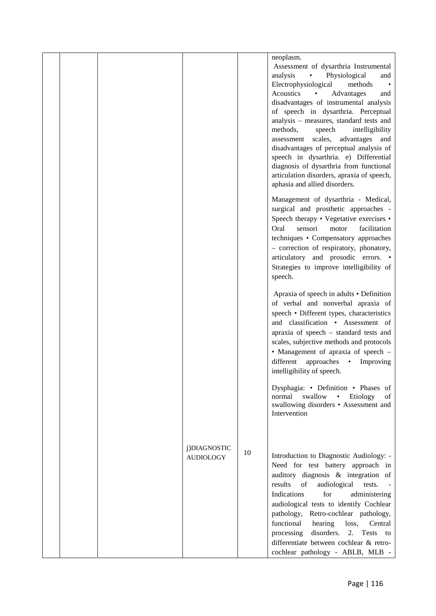|  |                                  |    | neoplasm.<br>Assessment of dysarthria Instrumental<br>analysis<br>Physiological<br>$\bullet$<br>and<br>Electrophysiological<br>methods<br>Acoustics<br>Advantages<br>$\bullet$<br>and<br>disadvantages of instrumental analysis<br>of speech in dysarthria. Perceptual<br>analysis - measures, standard tests and<br>methods,<br>speech<br>intelligibility<br>scales,<br>assessment<br>advantages<br>and<br>disadvantages of perceptual analysis of<br>speech in dysarthria. e) Differential<br>diagnosis of dysarthria from functional<br>articulation disorders, apraxia of speech,<br>aphasia and allied disorders. |
|--|----------------------------------|----|------------------------------------------------------------------------------------------------------------------------------------------------------------------------------------------------------------------------------------------------------------------------------------------------------------------------------------------------------------------------------------------------------------------------------------------------------------------------------------------------------------------------------------------------------------------------------------------------------------------------|
|  |                                  |    | Management of dysarthria - Medical,<br>surgical and prosthetic approaches -<br>Speech therapy • Vegetative exercises •<br>Oral<br>facilitation<br>sensori<br>motor<br>techniques • Compensatory approaches<br>- correction of respiratory, phonatory,<br>articulatory and prosodic errors. •<br>Strategies to improve intelligibility of<br>speech.                                                                                                                                                                                                                                                                    |
|  |                                  |    | Apraxia of speech in adults • Definition<br>of verbal and nonverbal apraxia of<br>speech • Different types, characteristics<br>and classification • Assessment of<br>apraxia of speech - standard tests and<br>scales, subjective methods and protocols<br>• Management of apraxia of speech -<br>different<br>approaches<br>Improving<br>$\bullet$<br>intelligibility of speech.                                                                                                                                                                                                                                      |
|  |                                  |    | Dysphagia: • Definition • Phases of<br>normal<br>swallow<br>Etiology<br>of<br>$\bullet$<br>swallowing disorders • Assessment and<br>Intervention                                                                                                                                                                                                                                                                                                                                                                                                                                                                       |
|  | j)DIAGNOSTIC<br><b>AUDIOLOGY</b> | 10 | Introduction to Diagnostic Audiology: -<br>Need for test battery approach in<br>auditory diagnosis & integration of<br>of<br>results<br>audiological<br>tests.<br>Indications<br>for<br>administering<br>audiological tests to identify Cochlear<br>Retro-cochlear pathology,<br>pathology,<br>functional<br>hearing<br>Central<br>loss,<br>2.<br>disorders.<br>processing<br>Tests to<br>differentiate between cochlear & retro-<br>cochlear pathology - ABLB, MLB -                                                                                                                                                  |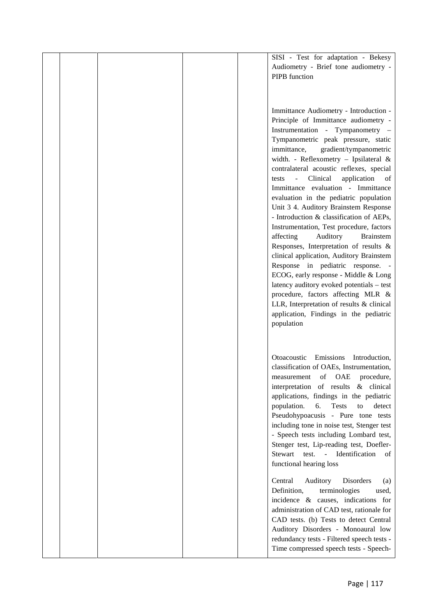|  |  | SISI - Test for adaptation - Bekesy                                          |  |
|--|--|------------------------------------------------------------------------------|--|
|  |  | Audiometry - Brief tone audiometry -                                         |  |
|  |  | PIPB function                                                                |  |
|  |  |                                                                              |  |
|  |  |                                                                              |  |
|  |  |                                                                              |  |
|  |  | Immittance Audiometry - Introduction -                                       |  |
|  |  | Principle of Immittance audiometry -                                         |  |
|  |  | Instrumentation - Tympanometry -                                             |  |
|  |  | Tympanometric peak pressure, static<br>immittance,<br>gradient/tympanometric |  |
|  |  | width. - Reflexometry - Ipsilateral &                                        |  |
|  |  | contralateral acoustic reflexes, special                                     |  |
|  |  | Clinical<br>application<br>of<br>tests<br>$\blacksquare$                     |  |
|  |  | Immittance evaluation - Immittance                                           |  |
|  |  | evaluation in the pediatric population                                       |  |
|  |  | Unit 3 4. Auditory Brainstem Response                                        |  |
|  |  | - Introduction & classification of AEPs,                                     |  |
|  |  | Instrumentation, Test procedure, factors                                     |  |
|  |  | Auditory<br>affecting<br><b>Brainstem</b>                                    |  |
|  |  | Responses, Interpretation of results &                                       |  |
|  |  | clinical application, Auditory Brainstem                                     |  |
|  |  | Response in pediatric response. -                                            |  |
|  |  | ECOG, early response - Middle & Long                                         |  |
|  |  | latency auditory evoked potentials - test                                    |  |
|  |  | procedure, factors affecting MLR &                                           |  |
|  |  | LLR, Interpretation of results & clinical                                    |  |
|  |  | application, Findings in the pediatric                                       |  |
|  |  | population                                                                   |  |
|  |  |                                                                              |  |
|  |  |                                                                              |  |
|  |  | Otoacoustic<br>Emissions<br>Introduction,                                    |  |
|  |  | classification of OAEs, Instrumentation,                                     |  |
|  |  | of OAE<br>measurement<br>procedure,                                          |  |
|  |  | interpretation of results & clinical                                         |  |
|  |  | applications, findings in the pediatric                                      |  |
|  |  | 6.<br>population.<br><b>Tests</b><br>detect<br>to                            |  |
|  |  | Pseudohypoacusis - Pure tone tests                                           |  |
|  |  | including tone in noise test, Stenger test                                   |  |
|  |  | - Speech tests including Lombard test,                                       |  |
|  |  | Stenger test, Lip-reading test, Doefler-                                     |  |
|  |  | Stewart test. - Identification<br>of                                         |  |
|  |  | functional hearing loss                                                      |  |
|  |  | Central<br>Auditory<br>Disorders<br>(a)                                      |  |
|  |  | Definition,<br>terminologies<br>used,                                        |  |
|  |  | incidence & causes, indications for                                          |  |
|  |  | administration of CAD test, rationale for                                    |  |
|  |  | CAD tests. (b) Tests to detect Central                                       |  |
|  |  | Auditory Disorders - Monoaural low                                           |  |
|  |  | redundancy tests - Filtered speech tests -                                   |  |
|  |  | Time compressed speech tests - Speech-                                       |  |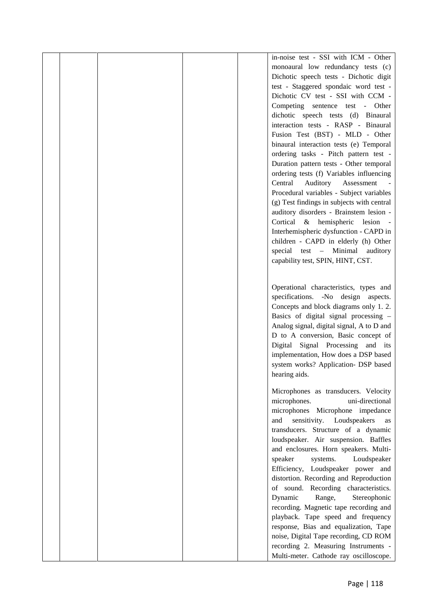|  |  | in-noise test - SSI with ICM - Other       |  |
|--|--|--------------------------------------------|--|
|  |  | monoaural low redundancy tests (c)         |  |
|  |  | Dichotic speech tests - Dichotic digit     |  |
|  |  | test - Staggered spondaic word test -      |  |
|  |  |                                            |  |
|  |  | Dichotic CV test - SSI with CCM -          |  |
|  |  | Competing sentence test - Other            |  |
|  |  | dichotic speech tests (d) Binaural         |  |
|  |  | interaction tests - RASP - Binaural        |  |
|  |  | Fusion Test (BST) - MLD - Other            |  |
|  |  | binaural interaction tests (e) Temporal    |  |
|  |  | ordering tasks - Pitch pattern test -      |  |
|  |  | Duration pattern tests - Other temporal    |  |
|  |  | ordering tests (f) Variables influencing   |  |
|  |  | Central<br>Auditory<br>Assessment          |  |
|  |  | Procedural variables - Subject variables   |  |
|  |  |                                            |  |
|  |  | (g) Test findings in subjects with central |  |
|  |  | auditory disorders - Brainstem lesion -    |  |
|  |  | Cortical & hemispheric<br>lesion           |  |
|  |  | Interhemispheric dysfunction - CAPD in     |  |
|  |  | children - CAPD in elderly (h) Other       |  |
|  |  | special test - Minimal<br>auditory         |  |
|  |  | capability test, SPIN, HINT, CST.          |  |
|  |  |                                            |  |
|  |  |                                            |  |
|  |  | Operational characteristics, types and     |  |
|  |  | specifications. -No design aspects.        |  |
|  |  | Concepts and block diagrams only 1.2.      |  |
|  |  | Basics of digital signal processing -      |  |
|  |  | Analog signal, digital signal, A to D and  |  |
|  |  | D to A conversion, Basic concept of        |  |
|  |  | Digital Signal Processing and its          |  |
|  |  | implementation, How does a DSP based       |  |
|  |  | system works? Application- DSP based       |  |
|  |  | hearing aids.                              |  |
|  |  |                                            |  |
|  |  | Microphones as transducers. Velocity       |  |
|  |  | uni-directional<br>microphones.            |  |
|  |  | microphones Microphone impedance           |  |
|  |  | sensitivity. Loudspeakers<br>and<br>as     |  |
|  |  | transducers. Structure of a dynamic        |  |
|  |  | loudspeaker. Air suspension. Baffles       |  |
|  |  | and enclosures. Horn speakers. Multi-      |  |
|  |  |                                            |  |
|  |  | speaker<br>systems.<br>Loudspeaker         |  |
|  |  | Efficiency, Loudspeaker power and          |  |
|  |  | distortion. Recording and Reproduction     |  |
|  |  | of sound. Recording characteristics.       |  |
|  |  | Dynamic<br>Range,<br>Stereophonic          |  |
|  |  | recording. Magnetic tape recording and     |  |
|  |  | playback. Tape speed and frequency         |  |
|  |  | response, Bias and equalization, Tape      |  |
|  |  | noise, Digital Tape recording, CD ROM      |  |
|  |  | recording 2. Measuring Instruments -       |  |
|  |  | Multi-meter. Cathode ray oscilloscope.     |  |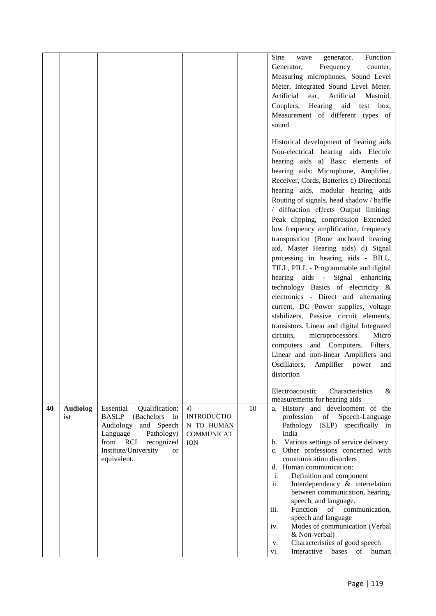|    |                        |                                                                                                                                                                                                         |                                                                           |    | Sine<br>Function<br>generator.<br>wave<br>Frequency<br>Generator,<br>counter,<br>Measuring microphones, Sound Level<br>Meter, Integrated Sound Level Meter,<br>Artificial<br>Artificial<br>Mastoid,<br>ear,<br>Hearing aid<br>Couplers,<br>test box,<br>Measurement of different types of<br>sound<br>Historical development of hearing aids<br>Non-electrical hearing aids Electric<br>hearing aids a) Basic elements of<br>hearing aids: Microphone, Amplifier,<br>Receiver, Cords, Batteries c) Directional<br>hearing aids, modular hearing aids<br>Routing of signals, head shadow / baffle<br>/ diffraction effects Output limiting:<br>Peak clipping, compression Extended<br>low frequency amplification, frequency<br>transposition (Bone anchored hearing<br>aid, Master Hearing aids) d) Signal<br>processing in hearing aids - BILL,<br>TILL, PILL - Programmable and digital<br>hearing aids - Signal enhancing<br>technology Basics of electricity &<br>electronics - Direct and alternating<br>current, DC Power supplies, voltage<br>stabilizers, Passive circuit elements,<br>transistors. Linear and digital Integrated<br>circuits,<br>microprocessors.<br>Micro<br>Filters,<br>and Computers.<br>computers<br>Linear and non-linear Amplifiers and<br>Oscillators,<br>Amplifier power<br>and<br>distortion<br>Electroacoustic<br>Characteristics<br>& |
|----|------------------------|---------------------------------------------------------------------------------------------------------------------------------------------------------------------------------------------------------|---------------------------------------------------------------------------|----|---------------------------------------------------------------------------------------------------------------------------------------------------------------------------------------------------------------------------------------------------------------------------------------------------------------------------------------------------------------------------------------------------------------------------------------------------------------------------------------------------------------------------------------------------------------------------------------------------------------------------------------------------------------------------------------------------------------------------------------------------------------------------------------------------------------------------------------------------------------------------------------------------------------------------------------------------------------------------------------------------------------------------------------------------------------------------------------------------------------------------------------------------------------------------------------------------------------------------------------------------------------------------------------------------------------------------------------------------------------------------|
| 40 | <b>Audiolog</b><br>ist | Essential<br>Qualification:<br><b>BASLP</b><br>(Bachelors)<br>in<br>and Speech<br>Audiology<br>Language<br>Pathology)<br>from RCI<br>recognized<br>Institute/University<br><sub>or</sub><br>equivalent. | a)<br><b>INTRODUCTIO</b><br>N TO HUMAN<br><b>COMMUNICAT</b><br><b>ION</b> | 10 | measurements for hearing aids<br>a. History and development of the<br>profession<br>Speech-Language<br>of<br>(SLP) specifically in<br>Pathology<br>India<br>Various settings of service delivery<br>b.<br>c. Other professions concerned with<br>communication disorders<br>d. Human communication:<br>$\mathbf{i}$ .<br>Definition and component<br>ii.<br>Interdependency & interrelation<br>between communication, hearing,<br>speech, and language.<br>Function<br>of communication,<br>iii.<br>speech and language<br>Modes of communication (Verbal<br>iv.<br>& Non-verbal)<br>Characteristics of good speech<br>V.<br>Interactive bases of human<br>vi.                                                                                                                                                                                                                                                                                                                                                                                                                                                                                                                                                                                                                                                                                                            |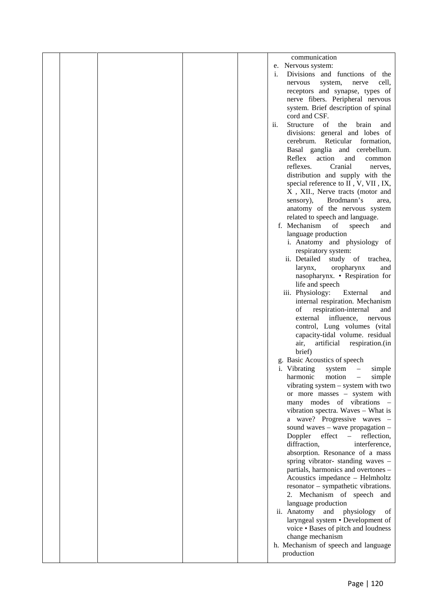|  |  | communication                                                        |  |
|--|--|----------------------------------------------------------------------|--|
|  |  | e. Nervous system:                                                   |  |
|  |  | Divisions and functions of the<br>i.                                 |  |
|  |  | system,<br>cell,<br>nervous<br>nerve                                 |  |
|  |  | receptors and synapse, types of                                      |  |
|  |  | nerve fibers. Peripheral nervous                                     |  |
|  |  | system. Brief description of spinal                                  |  |
|  |  |                                                                      |  |
|  |  | cord and CSF.                                                        |  |
|  |  | Structure<br>of<br>the<br>brain<br>$\overline{\mathbf{11}}$ .<br>and |  |
|  |  | divisions: general and lobes of                                      |  |
|  |  | cerebrum. Reticular formation,                                       |  |
|  |  | Basal ganglia and cerebellum.                                        |  |
|  |  | Reflex<br>action<br>and<br>common                                    |  |
|  |  | reflexes.<br>Cranial<br>nerves,                                      |  |
|  |  | distribution and supply with the                                     |  |
|  |  | special reference to II, V, VII, IX,                                 |  |
|  |  | X, XII., Nerve tracts (motor and                                     |  |
|  |  | Brodmann's<br>sensory),<br>area.                                     |  |
|  |  | anatomy of the nervous system                                        |  |
|  |  | related to speech and language.                                      |  |
|  |  | f. Mechanism<br>of<br>speech<br>and                                  |  |
|  |  | language production                                                  |  |
|  |  | i. Anatomy and physiology of                                         |  |
|  |  | respiratory system:                                                  |  |
|  |  | ii. Detailed<br>study of trachea,                                    |  |
|  |  | oropharynx<br>larynx,<br>and                                         |  |
|  |  | nasopharynx. • Respiration for                                       |  |
|  |  | life and speech                                                      |  |
|  |  | iii. Physiology:<br>External<br>and                                  |  |
|  |  | internal respiration. Mechanism                                      |  |
|  |  | of<br>respiration-internal<br>and                                    |  |
|  |  | external influence,<br>nervous                                       |  |
|  |  | control, Lung volumes (vital                                         |  |
|  |  | capacity-tidal volume. residual                                      |  |
|  |  | artificial<br>respiration.(in<br>air,                                |  |
|  |  | brief)                                                               |  |
|  |  | g. Basic Acoustics of speech                                         |  |
|  |  | <i>i</i> . Vibrating<br>system<br>simple                             |  |
|  |  | simple<br>harmonic<br>motion                                         |  |
|  |  | vibrating system - system with two                                   |  |
|  |  | or more masses - system with                                         |  |
|  |  | many modes of vibrations -                                           |  |
|  |  | vibration spectra. Waves – What is                                   |  |
|  |  | a wave? Progressive waves -                                          |  |
|  |  | sound waves $-$ wave propagation $-$                                 |  |
|  |  | Doppler<br>effect<br>reflection,<br>$\equiv$ .                       |  |
|  |  | diffraction,<br>interference,                                        |  |
|  |  | absorption. Resonance of a mass                                      |  |
|  |  | spring vibrator-standing waves -                                     |  |
|  |  | partials, harmonics and overtones -                                  |  |
|  |  | Acoustics impedance - Helmholtz                                      |  |
|  |  | resonator - sympathetic vibrations.                                  |  |
|  |  | 2. Mechanism of speech and                                           |  |
|  |  | language production                                                  |  |
|  |  | of                                                                   |  |
|  |  | ii. Anatomy<br>physiology<br>and                                     |  |
|  |  | laryngeal system • Development of                                    |  |
|  |  | voice . Bases of pitch and loudness                                  |  |
|  |  | change mechanism                                                     |  |
|  |  | h. Mechanism of speech and language                                  |  |
|  |  | production                                                           |  |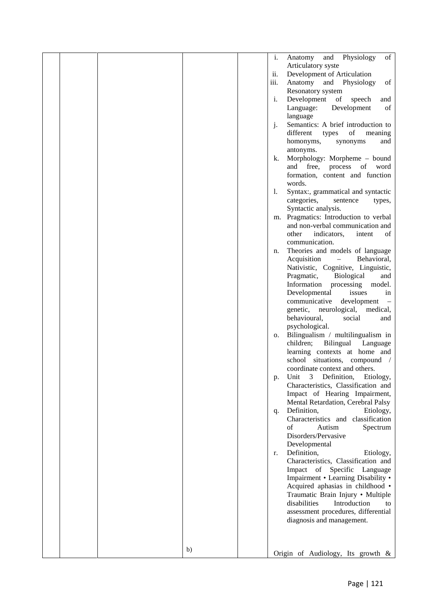|  |    | i.   | of<br>Physiology<br>Anatomy<br>and                                |  |
|--|----|------|-------------------------------------------------------------------|--|
|  |    |      | Articulatory syste                                                |  |
|  |    | ii.  | Development of Articulation                                       |  |
|  |    | iii. | Anatomy<br>and Physiology<br>of                                   |  |
|  |    |      | Resonatory system                                                 |  |
|  |    | i.   | Development<br>of<br>speech<br>and                                |  |
|  |    |      | of<br>Language:<br>Development                                    |  |
|  |    |      | language                                                          |  |
|  |    | j.   | Semantics: A brief introduction to                                |  |
|  |    |      | $\sigma f$<br>different<br>types<br>meaning                       |  |
|  |    |      | homonyms,<br>synonyms<br>and                                      |  |
|  |    |      | antonyms.                                                         |  |
|  |    | k.   | Morphology: Morpheme - bound                                      |  |
|  |    |      | free,<br>process of word<br>and                                   |  |
|  |    |      | formation, content and function                                   |  |
|  |    |      | words.                                                            |  |
|  |    | 1.   | Syntax:, grammatical and syntactic                                |  |
|  |    |      | categories,<br>sentence<br>types,                                 |  |
|  |    |      | Syntactic analysis.                                               |  |
|  |    | m.   | Pragmatics: Introduction to verbal                                |  |
|  |    |      | and non-verbal communication and                                  |  |
|  |    |      | indicators,<br>of<br>other<br>intent                              |  |
|  |    |      | communication.                                                    |  |
|  |    | n.   | Theories and models of language                                   |  |
|  |    |      | Acquisition<br>Behavioral,<br>$\overline{\phantom{0}}$            |  |
|  |    |      | Nativistic, Cognitive, Linguistic,                                |  |
|  |    |      | Biological<br>Pragmatic,<br>and                                   |  |
|  |    |      | Information processing<br>model.                                  |  |
|  |    |      | Developmental<br>issues<br>in                                     |  |
|  |    |      | communicative<br>development<br>$\hspace{1.0cm} - \hspace{1.0cm}$ |  |
|  |    |      | genetic, neurological, medical,                                   |  |
|  |    |      | behavioural,<br>social<br>and                                     |  |
|  |    |      | psychological.                                                    |  |
|  |    | о.   | Bilingualism / multilingualism in                                 |  |
|  |    |      | children;<br>Bilingual Language                                   |  |
|  |    |      | learning contexts at home and                                     |  |
|  |    |      | school situations, compound /                                     |  |
|  |    |      | coordinate context and others.                                    |  |
|  |    | p.   | Unit<br>$\mathbf{3}$<br>Definition,<br>Etiology,                  |  |
|  |    |      | Characteristics, Classification and                               |  |
|  |    |      | Impact of Hearing Impairment,                                     |  |
|  |    |      | Mental Retardation, Cerebral Palsy                                |  |
|  |    | q.   | Definition,<br>Etiology,                                          |  |
|  |    |      | Characteristics and classification                                |  |
|  |    |      | of<br>Autism<br>Spectrum                                          |  |
|  |    |      | Disorders/Pervasive                                               |  |
|  |    |      | Developmental                                                     |  |
|  |    | r.   | Definition,<br>Etiology,                                          |  |
|  |    |      | Characteristics, Classification and                               |  |
|  |    |      | Impact of Specific<br>Language                                    |  |
|  |    |      | Impairment • Learning Disability •                                |  |
|  |    |      | Acquired aphasias in childhood .                                  |  |
|  |    |      | Traumatic Brain Injury • Multiple                                 |  |
|  |    |      | disabilities<br>Introduction<br>to                                |  |
|  |    |      | assessment procedures, differential                               |  |
|  |    |      | diagnosis and management.                                         |  |
|  |    |      |                                                                   |  |
|  |    |      |                                                                   |  |
|  |    |      |                                                                   |  |
|  | b) |      | Origin of Audiology, Its growth &                                 |  |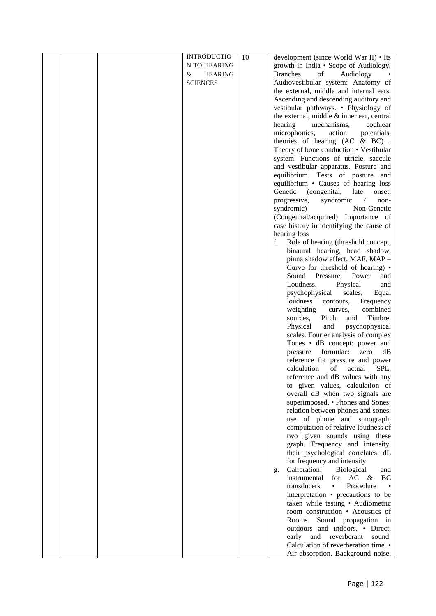|  | <b>INTRODUCTIO</b>  | 10 | development (since World War II) • Its          |  |
|--|---------------------|----|-------------------------------------------------|--|
|  | N TO HEARING        |    | growth in India • Scope of Audiology,           |  |
|  | &<br><b>HEARING</b> |    | <b>Branches</b><br>of<br>Audiology              |  |
|  | <b>SCIENCES</b>     |    | Audiovestibular system: Anatomy of              |  |
|  |                     |    | the external, middle and internal ears.         |  |
|  |                     |    | Ascending and descending auditory and           |  |
|  |                     |    | vestibular pathways. • Physiology of            |  |
|  |                     |    | the external, middle $\&$ inner ear, central    |  |
|  |                     |    | hearing<br>mechanisms,<br>cochlear              |  |
|  |                     |    | microphonics,<br>action<br>potentials,          |  |
|  |                     |    | theories of hearing $(AC & BC)$ ,               |  |
|  |                     |    | Theory of bone conduction • Vestibular          |  |
|  |                     |    | system: Functions of utricle, saccule           |  |
|  |                     |    | and vestibular apparatus. Posture and           |  |
|  |                     |    | equilibrium. Tests of posture and               |  |
|  |                     |    |                                                 |  |
|  |                     |    | equilibrium • Causes of hearing loss            |  |
|  |                     |    | Genetic<br>(congenital,<br>late<br>onset,       |  |
|  |                     |    | progressive,<br>syndromic<br>non-<br>$\sqrt{2}$ |  |
|  |                     |    | syndromic)<br>Non-Genetic                       |  |
|  |                     |    | (Congenital/acquired) Importance of             |  |
|  |                     |    | case history in identifying the cause of        |  |
|  |                     |    | hearing loss                                    |  |
|  |                     |    | f.<br>Role of hearing (threshold concept,       |  |
|  |                     |    | binaural hearing, head shadow,                  |  |
|  |                     |    | pinna shadow effect, MAF, MAP -                 |  |
|  |                     |    | Curve for threshold of hearing) •               |  |
|  |                     |    | Pressure, Power<br>Sound<br>and                 |  |
|  |                     |    | Physical<br>Loudness.<br>and                    |  |
|  |                     |    | psychophysical<br>scales,<br>Equal              |  |
|  |                     |    | loudness<br>Frequency<br>contours,              |  |
|  |                     |    | combined<br>weighting<br>curves,                |  |
|  |                     |    | Timbre.<br>Pitch<br>and<br>sources,             |  |
|  |                     |    | Physical<br>and<br>psychophysical               |  |
|  |                     |    | scales. Fourier analysis of complex             |  |
|  |                     |    | Tones • dB concept: power and                   |  |
|  |                     |    | formulae:<br>pressure<br>zero<br>dB             |  |
|  |                     |    | reference for pressure and power                |  |
|  |                     |    | calculation<br>of<br>SPL,<br>actual             |  |
|  |                     |    | reference and dB values with any                |  |
|  |                     |    | to given values, calculation of                 |  |
|  |                     |    | overall dB when two signals are                 |  |
|  |                     |    | superimposed. • Phones and Sones:               |  |
|  |                     |    | relation between phones and sones;              |  |
|  |                     |    | use of phone and sonograph;                     |  |
|  |                     |    |                                                 |  |
|  |                     |    | computation of relative loudness of             |  |
|  |                     |    | two given sounds using these                    |  |
|  |                     |    | graph. Frequency and intensity,                 |  |
|  |                     |    | their psychological correlates: dL              |  |
|  |                     |    | for frequency and intensity                     |  |
|  |                     |    | Calibration:<br>Biological<br>and<br>g.         |  |
|  |                     |    | for AC &<br>instrumental<br><b>BC</b>           |  |
|  |                     |    | Procedure<br>transducers<br>$\bullet$           |  |
|  |                     |    | interpretation • precautions to be              |  |
|  |                     |    | taken while testing • Audiometric               |  |
|  |                     |    | room construction • Acoustics of                |  |
|  |                     |    | Sound propagation in<br>Rooms.                  |  |
|  |                     |    | outdoors and indoors. • Direct,                 |  |
|  |                     |    | early<br>and reverberant<br>sound.              |  |
|  |                     |    | Calculation of reverberation time. •            |  |
|  |                     |    | Air absorption. Background noise.               |  |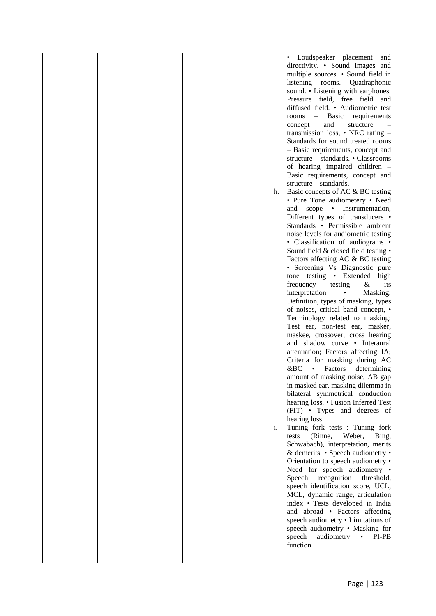|  |  |    | • Loudspeaker placement<br>and              |  |
|--|--|----|---------------------------------------------|--|
|  |  |    | directivity. • Sound images and             |  |
|  |  |    | multiple sources. • Sound field in          |  |
|  |  |    | listening rooms. Quadraphonic               |  |
|  |  |    | sound. • Listening with earphones.          |  |
|  |  |    | Pressure field, free field and              |  |
|  |  |    | diffused field. • Audiometric test          |  |
|  |  |    | - Basic requirements<br>rooms               |  |
|  |  |    |                                             |  |
|  |  |    | and<br>structure<br>concept                 |  |
|  |  |    | transmission loss, $\bullet$ NRC rating $-$ |  |
|  |  |    | Standards for sound treated rooms           |  |
|  |  |    | - Basic requirements, concept and           |  |
|  |  |    | structure – standards. • Classrooms         |  |
|  |  |    | of hearing impaired children -              |  |
|  |  |    | Basic requirements, concept and             |  |
|  |  |    | structure – standards.                      |  |
|  |  | h. | Basic concepts of AC & BC testing           |  |
|  |  |    | • Pure Tone audiometery • Need              |  |
|  |  |    | and scope • Instrumentation,                |  |
|  |  |    | Different types of transducers •            |  |
|  |  |    | Standards • Permissible ambient             |  |
|  |  |    | noise levels for audiometric testing        |  |
|  |  |    | • Classification of audiograms •            |  |
|  |  |    | Sound field & closed field testing .        |  |
|  |  |    | Factors affecting AC & BC testing           |  |
|  |  |    | • Screening Vs Diagnostic pure              |  |
|  |  |    | tone testing • Extended high                |  |
|  |  |    | frequency<br>testing<br>$\&$<br>its         |  |
|  |  |    | interpretation<br>Masking:<br>$\bullet$     |  |
|  |  |    | Definition, types of masking, types         |  |
|  |  |    | of noises, critical band concept, •         |  |
|  |  |    | Terminology related to masking:             |  |
|  |  |    | Test ear, non-test ear, masker,             |  |
|  |  |    | maskee, crossover, cross hearing            |  |
|  |  |    | and shadow curve • Interaural               |  |
|  |  |    | attenuation; Factors affecting IA;          |  |
|  |  |    | Criteria for masking during AC              |  |
|  |  |    | &BC<br>Factors<br>determining               |  |
|  |  |    | amount of masking noise, AB gap             |  |
|  |  |    | in masked ear, masking dilemma in           |  |
|  |  |    |                                             |  |
|  |  |    | bilateral symmetrical conduction            |  |
|  |  |    | hearing loss. • Fusion Inferred Test        |  |
|  |  |    | (FIT) • Types and degrees of                |  |
|  |  |    | hearing loss                                |  |
|  |  | i. | Tuning fork tests : Tuning fork             |  |
|  |  |    | (Rinne,<br>Weber,<br>Bing,<br>tests         |  |
|  |  |    | Schwabach), interpretation, merits          |  |
|  |  |    | & demerits. • Speech audiometry •           |  |
|  |  |    | Orientation to speech audiometry •          |  |
|  |  |    | Need for speech audiometry •                |  |
|  |  |    | Speech<br>recognition<br>threshold,         |  |
|  |  |    | speech identification score, UCL,           |  |
|  |  |    | MCL, dynamic range, articulation            |  |
|  |  |    | index • Tests developed in India            |  |
|  |  |    | and abroad • Factors affecting              |  |
|  |  |    | speech audiometry . Limitations of          |  |
|  |  |    | speech audiometry • Masking for             |  |
|  |  |    | audiometry<br>speech<br>$\bullet$<br>PI-PB  |  |
|  |  |    | function                                    |  |
|  |  |    |                                             |  |
|  |  |    |                                             |  |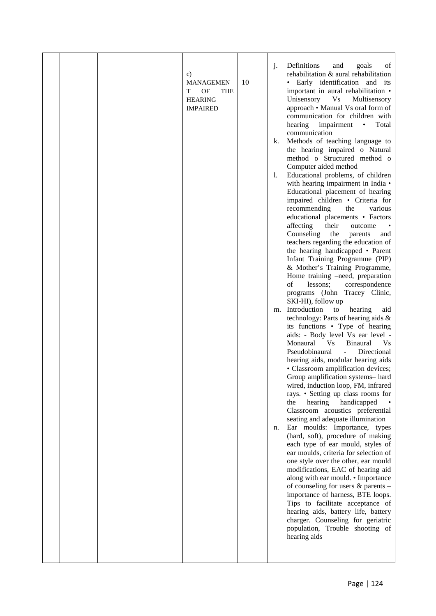|  |  |  | $\mathbf{c})$<br><b>MANAGEMEN</b><br>T<br>OF<br><b>THE</b><br><b>HEARING</b><br><b>IMPAIRED</b> | 10 | j.<br>k.<br>1.<br>m.<br>n. | Definitions<br>and<br>goals<br>of<br>rehabilitation & aural rehabilitation<br>• Early identification and its<br>important in aural rehabilitation •<br>Unisensory<br><b>Vs</b><br>Multisensory<br>approach • Manual Vs oral form of<br>communication for children with<br>hearing impairment<br>$\bullet$<br>Total<br>communication<br>Methods of teaching language to<br>the hearing impaired o Natural<br>method o Structured method o<br>Computer aided method<br>Educational problems, of children<br>with hearing impairment in India •<br>Educational placement of hearing<br>impaired children • Criteria for<br>recommending<br>various<br>the<br>educational placements • Factors<br>their<br>affecting<br>outcome<br>Counseling<br>the<br>parents<br>and<br>teachers regarding the education of<br>the hearing handicapped • Parent<br>Infant Training Programme (PIP)<br>& Mother's Training Programme,<br>Home training -need, preparation<br>of<br>correspondence<br>lessons;<br>programs (John Tracey Clinic,<br>SKI-HI), follow up<br>Introduction<br>hearing<br>to<br>aid<br>technology: Parts of hearing aids &<br>its functions • Type of hearing<br>aids: - Body level Vs ear level -<br>Monaural<br>V <sub>S</sub><br><b>Binaural</b><br><b>Vs</b><br>Pseudobinaural<br>$\frac{1}{2}$<br>Directional<br>hearing aids, modular hearing aids<br>• Classroom amplification devices;<br>Group amplification systems- hard<br>wired, induction loop, FM, infrared<br>rays. • Setting up class rooms for<br>handicapped<br>hearing<br>the<br>Classroom acoustics preferential<br>seating and adequate illumination<br>Ear moulds: Importance, types<br>(hard, soft), procedure of making<br>each type of ear mould, styles of<br>ear moulds, criteria for selection of<br>one style over the other, ear mould<br>modifications, EAC of hearing aid<br>along with ear mould. • Importance<br>of counseling for users & parents -<br>importance of harness, BTE loops.<br>Tips to facilitate acceptance of<br>hearing aids, battery life, battery<br>charger. Counseling for geriatric<br>population, Trouble shooting of<br>hearing aids |  |
|--|--|--|-------------------------------------------------------------------------------------------------|----|----------------------------|-------------------------------------------------------------------------------------------------------------------------------------------------------------------------------------------------------------------------------------------------------------------------------------------------------------------------------------------------------------------------------------------------------------------------------------------------------------------------------------------------------------------------------------------------------------------------------------------------------------------------------------------------------------------------------------------------------------------------------------------------------------------------------------------------------------------------------------------------------------------------------------------------------------------------------------------------------------------------------------------------------------------------------------------------------------------------------------------------------------------------------------------------------------------------------------------------------------------------------------------------------------------------------------------------------------------------------------------------------------------------------------------------------------------------------------------------------------------------------------------------------------------------------------------------------------------------------------------------------------------------------------------------------------------------------------------------------------------------------------------------------------------------------------------------------------------------------------------------------------------------------------------------------------------------------------------------------------------------------------------------------------------------------------------------------------------------------------------------------------------------------------------------------|--|
|--|--|--|-------------------------------------------------------------------------------------------------|----|----------------------------|-------------------------------------------------------------------------------------------------------------------------------------------------------------------------------------------------------------------------------------------------------------------------------------------------------------------------------------------------------------------------------------------------------------------------------------------------------------------------------------------------------------------------------------------------------------------------------------------------------------------------------------------------------------------------------------------------------------------------------------------------------------------------------------------------------------------------------------------------------------------------------------------------------------------------------------------------------------------------------------------------------------------------------------------------------------------------------------------------------------------------------------------------------------------------------------------------------------------------------------------------------------------------------------------------------------------------------------------------------------------------------------------------------------------------------------------------------------------------------------------------------------------------------------------------------------------------------------------------------------------------------------------------------------------------------------------------------------------------------------------------------------------------------------------------------------------------------------------------------------------------------------------------------------------------------------------------------------------------------------------------------------------------------------------------------------------------------------------------------------------------------------------------------|--|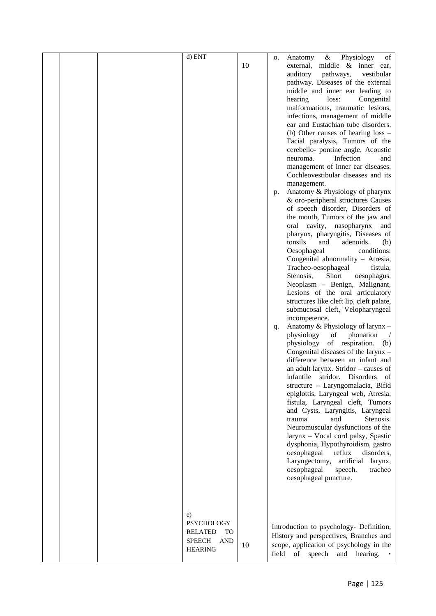| 10<br>middle & inner ear,<br>external,<br>auditory<br>pathways,<br>vestibular<br>pathway. Diseases of the external<br>middle and inner ear leading to<br>hearing<br>loss:<br>Congenital<br>malformations, traumatic lesions,<br>infections, management of middle<br>ear and Eustachian tube disorders.<br>(b) Other causes of hearing loss -<br>Facial paralysis, Tumors of the<br>cerebello- pontine angle, Acoustic<br>Infection<br>neuroma.<br>and<br>management of inner ear diseases.<br>Cochleovestibular diseases and its<br>management.<br>Anatomy & Physiology of pharynx<br>p.<br>& oro-peripheral structures Causes<br>of speech disorder, Disorders of<br>the mouth, Tumors of the jaw and<br>oral cavity, nasopharynx<br>and<br>pharynx, pharyngitis, Diseases of<br>tonsils<br>adenoids.<br>and<br>(b)<br>Oesophageal<br>conditions:<br>Congenital abnormality - Atresia,<br>Tracheo-oesophageal<br>fistula,<br>Stenosis,<br>Short<br>oesophagus.<br>Neoplasm - Benign, Malignant,<br>Lesions of the oral articulatory<br>structures like cleft lip, cleft palate,<br>submucosal cleft, Velopharyngeal<br>incompetence.<br>Anatomy & Physiology of larynx -<br>q.<br>physiology<br>phonation<br>of<br>of respiration.<br>physiology<br>(b)<br>Congenital diseases of the larynx -<br>difference between an infant and<br>an adult larynx. Stridor - causes of<br>stridor.<br><b>Disorders</b><br>infantile<br>οf<br>structure - Laryngomalacia, Bifid<br>epiglottis, Laryngeal web, Atresia,<br>fistula, Laryngeal cleft, Tumors<br>and Cysts, Laryngitis, Laryngeal<br>Stenosis.<br>and<br>trauma<br>Neuromuscular dysfunctions of the<br>larynx - Vocal cord palsy, Spastic<br>dysphonia, Hypothyroidism, gastro<br>disorders,<br>oesophageal<br>reflux<br>Laryngectomy,<br>artificial<br>larynx,<br>oesophageal<br>tracheo<br>speech,<br>oesophageal puncture.<br>e)<br><b>PSYCHOLOGY</b><br>Introduction to psychology- Definition,<br><b>RELATED</b><br>TO<br>History and perspectives, Branches and<br><b>SPEECH</b><br>AND<br>scope, application of psychology in the<br>10<br><b>HEARING</b><br>field<br>of<br>speech<br>and<br>hearing. |  | d) ENT | о. | Physiology<br>Anatomy<br>&<br>of |
|----------------------------------------------------------------------------------------------------------------------------------------------------------------------------------------------------------------------------------------------------------------------------------------------------------------------------------------------------------------------------------------------------------------------------------------------------------------------------------------------------------------------------------------------------------------------------------------------------------------------------------------------------------------------------------------------------------------------------------------------------------------------------------------------------------------------------------------------------------------------------------------------------------------------------------------------------------------------------------------------------------------------------------------------------------------------------------------------------------------------------------------------------------------------------------------------------------------------------------------------------------------------------------------------------------------------------------------------------------------------------------------------------------------------------------------------------------------------------------------------------------------------------------------------------------------------------------------------------------------------------------------------------------------------------------------------------------------------------------------------------------------------------------------------------------------------------------------------------------------------------------------------------------------------------------------------------------------------------------------------------------------------------------------------------------------------------------------------------------------------------------------------------------------|--|--------|----|----------------------------------|
|                                                                                                                                                                                                                                                                                                                                                                                                                                                                                                                                                                                                                                                                                                                                                                                                                                                                                                                                                                                                                                                                                                                                                                                                                                                                                                                                                                                                                                                                                                                                                                                                                                                                                                                                                                                                                                                                                                                                                                                                                                                                                                                                                                |  |        |    |                                  |
|                                                                                                                                                                                                                                                                                                                                                                                                                                                                                                                                                                                                                                                                                                                                                                                                                                                                                                                                                                                                                                                                                                                                                                                                                                                                                                                                                                                                                                                                                                                                                                                                                                                                                                                                                                                                                                                                                                                                                                                                                                                                                                                                                                |  |        |    |                                  |
|                                                                                                                                                                                                                                                                                                                                                                                                                                                                                                                                                                                                                                                                                                                                                                                                                                                                                                                                                                                                                                                                                                                                                                                                                                                                                                                                                                                                                                                                                                                                                                                                                                                                                                                                                                                                                                                                                                                                                                                                                                                                                                                                                                |  |        |    |                                  |
|                                                                                                                                                                                                                                                                                                                                                                                                                                                                                                                                                                                                                                                                                                                                                                                                                                                                                                                                                                                                                                                                                                                                                                                                                                                                                                                                                                                                                                                                                                                                                                                                                                                                                                                                                                                                                                                                                                                                                                                                                                                                                                                                                                |  |        |    |                                  |
|                                                                                                                                                                                                                                                                                                                                                                                                                                                                                                                                                                                                                                                                                                                                                                                                                                                                                                                                                                                                                                                                                                                                                                                                                                                                                                                                                                                                                                                                                                                                                                                                                                                                                                                                                                                                                                                                                                                                                                                                                                                                                                                                                                |  |        |    |                                  |
|                                                                                                                                                                                                                                                                                                                                                                                                                                                                                                                                                                                                                                                                                                                                                                                                                                                                                                                                                                                                                                                                                                                                                                                                                                                                                                                                                                                                                                                                                                                                                                                                                                                                                                                                                                                                                                                                                                                                                                                                                                                                                                                                                                |  |        |    |                                  |
|                                                                                                                                                                                                                                                                                                                                                                                                                                                                                                                                                                                                                                                                                                                                                                                                                                                                                                                                                                                                                                                                                                                                                                                                                                                                                                                                                                                                                                                                                                                                                                                                                                                                                                                                                                                                                                                                                                                                                                                                                                                                                                                                                                |  |        |    |                                  |
|                                                                                                                                                                                                                                                                                                                                                                                                                                                                                                                                                                                                                                                                                                                                                                                                                                                                                                                                                                                                                                                                                                                                                                                                                                                                                                                                                                                                                                                                                                                                                                                                                                                                                                                                                                                                                                                                                                                                                                                                                                                                                                                                                                |  |        |    |                                  |
|                                                                                                                                                                                                                                                                                                                                                                                                                                                                                                                                                                                                                                                                                                                                                                                                                                                                                                                                                                                                                                                                                                                                                                                                                                                                                                                                                                                                                                                                                                                                                                                                                                                                                                                                                                                                                                                                                                                                                                                                                                                                                                                                                                |  |        |    |                                  |
|                                                                                                                                                                                                                                                                                                                                                                                                                                                                                                                                                                                                                                                                                                                                                                                                                                                                                                                                                                                                                                                                                                                                                                                                                                                                                                                                                                                                                                                                                                                                                                                                                                                                                                                                                                                                                                                                                                                                                                                                                                                                                                                                                                |  |        |    |                                  |
|                                                                                                                                                                                                                                                                                                                                                                                                                                                                                                                                                                                                                                                                                                                                                                                                                                                                                                                                                                                                                                                                                                                                                                                                                                                                                                                                                                                                                                                                                                                                                                                                                                                                                                                                                                                                                                                                                                                                                                                                                                                                                                                                                                |  |        |    |                                  |
|                                                                                                                                                                                                                                                                                                                                                                                                                                                                                                                                                                                                                                                                                                                                                                                                                                                                                                                                                                                                                                                                                                                                                                                                                                                                                                                                                                                                                                                                                                                                                                                                                                                                                                                                                                                                                                                                                                                                                                                                                                                                                                                                                                |  |        |    |                                  |
|                                                                                                                                                                                                                                                                                                                                                                                                                                                                                                                                                                                                                                                                                                                                                                                                                                                                                                                                                                                                                                                                                                                                                                                                                                                                                                                                                                                                                                                                                                                                                                                                                                                                                                                                                                                                                                                                                                                                                                                                                                                                                                                                                                |  |        |    |                                  |
|                                                                                                                                                                                                                                                                                                                                                                                                                                                                                                                                                                                                                                                                                                                                                                                                                                                                                                                                                                                                                                                                                                                                                                                                                                                                                                                                                                                                                                                                                                                                                                                                                                                                                                                                                                                                                                                                                                                                                                                                                                                                                                                                                                |  |        |    |                                  |
|                                                                                                                                                                                                                                                                                                                                                                                                                                                                                                                                                                                                                                                                                                                                                                                                                                                                                                                                                                                                                                                                                                                                                                                                                                                                                                                                                                                                                                                                                                                                                                                                                                                                                                                                                                                                                                                                                                                                                                                                                                                                                                                                                                |  |        |    |                                  |
|                                                                                                                                                                                                                                                                                                                                                                                                                                                                                                                                                                                                                                                                                                                                                                                                                                                                                                                                                                                                                                                                                                                                                                                                                                                                                                                                                                                                                                                                                                                                                                                                                                                                                                                                                                                                                                                                                                                                                                                                                                                                                                                                                                |  |        |    |                                  |
|                                                                                                                                                                                                                                                                                                                                                                                                                                                                                                                                                                                                                                                                                                                                                                                                                                                                                                                                                                                                                                                                                                                                                                                                                                                                                                                                                                                                                                                                                                                                                                                                                                                                                                                                                                                                                                                                                                                                                                                                                                                                                                                                                                |  |        |    |                                  |
|                                                                                                                                                                                                                                                                                                                                                                                                                                                                                                                                                                                                                                                                                                                                                                                                                                                                                                                                                                                                                                                                                                                                                                                                                                                                                                                                                                                                                                                                                                                                                                                                                                                                                                                                                                                                                                                                                                                                                                                                                                                                                                                                                                |  |        |    |                                  |
|                                                                                                                                                                                                                                                                                                                                                                                                                                                                                                                                                                                                                                                                                                                                                                                                                                                                                                                                                                                                                                                                                                                                                                                                                                                                                                                                                                                                                                                                                                                                                                                                                                                                                                                                                                                                                                                                                                                                                                                                                                                                                                                                                                |  |        |    |                                  |
|                                                                                                                                                                                                                                                                                                                                                                                                                                                                                                                                                                                                                                                                                                                                                                                                                                                                                                                                                                                                                                                                                                                                                                                                                                                                                                                                                                                                                                                                                                                                                                                                                                                                                                                                                                                                                                                                                                                                                                                                                                                                                                                                                                |  |        |    |                                  |
|                                                                                                                                                                                                                                                                                                                                                                                                                                                                                                                                                                                                                                                                                                                                                                                                                                                                                                                                                                                                                                                                                                                                                                                                                                                                                                                                                                                                                                                                                                                                                                                                                                                                                                                                                                                                                                                                                                                                                                                                                                                                                                                                                                |  |        |    |                                  |
|                                                                                                                                                                                                                                                                                                                                                                                                                                                                                                                                                                                                                                                                                                                                                                                                                                                                                                                                                                                                                                                                                                                                                                                                                                                                                                                                                                                                                                                                                                                                                                                                                                                                                                                                                                                                                                                                                                                                                                                                                                                                                                                                                                |  |        |    |                                  |
|                                                                                                                                                                                                                                                                                                                                                                                                                                                                                                                                                                                                                                                                                                                                                                                                                                                                                                                                                                                                                                                                                                                                                                                                                                                                                                                                                                                                                                                                                                                                                                                                                                                                                                                                                                                                                                                                                                                                                                                                                                                                                                                                                                |  |        |    |                                  |
|                                                                                                                                                                                                                                                                                                                                                                                                                                                                                                                                                                                                                                                                                                                                                                                                                                                                                                                                                                                                                                                                                                                                                                                                                                                                                                                                                                                                                                                                                                                                                                                                                                                                                                                                                                                                                                                                                                                                                                                                                                                                                                                                                                |  |        |    |                                  |
|                                                                                                                                                                                                                                                                                                                                                                                                                                                                                                                                                                                                                                                                                                                                                                                                                                                                                                                                                                                                                                                                                                                                                                                                                                                                                                                                                                                                                                                                                                                                                                                                                                                                                                                                                                                                                                                                                                                                                                                                                                                                                                                                                                |  |        |    |                                  |
|                                                                                                                                                                                                                                                                                                                                                                                                                                                                                                                                                                                                                                                                                                                                                                                                                                                                                                                                                                                                                                                                                                                                                                                                                                                                                                                                                                                                                                                                                                                                                                                                                                                                                                                                                                                                                                                                                                                                                                                                                                                                                                                                                                |  |        |    |                                  |
|                                                                                                                                                                                                                                                                                                                                                                                                                                                                                                                                                                                                                                                                                                                                                                                                                                                                                                                                                                                                                                                                                                                                                                                                                                                                                                                                                                                                                                                                                                                                                                                                                                                                                                                                                                                                                                                                                                                                                                                                                                                                                                                                                                |  |        |    |                                  |
|                                                                                                                                                                                                                                                                                                                                                                                                                                                                                                                                                                                                                                                                                                                                                                                                                                                                                                                                                                                                                                                                                                                                                                                                                                                                                                                                                                                                                                                                                                                                                                                                                                                                                                                                                                                                                                                                                                                                                                                                                                                                                                                                                                |  |        |    |                                  |
|                                                                                                                                                                                                                                                                                                                                                                                                                                                                                                                                                                                                                                                                                                                                                                                                                                                                                                                                                                                                                                                                                                                                                                                                                                                                                                                                                                                                                                                                                                                                                                                                                                                                                                                                                                                                                                                                                                                                                                                                                                                                                                                                                                |  |        |    |                                  |
|                                                                                                                                                                                                                                                                                                                                                                                                                                                                                                                                                                                                                                                                                                                                                                                                                                                                                                                                                                                                                                                                                                                                                                                                                                                                                                                                                                                                                                                                                                                                                                                                                                                                                                                                                                                                                                                                                                                                                                                                                                                                                                                                                                |  |        |    |                                  |
|                                                                                                                                                                                                                                                                                                                                                                                                                                                                                                                                                                                                                                                                                                                                                                                                                                                                                                                                                                                                                                                                                                                                                                                                                                                                                                                                                                                                                                                                                                                                                                                                                                                                                                                                                                                                                                                                                                                                                                                                                                                                                                                                                                |  |        |    |                                  |
|                                                                                                                                                                                                                                                                                                                                                                                                                                                                                                                                                                                                                                                                                                                                                                                                                                                                                                                                                                                                                                                                                                                                                                                                                                                                                                                                                                                                                                                                                                                                                                                                                                                                                                                                                                                                                                                                                                                                                                                                                                                                                                                                                                |  |        |    |                                  |
|                                                                                                                                                                                                                                                                                                                                                                                                                                                                                                                                                                                                                                                                                                                                                                                                                                                                                                                                                                                                                                                                                                                                                                                                                                                                                                                                                                                                                                                                                                                                                                                                                                                                                                                                                                                                                                                                                                                                                                                                                                                                                                                                                                |  |        |    |                                  |
|                                                                                                                                                                                                                                                                                                                                                                                                                                                                                                                                                                                                                                                                                                                                                                                                                                                                                                                                                                                                                                                                                                                                                                                                                                                                                                                                                                                                                                                                                                                                                                                                                                                                                                                                                                                                                                                                                                                                                                                                                                                                                                                                                                |  |        |    |                                  |
|                                                                                                                                                                                                                                                                                                                                                                                                                                                                                                                                                                                                                                                                                                                                                                                                                                                                                                                                                                                                                                                                                                                                                                                                                                                                                                                                                                                                                                                                                                                                                                                                                                                                                                                                                                                                                                                                                                                                                                                                                                                                                                                                                                |  |        |    |                                  |
|                                                                                                                                                                                                                                                                                                                                                                                                                                                                                                                                                                                                                                                                                                                                                                                                                                                                                                                                                                                                                                                                                                                                                                                                                                                                                                                                                                                                                                                                                                                                                                                                                                                                                                                                                                                                                                                                                                                                                                                                                                                                                                                                                                |  |        |    |                                  |
|                                                                                                                                                                                                                                                                                                                                                                                                                                                                                                                                                                                                                                                                                                                                                                                                                                                                                                                                                                                                                                                                                                                                                                                                                                                                                                                                                                                                                                                                                                                                                                                                                                                                                                                                                                                                                                                                                                                                                                                                                                                                                                                                                                |  |        |    |                                  |
|                                                                                                                                                                                                                                                                                                                                                                                                                                                                                                                                                                                                                                                                                                                                                                                                                                                                                                                                                                                                                                                                                                                                                                                                                                                                                                                                                                                                                                                                                                                                                                                                                                                                                                                                                                                                                                                                                                                                                                                                                                                                                                                                                                |  |        |    |                                  |
|                                                                                                                                                                                                                                                                                                                                                                                                                                                                                                                                                                                                                                                                                                                                                                                                                                                                                                                                                                                                                                                                                                                                                                                                                                                                                                                                                                                                                                                                                                                                                                                                                                                                                                                                                                                                                                                                                                                                                                                                                                                                                                                                                                |  |        |    |                                  |
|                                                                                                                                                                                                                                                                                                                                                                                                                                                                                                                                                                                                                                                                                                                                                                                                                                                                                                                                                                                                                                                                                                                                                                                                                                                                                                                                                                                                                                                                                                                                                                                                                                                                                                                                                                                                                                                                                                                                                                                                                                                                                                                                                                |  |        |    |                                  |
|                                                                                                                                                                                                                                                                                                                                                                                                                                                                                                                                                                                                                                                                                                                                                                                                                                                                                                                                                                                                                                                                                                                                                                                                                                                                                                                                                                                                                                                                                                                                                                                                                                                                                                                                                                                                                                                                                                                                                                                                                                                                                                                                                                |  |        |    |                                  |
|                                                                                                                                                                                                                                                                                                                                                                                                                                                                                                                                                                                                                                                                                                                                                                                                                                                                                                                                                                                                                                                                                                                                                                                                                                                                                                                                                                                                                                                                                                                                                                                                                                                                                                                                                                                                                                                                                                                                                                                                                                                                                                                                                                |  |        |    |                                  |
|                                                                                                                                                                                                                                                                                                                                                                                                                                                                                                                                                                                                                                                                                                                                                                                                                                                                                                                                                                                                                                                                                                                                                                                                                                                                                                                                                                                                                                                                                                                                                                                                                                                                                                                                                                                                                                                                                                                                                                                                                                                                                                                                                                |  |        |    |                                  |
|                                                                                                                                                                                                                                                                                                                                                                                                                                                                                                                                                                                                                                                                                                                                                                                                                                                                                                                                                                                                                                                                                                                                                                                                                                                                                                                                                                                                                                                                                                                                                                                                                                                                                                                                                                                                                                                                                                                                                                                                                                                                                                                                                                |  |        |    |                                  |
|                                                                                                                                                                                                                                                                                                                                                                                                                                                                                                                                                                                                                                                                                                                                                                                                                                                                                                                                                                                                                                                                                                                                                                                                                                                                                                                                                                                                                                                                                                                                                                                                                                                                                                                                                                                                                                                                                                                                                                                                                                                                                                                                                                |  |        |    |                                  |
|                                                                                                                                                                                                                                                                                                                                                                                                                                                                                                                                                                                                                                                                                                                                                                                                                                                                                                                                                                                                                                                                                                                                                                                                                                                                                                                                                                                                                                                                                                                                                                                                                                                                                                                                                                                                                                                                                                                                                                                                                                                                                                                                                                |  |        |    |                                  |
|                                                                                                                                                                                                                                                                                                                                                                                                                                                                                                                                                                                                                                                                                                                                                                                                                                                                                                                                                                                                                                                                                                                                                                                                                                                                                                                                                                                                                                                                                                                                                                                                                                                                                                                                                                                                                                                                                                                                                                                                                                                                                                                                                                |  |        |    |                                  |
|                                                                                                                                                                                                                                                                                                                                                                                                                                                                                                                                                                                                                                                                                                                                                                                                                                                                                                                                                                                                                                                                                                                                                                                                                                                                                                                                                                                                                                                                                                                                                                                                                                                                                                                                                                                                                                                                                                                                                                                                                                                                                                                                                                |  |        |    |                                  |
|                                                                                                                                                                                                                                                                                                                                                                                                                                                                                                                                                                                                                                                                                                                                                                                                                                                                                                                                                                                                                                                                                                                                                                                                                                                                                                                                                                                                                                                                                                                                                                                                                                                                                                                                                                                                                                                                                                                                                                                                                                                                                                                                                                |  |        |    |                                  |
|                                                                                                                                                                                                                                                                                                                                                                                                                                                                                                                                                                                                                                                                                                                                                                                                                                                                                                                                                                                                                                                                                                                                                                                                                                                                                                                                                                                                                                                                                                                                                                                                                                                                                                                                                                                                                                                                                                                                                                                                                                                                                                                                                                |  |        |    |                                  |
|                                                                                                                                                                                                                                                                                                                                                                                                                                                                                                                                                                                                                                                                                                                                                                                                                                                                                                                                                                                                                                                                                                                                                                                                                                                                                                                                                                                                                                                                                                                                                                                                                                                                                                                                                                                                                                                                                                                                                                                                                                                                                                                                                                |  |        |    |                                  |
|                                                                                                                                                                                                                                                                                                                                                                                                                                                                                                                                                                                                                                                                                                                                                                                                                                                                                                                                                                                                                                                                                                                                                                                                                                                                                                                                                                                                                                                                                                                                                                                                                                                                                                                                                                                                                                                                                                                                                                                                                                                                                                                                                                |  |        |    |                                  |
|                                                                                                                                                                                                                                                                                                                                                                                                                                                                                                                                                                                                                                                                                                                                                                                                                                                                                                                                                                                                                                                                                                                                                                                                                                                                                                                                                                                                                                                                                                                                                                                                                                                                                                                                                                                                                                                                                                                                                                                                                                                                                                                                                                |  |        |    |                                  |
|                                                                                                                                                                                                                                                                                                                                                                                                                                                                                                                                                                                                                                                                                                                                                                                                                                                                                                                                                                                                                                                                                                                                                                                                                                                                                                                                                                                                                                                                                                                                                                                                                                                                                                                                                                                                                                                                                                                                                                                                                                                                                                                                                                |  |        |    |                                  |
|                                                                                                                                                                                                                                                                                                                                                                                                                                                                                                                                                                                                                                                                                                                                                                                                                                                                                                                                                                                                                                                                                                                                                                                                                                                                                                                                                                                                                                                                                                                                                                                                                                                                                                                                                                                                                                                                                                                                                                                                                                                                                                                                                                |  |        |    |                                  |
|                                                                                                                                                                                                                                                                                                                                                                                                                                                                                                                                                                                                                                                                                                                                                                                                                                                                                                                                                                                                                                                                                                                                                                                                                                                                                                                                                                                                                                                                                                                                                                                                                                                                                                                                                                                                                                                                                                                                                                                                                                                                                                                                                                |  |        |    |                                  |
|                                                                                                                                                                                                                                                                                                                                                                                                                                                                                                                                                                                                                                                                                                                                                                                                                                                                                                                                                                                                                                                                                                                                                                                                                                                                                                                                                                                                                                                                                                                                                                                                                                                                                                                                                                                                                                                                                                                                                                                                                                                                                                                                                                |  |        |    |                                  |
|                                                                                                                                                                                                                                                                                                                                                                                                                                                                                                                                                                                                                                                                                                                                                                                                                                                                                                                                                                                                                                                                                                                                                                                                                                                                                                                                                                                                                                                                                                                                                                                                                                                                                                                                                                                                                                                                                                                                                                                                                                                                                                                                                                |  |        |    |                                  |
|                                                                                                                                                                                                                                                                                                                                                                                                                                                                                                                                                                                                                                                                                                                                                                                                                                                                                                                                                                                                                                                                                                                                                                                                                                                                                                                                                                                                                                                                                                                                                                                                                                                                                                                                                                                                                                                                                                                                                                                                                                                                                                                                                                |  |        |    |                                  |
|                                                                                                                                                                                                                                                                                                                                                                                                                                                                                                                                                                                                                                                                                                                                                                                                                                                                                                                                                                                                                                                                                                                                                                                                                                                                                                                                                                                                                                                                                                                                                                                                                                                                                                                                                                                                                                                                                                                                                                                                                                                                                                                                                                |  |        |    |                                  |
|                                                                                                                                                                                                                                                                                                                                                                                                                                                                                                                                                                                                                                                                                                                                                                                                                                                                                                                                                                                                                                                                                                                                                                                                                                                                                                                                                                                                                                                                                                                                                                                                                                                                                                                                                                                                                                                                                                                                                                                                                                                                                                                                                                |  |        |    |                                  |
|                                                                                                                                                                                                                                                                                                                                                                                                                                                                                                                                                                                                                                                                                                                                                                                                                                                                                                                                                                                                                                                                                                                                                                                                                                                                                                                                                                                                                                                                                                                                                                                                                                                                                                                                                                                                                                                                                                                                                                                                                                                                                                                                                                |  |        |    |                                  |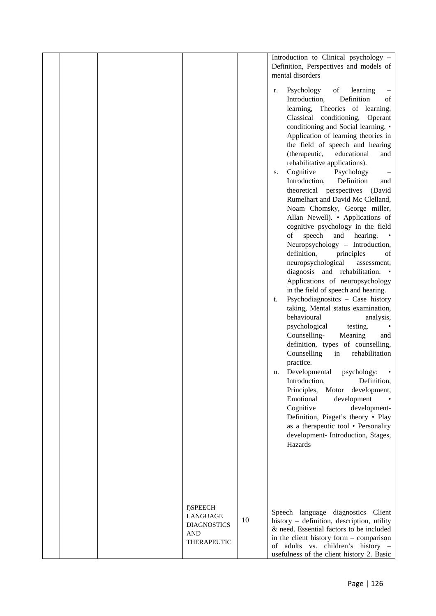|  |                                                                         |    | Introduction to Clinical psychology -<br>Definition, Perspectives and models of<br>mental disorders                                                                                                                                                                                                                                                                                                                                                                                                                                              |
|--|-------------------------------------------------------------------------|----|--------------------------------------------------------------------------------------------------------------------------------------------------------------------------------------------------------------------------------------------------------------------------------------------------------------------------------------------------------------------------------------------------------------------------------------------------------------------------------------------------------------------------------------------------|
|  |                                                                         |    | Psychology<br>of<br>learning<br>r.<br>$\overline{\phantom{0}}$<br>Definition<br>Introduction,<br>of<br>learning, Theories of learning,<br>Classical conditioning, Operant<br>conditioning and Social learning. •<br>Application of learning theories in<br>the field of speech and hearing<br>educational<br>(therapeutic,<br>and<br>rehabilitative applications).<br>Cognitive<br>Psychology<br>S.<br>Introduction,<br>Definition<br>and<br>theoretical perspectives (David<br>Rumelhart and David Mc Clelland,<br>Noam Chomsky, George miller, |
|  |                                                                         |    | Allan Newell). • Applications of<br>cognitive psychology in the field<br>speech<br>and<br>hearing.<br>of<br>Neuropsychology - Introduction,<br>definition,<br>principles<br>of<br>neuropsychological<br>assessment,<br>diagnosis and rehabilitation. •<br>Applications of neuropsychology<br>in the field of speech and hearing.<br>Psychodiagnositcs - Case history<br>t.<br>taking, Mental status examination,<br>behavioural<br>analysis,                                                                                                     |
|  |                                                                         |    | psychological<br>testing.<br>Counselling-<br>Meaning<br>and<br>definition, types of counselling,<br>Counselling<br>rehabilitation<br>in<br>practice.                                                                                                                                                                                                                                                                                                                                                                                             |
|  |                                                                         |    | Developmental<br>psychology:<br>u.<br>Introduction,<br>Definition,<br>Principles,<br>development,<br>Motor<br>Emotional<br>development<br>Cognitive<br>development-<br>Definition, Piaget's theory . Play<br>as a therapeutic tool • Personality<br>development- Introduction, Stages,<br>Hazards                                                                                                                                                                                                                                                |
|  | f)SPEECH<br>LANGUAGE<br><b>DIAGNOSTICS</b><br><b>AND</b><br>THERAPEUTIC | 10 | Speech language diagnostics Client<br>history - definition, description, utility<br>& need. Essential factors to be included<br>in the client history form - comparison<br>of adults vs. children's history -<br>usefulness of the client history 2. Basic                                                                                                                                                                                                                                                                                       |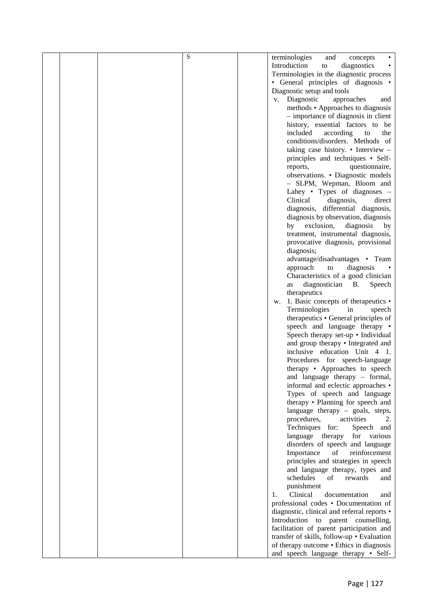| S | terminologies<br>and<br>concepts                              |
|---|---------------------------------------------------------------|
|   | Introduction<br>diagnostics<br>to                             |
|   | Terminologies in the diagnostic process                       |
|   | • General principles of diagnosis •                           |
|   | Diagnostic setup and tools                                    |
|   | v. Diagnostic<br>approaches<br>and                            |
|   | methods • Approaches to diagnosis                             |
|   | - importance of diagnosis in client                           |
|   | history, essential factors to be                              |
|   | included<br>according<br>the<br>to                            |
|   | conditions/disorders. Methods of                              |
|   | taking case history. • Interview -                            |
|   | principles and techniques • Self-                             |
|   | questionnaire,<br>reports,                                    |
|   | observations. • Diagnostic models                             |
|   | - SLPM, Wepman, Bloom and                                     |
|   | Lahey • Types of diagnoses $-$                                |
|   | Clinical<br>diagnosis,<br>direct                              |
|   | diagnosis, differential diagnosis,                            |
|   | diagnosis by observation, diagnosis                           |
|   | by exclusion,<br>diagnosis<br>by                              |
|   | treatment, instrumental diagnosis,                            |
|   | provocative diagnosis, provisional                            |
|   | diagnosis;                                                    |
|   | advantage/disadvantages • Team<br>approach<br>to<br>diagnosis |
|   | Characteristics of a good clinician                           |
|   | diagnostician B.<br>Speech<br>as                              |
|   | therapeutics                                                  |
|   | 1. Basic concepts of therapeutics •<br>w.                     |
|   | Terminologies<br>in<br>speech                                 |
|   | therapeutics • General principles of                          |
|   | speech and language therapy •                                 |
|   | Speech therapy set-up • Individual                            |
|   | and group therapy • Integrated and                            |
|   | inclusive education Unit 4 1.                                 |
|   | Procedures for speech-language                                |
|   | therapy • Approaches to speech                                |
|   | and language therapy $-$ formal,                              |
|   | informal and eclectic approaches •                            |
|   | Types of speech and language                                  |
|   | therapy • Planning for speech and                             |
|   | language therapy $-$ goals, steps,                            |
|   | procedures,<br>activities<br>2.                               |
|   | Techniques for:<br>Speech and                                 |
|   | for various<br>language therapy                               |
|   | disorders of speech and language                              |
|   | Importance<br>of<br>reinforcement                             |
|   | principles and strategies in speech                           |
|   | and language therapy, types and                               |
|   | schedules<br>of<br>rewards<br>and                             |
|   | punishment                                                    |
|   | $\mathbf{1}$ .<br>Clinical<br>documentation<br>and            |
|   | professional codes . Documentation of                         |
|   | diagnostic, clinical and referral reports •                   |
|   | Introduction to parent counselling,                           |
|   | facilitation of parent participation and                      |
|   | transfer of skills, follow-up . Evaluation                    |
|   | of therapy outcome • Ethics in diagnosis                      |
|   | and speech language therapy • Self-                           |
|   |                                                               |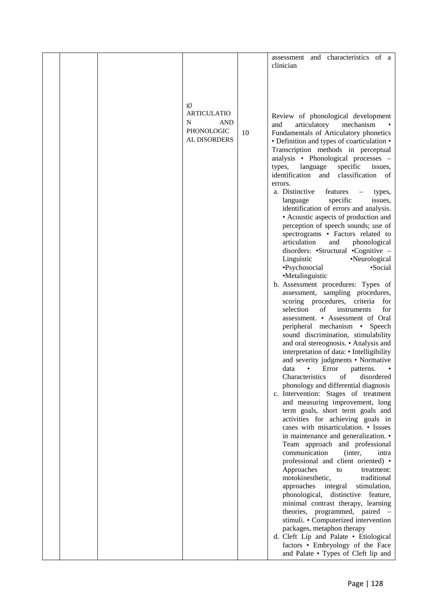|  |                                                                           |    | assessment and characteristics of a<br>clinician                                                                                                                                                                  |
|--|---------------------------------------------------------------------------|----|-------------------------------------------------------------------------------------------------------------------------------------------------------------------------------------------------------------------|
|  |                                                                           |    |                                                                                                                                                                                                                   |
|  | g)<br><b>ARTICULATIO</b><br>N<br>AND<br><b>PHONOLOGIC</b><br>AL DISORDERS | 10 | Review of phonological development<br>and<br>articulatory<br>mechanism<br>Fundamentals of Articulatory phonetics<br>• Definition and types of coarticulation •<br>Transcription methods in perceptual             |
|  |                                                                           |    | analysis • Phonological processes –<br>specific<br>types,<br>language<br>issues,<br>identification and<br>classification of                                                                                       |
|  |                                                                           |    | errors.<br>a. Distinctive<br>features<br>types,<br>specific<br>language<br>issues,<br>identification of errors and analysis.<br>• Acoustic aspects of production and                                              |
|  |                                                                           |    | perception of speech sounds; use of<br>spectrograms • Factors related to<br>articulation<br>phonological<br>and<br>disorders: •Structural •Cognitive –<br>•Neurological<br>Linguistic<br>•Psychosocial<br>•Social |
|  |                                                                           |    | •Metalinguistic<br>b. Assessment procedures: Types of<br>assessment, sampling procedures,                                                                                                                         |
|  |                                                                           |    | scoring procedures, criteria<br>for<br>selection<br>for<br>of<br>instruments<br>assessment. • Assessment of Oral<br>peripheral mechanism • Speech<br>sound discrimination, stimulability                          |
|  |                                                                           |    | and oral stereognosis. • Analysis and<br>interpretation of data: • Intelligibility<br>and severity judgments • Normative<br>data<br>Error<br>patterns.                                                            |
|  |                                                                           |    | of<br>Characteristics<br>disordered<br>phonology and differential diagnosis<br>c. Intervention: Stages of treatment<br>and measuring improvement, long<br>term goals, short term goals and                        |
|  |                                                                           |    | activities for achieving goals in<br>cases with misarticulation. • Issues<br>in maintenance and generalization. •<br>Team approach and professional                                                               |
|  |                                                                           |    | communication<br>(inter,<br>intra<br>professional and client oriented) •<br>Approaches<br>to<br>treatment:<br>motokinesthetic,<br>traditional                                                                     |
|  |                                                                           |    | approaches<br>integral<br>stimulation,<br>phonological,<br>distinctive feature,<br>minimal contrast therapy, learning<br>theories, programmed, paired –                                                           |
|  |                                                                           |    | stimuli. • Computerized intervention<br>packages, metaphon therapy<br>d. Cleft Lip and Palate . Etiological<br>factors • Embryology of the Face                                                                   |
|  |                                                                           |    | and Palate . Types of Cleft lip and                                                                                                                                                                               |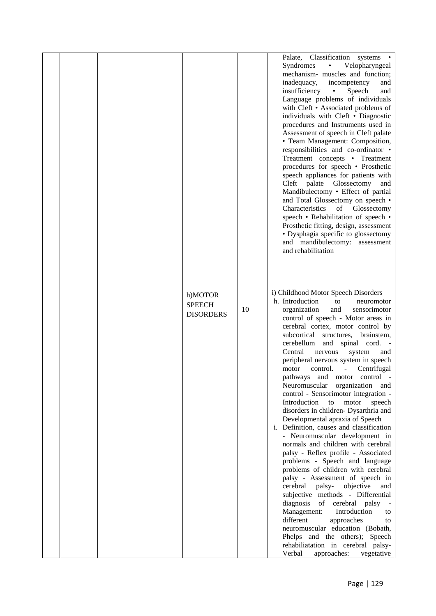|  |                                              |    | Palate, Classification systems .<br>Syndromes<br>$\bullet$<br>Velopharyngeal<br>mechanism- muscles and function;<br>inadequacy,<br>incompetency<br>and<br>insufficiency<br>Speech<br>$\bullet$<br>and<br>Language problems of individuals<br>with Cleft • Associated problems of<br>individuals with Cleft • Diagnostic<br>procedures and Instruments used in<br>Assessment of speech in Cleft palate<br>• Team Management: Composition,<br>responsibilities and co-ordinator •<br>Treatment concepts • Treatment<br>procedures for speech • Prosthetic<br>speech appliances for patients with<br>Cleft palate Glossectomy<br>and<br>Mandibulectomy • Effect of partial<br>and Total Glossectomy on speech .<br>Characteristics<br>of Glossectomy<br>speech • Rehabilitation of speech •<br>Prosthetic fitting, design, assessment<br>• Dysphagia specific to glossectomy<br>and mandibulectomy: assessment<br>and rehabilitation                                                                                                                                                                                                                                                                                                                    |
|--|----------------------------------------------|----|------------------------------------------------------------------------------------------------------------------------------------------------------------------------------------------------------------------------------------------------------------------------------------------------------------------------------------------------------------------------------------------------------------------------------------------------------------------------------------------------------------------------------------------------------------------------------------------------------------------------------------------------------------------------------------------------------------------------------------------------------------------------------------------------------------------------------------------------------------------------------------------------------------------------------------------------------------------------------------------------------------------------------------------------------------------------------------------------------------------------------------------------------------------------------------------------------------------------------------------------------|
|  | h)MOTOR<br><b>SPEECH</b><br><b>DISORDERS</b> | 10 | i) Childhood Motor Speech Disorders<br>h. Introduction<br>to<br>neuromotor<br>and<br>organization<br>sensorimotor<br>control of speech - Motor areas in<br>cerebral cortex, motor control by<br>subcortical<br>structures, brainstem,<br>cerebellum<br>and spinal cord.<br>Central<br>nervous<br>system<br>and<br>peripheral nervous system in speech<br>motor<br>control.<br>Centrifugal<br>$\omega$<br>pathways and motor control -<br>Neuromuscular organization<br>and<br>control - Sensorimotor integration -<br>Introduction<br>to<br>motor<br>speech<br>disorders in children- Dysarthria and<br>Developmental apraxia of Speech<br>i. Definition, causes and classification<br>- Neuromuscular development in<br>normals and children with cerebral<br>palsy - Reflex profile - Associated<br>problems - Speech and language<br>problems of children with cerebral<br>palsy - Assessment of speech in<br>palsy- objective<br>cerebral<br>and<br>subjective methods - Differential<br>diagnosis<br>of cerebral palsy<br>Management:<br>Introduction<br>to<br>different<br>approaches<br>to<br>neuromuscular education (Bobath,<br>Phelps and the others); Speech<br>rehabiliatation in cerebral palsy-<br>Verbal<br>approaches:<br>vegetative |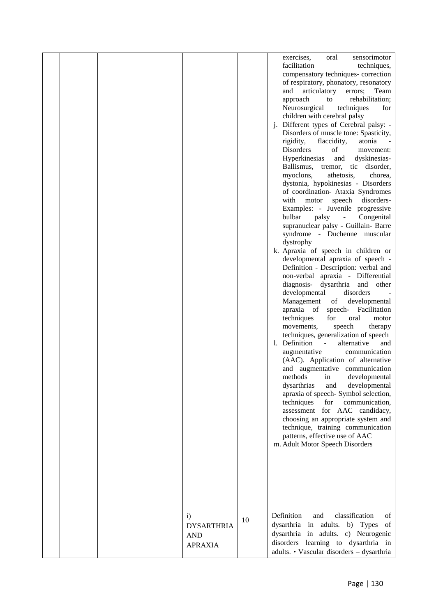|  |                   |    | exercises,<br>sensorimotor<br>oral                                      |
|--|-------------------|----|-------------------------------------------------------------------------|
|  |                   |    | facilitation<br>techniques,                                             |
|  |                   |    | compensatory techniques- correction                                     |
|  |                   |    | of respiratory, phonatory, resonatory                                   |
|  |                   |    | and articulatory<br>errors;<br>Team                                     |
|  |                   |    | approach<br>rehabilitation;<br>to                                       |
|  |                   |    | Neurosurgical<br>techniques<br>for                                      |
|  |                   |    | children with cerebral palsy                                            |
|  |                   |    | j. Different types of Cerebral palsy: -                                 |
|  |                   |    | Disorders of muscle tone: Spasticity,                                   |
|  |                   |    | rigidity,<br>flaccidity,<br>atonia                                      |
|  |                   |    | Disorders<br>οf<br>movement:                                            |
|  |                   |    | Hyperkinesias<br>dyskinesias-<br>and                                    |
|  |                   |    | Ballismus, tremor, tic disorder,                                        |
|  |                   |    | myoclons,<br>athetosis,<br>chorea,                                      |
|  |                   |    | dystonia, hypokinesias - Disorders<br>of coordination- Ataxia Syndromes |
|  |                   |    | with<br>motor<br>speech<br>disorders-                                   |
|  |                   |    | Examples: - Juvenile progressive                                        |
|  |                   |    | bulbar<br>Congenital<br>palsy<br>$\overline{\phantom{a}}$               |
|  |                   |    | supranuclear palsy - Guillain- Barre                                    |
|  |                   |    | syndrome - Duchenne muscular                                            |
|  |                   |    | dystrophy                                                               |
|  |                   |    | k. Apraxia of speech in children or                                     |
|  |                   |    | developmental apraxia of speech -                                       |
|  |                   |    | Definition - Description: verbal and                                    |
|  |                   |    | non-verbal apraxia - Differential                                       |
|  |                   |    | diagnosis- dysarthria and<br>other                                      |
|  |                   |    | developmental<br>disorders                                              |
|  |                   |    | Management of<br>developmental                                          |
|  |                   |    | apraxia of speech- Facilitation                                         |
|  |                   |    | techniques<br>for<br>oral<br>motor                                      |
|  |                   |    | speech<br>movements,<br>therapy                                         |
|  |                   |    | techniques, generalization of speech                                    |
|  |                   |    | 1. Definition<br>alternative<br>and<br>$\sim$ $-$                       |
|  |                   |    | augmentative<br>communication                                           |
|  |                   |    | (AAC). Application of alternative                                       |
|  |                   |    | and augmentative communication<br>methods<br>developmental<br>in        |
|  |                   |    | dysarthrias<br>and<br>developmental                                     |
|  |                   |    | apraxia of speech- Symbol selection,                                    |
|  |                   |    | techniques<br>for<br>communication,                                     |
|  |                   |    | assessment for AAC candidacy,                                           |
|  |                   |    | choosing an appropriate system and                                      |
|  |                   |    | technique, training communication                                       |
|  |                   |    | patterns, effective use of AAC                                          |
|  |                   |    | m. Adult Motor Speech Disorders                                         |
|  |                   |    |                                                                         |
|  |                   |    |                                                                         |
|  |                   |    |                                                                         |
|  |                   |    |                                                                         |
|  |                   |    |                                                                         |
|  |                   |    |                                                                         |
|  |                   |    |                                                                         |
|  | $\mathbf{i}$      |    | Definition<br>classification<br>and<br>of                               |
|  | <b>DYSARTHRIA</b> | 10 | dysarthria in adults. b) Types<br>of                                    |
|  | <b>AND</b>        |    | dysarthria in adults. c) Neurogenic                                     |
|  | <b>APRAXIA</b>    |    | disorders learning to dysarthria in                                     |
|  |                   |    | adults. • Vascular disorders - dysarthria                               |
|  |                   |    |                                                                         |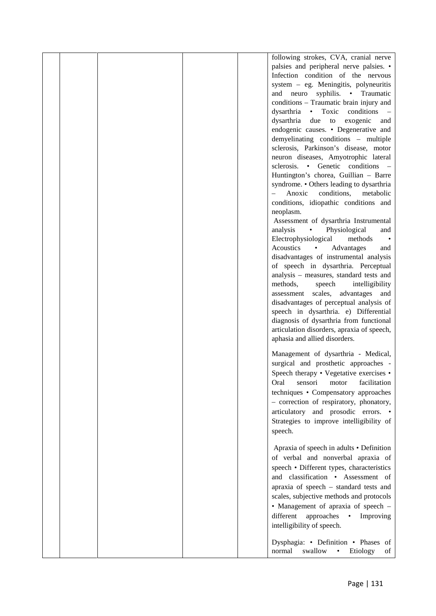|  |  | following strokes, CVA, cranial nerve       |  |
|--|--|---------------------------------------------|--|
|  |  | palsies and peripheral nerve palsies. •     |  |
|  |  | Infection condition of the nervous          |  |
|  |  | system - eg. Meningitis, polyneuritis       |  |
|  |  | neuro syphilis. • Traumatic<br>and          |  |
|  |  | conditions - Traumatic brain injury and     |  |
|  |  | • Toxic conditions<br>dysarthria            |  |
|  |  | dysarthria<br>exogenic<br>due<br>to<br>and  |  |
|  |  | endogenic causes. • Degenerative and        |  |
|  |  | demyelinating conditions - multiple         |  |
|  |  | sclerosis, Parkinson's disease, motor       |  |
|  |  | neuron diseases, Amyotrophic lateral        |  |
|  |  | sclerosis. • Genetic conditions –           |  |
|  |  | Huntington's chorea, Guillian - Barre       |  |
|  |  | syndrome. • Others leading to dysarthria    |  |
|  |  | conditions,<br>Anoxic<br>metabolic          |  |
|  |  | conditions, idiopathic conditions and       |  |
|  |  | neoplasm.                                   |  |
|  |  | Assessment of dysarthria Instrumental       |  |
|  |  | analysis<br>Physiological<br>and            |  |
|  |  | Electrophysiological<br>methods             |  |
|  |  | Acoustics<br>Advantages<br>$\bullet$<br>and |  |
|  |  | disadvantages of instrumental analysis      |  |
|  |  | of speech in dysarthria. Perceptual         |  |
|  |  | analysis - measures, standard tests and     |  |
|  |  | methods,<br>intelligibility<br>speech       |  |
|  |  | scales, advantages and<br>assessment        |  |
|  |  | disadvantages of perceptual analysis of     |  |
|  |  | speech in dysarthria. e) Differential       |  |
|  |  | diagnosis of dysarthria from functional     |  |
|  |  | articulation disorders, apraxia of speech,  |  |
|  |  | aphasia and allied disorders.               |  |
|  |  |                                             |  |
|  |  | Management of dysarthria - Medical,         |  |
|  |  | surgical and prosthetic approaches -        |  |
|  |  | Speech therapy • Vegetative exercises •     |  |
|  |  | Oral<br>sensori<br>motor<br>facilitation    |  |
|  |  | techniques • Compensatory approaches        |  |
|  |  | - correction of respiratory, phonatory,     |  |
|  |  | articulatory and prosodic errors. •         |  |
|  |  | Strategies to improve intelligibility of    |  |
|  |  | speech.                                     |  |
|  |  |                                             |  |
|  |  | Apraxia of speech in adults • Definition    |  |
|  |  | of verbal and nonverbal apraxia of          |  |
|  |  |                                             |  |
|  |  | speech • Different types, characteristics   |  |
|  |  | and classification · Assessment of          |  |
|  |  | apraxia of speech - standard tests and      |  |
|  |  | scales, subjective methods and protocols    |  |
|  |  | • Management of apraxia of speech -         |  |
|  |  | different<br>approaches • Improving         |  |
|  |  | intelligibility of speech.                  |  |
|  |  |                                             |  |
|  |  | Dysphagia: • Definition • Phases of         |  |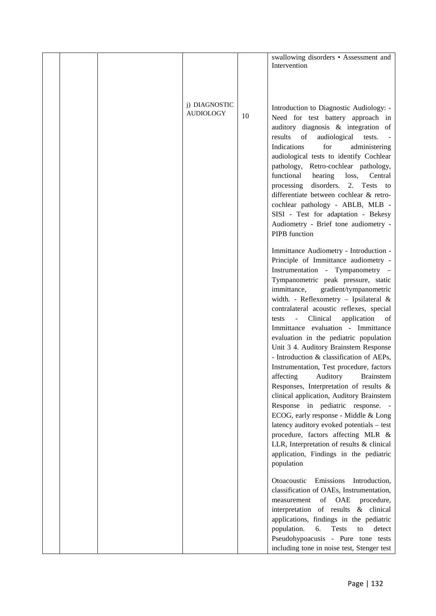|  |                                   |    | swallowing disorders • Assessment and<br>Intervention                                                                                                                                                                                                                                                                                                                                                                                                                                                                         |  |
|--|-----------------------------------|----|-------------------------------------------------------------------------------------------------------------------------------------------------------------------------------------------------------------------------------------------------------------------------------------------------------------------------------------------------------------------------------------------------------------------------------------------------------------------------------------------------------------------------------|--|
|  |                                   |    |                                                                                                                                                                                                                                                                                                                                                                                                                                                                                                                               |  |
|  |                                   |    |                                                                                                                                                                                                                                                                                                                                                                                                                                                                                                                               |  |
|  | j) DIAGNOSTIC<br><b>AUDIOLOGY</b> | 10 | Introduction to Diagnostic Audiology: -<br>Need for test battery approach in<br>auditory diagnosis & integration of<br>results<br>audiological<br>of<br>tests.<br>Indications<br>for<br>administering<br>audiological tests to identify Cochlear<br>pathology, Retro-cochlear pathology,<br>functional<br>hearing<br>loss,<br>Central<br>disorders. 2. Tests to<br>processing                                                                                                                                                 |  |
|  |                                   |    | differentiate between cochlear & retro-<br>cochlear pathology - ABLB, MLB -<br>SISI - Test for adaptation - Bekesy<br>Audiometry - Brief tone audiometry -<br>PIPB function                                                                                                                                                                                                                                                                                                                                                   |  |
|  |                                   |    | Immittance Audiometry - Introduction -<br>Principle of Immittance audiometry -<br>Instrumentation - Tympanometry -<br>Tympanometric peak pressure, static<br>gradient/tympanometric<br>immittance,<br>width. - Reflexometry - Ipsilateral &<br>contralateral acoustic reflexes, special<br>Clinical<br>application<br>tests<br>$\omega_{\rm{max}}$<br>of<br>Immittance evaluation - Immittance<br>evaluation in the pediatric population<br>Unit 3 4. Auditory Brainstem Response<br>- Introduction & classification of AEPs, |  |
|  |                                   |    | Instrumentation, Test procedure, factors<br>affecting<br>Auditory<br><b>Brainstem</b><br>Responses, Interpretation of results &<br>clinical application, Auditory Brainstem<br>Response in pediatric response. -<br>ECOG, early response - Middle & Long<br>latency auditory evoked potentials - test<br>procedure, factors affecting MLR &<br>LLR, Interpretation of results & clinical<br>application, Findings in the pediatric<br>population                                                                              |  |
|  |                                   |    | Otoacoustic Emissions Introduction,<br>classification of OAEs, Instrumentation,<br>of OAE<br>procedure,<br>measurement<br>interpretation of results & clinical<br>applications, findings in the pediatric<br>population.<br>6.<br>Tests<br>to<br>detect<br>Pseudohypoacusis - Pure tone tests<br>including tone in noise test, Stenger test                                                                                                                                                                                   |  |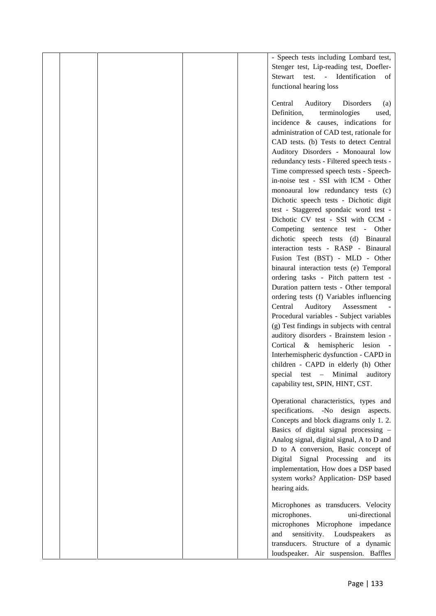|  |  | - Speech tests including Lombard test,     |  |
|--|--|--------------------------------------------|--|
|  |  | Stenger test, Lip-reading test, Doefler-   |  |
|  |  | Stewart test. - Identification<br>of       |  |
|  |  | functional hearing loss                    |  |
|  |  |                                            |  |
|  |  | Central<br>Auditory<br>Disorders<br>(a)    |  |
|  |  | Definition,<br>terminologies<br>used,      |  |
|  |  | incidence & causes, indications for        |  |
|  |  | administration of CAD test, rationale for  |  |
|  |  | CAD tests. (b) Tests to detect Central     |  |
|  |  | Auditory Disorders - Monoaural low         |  |
|  |  | redundancy tests - Filtered speech tests - |  |
|  |  | Time compressed speech tests - Speech-     |  |
|  |  | in-noise test - SSI with ICM - Other       |  |
|  |  | monoaural low redundancy tests (c)         |  |
|  |  | Dichotic speech tests - Dichotic digit     |  |
|  |  | test - Staggered spondaic word test -      |  |
|  |  | Dichotic CV test - SSI with CCM -          |  |
|  |  | Competing sentence test - Other            |  |
|  |  | dichotic speech tests (d) Binaural         |  |
|  |  | interaction tests - RASP - Binaural        |  |
|  |  | Fusion Test (BST) - MLD - Other            |  |
|  |  | binaural interaction tests (e) Temporal    |  |
|  |  | ordering tasks - Pitch pattern test -      |  |
|  |  | Duration pattern tests - Other temporal    |  |
|  |  | ordering tests (f) Variables influencing   |  |
|  |  | Central<br>Auditory<br>Assessment          |  |
|  |  | Procedural variables - Subject variables   |  |
|  |  | (g) Test findings in subjects with central |  |
|  |  | auditory disorders - Brainstem lesion -    |  |
|  |  | Cortical & hemispheric lesion -            |  |
|  |  | Interhemispheric dysfunction - CAPD in     |  |
|  |  | children - CAPD in elderly (h) Other       |  |
|  |  | special test - Minimal<br>auditory         |  |
|  |  | capability test, SPIN, HINT, CST.          |  |
|  |  |                                            |  |
|  |  | Operational characteristics, types and     |  |
|  |  | specifications. -No design aspects.        |  |
|  |  | Concepts and block diagrams only 1.2.      |  |
|  |  | Basics of digital signal processing -      |  |
|  |  | Analog signal, digital signal, A to D and  |  |
|  |  | D to A conversion, Basic concept of        |  |
|  |  | Digital Signal Processing and its          |  |
|  |  | implementation, How does a DSP based       |  |
|  |  | system works? Application- DSP based       |  |
|  |  | hearing aids.                              |  |
|  |  | Microphones as transducers. Velocity       |  |
|  |  | uni-directional<br>microphones.            |  |
|  |  | microphones Microphone impedance           |  |
|  |  | sensitivity. Loudspeakers<br>and<br>as     |  |
|  |  | transducers. Structure of a dynamic        |  |
|  |  | loudspeaker. Air suspension. Baffles       |  |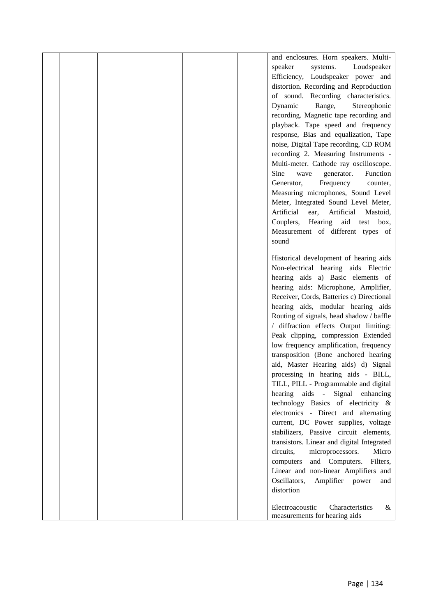|  |  | and enclosures. Horn speakers. Multi-        |
|--|--|----------------------------------------------|
|  |  | speaker<br>systems.<br>Loudspeaker           |
|  |  | Efficiency, Loudspeaker power and            |
|  |  | distortion. Recording and Reproduction       |
|  |  | of sound. Recording characteristics.         |
|  |  | Dynamic<br>Range,<br>Stereophonic            |
|  |  | recording. Magnetic tape recording and       |
|  |  |                                              |
|  |  | playback. Tape speed and frequency           |
|  |  | response, Bias and equalization, Tape        |
|  |  | noise, Digital Tape recording, CD ROM        |
|  |  | recording 2. Measuring Instruments -         |
|  |  | Multi-meter. Cathode ray oscilloscope.       |
|  |  | Sine<br>Function<br>wave<br>generator.       |
|  |  | Generator,<br>Frequency<br>counter,          |
|  |  | Measuring microphones, Sound Level           |
|  |  | Meter, Integrated Sound Level Meter,         |
|  |  | Artificial<br>Artificial<br>ear,<br>Mastoid, |
|  |  | Couplers,<br>Hearing<br>aid<br>test box,     |
|  |  | Measurement of different types of            |
|  |  | sound                                        |
|  |  |                                              |
|  |  | Historical development of hearing aids       |
|  |  | Non-electrical hearing aids Electric         |
|  |  | hearing aids a) Basic elements of            |
|  |  | hearing aids: Microphone, Amplifier,         |
|  |  | Receiver, Cords, Batteries c) Directional    |
|  |  | hearing aids, modular hearing aids           |
|  |  | Routing of signals, head shadow / baffle     |
|  |  | diffraction effects Output limiting:         |
|  |  | Peak clipping, compression Extended          |
|  |  | low frequency amplification, frequency       |
|  |  | transposition (Bone anchored hearing         |
|  |  | aid, Master Hearing aids) d) Signal          |
|  |  | processing in hearing aids - BILL,           |
|  |  | TILL, PILL - Programmable and digital        |
|  |  | hearing aids - Signal enhancing              |
|  |  | technology Basics of electricity &           |
|  |  | electronics - Direct and alternating         |
|  |  | current, DC Power supplies, voltage          |
|  |  | stabilizers, Passive circuit elements,       |
|  |  | transistors. Linear and digital Integrated   |
|  |  | circuits,<br>microprocessors.<br>Micro       |
|  |  | and Computers.<br>Filters,<br>computers      |
|  |  | Linear and non-linear Amplifiers and         |
|  |  | Oscillators,<br>Amplifier power<br>and       |
|  |  | distortion                                   |
|  |  |                                              |
|  |  | Electroacoustic<br>Characteristics<br>&      |
|  |  | measurements for hearing aids                |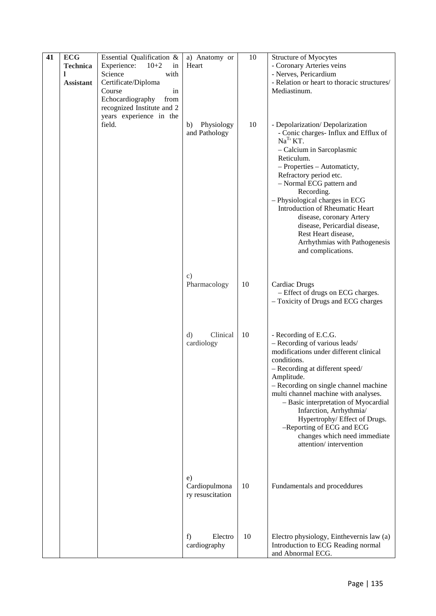| 41 | <b>ECG</b>       | Essential Qualification &                                                         | a) Anatomy or                           | 10 | Structure of Myocytes                                                                                                                                                                                                                                                                                                                                                                                                                                |
|----|------------------|-----------------------------------------------------------------------------------|-----------------------------------------|----|------------------------------------------------------------------------------------------------------------------------------------------------------------------------------------------------------------------------------------------------------------------------------------------------------------------------------------------------------------------------------------------------------------------------------------------------------|
|    | <b>Technica</b>  | Experience:<br>$10+2$<br>in                                                       | Heart                                   |    | - Coronary Arteries veins                                                                                                                                                                                                                                                                                                                                                                                                                            |
|    | <b>Assistant</b> | Science<br>with<br>Certificate/Diploma                                            |                                         |    | - Nerves, Pericardium<br>- Relation or heart to thoracic structures/                                                                                                                                                                                                                                                                                                                                                                                 |
|    |                  | Course<br>in                                                                      |                                         |    | Mediastinum.                                                                                                                                                                                                                                                                                                                                                                                                                                         |
|    |                  | Echocardiography<br>from<br>recognized Institute and 2<br>years experience in the |                                         |    |                                                                                                                                                                                                                                                                                                                                                                                                                                                      |
|    |                  | field.                                                                            | Physiology<br>b)<br>and Pathology       | 10 | - Depolarization/ Depolarization<br>- Conic charges- Influx and Efflux of<br>$NaT$ KT.<br>- Calcium in Sarcoplasmic<br>Reticulum.<br>- Properties - Automaticty,<br>Refractory period etc.<br>- Normal ECG pattern and<br>Recording.<br>- Physiological charges in ECG<br>Introduction of Rheumatic Heart<br>disease, coronary Artery<br>disease, Pericardial disease,<br>Rest Heart disease,<br>Arrhythmias with Pathogenesis<br>and complications. |
|    |                  |                                                                                   | $\mathbf{c})$<br>Pharmacology           | 10 | <b>Cardiac Drugs</b><br>- Effect of drugs on ECG charges.<br>- Toxicity of Drugs and ECG charges                                                                                                                                                                                                                                                                                                                                                     |
|    |                  |                                                                                   | Clinical<br>d)<br>cardiology            | 10 | - Recording of E.C.G.<br>- Recording of various leads/<br>modifications under different clinical<br>conditions.<br>- Recording at different speed/<br>Amplitude.<br>- Recording on single channel machine<br>multi channel machine with analyses.<br>- Basic interpretation of Myocardial<br>Infarction, Arrhythmia/<br>Hypertrophy/ Effect of Drugs.<br>-Reporting of ECG and ECG<br>changes which need immediate<br>attention/intervention         |
|    |                  |                                                                                   | e)<br>Cardiopulmona<br>ry resuscitation | 10 | Fundamentals and proceddures                                                                                                                                                                                                                                                                                                                                                                                                                         |
|    |                  |                                                                                   | Electro<br>f)<br>cardiography           | 10 | Electro physiology, Einthevernis law (a)<br>Introduction to ECG Reading normal<br>and Abnormal ECG.                                                                                                                                                                                                                                                                                                                                                  |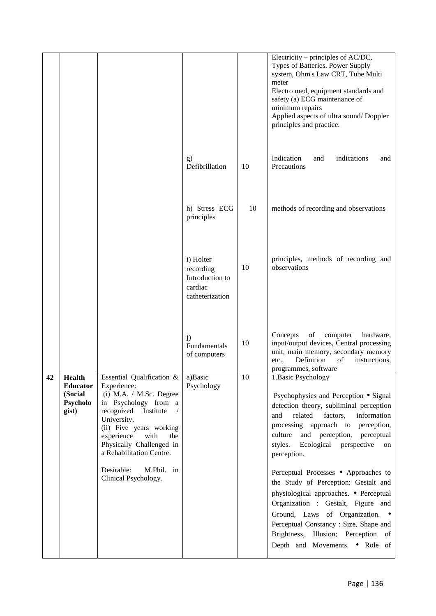|                                                                  |                                                                                                                                                                                                                                                                                                          |                                                                         |    | Electricity – principles of $AC/DC$ ,<br>Types of Batteries, Power Supply<br>system, Ohm's Law CRT, Tube Multi<br>meter<br>Electro med, equipment standards and<br>safety (a) ECG maintenance of<br>minimum repairs<br>Applied aspects of ultra sound/ Doppler<br>principles and practice.                                                                                                                                                                                                                                                                                                                         |
|------------------------------------------------------------------|----------------------------------------------------------------------------------------------------------------------------------------------------------------------------------------------------------------------------------------------------------------------------------------------------------|-------------------------------------------------------------------------|----|--------------------------------------------------------------------------------------------------------------------------------------------------------------------------------------------------------------------------------------------------------------------------------------------------------------------------------------------------------------------------------------------------------------------------------------------------------------------------------------------------------------------------------------------------------------------------------------------------------------------|
|                                                                  |                                                                                                                                                                                                                                                                                                          | g)<br>Defibrillation                                                    | 10 | Indication<br>indications<br>and<br>and<br>Precautions                                                                                                                                                                                                                                                                                                                                                                                                                                                                                                                                                             |
|                                                                  |                                                                                                                                                                                                                                                                                                          | h) Stress ECG<br>principles                                             | 10 | methods of recording and observations                                                                                                                                                                                                                                                                                                                                                                                                                                                                                                                                                                              |
|                                                                  |                                                                                                                                                                                                                                                                                                          | i) Holter<br>recording<br>Introduction to<br>cardiac<br>catheterization | 10 | principles, methods of recording and<br>observations                                                                                                                                                                                                                                                                                                                                                                                                                                                                                                                                                               |
|                                                                  |                                                                                                                                                                                                                                                                                                          | j)<br>Fundamentals<br>of computers                                      | 10 | of<br>Concepts<br>computer<br>hardware,<br>input/output devices, Central processing<br>unit, main memory, secondary memory<br>Definition<br>instructions,<br>etc.,<br>of<br>programmes, software                                                                                                                                                                                                                                                                                                                                                                                                                   |
| <b>Health</b><br><b>Educator</b><br>(Social<br>Psycholo<br>gist) | Essential Qualification &<br>Experience:<br>$(i)$ M.A. / M.Sc. Degree<br>in Psychology from a<br>recognized Institute<br>University.<br>(ii) Five years working<br>with<br>experience<br>the<br>Physically Challenged in<br>a Rehabilitation Centre.<br>Desirable:<br>M.Phil. in<br>Clinical Psychology. | a)Basic<br>Psychology                                                   | 10 | 1. Basic Psychology<br>Psychophysics and Perception ● Signal<br>detection theory, subliminal perception<br>related<br>information<br>factors,<br>and<br>processing approach to perception,<br>and perception, perceptual<br>culture<br>Ecological perspective<br>styles.<br>on<br>perception.<br>Perceptual Processes • Approaches to<br>the Study of Perception: Gestalt and<br>physiological approaches. • Perceptual<br>Organization : Gestalt, Figure and<br>Ground, Laws of Organization. .<br>Perceptual Constancy: Size, Shape and<br>Brightness, Illusion; Perception of<br>Depth and Movements. • Role of |
|                                                                  |                                                                                                                                                                                                                                                                                                          |                                                                         |    |                                                                                                                                                                                                                                                                                                                                                                                                                                                                                                                                                                                                                    |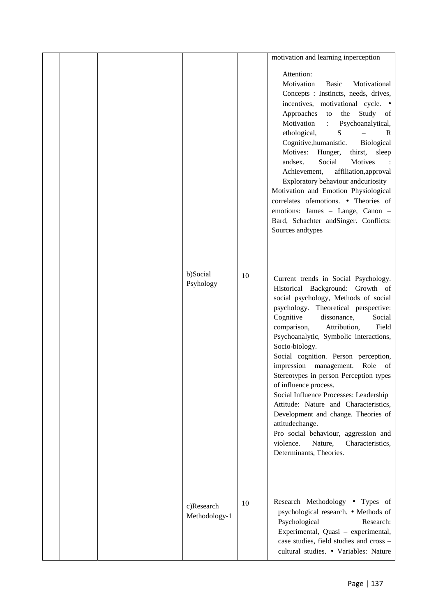|  |                             |    | motivation and learning inperception                                                                                                                                                                                                                                                                                                                                                                                                                                                                                                                                                                                                                                                                                |  |
|--|-----------------------------|----|---------------------------------------------------------------------------------------------------------------------------------------------------------------------------------------------------------------------------------------------------------------------------------------------------------------------------------------------------------------------------------------------------------------------------------------------------------------------------------------------------------------------------------------------------------------------------------------------------------------------------------------------------------------------------------------------------------------------|--|
|  |                             |    | Attention:<br>Motivation<br><b>Basic</b><br>Motivational<br>Concepts : Instincts, needs, drives,<br>incentives, motivational cycle. •<br>Approaches<br>Study<br>the<br>to<br>of<br>Motivation<br>Psychoanalytical,<br>$\ddot{\Sigma}$<br>S<br>ethological,<br>$\mathbb{R}$<br>Cognitive, humanistic.<br>Biological<br>Motives:<br>Hunger,<br>thirst,<br>sleep<br>Social<br>Motives<br>andsex.<br>affiliation, approval<br>Achievement,<br>Exploratory behaviour andcuriosity<br>Motivation and Emotion Physiological<br>correlates ofemotions. • Theories of<br>emotions: James - Lange, Canon -<br>Bard, Schachter and Singer. Conflicts:<br>Sources andtypes                                                      |  |
|  | b)Social<br>Psyhology       | 10 | Current trends in Social Psychology.<br>Historical Background: Growth of<br>social psychology, Methods of social<br>psychology. Theoretical perspective:<br>Cognitive<br>dissonance,<br>Social<br>Field<br>comparison,<br>Attribution,<br>Psychoanalytic, Symbolic interactions,<br>Socio-biology.<br>Social cognition. Person perception,<br>impression management.<br>Role<br>- of<br>Stereotypes in person Perception types<br>of influence process.<br>Social Influence Processes: Leadership<br>Attitude: Nature and Characteristics,<br>Development and change. Theories of<br>attitudechange.<br>Pro social behaviour, aggression and<br>violence.<br>Nature,<br>Characteristics,<br>Determinants, Theories. |  |
|  | c)Research<br>Methodology-1 | 10 | Research Methodology • Types of<br>psychological research. • Methods of<br>Psychological<br>Research:<br>Experimental, Quasi - experimental,<br>case studies, field studies and cross -<br>cultural studies. • Variables: Nature                                                                                                                                                                                                                                                                                                                                                                                                                                                                                    |  |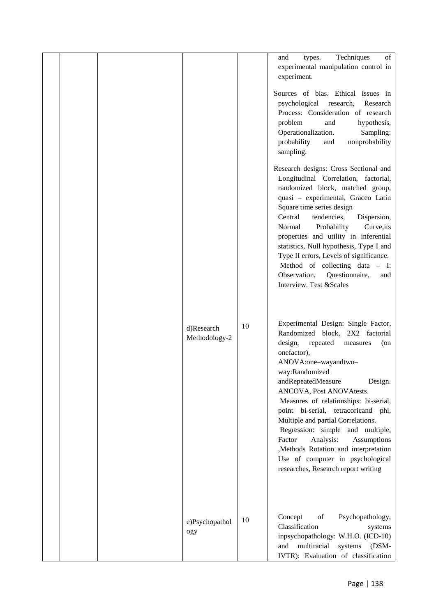|  |                             |    | Techniques<br>of<br>and<br>types.<br>experimental manipulation control in                                                                                                                                                                                                                                                                                                                                                                                                                                                                                    |
|--|-----------------------------|----|--------------------------------------------------------------------------------------------------------------------------------------------------------------------------------------------------------------------------------------------------------------------------------------------------------------------------------------------------------------------------------------------------------------------------------------------------------------------------------------------------------------------------------------------------------------|
|  |                             |    | experiment.                                                                                                                                                                                                                                                                                                                                                                                                                                                                                                                                                  |
|  |                             |    | Sources of bias. Ethical issues in<br>psychological<br>research,<br>Research<br>Process: Consideration of research<br>problem<br>hypothesis,<br>and<br>Operationalization.<br>Sampling:<br>probability<br>nonprobability<br>and<br>sampling.                                                                                                                                                                                                                                                                                                                 |
|  |                             |    | Research designs: Cross Sectional and<br>Longitudinal Correlation, factorial,<br>randomized block, matched group,<br>quasi - experimental, Graceo Latin<br>Square time series design<br>tendencies,<br>Dispersion,<br>Central<br>Probability<br>Curve, its<br>Normal<br>properties and utility in inferential<br>statistics, Null hypothesis, Type I and<br>Type II errors, Levels of significance.<br>Method of collecting data - I:<br>Observation,<br>Questionnaire,<br>and<br>Interview. Test & Scales                                                   |
|  | d)Research<br>Methodology-2 | 10 | Experimental Design: Single Factor,<br>Randomized block, 2X2 factorial<br>repeated<br>design,<br>measures<br>$($ on<br>onefactor),<br>ANOVA:one-wayandtwo-<br>way:Randomized<br>andRepeatedMeasure<br>Design.<br>ANCOVA, Post ANOVAtests.<br>Measures of relationships: bi-serial,<br>point bi-serial, tetracoricand phi,<br>Multiple and partial Correlations.<br>Regression: simple and multiple,<br>Factor<br>Analysis:<br>Assumptions<br>,Methods Rotation and interpretation<br>Use of computer in psychological<br>researches, Research report writing |
|  | e)Psychopathol<br>ogy       | 10 | Concept<br>Psychopathology,<br>of<br>Classification<br>systems<br>inpsychopathology: W.H.O. (ICD-10)<br>multiracial<br>and<br>systems<br>$(DSM-$<br>IVTR): Evaluation of classification                                                                                                                                                                                                                                                                                                                                                                      |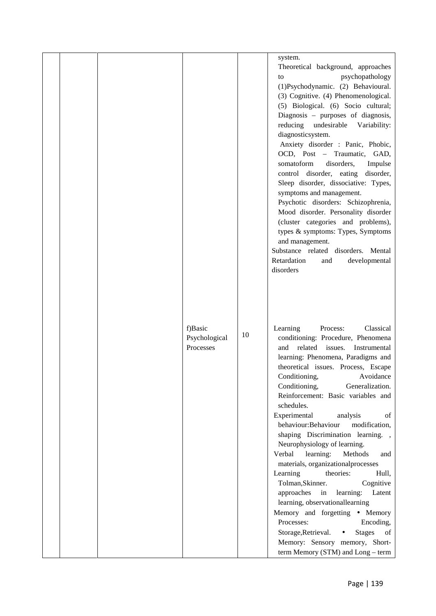|  |                                       |    | system.<br>Theoretical background, approaches<br>psychopathology<br>to<br>(1)Psychodynamic. (2) Behavioural.<br>(3) Cognitive. (4) Phenomenological.<br>(5) Biological. (6) Socio cultural;<br>Diagnosis - purposes of diagnosis,<br>reducing undesirable<br>Variability:<br>diagnosticsystem.<br>Anxiety disorder : Panic, Phobic,<br>OCD, Post - Traumatic, GAD,<br>somatoform<br>disorders,<br>Impulse<br>control disorder, eating<br>disorder,<br>Sleep disorder, dissociative: Types,<br>symptoms and management.<br>Psychotic disorders: Schizophrenia,<br>Mood disorder. Personality disorder<br>(cluster categories and problems),<br>types & symptoms: Types, Symptoms<br>and management.<br>Substance related disorders. Mental<br>Retardation<br>developmental<br>and<br>disorders                                                                                                         |
|--|---------------------------------------|----|-------------------------------------------------------------------------------------------------------------------------------------------------------------------------------------------------------------------------------------------------------------------------------------------------------------------------------------------------------------------------------------------------------------------------------------------------------------------------------------------------------------------------------------------------------------------------------------------------------------------------------------------------------------------------------------------------------------------------------------------------------------------------------------------------------------------------------------------------------------------------------------------------------|
|  | f)Basic<br>Psychological<br>Processes | 10 | Classical<br>Learning<br>Process:<br>conditioning: Procedure, Phenomena<br>related<br>issues.<br>Instrumental<br>and<br>learning: Phenomena, Paradigms and<br>theoretical issues. Process, Escape<br>Conditioning,<br>Avoidance<br>Generalization.<br>Conditioning,<br>Reinforcement: Basic variables and<br>schedules.<br>Experimental<br>analysis<br>οf<br>behaviour:Behaviour<br>modification,<br>shaping Discrimination learning.,<br>Neurophysiology of learning.<br>Verbal<br>learning:<br>Methods<br>and<br>materials, organizationalprocesses<br>Learning<br>theories:<br>Hull,<br>Tolman, Skinner.<br>Cognitive<br>approaches<br>in<br>learning:<br>Latent<br>learning, observationallearning<br>Memory and forgetting • Memory<br>Processes:<br>Encoding,<br>Storage, Retrieval.<br><b>Stages</b><br>of<br>$\bullet$<br>Memory: Sensory memory, Short-<br>term Memory (STM) and Long - term |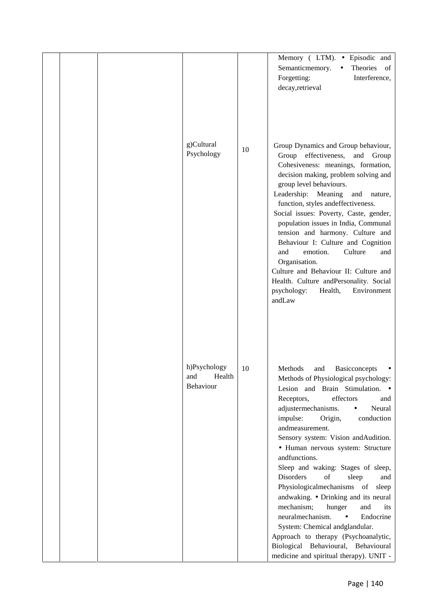|  |                                            |    | Memory (LTM). · Episodic and<br>Semanticmemory.<br>Theories of<br>$\bullet$<br>Forgetting:<br>Interference,<br>decay, retrieval                                                                                                                                                                                                                                                                                                                                                                                                                                                                                                                                                                                                                                       |
|--|--------------------------------------------|----|-----------------------------------------------------------------------------------------------------------------------------------------------------------------------------------------------------------------------------------------------------------------------------------------------------------------------------------------------------------------------------------------------------------------------------------------------------------------------------------------------------------------------------------------------------------------------------------------------------------------------------------------------------------------------------------------------------------------------------------------------------------------------|
|  | g)Cultural<br>Psychology                   | 10 | Group Dynamics and Group behaviour,<br>Group effectiveness, and Group<br>Cohesiveness: meanings, formation,<br>decision making, problem solving and<br>group level behaviours.<br>Leadership: Meaning<br>and<br>nature,<br>function, styles and effectiveness.<br>Social issues: Poverty, Caste, gender,<br>population issues in India, Communal<br>tension and harmony. Culture and<br>Behaviour I: Culture and Cognition<br>emotion.<br>Culture<br>and<br>and<br>Organisation.<br>Culture and Behaviour II: Culture and<br>Health. Culture and Personality. Social<br>psychology:<br>Health,<br>Environment<br>andLaw                                                                                                                                               |
|  | h)Psychology<br>and<br>Health<br>Behaviour | 10 | Methods<br>and<br><b>Basicconcepts</b><br>Methods of Physiological psychology:<br>Lesion and Brain Stimulation. .<br>Receptors,<br>effectors<br>and<br>adjustermechanisms.<br>Neural<br>$\bullet$<br>impulse:<br>conduction<br>Origin,<br>andmeasurement.<br>Sensory system: Vision andAudition.<br>· Human nervous system: Structure<br>andfunctions.<br>Sleep and waking: Stages of sleep,<br><b>Disorders</b><br>of<br>sleep<br>and<br>Physiologicalmechanisms of<br>sleep<br>andwaking. • Drinking and its neural<br>mechanism;<br>hunger<br>and<br>its<br>neuralmechanism.<br>Endocrine<br>$\bullet$<br>System: Chemical andglandular.<br>Approach to therapy (Psychoanalytic,<br>Biological Behavioural, Behavioural<br>medicine and spiritual therapy). UNIT - |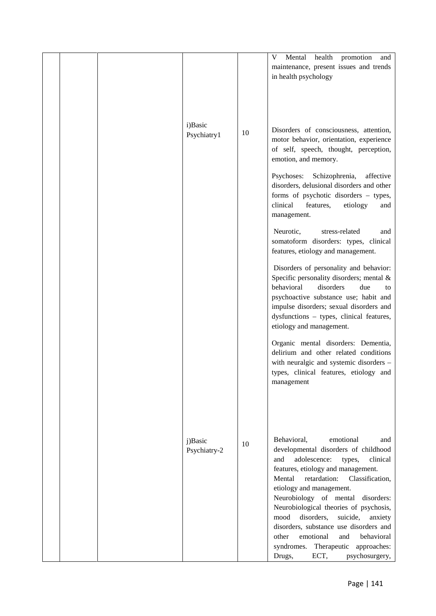|  |                         |    | health promotion<br>V<br>Mental<br>and<br>maintenance, present issues and trends<br>in health psychology                                                                                                                                                                                                                                                                                                                                                                                                                             |
|--|-------------------------|----|--------------------------------------------------------------------------------------------------------------------------------------------------------------------------------------------------------------------------------------------------------------------------------------------------------------------------------------------------------------------------------------------------------------------------------------------------------------------------------------------------------------------------------------|
|  | i)Basic<br>Psychiatry1  | 10 | Disorders of consciousness, attention,<br>motor behavior, orientation, experience<br>of self, speech, thought, perception,<br>emotion, and memory.                                                                                                                                                                                                                                                                                                                                                                                   |
|  |                         |    | Psychoses:<br>Schizophrenia,<br>affective<br>disorders, delusional disorders and other<br>forms of psychotic disorders - types,<br>clinical<br>features,<br>etiology<br>and<br>management.                                                                                                                                                                                                                                                                                                                                           |
|  |                         |    | Neurotic,<br>stress-related<br>and<br>somatoform disorders: types, clinical<br>features, etiology and management.                                                                                                                                                                                                                                                                                                                                                                                                                    |
|  |                         |    | Disorders of personality and behavior:<br>Specific personality disorders; mental $\&$<br>behavioral<br>disorders<br>due<br>to<br>psychoactive substance use; habit and<br>impulse disorders; sexual disorders and<br>dysfunctions - types, clinical features,<br>etiology and management.                                                                                                                                                                                                                                            |
|  |                         |    | Organic mental disorders: Dementia,<br>delirium and other related conditions<br>with neuralgic and systemic disorders -<br>types, clinical features, etiology and<br>management                                                                                                                                                                                                                                                                                                                                                      |
|  | j)Basic<br>Psychiatry-2 | 10 | Behavioral,<br>emotional<br>and<br>developmental disorders of childhood<br>adolescence:<br>and<br>clinical<br>types,<br>features, etiology and management.<br>Classification,<br>Mental<br>retardation:<br>etiology and management.<br>Neurobiology of mental<br>disorders:<br>Neurobiological theories of psychosis,<br>mood<br>disorders,<br>suicide,<br>anxiety<br>disorders, substance use disorders and<br>emotional<br>and<br>behavioral<br>other<br>syndromes. Therapeutic<br>approaches:<br>ECT,<br>psychosurgery,<br>Drugs, |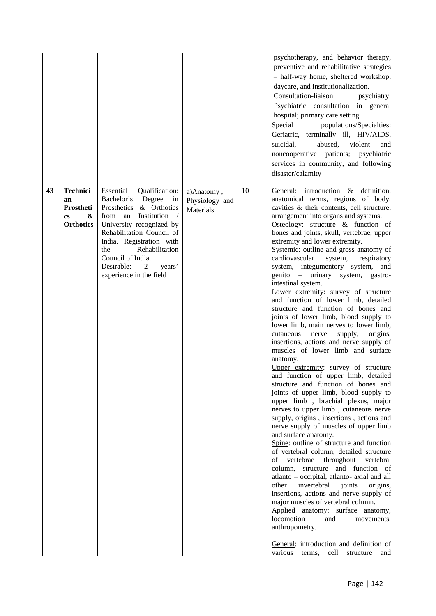|    |                                                                                       |                                                                                                                                                                                                                                                                                                              |                                           |    | psychotherapy, and behavior therapy,<br>preventive and rehabilitative strategies<br>- half-way home, sheltered workshop,<br>daycare, and institutionalization.<br>Consultation-liaison<br>psychiatry:<br>Psychiatric consultation in general<br>hospital; primary care setting.<br>Special<br>populations/Specialties:<br>Geriatric, terminally ill, HIV/AIDS,<br>suicidal,<br>abused,<br>violent<br>and<br>noncooperative patients; psychiatric<br>services in community, and following<br>disaster/calamity                                                                                                                                                                                                                                                                                                                                                                                                                                                                                                                                                                                                                                                                                                                                                                                                                                                                                                                                                                                                                                                                                                                                                                                                                             |
|----|---------------------------------------------------------------------------------------|--------------------------------------------------------------------------------------------------------------------------------------------------------------------------------------------------------------------------------------------------------------------------------------------------------------|-------------------------------------------|----|-------------------------------------------------------------------------------------------------------------------------------------------------------------------------------------------------------------------------------------------------------------------------------------------------------------------------------------------------------------------------------------------------------------------------------------------------------------------------------------------------------------------------------------------------------------------------------------------------------------------------------------------------------------------------------------------------------------------------------------------------------------------------------------------------------------------------------------------------------------------------------------------------------------------------------------------------------------------------------------------------------------------------------------------------------------------------------------------------------------------------------------------------------------------------------------------------------------------------------------------------------------------------------------------------------------------------------------------------------------------------------------------------------------------------------------------------------------------------------------------------------------------------------------------------------------------------------------------------------------------------------------------------------------------------------------------------------------------------------------------|
| 43 | <b>Technici</b><br>an<br>Prostheti<br>&<br>$\mathbf{c}\mathbf{s}$<br><b>Orthotics</b> | Essential<br>Qualification:<br>Bachelor's Degree<br>$\dot{m}$<br>Prosthetics & Orthotics<br>from an Institution /<br>University recognized by<br>Rehabilitation Council of<br>India. Registration with<br>Rehabilitation<br>the<br>Council of India.<br>Desirable:<br>2<br>years'<br>experience in the field | a)Anatomy,<br>Physiology and<br>Materials | 10 | General: introduction & definition,<br>anatomical terms, regions of body,<br>cavities & their contents, cell structure,<br>arrangement into organs and systems.<br>Osteology: structure $\&$ function of<br>bones and joints, skull, vertebrae, upper<br>extremity and lower extremity.<br>Systemic: outline and gross anatomy of<br>cardiovascular<br>system,<br>respiratory<br>system, integumentory system, and<br>genito – urinary system, gastro-<br>intestinal system.<br>Lower extremity: survey of structure<br>and function of lower limb, detailed<br>structure and function of bones and<br>joints of lower limb, blood supply to<br>lower limb, main nerves to lower limb,<br>cutaneous<br>supply,<br>origins,<br>nerve<br>insertions, actions and nerve supply of<br>muscles of lower limb and surface<br>anatomy.<br>Upper extremity: survey of structure<br>and function of upper limb, detailed<br>structure and function of bones and<br>joints of upper limb, blood supply to<br>upper limb, brachial plexus, major<br>nerves to upper limb, cutaneous nerve<br>supply, origins, insertions, actions and<br>nerve supply of muscles of upper limb<br>and surface anatomy.<br>Spine: outline of structure and function<br>of vertebral column, detailed structure<br>vertebrae<br>throughout<br>οf<br>vertebral<br>column, structure and function of<br>atlanto - occipital, atlanto- axial and all<br>invertebral<br>joints<br>other<br>origins,<br>insertions, actions and nerve supply of<br>major muscles of vertebral column.<br>Applied anatomy: surface anatomy,<br>locomotion<br>and<br>movements,<br>anthropometry.<br>General: introduction and definition of<br>various<br>terms,<br>cell<br>structure<br>and |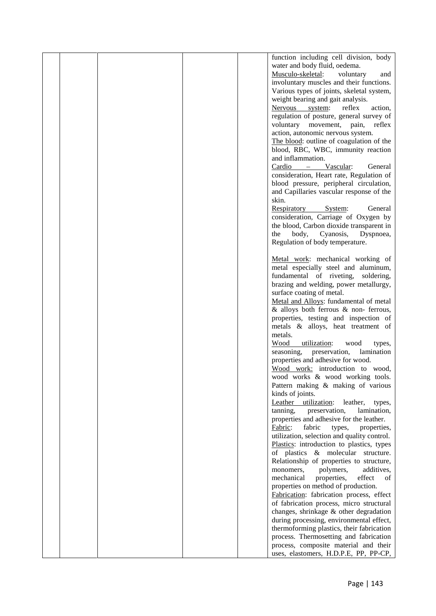|  |  | function including cell division, body                                |  |
|--|--|-----------------------------------------------------------------------|--|
|  |  | water and body fluid, oedema.                                         |  |
|  |  | Musculo-skeletal:<br>voluntary<br>and                                 |  |
|  |  | involuntary muscles and their functions.                              |  |
|  |  | Various types of joints, skeletal system,                             |  |
|  |  | weight bearing and gait analysis.                                     |  |
|  |  | Nervous system:<br>reflex<br>action,                                  |  |
|  |  | regulation of posture, general survey of                              |  |
|  |  | voluntary movement, pain,<br>reflex                                   |  |
|  |  | action, autonomic nervous system.                                     |  |
|  |  | The blood: outline of coagulation of the                              |  |
|  |  | blood, RBC, WBC, immunity reaction                                    |  |
|  |  | and inflammation.                                                     |  |
|  |  | Cardio<br>Vascular:<br>General<br>$\overline{\phantom{m}}$            |  |
|  |  | consideration, Heart rate, Regulation of                              |  |
|  |  | blood pressure, peripheral circulation,                               |  |
|  |  | and Capillaries vascular response of the                              |  |
|  |  | skin.                                                                 |  |
|  |  | Respiratory<br>System:<br>General                                     |  |
|  |  | consideration, Carriage of Oxygen by                                  |  |
|  |  | the blood, Carbon dioxide transparent in<br>the<br>body,<br>Dyspnoea, |  |
|  |  | Cyanosis,<br>Regulation of body temperature.                          |  |
|  |  |                                                                       |  |
|  |  | Metal work: mechanical working of                                     |  |
|  |  | metal especially steel and aluminum,                                  |  |
|  |  | fundamental of riveting,<br>soldering,                                |  |
|  |  | brazing and welding, power metallurgy,                                |  |
|  |  | surface coating of metal.                                             |  |
|  |  | Metal and Alloys: fundamental of metal                                |  |
|  |  | & alloys both ferrous & non-ferrous,                                  |  |
|  |  | properties, testing and inspection of                                 |  |
|  |  | metals & alloys, heat treatment of                                    |  |
|  |  | metals.                                                               |  |
|  |  | Wood<br>utilization:<br>wood<br>types,                                |  |
|  |  | seasoning,<br>lamination<br>preservation,                             |  |
|  |  | properties and adhesive for wood.                                     |  |
|  |  | Wood work: introduction to wood,                                      |  |
|  |  | wood works & wood working tools.                                      |  |
|  |  | Pattern making & making of various                                    |  |
|  |  | kinds of joints.<br>Leather utilization:<br>leather,                  |  |
|  |  | types,<br>tanning,<br>preservation,<br>lamination,                    |  |
|  |  | properties and adhesive for the leather.                              |  |
|  |  | Fabric:<br>fabric<br>types,<br>properties,                            |  |
|  |  | utilization, selection and quality control.                           |  |
|  |  | Plastics: introduction to plastics, types                             |  |
|  |  | of plastics & molecular structure.                                    |  |
|  |  | Relationship of properties to structure,                              |  |
|  |  | polymers,<br>additives,<br>monomers,                                  |  |
|  |  | mechanical<br>properties,<br>effect<br>of                             |  |
|  |  | properties on method of production.                                   |  |
|  |  | Fabrication: fabrication process, effect                              |  |
|  |  | of fabrication process, micro structural                              |  |
|  |  | changes, shrinkage & other degradation                                |  |
|  |  | during processing, environmental effect,                              |  |
|  |  | thermoforming plastics, their fabrication                             |  |
|  |  | process. Thermosetting and fabrication                                |  |
|  |  | process, composite material and their                                 |  |
|  |  | uses, elastomers, H.D.P.E, PP, PP-CP,                                 |  |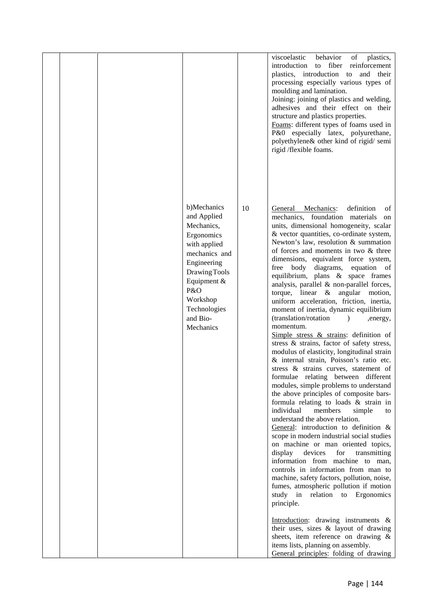|  |                                                                                                                                                                                                    |    | viscoelastic<br>behavior<br>of<br>plastics,<br>introduction<br>to fiber reinforcement<br>plastics, introduction to and their<br>processing especially various types of<br>moulding and lamination.<br>Joining: joining of plastics and welding,<br>adhesives and their effect on their<br>structure and plastics properties.<br>Foams: different types of foams used in<br>P&0 especially latex, polyurethane,<br>polyethylene& other kind of rigid/semi<br>rigid /flexible foams.                                                                                                                                                                                                                                                                                                                                                                                                                                                                                                                                                                                                                                                                                                                                                                                                                                                                                                                                                                                                                                                                                                                                                                                                                         |  |
|--|----------------------------------------------------------------------------------------------------------------------------------------------------------------------------------------------------|----|------------------------------------------------------------------------------------------------------------------------------------------------------------------------------------------------------------------------------------------------------------------------------------------------------------------------------------------------------------------------------------------------------------------------------------------------------------------------------------------------------------------------------------------------------------------------------------------------------------------------------------------------------------------------------------------------------------------------------------------------------------------------------------------------------------------------------------------------------------------------------------------------------------------------------------------------------------------------------------------------------------------------------------------------------------------------------------------------------------------------------------------------------------------------------------------------------------------------------------------------------------------------------------------------------------------------------------------------------------------------------------------------------------------------------------------------------------------------------------------------------------------------------------------------------------------------------------------------------------------------------------------------------------------------------------------------------------|--|
|  | b)Mechanics<br>and Applied<br>Mechanics,<br>Ergonomics<br>with applied<br>mechanics and<br>Engineering<br>Drawing Tools<br>Equipment &<br>P&O<br>Workshop<br>Technologies<br>and Bio-<br>Mechanics | 10 | General Mechanics:<br>definition<br>of<br>mechanics, foundation materials<br>on<br>units, dimensional homogeneity, scalar<br>& vector quantities, co-ordinate system,<br>Newton's law, resolution & summation<br>of forces and moments in two & three<br>dimensions, equivalent force system,<br>free body diagrams,<br>equation of<br>equilibrium, plans & space frames<br>analysis, parallel & non-parallel forces,<br>torque, linear $\&$ angular motion,<br>uniform acceleration, friction, inertia,<br>moment of inertia, dynamic equilibrium<br>(translation/rotation<br>$\lambda$<br>,energy,<br>momentum.<br>Simple stress $\&$ strains: definition of<br>stress & strains, factor of safety stress,<br>modulus of elasticity, longitudinal strain<br>& internal strain, Poisson's ratio etc.<br>stress & strains curves, statement of<br>formulae relating between different<br>modules, simple problems to understand<br>the above principles of composite bars-<br>formula relating to loads $&$ strain in<br>individual<br>members<br>simple<br>to<br>understand the above relation.<br>General: introduction to definition $\&$<br>scope in modern industrial social studies<br>on machine or man oriented topics,<br>display<br>devices<br>for<br>transmitting<br>information from machine to man,<br>controls in information from man to<br>machine, safety factors, pollution, noise,<br>fumes, atmospheric pollution if motion<br>study in relation to Ergonomics<br>principle.<br>Introduction: drawing instruments &<br>their uses, sizes & layout of drawing<br>sheets, item reference on drawing $\&$<br>items lists, planning on assembly.<br>General principles: folding of drawing |  |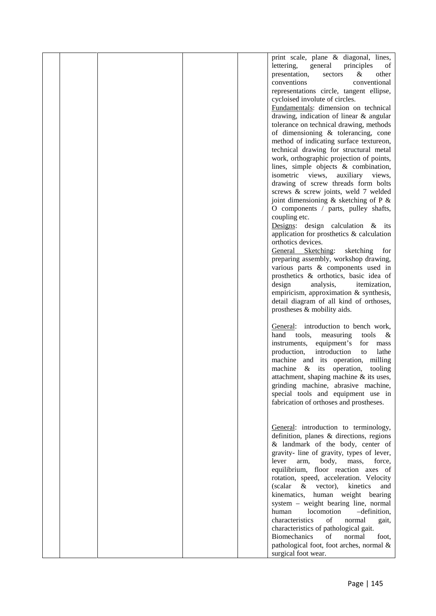|  |  | print scale, plane & diagonal, lines,                                             |  |
|--|--|-----------------------------------------------------------------------------------|--|
|  |  | lettering,<br>general<br>principles<br>of                                         |  |
|  |  | presentation,<br>sectors<br>&<br>other                                            |  |
|  |  | conventional<br>conventions                                                       |  |
|  |  | representations circle, tangent ellipse,                                          |  |
|  |  | cycloised involute of circles.                                                    |  |
|  |  | Fundamentals: dimension on technical                                              |  |
|  |  | drawing, indication of linear & angular                                           |  |
|  |  | tolerance on technical drawing, methods                                           |  |
|  |  | of dimensioning & tolerancing, cone                                               |  |
|  |  | method of indicating surface textureon,                                           |  |
|  |  | technical drawing for structural metal                                            |  |
|  |  | work, orthographic projection of points,                                          |  |
|  |  | lines, simple objects & combination,                                              |  |
|  |  | isometric views,<br>auxiliary<br>views,                                           |  |
|  |  | drawing of screw threads form bolts                                               |  |
|  |  | screws & screw joints, weld 7 welded                                              |  |
|  |  | joint dimensioning $&$ sketching of P $&$                                         |  |
|  |  | O components / parts, pulley shafts,                                              |  |
|  |  | coupling etc.                                                                     |  |
|  |  | Designs: design calculation $\&$ its                                              |  |
|  |  | application for prosthetics $\&$ calculation                                      |  |
|  |  | orthotics devices.                                                                |  |
|  |  | General Sketching:<br>sketching<br>for                                            |  |
|  |  | preparing assembly, workshop drawing,                                             |  |
|  |  | various parts & components used in                                                |  |
|  |  | prosthetics & orthotics, basic idea of                                            |  |
|  |  | design<br>analysis,<br>itemization,                                               |  |
|  |  | empiricism, approximation & synthesis,                                            |  |
|  |  | detail diagram of all kind of orthoses,                                           |  |
|  |  | prostheses & mobility aids.                                                       |  |
|  |  |                                                                                   |  |
|  |  | General: introduction to bench work,<br>hand<br>tools,<br>measuring<br>tools<br>& |  |
|  |  | instruments,<br>equipment's<br>for<br>mass                                        |  |
|  |  | introduction<br>lathe<br>production,<br>to                                        |  |
|  |  | machine and its operation, milling                                                |  |
|  |  | machine<br>& its operation,<br>tooling                                            |  |
|  |  | attachment, shaping machine & its uses,                                           |  |
|  |  | grinding machine, abrasive machine,                                               |  |
|  |  | special tools and equipment use in                                                |  |
|  |  | fabrication of orthoses and prostheses.                                           |  |
|  |  |                                                                                   |  |
|  |  |                                                                                   |  |
|  |  | General: introduction to terminology,                                             |  |
|  |  | definition, planes & directions, regions                                          |  |
|  |  | & landmark of the body, center of                                                 |  |
|  |  | gravity- line of gravity, types of lever,                                         |  |
|  |  | body,<br>lever<br>arm.<br>mass,<br>force,                                         |  |
|  |  | equilibrium, floor reaction axes of                                               |  |
|  |  | rotation, speed, acceleration. Velocity                                           |  |
|  |  | (scalar)<br>$\&$<br>vector),<br>kinetics<br>and                                   |  |
|  |  | kinematics, human weight bearing                                                  |  |
|  |  | system - weight bearing line, normal                                              |  |
|  |  | human<br>locomotion<br>$-definition,$                                             |  |
|  |  | characteristics<br>of<br>normal<br>gait,                                          |  |
|  |  | characteristics of pathological gait.                                             |  |
|  |  | <b>Biomechanics</b><br>of<br>normal<br>foot.                                      |  |
|  |  | pathological foot, foot arches, normal &                                          |  |
|  |  | surgical foot wear.                                                               |  |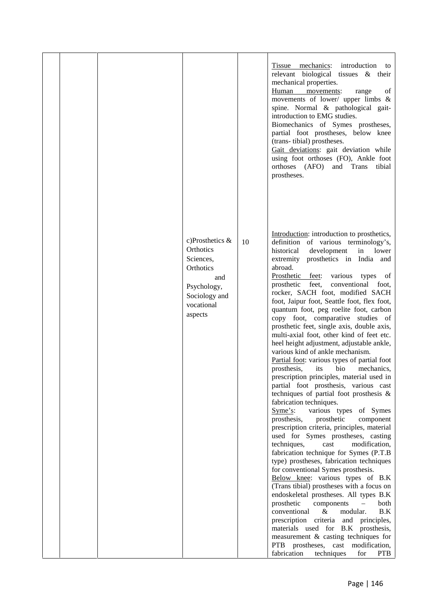|  |                                                                                                                           |    | Tissue mechanics: introduction to<br>relevant biological tissues & their<br>mechanical properties.<br>Human movements:<br>of<br>range<br>movements of lower/ upper limbs &<br>spine. Normal & pathological gait-<br>introduction to EMG studies.<br>Biomechanics of Symes prostheses,<br>partial foot prostheses, below knee<br>(trans-tibial) prostheses.<br>Gait deviations: gait deviation while<br>using foot orthoses (FO), Ankle foot<br>orthoses (AFO) and Trans tibial<br>prostheses.                                                                                                                                                                                                                                                                                                                                                                                                                                                                                                                                                                                                                                                                                                                                                                                                                                                                                                                                                                                                                                                                                                                                                      |  |
|--|---------------------------------------------------------------------------------------------------------------------------|----|----------------------------------------------------------------------------------------------------------------------------------------------------------------------------------------------------------------------------------------------------------------------------------------------------------------------------------------------------------------------------------------------------------------------------------------------------------------------------------------------------------------------------------------------------------------------------------------------------------------------------------------------------------------------------------------------------------------------------------------------------------------------------------------------------------------------------------------------------------------------------------------------------------------------------------------------------------------------------------------------------------------------------------------------------------------------------------------------------------------------------------------------------------------------------------------------------------------------------------------------------------------------------------------------------------------------------------------------------------------------------------------------------------------------------------------------------------------------------------------------------------------------------------------------------------------------------------------------------------------------------------------------------|--|
|  | c)Prosthetics $\&$<br>Orthotics<br>Sciences,<br>Orthotics<br>and<br>Psychology,<br>Sociology and<br>vocational<br>aspects | 10 | Introduction: introduction to prosthetics,<br>definition of various terminology's,<br>development<br>historical<br>in<br>lower<br>extremity prosthetics in India and<br>abroad.<br>Prosthetic feet: various types of<br>prosthetic feet, conventional foot,<br>rocker, SACH foot, modified SACH<br>foot, Jaipur foot, Seattle foot, flex foot,<br>quantum foot, peg roelite foot, carbon<br>copy foot, comparative studies of<br>prosthetic feet, single axis, double axis,<br>multi-axial foot, other kind of feet etc.<br>heel height adjustment, adjustable ankle,<br>various kind of ankle mechanism.<br>Partial foot: various types of partial foot<br>bio<br>mechanics,<br>prosthesis,<br>its<br>prescription principles, material used in<br>partial foot prosthesis, various cast<br>techniques of partial foot prosthesis $\&$<br>fabrication techniques.<br>various types of Symes<br>$Syme's$ :<br>prosthetic<br>prosthesis,<br>component<br>prescription criteria, principles, material<br>used for Symes prostheses, casting<br>modification,<br>techniques,<br>cast<br>fabrication technique for Symes (P.T.B<br>type) prostheses, fabrication techniques<br>for conventional Symes prosthesis.<br>Below knee: various types of B.K<br>(Trans tibial) prostheses with a focus on<br>endoskeletal prostheses. All types B.K<br>prosthetic<br>components<br>both<br>$\equiv$<br>$\&$<br>conventional<br>modular.<br>B.K<br>prescription criteria and principles,<br>materials used for B.K prosthesis,<br>measurement & casting techniques for<br>PTB prostheses, cast modification,<br>fabrication<br>techniques<br>for<br><b>PTB</b> |  |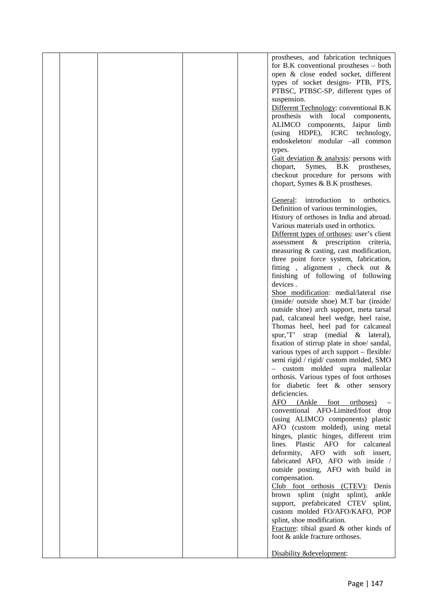|  |  | prostheses, and fabrication techniques       |  |
|--|--|----------------------------------------------|--|
|  |  | for B.K conventional prostheses $-$ both     |  |
|  |  | open & close ended socket, different         |  |
|  |  |                                              |  |
|  |  | types of socket designs- PTB, PTS,           |  |
|  |  | PTBSC, PTBSC-SP, different types of          |  |
|  |  | suspension.                                  |  |
|  |  | Different Technology: conventional B.K       |  |
|  |  | prosthesis with local components,            |  |
|  |  | ALIMCO components,<br>Jaipur limb            |  |
|  |  | (using HDPE), ICRC technology,               |  |
|  |  | endoskeleton/ modular -all common            |  |
|  |  | types.                                       |  |
|  |  | Gait deviation & analysis: persons with      |  |
|  |  | chopart,<br>Symes,<br>B.K prostheses,        |  |
|  |  | checkout procedure for persons with          |  |
|  |  | chopart, Symes & B.K prostheses.             |  |
|  |  |                                              |  |
|  |  | introduction<br>General:<br>orthotics.<br>to |  |
|  |  | Definition of various terminologies,         |  |
|  |  | History of orthoses in India and abroad.     |  |
|  |  | Various materials used in orthotics.         |  |
|  |  |                                              |  |
|  |  | Different types of orthoses: user's client   |  |
|  |  | assessment & prescription criteria,          |  |
|  |  | measuring & casting, cast modification,      |  |
|  |  | three point force system, fabrication,       |  |
|  |  | fitting, alignment, check out $\&$           |  |
|  |  | finishing of following of following          |  |
|  |  | devices.                                     |  |
|  |  | Shoe modification: medial/lateral rise       |  |
|  |  | (inside/ outside shoe) M.T bar (inside/      |  |
|  |  | outside shoe) arch support, meta tarsal      |  |
|  |  | pad, calcaneal heel wedge, heel raise,       |  |
|  |  | Thomas heel, heel pad for calcaneal          |  |
|  |  | spur, 'T' strap (medial & lateral),          |  |
|  |  | fixation of stirrup plate in shoe/ sandal,   |  |
|  |  | various types of arch support - flexible/    |  |
|  |  | semi rigid / rigid/ custom molded, SMO       |  |
|  |  | - custom molded supra malleolar              |  |
|  |  | orthosis. Various types of foot orthoses     |  |
|  |  | for diabetic feet & other sensory            |  |
|  |  | deficiencies.                                |  |
|  |  | AFO (Ankle foot orthoses)                    |  |
|  |  | conventional AFO-Limited/foot drop           |  |
|  |  | (using ALIMCO components) plastic            |  |
|  |  | AFO (custom molded), using metal             |  |
|  |  | hinges, plastic hinges, different trim       |  |
|  |  | lines. Plastic AFO for calcaneal             |  |
|  |  | deformity, AFO with soft insert,             |  |
|  |  | fabricated AFO, AFO with inside /            |  |
|  |  |                                              |  |
|  |  | outside posting, AFO with build in           |  |
|  |  | compensation.                                |  |
|  |  | Club foot orthosis (CTEV): Denis             |  |
|  |  | brown splint (night splint),<br>ankle        |  |
|  |  | support, prefabricated CTEV splint,          |  |
|  |  | custom molded FO/AFO/KAFO, POP               |  |
|  |  | splint, shoe modification.                   |  |
|  |  | Fracture: tibial guard & other kinds of      |  |
|  |  | foot & ankle fracture orthoses.              |  |
|  |  |                                              |  |
|  |  | Disability &development:                     |  |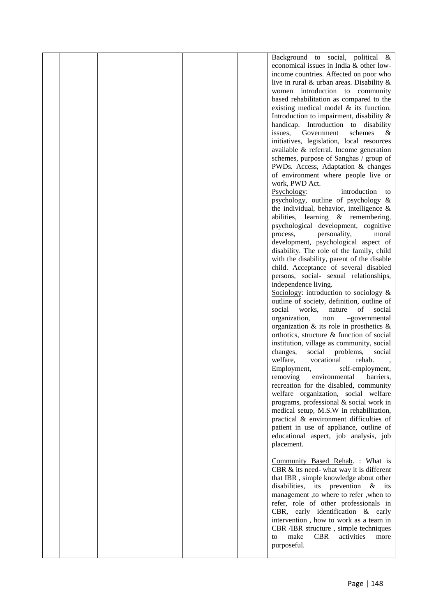|  |  | Background to social, political &                              |  |
|--|--|----------------------------------------------------------------|--|
|  |  | economical issues in India & other low-                        |  |
|  |  | income countries. Affected on poor who                         |  |
|  |  | live in rural $\&$ urban areas. Disability $\&$                |  |
|  |  | women introduction to community                                |  |
|  |  | based rehabilitation as compared to the                        |  |
|  |  | existing medical model $\&$ its function.                      |  |
|  |  | Introduction to impairment, disability $\&$                    |  |
|  |  | handicap. Introduction to disability                           |  |
|  |  | issues,<br>Government<br>schemes<br>&                          |  |
|  |  | initiatives, legislation, local resources                      |  |
|  |  | available & referral. Income generation                        |  |
|  |  | schemes, purpose of Sanghas / group of                         |  |
|  |  | PWDs. Access, Adaptation & changes                             |  |
|  |  | of environment where people live or                            |  |
|  |  | work, PWD Act.                                                 |  |
|  |  | Psychology:<br>introduction<br>to                              |  |
|  |  | psychology, outline of psychology $\&$                         |  |
|  |  | the individual, behavior, intelligence $\&$                    |  |
|  |  | abilities, learning & remembering,                             |  |
|  |  | psychological development, cognitive                           |  |
|  |  | personality,<br>process,<br>moral                              |  |
|  |  | development, psychological aspect of                           |  |
|  |  | disability. The role of the family, child                      |  |
|  |  | with the disability, parent of the disable                     |  |
|  |  | child. Acceptance of several disabled                          |  |
|  |  | persons, social- sexual relationships,<br>independence living. |  |
|  |  | Sociology: introduction to sociology $\&$                      |  |
|  |  | outline of society, definition, outline of                     |  |
|  |  | social<br>works,<br>of<br>social<br>nature                     |  |
|  |  | organization,<br>-governmental<br>non                          |  |
|  |  | organization $\&$ its role in prosthetics $\&$                 |  |
|  |  | orthotics, structure & function of social                      |  |
|  |  | institution, village as community, social                      |  |
|  |  | changes,<br>social<br>problems,<br>social                      |  |
|  |  | welfare,<br>vocational<br>rehab.                               |  |
|  |  | Employment,<br>self-employment,                                |  |
|  |  | environmental<br>removing<br>barriers,                         |  |
|  |  | recreation for the disabled, community                         |  |
|  |  | welfare organization, social welfare                           |  |
|  |  | programs, professional & social work in                        |  |
|  |  | medical setup, M.S.W in rehabilitation,                        |  |
|  |  | practical & environment difficulties of                        |  |
|  |  | patient in use of appliance, outline of                        |  |
|  |  | educational aspect, job analysis, job                          |  |
|  |  | placement.                                                     |  |
|  |  |                                                                |  |
|  |  | Community Based Rehab. : What is                               |  |
|  |  | CBR & its need- what way it is different                       |  |
|  |  | that IBR, simple knowledge about other                         |  |
|  |  | disabilities, its prevention $\&$ its                          |  |
|  |  | management ,to where to refer ,when to                         |  |
|  |  | refer, role of other professionals in                          |  |
|  |  | CBR, early identification & early                              |  |
|  |  | intervention, how to work as a team in                         |  |
|  |  | CBR /IBR structure, simple techniques                          |  |
|  |  | make<br><b>CBR</b><br>activities<br>more<br>to                 |  |
|  |  | purposeful.                                                    |  |
|  |  |                                                                |  |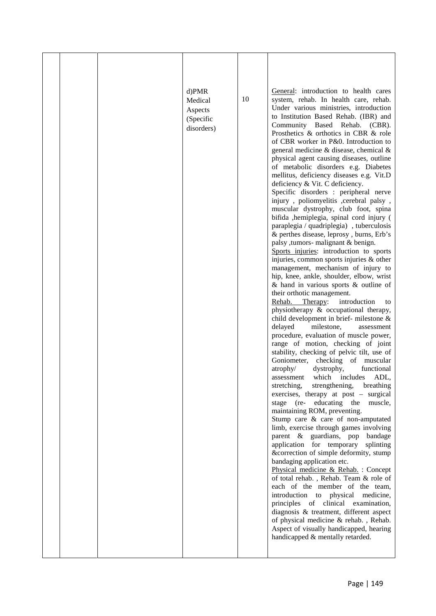|  | $d)$ PMR<br>Medical<br>Aspects<br>(Specific<br>disorders) | 10 | General: introduction to health cares<br>system, rehab. In health care, rehab.<br>Under various ministries, introduction<br>to Institution Based Rehab. (IBR) and<br>Community Based Rehab. (CBR).<br>Prosthetics & orthotics in CBR & role<br>of CBR worker in P&0. Introduction to<br>general medicine & disease, chemical &<br>physical agent causing diseases, outline<br>of metabolic disorders e.g. Diabetes<br>mellitus, deficiency diseases e.g. Vit.D<br>deficiency & Vit. C deficiency.<br>Specific disorders : peripheral nerve<br>injury, poliomyelitis ,cerebral palsy,<br>muscular dystrophy, club foot, spina<br>bifida , hemiplegia, spinal cord injury (<br>paraplegia / quadriplegia), tuberculosis<br>& perthes disease, leprosy, burns, Erb's<br>palsy , tumors- malignant & benign.<br>Sports injuries: introduction to sports<br>injuries, common sports injuries & other<br>management, mechanism of injury to<br>hip, knee, ankle, shoulder, elbow, wrist<br>$\&$ hand in various sports $\&$ outline of<br>their orthotic management.<br>Rehab. Therapy:<br>introduction<br>to<br>physiotherapy & occupational therapy,<br>child development in brief-milestone &<br>delayed<br>milestone,<br>assessment<br>procedure, evaluation of muscle power,<br>range of motion, checking of joint<br>stability, checking of pelvic tilt, use of<br>Goniometer,<br>checking of muscular<br>atrophy/<br>dystrophy,<br>functional<br>which includes<br>ADL,<br>assessment<br>stretching,<br>strengthening,<br>breathing<br>exercises, therapy at post – surgical<br>stage (re- educating the<br>muscle,<br>maintaining ROM, preventing.<br>Stump care & care of non-amputated<br>limb, exercise through games involving<br>parent & guardians, pop<br>bandage<br>application for temporary<br>splinting<br>&correction of simple deformity, stump<br>bandaging application etc.<br>Physical medicine & Rehab.: Concept<br>of total rehab., Rehab. Team & role of<br>each of the member of the team,<br>introduction to physical medicine,<br>principles of clinical examination,<br>diagnosis & treatment, different aspect<br>of physical medicine & rehab., Rehab.<br>Aspect of visually handicapped, hearing<br>handicapped & mentally retarded. |  |
|--|-----------------------------------------------------------|----|------------------------------------------------------------------------------------------------------------------------------------------------------------------------------------------------------------------------------------------------------------------------------------------------------------------------------------------------------------------------------------------------------------------------------------------------------------------------------------------------------------------------------------------------------------------------------------------------------------------------------------------------------------------------------------------------------------------------------------------------------------------------------------------------------------------------------------------------------------------------------------------------------------------------------------------------------------------------------------------------------------------------------------------------------------------------------------------------------------------------------------------------------------------------------------------------------------------------------------------------------------------------------------------------------------------------------------------------------------------------------------------------------------------------------------------------------------------------------------------------------------------------------------------------------------------------------------------------------------------------------------------------------------------------------------------------------------------------------------------------------------------------------------------------------------------------------------------------------------------------------------------------------------------------------------------------------------------------------------------------------------------------------------------------------------------------------------------------------------------------------------------------------------------------------------------------------------------------------------------------------------------|--|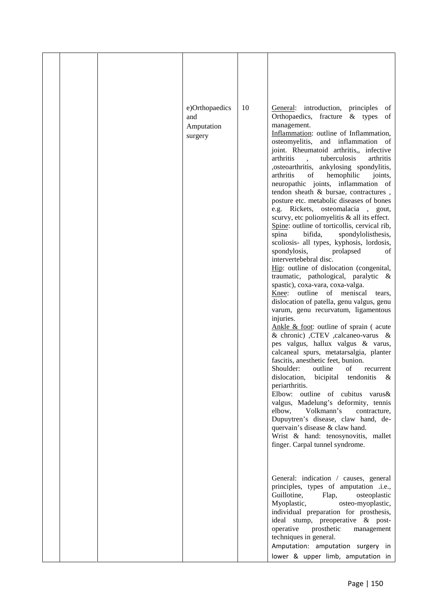| 10<br>e)Orthopaedics<br>General: introduction, principles<br>of<br>Orthopaedics, fracture & types<br>of<br>and<br>management.<br>Amputation |  |
|---------------------------------------------------------------------------------------------------------------------------------------------|--|
| Inflammation: outline of Inflammation,<br>surgery<br>osteomyelitis, and inflammation of<br>joint. Rheumatoid arthritis,, infective          |  |
| arthritis<br>tuberculosis<br>arthritis<br>,osteoarthritis, ankylosing spondylitis,<br>arthritis<br>hemophilic<br>of<br>joints,              |  |
| neuropathic joints, inflammation of<br>tendon sheath & bursae, contractures,                                                                |  |
| posture etc. metabolic diseases of bones<br>e.g. Rickets, osteomalacia, gout,<br>scurvy, etc poliomyelitis & all its effect.                |  |
| Spine: outline of torticollis, cervical rib,<br>spina<br>bifida,<br>spondylolisthesis,<br>scoliosis- all types, kyphosis, lordosis,         |  |
| spondylosis,<br>prolapsed<br>οf<br>intervertebebral disc.                                                                                   |  |
| Hip: outline of dislocation (congenital,<br>traumatic, pathological, paralytic &<br>spastic), coxa-vara, coxa-valga.                        |  |
| Knee: outline of meniscal<br>tears.<br>dislocation of patella, genu valgus, genu                                                            |  |
| varum, genu recurvatum, ligamentous<br>injuries.<br>Ankle $&$ foot: outline of sprain (acute                                                |  |
| & chronic) , CTEV , calcaneo-varus &<br>pes valgus, hallux valgus & varus,<br>calcaneal spurs, metatarsalgia, planter                       |  |
| fascitis, anesthetic feet, bunion.<br>Shoulder:<br>outline<br>οf<br>recurrent                                                               |  |
| dislocation,<br>bicipital<br>tendonitis<br>$\&$<br>periarthritis.                                                                           |  |
| Elbow: outline of cubitus varus&<br>valgus, Madelung's deformity, tennis                                                                    |  |
| Volkmann's<br>elbow,<br>contracture,<br>Dupuytren's disease, claw hand, de-<br>quervain's disease & claw hand.                              |  |
| Wrist & hand: tenosynovitis, mallet<br>finger. Carpal tunnel syndrome.                                                                      |  |
|                                                                                                                                             |  |
| General: indication / causes, general<br>principles, types of amputation .i.e.,<br>Guillotine,<br>Flap,<br>osteoplastic                     |  |
| Myoplastic,<br>osteo-myoplastic,<br>individual preparation for prosthesis,                                                                  |  |
| ideal stump, preoperative & post-<br>operative<br>prosthetic<br>management<br>techniques in general.                                        |  |
| Amputation: amputation surgery in                                                                                                           |  |
| lower & upper limb, amputation in                                                                                                           |  |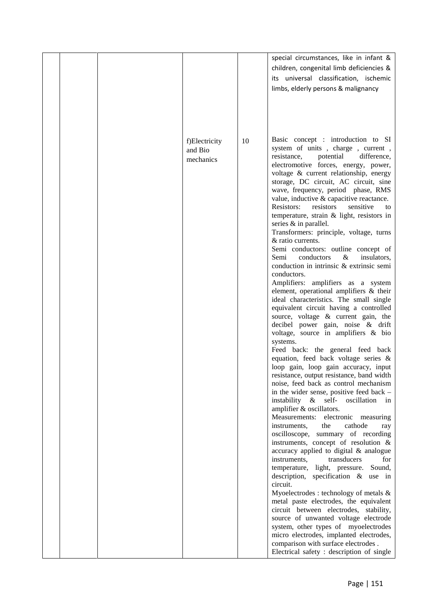|  |                                       |    | special circumstances, like in infant &<br>children, congenital limb deficiencies &<br>its universal classification, ischemic<br>limbs, elderly persons & malignancy                                                                                                                                                                                                                                                                                                                                                                                                                                                                                                                                                                                                                                                                                                                                                                                                                                                                                                                                                                                                                                                                                                                                                                                                                                                                                                                                                                                                                                                                                                                                                                                                                                                                                                                                                                                                                               |  |
|--|---------------------------------------|----|----------------------------------------------------------------------------------------------------------------------------------------------------------------------------------------------------------------------------------------------------------------------------------------------------------------------------------------------------------------------------------------------------------------------------------------------------------------------------------------------------------------------------------------------------------------------------------------------------------------------------------------------------------------------------------------------------------------------------------------------------------------------------------------------------------------------------------------------------------------------------------------------------------------------------------------------------------------------------------------------------------------------------------------------------------------------------------------------------------------------------------------------------------------------------------------------------------------------------------------------------------------------------------------------------------------------------------------------------------------------------------------------------------------------------------------------------------------------------------------------------------------------------------------------------------------------------------------------------------------------------------------------------------------------------------------------------------------------------------------------------------------------------------------------------------------------------------------------------------------------------------------------------------------------------------------------------------------------------------------------------|--|
|  | f)Electricity<br>and Bio<br>mechanics | 10 | Basic concept : introduction to SI<br>system of units, charge, current,<br>potential<br>difference,<br>resistance,<br>electromotive forces, energy, power,<br>voltage & current relationship, energy<br>storage, DC circuit, AC circuit, sine<br>wave, frequency, period phase, RMS<br>value, inductive & capacitive reactance.<br>Resistors:<br>resistors<br>sensitive<br>to<br>temperature, strain & light, resistors in<br>series $&$ in parallel.<br>Transformers: principle, voltage, turns<br>& ratio currents.<br>Semi conductors: outline concept of<br>Semi<br>conductors<br>$\&$<br>insulators,<br>conduction in intrinsic & extrinsic semi<br>conductors.<br>Amplifiers: amplifiers as a system<br>element, operational amplifiers & their<br>ideal characteristics. The small single<br>equivalent circuit having a controlled<br>source, voltage & current gain, the<br>decibel power gain, noise & drift<br>voltage, source in amplifiers & bio<br>systems.<br>Feed back: the general feed back<br>equation, feed back voltage series &<br>loop gain, loop gain accuracy, input<br>resistance, output resistance, band width<br>noise, feed back as control mechanism<br>in the wider sense, positive feed back -<br>instability & self- oscillation in<br>amplifier & oscillators.<br>Measurements:<br>electronic measuring<br>instruments,<br>the<br>cathode<br>ray<br>oscilloscope, summary of recording<br>instruments, concept of resolution &<br>accuracy applied to digital & analogue<br>transducers<br>instruments,<br>for<br>temperature, light, pressure.<br>Sound,<br>description, specification $\&$ use in<br>circuit.<br>Myoelectrodes : technology of metals $\&$<br>metal paste electrodes, the equivalent<br>circuit between electrodes, stability,<br>source of unwanted voltage electrode<br>system, other types of myoelectrodes<br>micro electrodes, implanted electrodes,<br>comparison with surface electrodes.<br>Electrical safety : description of single |  |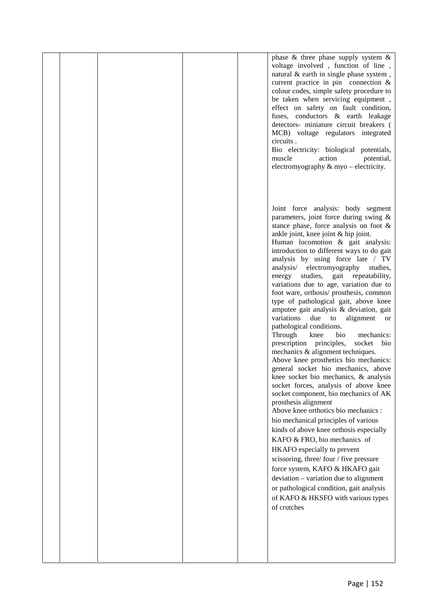|  |  | phase $\&$ three phase supply system $\&$<br>voltage involved, function of line,<br>natural & earth in single phase system,<br>current practice in pin connection $\&$<br>colour codes, simple safety procedure to<br>be taken when servicing equipment,<br>effect on safety on fault condition,<br>fuses, conductors & earth leakage<br>detectors- miniature circuit breakers (<br>MCB) voltage regulators integrated<br>circuits.<br>Bio electricity: biological potentials,<br>muscle<br>action<br>potential,<br>electromyography $\&$ myo – electricity.                                                                                                                                                                                                                                                                                                                                                                                                                                                                                                                                                                                                                                                                                                                                                                                                                                                      |  |
|--|--|-------------------------------------------------------------------------------------------------------------------------------------------------------------------------------------------------------------------------------------------------------------------------------------------------------------------------------------------------------------------------------------------------------------------------------------------------------------------------------------------------------------------------------------------------------------------------------------------------------------------------------------------------------------------------------------------------------------------------------------------------------------------------------------------------------------------------------------------------------------------------------------------------------------------------------------------------------------------------------------------------------------------------------------------------------------------------------------------------------------------------------------------------------------------------------------------------------------------------------------------------------------------------------------------------------------------------------------------------------------------------------------------------------------------|--|
|  |  | Joint force analysis: body segment<br>parameters, joint force during swing &<br>stance phase, force analysis on foot $\&$<br>ankle joint, knee joint & hip joint.<br>Human locomotion & gait analysis:<br>introduction to different ways to do gait<br>analysis by using force late / TV<br>analysis/<br>electromyography<br>studies,<br>studies, gait repeatability,<br>energy<br>variations due to age, variation due to<br>foot ware, orthosis/ prosthesis, common<br>type of pathological gait, above knee<br>amputee gait analysis & deviation, gait<br>variations due to<br>alignment<br><b>or</b><br>pathological conditions.<br>Through<br>bio<br>knee<br>mechanics:<br>socket<br>prescription principles,<br>bio<br>mechanics & alignment techniques.<br>Above knee prosthetics bio mechanics:<br>general socket bio mechanics, above<br>knee socket bio mechanics, & analysis<br>socket forces, analysis of above knee<br>socket component, bio mechanics of AK<br>prosthesis alignment<br>Above knee orthotics bio mechanics :<br>bio mechanical principles of various<br>kinds of above knee orthosis especially<br>KAFO & FRO, bio mechanics of<br>HKAFO especially to prevent<br>scissoring, three/four/five pressure<br>force system, KAFO & HKAFO gait<br>deviation - variation due to alignment<br>or pathological condition, gait analysis<br>of KAFO & HKSFO with various types<br>of crutches |  |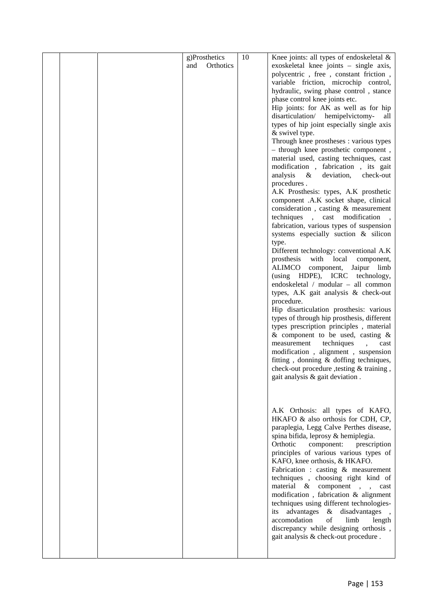|  |     | g)Prosthetics | 10 | Knee joints: all types of endoskeletal $\&$     |  |
|--|-----|---------------|----|-------------------------------------------------|--|
|  | and | Orthotics     |    | exoskeletal knee joints - single axis,          |  |
|  |     |               |    | polycentric, free, constant friction,           |  |
|  |     |               |    | variable friction, microchip control,           |  |
|  |     |               |    | hydraulic, swing phase control, stance          |  |
|  |     |               |    | phase control knee joints etc.                  |  |
|  |     |               |    | Hip joints: for AK as well as for hip           |  |
|  |     |               |    | disarticulation/ hemipelvictomy-<br>all         |  |
|  |     |               |    | types of hip joint especially single axis       |  |
|  |     |               |    | & swivel type.                                  |  |
|  |     |               |    | Through knee prostheses : various types         |  |
|  |     |               |    | - through knee prosthetic component,            |  |
|  |     |               |    | material used, casting techniques, cast         |  |
|  |     |               |    | modification, fabrication, its gait             |  |
|  |     |               |    | analysis<br>deviation,<br>check-out<br>$\&$     |  |
|  |     |               |    | procedures.                                     |  |
|  |     |               |    | A.K Prosthesis: types, A.K prosthetic           |  |
|  |     |               |    | component .A.K socket shape, clinical           |  |
|  |     |               |    | consideration, casting & measurement            |  |
|  |     |               |    | techniques, cast modification                   |  |
|  |     |               |    | fabrication, various types of suspension        |  |
|  |     |               |    | systems especially suction & silicon            |  |
|  |     |               |    | type.<br>Different technology: conventional A.K |  |
|  |     |               |    | prosthesis with local<br>component,             |  |
|  |     |               |    | ALIMCO component, Jaipur limb                   |  |
|  |     |               |    | (using HDPE), ICRC technology,                  |  |
|  |     |               |    | endoskeletal / modular - all common             |  |
|  |     |               |    | types, A.K gait analysis & check-out            |  |
|  |     |               |    | procedure.                                      |  |
|  |     |               |    | Hip disarticulation prosthesis: various         |  |
|  |     |               |    | types of through hip prosthesis, different      |  |
|  |     |               |    | types prescription principles, material         |  |
|  |     |               |    | & component to be used, casting $\&$            |  |
|  |     |               |    | measurement<br>techniques<br>cast               |  |
|  |     |               |    | modification, alignment, suspension             |  |
|  |     |               |    | fitting, donning & doffing techniques,          |  |
|  |     |               |    | check-out procedure , testing & training,       |  |
|  |     |               |    | gait analysis & gait deviation.                 |  |
|  |     |               |    |                                                 |  |
|  |     |               |    |                                                 |  |
|  |     |               |    |                                                 |  |
|  |     |               |    | A.K Orthosis: all types of KAFO,                |  |
|  |     |               |    | HKAFO & also orthosis for CDH, CP,              |  |
|  |     |               |    | paraplegia, Legg Calve Perthes disease,         |  |
|  |     |               |    | spina bifida, leprosy & hemiplegia.             |  |
|  |     |               |    | Orthotic<br>component:<br>prescription          |  |
|  |     |               |    | principles of various various types of          |  |
|  |     |               |    | KAFO, knee orthosis, & HKAFO.                   |  |
|  |     |               |    | Fabrication : casting & measurement             |  |
|  |     |               |    | techniques, choosing right kind of              |  |
|  |     |               |    | material $\&$ component,,<br>cast               |  |
|  |     |               |    | modification, fabrication & alignment           |  |
|  |     |               |    | techniques using different technologies-        |  |
|  |     |               |    | advantages & disadvantages<br>its               |  |
|  |     |               |    | accomodation<br>of<br>limb<br>length            |  |
|  |     |               |    | discrepancy while designing orthosis,           |  |
|  |     |               |    | gait analysis & check-out procedure.            |  |
|  |     |               |    |                                                 |  |
|  |     |               |    |                                                 |  |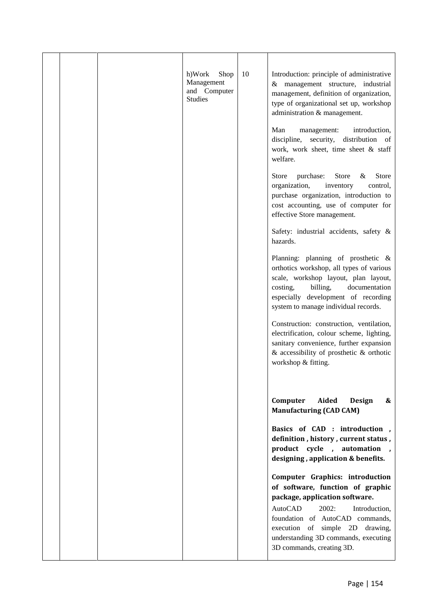| 10<br>h)Work<br>Shop<br>Introduction: principle of administrative<br>Management<br>& management structure, industrial<br>and Computer<br>management, definition of organization,                                              |                                           |
|-------------------------------------------------------------------------------------------------------------------------------------------------------------------------------------------------------------------------------|-------------------------------------------|
| <b>Studies</b><br>type of organizational set up, workshop<br>administration & management.                                                                                                                                     |                                           |
| Man<br>management:<br>discipline,<br>security,<br>work, work sheet, time sheet & staff<br>welfare.                                                                                                                            | introduction,<br>distribution of          |
| purchase:<br>Store<br>organization,<br>inventory<br>purchase organization, introduction to<br>cost accounting, use of computer for<br>effective Store management.                                                             | Store<br><b>Store</b><br>$\&$<br>control, |
| Safety: industrial accidents, safety &<br>hazards.                                                                                                                                                                            |                                           |
| Planning: planning of prosthetic &<br>orthotics workshop, all types of various<br>scale, workshop layout, plan layout,<br>billing,<br>costing,<br>especially development of recording<br>system to manage individual records. | documentation                             |
| Construction: construction, ventilation,<br>electrification, colour scheme, lighting,<br>sanitary convenience, further expansion<br>$\&$ accessibility of prosthetic $\&$ orthotic<br>workshop & fitting.                     |                                           |
| Computer<br>Aided<br><b>Manufacturing (CAD CAM)</b>                                                                                                                                                                           | <b>Design</b><br>&                        |
| Basics of CAD : introduction,<br>definition, history, current status,<br>product cycle, automation<br>designing, application & benefits.                                                                                      |                                           |
| Computer Graphics: introduction<br>of software, function of graphic<br>package, application software.                                                                                                                         |                                           |
| 2002:<br>AutoCAD<br>foundation of AutoCAD commands,<br>execution of simple 2D drawing,<br>understanding 3D commands, executing<br>3D commands, creating 3D.                                                                   | Introduction,                             |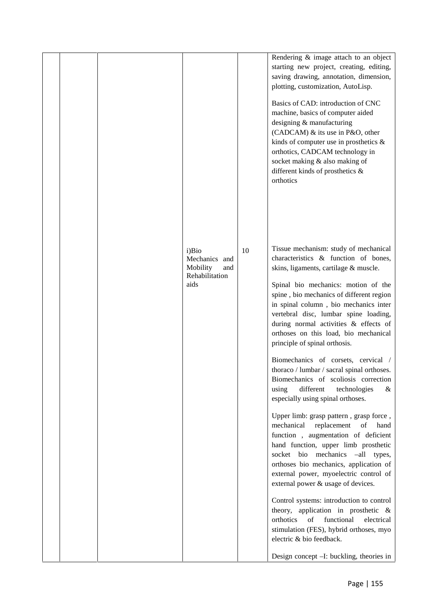|  |                                                                     |    | Rendering & image attach to an object<br>starting new project, creating, editing,<br>saving drawing, annotation, dimension,<br>plotting, customization, AutoLisp.                                                                                                                                                                                                                                                                                                                                                                                                                                                                                                                                                                                                                                                                                                                                                                                                                                                                                                                                                                                                                                                   |  |
|--|---------------------------------------------------------------------|----|---------------------------------------------------------------------------------------------------------------------------------------------------------------------------------------------------------------------------------------------------------------------------------------------------------------------------------------------------------------------------------------------------------------------------------------------------------------------------------------------------------------------------------------------------------------------------------------------------------------------------------------------------------------------------------------------------------------------------------------------------------------------------------------------------------------------------------------------------------------------------------------------------------------------------------------------------------------------------------------------------------------------------------------------------------------------------------------------------------------------------------------------------------------------------------------------------------------------|--|
|  |                                                                     |    | Basics of CAD: introduction of CNC<br>machine, basics of computer aided<br>designing & manufacturing<br>(CADCAM) & its use in P&O, other<br>kinds of computer use in prosthetics $\&$<br>orthotics, CADCAM technology in<br>socket making & also making of<br>different kinds of prosthetics &<br>orthotics                                                                                                                                                                                                                                                                                                                                                                                                                                                                                                                                                                                                                                                                                                                                                                                                                                                                                                         |  |
|  | i)Bio<br>Mechanics and<br>Mobility<br>and<br>Rehabilitation<br>aids | 10 | Tissue mechanism: study of mechanical<br>characteristics & function of bones,<br>skins, ligaments, cartilage & muscle.<br>Spinal bio mechanics: motion of the<br>spine, bio mechanics of different region<br>in spinal column, bio mechanics inter<br>vertebral disc, lumbar spine loading,<br>during normal activities & effects of<br>orthoses on this load, bio mechanical<br>principle of spinal orthosis.<br>Biomechanics of corsets, cervical /<br>thoraco / lumbar / sacral spinal orthoses.<br>Biomechanics of scoliosis correction<br>different<br>technologies<br>using<br>&<br>especially using spinal orthoses.<br>Upper limb: grasp pattern, grasp force,<br>replacement<br>mechanical<br>of<br>hand<br>function, augmentation of deficient<br>hand function, upper limb prosthetic<br>socket bio mechanics -all types,<br>orthoses bio mechanics, application of<br>external power, myoelectric control of<br>external power & usage of devices.<br>Control systems: introduction to control<br>theory, application in prosthetic &<br>orthotics<br>functional<br>of<br>electrical<br>stimulation (FES), hybrid orthoses, myo<br>electric & bio feedback.<br>Design concept -I: buckling, theories in |  |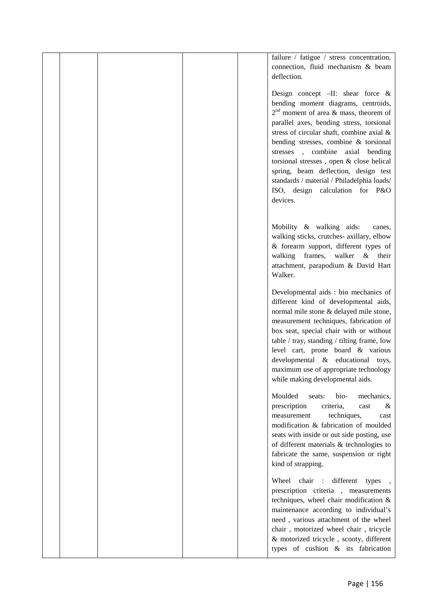|  |  | failure / fatigue / stress concentration,<br>connection, fluid mechanism & beam<br>deflection.<br>Design concept $-II:$ shear force &<br>bending moment diagrams, centroids,<br>$2nd$ moment of area & mass, theorem of<br>parallel axes, bending stress, torsional<br>stress of circular shaft, combine axial &<br>bending stresses, combine & torsional<br>stresses , combine axial bending<br>torsional stresses, open & close helical<br>spring, beam deflection, design test<br>standards / material / Philadelphia loads/<br>ISO, design calculation for P&O<br>devices. |  |
|--|--|--------------------------------------------------------------------------------------------------------------------------------------------------------------------------------------------------------------------------------------------------------------------------------------------------------------------------------------------------------------------------------------------------------------------------------------------------------------------------------------------------------------------------------------------------------------------------------|--|
|  |  | Mobility & walking aids:<br>canes,<br>walking sticks, crutches- axillary, elbow<br>& forearm support, different types of<br>walking frames, walker &<br>their<br>attachment, parapodium & David Hart<br>Walker.                                                                                                                                                                                                                                                                                                                                                                |  |
|  |  | Developmental aids : bio mechanics of<br>different kind of developmental aids,<br>normal mile stone & delayed mile stone,<br>measurement techniques, fabrication of<br>box seat, special chair with or without<br>table / tray, standing / tilting frame, low<br>level cart, prone board & various<br>developmental & educational toys,<br>maximum use of appropriate technology<br>while making developmental aids.                                                                                                                                                           |  |
|  |  | bio-<br>Moulded<br>mechanics,<br>seats:<br>prescription<br>criteria,<br>&<br>cast<br>techniques,<br>measurement<br>cast<br>modification & fabrication of moulded<br>seats with inside or out side posting, use<br>of different materials & technologies to<br>fabricate the same, suspension or right<br>kind of strapping.                                                                                                                                                                                                                                                    |  |
|  |  | Wheel chair : different<br>types<br>prescription criteria, measurements<br>techniques, wheel chair modification &<br>maintenance according to individual's<br>need, various attachment of the wheel<br>chair, motorized wheel chair, tricycle<br>& motorized tricycle, scooty, different<br>types of cushion & its fabrication                                                                                                                                                                                                                                                 |  |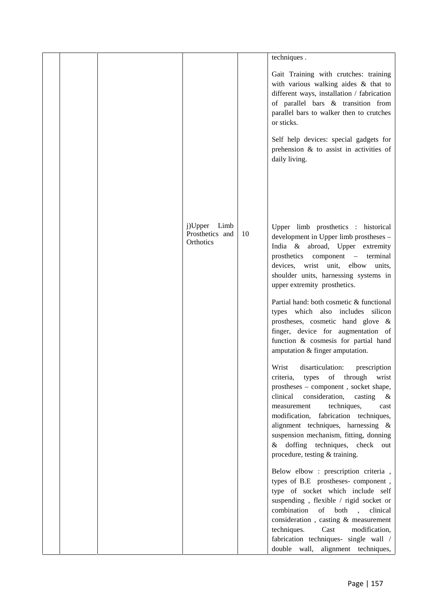|  |                                              |    | techniques.                                                                                                                                                                                                                                                                                                                                                                                                 |  |
|--|----------------------------------------------|----|-------------------------------------------------------------------------------------------------------------------------------------------------------------------------------------------------------------------------------------------------------------------------------------------------------------------------------------------------------------------------------------------------------------|--|
|  |                                              |    | Gait Training with crutches: training<br>with various walking aides & that to<br>different ways, installation / fabrication<br>of parallel bars & transition from<br>parallel bars to walker then to crutches<br>or sticks.<br>Self help devices: special gadgets for<br>prehension $\&$ to assist in activities of<br>daily living.                                                                        |  |
|  | j)Upper Limb<br>Prosthetics and<br>Orthotics | 10 | Upper limb prosthetics : historical<br>development in Upper limb prostheses -<br>India & abroad, Upper extremity<br>prosthetics component – terminal<br>devices, wrist unit, elbow units,<br>shoulder units, harnessing systems in<br>upper extremity prosthetics.                                                                                                                                          |  |
|  |                                              |    | Partial hand: both cosmetic & functional<br>types which also includes silicon<br>prostheses, cosmetic hand glove &<br>finger, device for augmentation of<br>function & cosmesis for partial hand<br>amputation & finger amputation.                                                                                                                                                                         |  |
|  |                                              |    | Wrist<br>disarticulation:<br>prescription<br>criteria, types of through wrist<br>prostheses - component, socket shape,<br>consideration,<br>clinical<br>casting<br>$\&$<br>techniques,<br>measurement<br>cast<br>modification, fabrication techniques,<br>alignment techniques, harnessing &<br>suspension mechanism, fitting, donning<br>& doffing techniques, check out<br>procedure, testing & training. |  |
|  |                                              |    | Below elbow : prescription criteria,<br>types of B.E prostheses-component,<br>type of socket which include self<br>suspending, flexible / rigid socket or<br>combination<br>of both<br>clinical<br>$\sim$<br>consideration, casting & measurement<br>techniques.<br>Cast<br>modification,<br>fabrication techniques- single wall /<br>double wall, alignment techniques,                                    |  |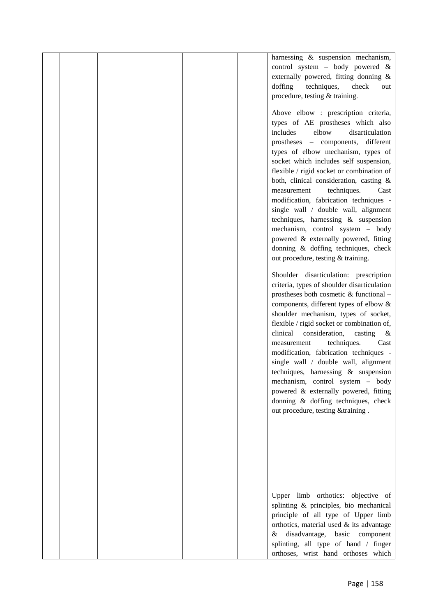|  |  | harnessing & suspension mechanism,          |  |
|--|--|---------------------------------------------|--|
|  |  | control system - body powered &             |  |
|  |  | externally powered, fitting donning &       |  |
|  |  | doffing<br>techniques,<br>check<br>out      |  |
|  |  | procedure, testing & training.              |  |
|  |  |                                             |  |
|  |  | Above elbow : prescription criteria,        |  |
|  |  | types of AE prostheses which also           |  |
|  |  | includes<br>elbow<br>disarticulation        |  |
|  |  | prostheses - components, different          |  |
|  |  | types of elbow mechanism, types of          |  |
|  |  | socket which includes self suspension,      |  |
|  |  | flexible / rigid socket or combination of   |  |
|  |  | both, clinical consideration, casting &     |  |
|  |  | techniques.<br>measurement<br>Cast          |  |
|  |  |                                             |  |
|  |  | modification, fabrication techniques -      |  |
|  |  | single wall / double wall, alignment        |  |
|  |  | techniques, harnessing & suspension         |  |
|  |  | mechanism, control system - body            |  |
|  |  | powered & externally powered, fitting       |  |
|  |  | donning & doffing techniques, check         |  |
|  |  | out procedure, testing & training.          |  |
|  |  | Shoulder disarticulation: prescription      |  |
|  |  | criteria, types of shoulder disarticulation |  |
|  |  | prostheses both cosmetic & functional -     |  |
|  |  | components, different types of elbow &      |  |
|  |  | shoulder mechanism, types of socket,        |  |
|  |  | flexible / rigid socket or combination of,  |  |
|  |  | clinical<br>consideration,<br>casting<br>&  |  |
|  |  | techniques.<br>Cast<br>measurement          |  |
|  |  | modification, fabrication techniques -      |  |
|  |  | single wall / double wall, alignment        |  |
|  |  | techniques, harnessing $\&$ suspension      |  |
|  |  | mechanism, control system - body            |  |
|  |  | powered & externally powered, fitting       |  |
|  |  | donning & doffing techniques, check         |  |
|  |  | out procedure, testing &training.           |  |
|  |  |                                             |  |
|  |  |                                             |  |
|  |  |                                             |  |
|  |  |                                             |  |
|  |  |                                             |  |
|  |  |                                             |  |
|  |  |                                             |  |
|  |  |                                             |  |
|  |  | Upper limb orthotics: objective of          |  |
|  |  | splinting & principles, bio mechanical      |  |
|  |  | principle of all type of Upper limb         |  |
|  |  | orthotics, material used & its advantage    |  |
|  |  | disadvantage, basic component<br>&          |  |
|  |  | splinting, all type of hand / finger        |  |
|  |  | orthoses, wrist hand orthoses which         |  |